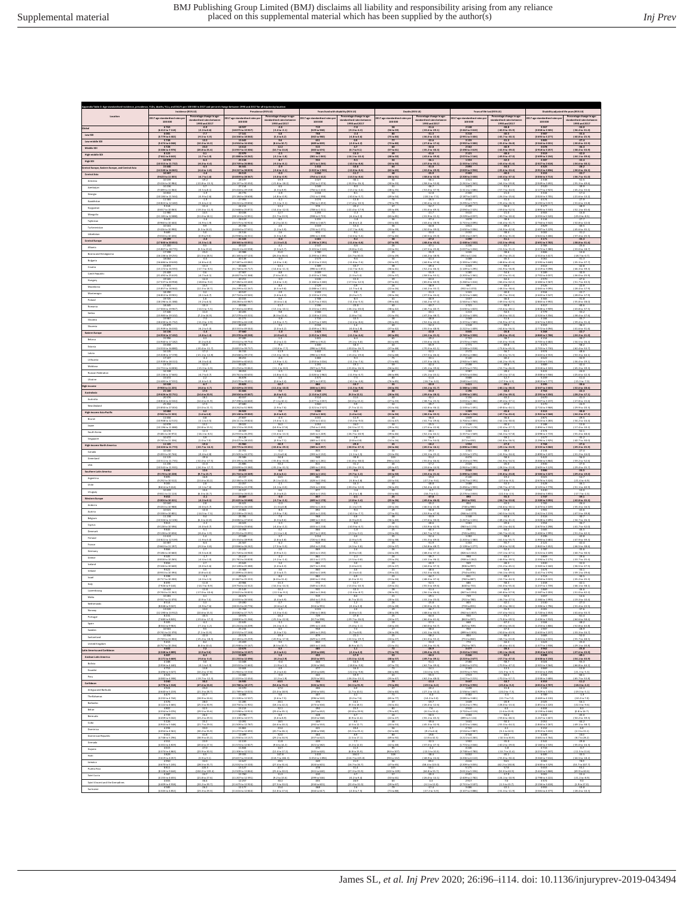|                                                             |                                                                                                                     | nd DALYs per 100 000 in 2017 and                                                                                                      | nd 2017 for all is                                                                                                                                                             |                                                                                                                    |                                                                                                                                                                                  |                                                                                                                                                                             |                                                |                                                                                                                                                                                                                      |                                                                                                                         |                                                                                                                                                                                                                                                                                                               |                                                                                                                                                                                                       |                                                                                                                                                                      |
|-------------------------------------------------------------|---------------------------------------------------------------------------------------------------------------------|---------------------------------------------------------------------------------------------------------------------------------------|--------------------------------------------------------------------------------------------------------------------------------------------------------------------------------|--------------------------------------------------------------------------------------------------------------------|----------------------------------------------------------------------------------------------------------------------------------------------------------------------------------|-----------------------------------------------------------------------------------------------------------------------------------------------------------------------------|------------------------------------------------|----------------------------------------------------------------------------------------------------------------------------------------------------------------------------------------------------------------------|-------------------------------------------------------------------------------------------------------------------------|---------------------------------------------------------------------------------------------------------------------------------------------------------------------------------------------------------------------------------------------------------------------------------------------------------------|-------------------------------------------------------------------------------------------------------------------------------------------------------------------------------------------------------|----------------------------------------------------------------------------------------------------------------------------------------------------------------------|
| Location                                                    | 2017 age-standardised rates pe                                                                                      | Incidence (95% UI)<br>Percentage change in age                                                                                        | 2017 age-standardised rates pe                                                                                                                                                 | Prevalence (15% UI)<br>Percentage change in age                                                                    |                                                                                                                                                                                  | Years lived with disability (95% UI)<br>Percentage change in age                                                                                                            | Deaths (95% UI)                                | Percentage change in age                                                                                                                                                                                             |                                                                                                                         | Years of life lost (95% UI)<br>Percentage change in age                                                                                                                                                                                                                                                       | Disability adjusted life years (95% UI)<br>2017 age-standardised rates pe                                                                                                                             | Percentage change in an                                                                                                                                              |
| lebs!                                                       | 100 000<br>6763                                                                                                     | 1990 and 2017<br>0.9                                                                                                                  | 100000<br>18927                                                                                                                                                                | tandardised rates bet<br>1990 and 2017<br>$-2.8$                                                                   | 0017 age-standardised rates pe<br>100 000<br>719                                                                                                                                 | tandard<br>ed rates bet<br>1990 and 2017<br>74                                                                                                                              | 2017 age-standardised rates pe<br>100 000      | tandard<br>1990 and 2017<br>31.6                                                                                                                                                                                     | 2017 age-standardised rates pe<br>100 000<br>2548                                                                       | 1990 and 2017<br>-38.8                                                                                                                                                                                                                                                                                        | 100 000<br>3267                                                                                                                                                                                       | tandardised rates b<br>1990 and 2017<br>-14.0                                                                                                                        |
| Low SDI                                                     | (6412 to 7 118)<br>6081<br>(5779 to 6 402)<br>5 748                                                                 | $(-2.3 to 0.6)$<br>7.3<br>$(4.5 \text{ to } -5.9)$                                                                                    | (18 075 to 19 937)<br>17161<br>(16 345 to 15 060)<br>15 642                                                                                                                    | (3.4 to 2.1)<br>6.8<br>(5.4 to 8.2)                                                                                | (529 to 948)<br>$(582 to 980)$<br>651                                                                                                                                            | ${4.3 \text{ to } 4.3}$<br>$-2.4$<br>$[4.8 \text{ to } 0.6]$                                                                                                                | (56 to 59)<br>(75 to 84)                       | $(33.6 to -29.1)$<br>$^{41.1}$<br>$(36.0 \text{ to } -22.8)$<br>$-22.6$                                                                                                                                              | (2462 to 2610)<br>3215<br>$\frac{(2391 \text{ to } 3404)}{3155}$                                                        | $(-40.9 to -35.9)$<br>40.5<br>$\frac{(45.7 \text{ to } -30.3)}{31.3}$                                                                                                                                                                                                                                         | (3058 to 3505)<br>3 9 8 7<br>$(3 693 to 4 277)$<br>3 805                                                                                                                                              | $(36.4 to -31.0)$<br>-35.6<br>$(40.8 \text{ to } -25.9)$<br>$-27.4$                                                                                                  |
| Low-middle SDI<br>Middle SDI                                | (5474 to 6 048)<br>4 728                                                                                            | (10.3 to 14.2)                                                                                                                        | (14 944 to 16 4 16)<br>14612                                                                                                                                                   | (8.6 to 10.7)<br>12.2                                                                                              | (489 to 839                                                                                                                                                                      | 12.0 to 4.2                                                                                                                                                                 | (73 to E0)                                     | $\frac{(-27.840 - 17.6)}{-32.8}$                                                                                                                                                                                     | (2 992 to 3 100)<br>2 562                                                                                               | $-35.0 \text{ to } -26.8$                                                                                                                                                                                                                                                                                     | (3 564 to 4 031)<br>3 078                                                                                                                                                                             | (-30.8 to -22.9)<br>$-36.3$                                                                                                                                          |
| High-middle SDI                                             | (4 456 to 4 975)<br>8 1 2 2<br>(7661 to 8643)                                                                       | (20.8 to 25.4)<br>$(-1.7 10 1.9)$                                                                                                     | (13 957 to 15 306)<br>22979<br>$(21.888 to 24.262)$<br>25 158                                                                                                                  | (10.71013.8)<br>$(3.110 - 1.4)$                                                                                    | (383 to 674)<br>[581 to 1065]                                                                                                                                                    | (0.7 to 9.1)<br>11.1<br>$\frac{-16.1 \text{ to } -10.4}{9.5}$                                                                                                               | 60<br>(57 to 61)<br>(48 to 50)                 | [35.2 to 30.3]<br>41.6<br>$\frac{[43.6 \text{ to } -39.8]}{36.1}$                                                                                                                                                    | (2490 to 2619)<br>2 1 2 1<br>$\frac{(2074 to 2164)}{1353}$                                                              | (42.9 to .39.0)<br>48.4<br>$(49.9 \text{ to } -47.0)$                                                                                                                                                                                                                                                         | (2 915 to 3 257)<br>2919<br>$\frac{(2699 \text{ to } 3194)}{2287}$                                                                                                                                    | (38.4 to 33.9)<br>42.0<br>$\frac{(44.1 \text{ to } -39.6)}{-32.4}$                                                                                                   |
| High SDI<br>entral Europa. Emtern Europa. and Central Asia. | (10315 to 11 722)                                                                                                   | (4.1 to 4.4)                                                                                                                          | (23 749 to 26 884)                                                                                                                                                             | $(9.310 - 0.1)$                                                                                                    | (671 to 1 265)                                                                                                                                                                   | $(.10.3 \text{ to } 4.4)$                                                                                                                                                   | (33 to 34)                                     | [37.0 to 35.1]                                                                                                                                                                                                       | (1333 to 1374)                                                                                                          | (43.4 to 41.6)                                                                                                                                                                                                                                                                                                | (2027 to 2 618)                                                                                                                                                                                       | $(34.6 \text{ to } 30.1)$                                                                                                                                            |
| Central Asia                                                | 15 640<br>(14 540 to 16 865)<br>10 307<br>(9 623 to 11 055)                                                         | $(4.6 \text{ to } -1.8)$<br>(4.7 to 1.4)                                                                                              | 36441<br>(34 247 to 38 829)<br>26 5 13<br>(24 859 to 28 367)                                                                                                                   | $(3.610 - 2.1)$<br>$(3.010 - 0.9)$                                                                                 | 1432<br>1022 to 1943)<br>1050<br>(754 to 1412)                                                                                                                                   | $(42.8 \text{ to } -8.3)$<br>(.14.5 to .4.4)                                                                                                                                | $(53 + 65)$<br>[46 to 51]                      | $-31.0$<br>$-32.0$ to -29.9<br>(38.6 to 32.8)                                                                                                                                                                        | 2 893<br>(2 839 to 2 950)<br>2 303<br>(2 200 to 2 430)                                                                  | -34.5<br>(-35.6 to -33.4)<br>(43.4 to 37.4)                                                                                                                                                                                                                                                                   | $4325$<br>$(1913164836)$<br>$1353$<br>(1016 to 1711)                                                                                                                                                  | $-28.2$<br>$-26.3$<br>$-13.7$<br>$(36.760 - 31.0)$                                                                                                                   |
| Armenia<br>Azerbaijan                                       | $(9416 to 10984)$<br>10236                                                                                          | $(22.8 \text{ to } 45.5$                                                                                                              | (26 197 to 10 450)<br>27 214                                                                                                                                                   | $(21.810 - 18.2)$                                                                                                  | $\frac{(742 + 0.1174)}{1049}$                                                                                                                                                    | $(43.9 to -26.3)$                                                                                                                                                           | (10 to 33)                                     | (58.310.53.8)                                                                                                                                                                                                        | $\frac{(1261 \text{ to } 1363)}{1471}$                                                                                  | $(44.3 \text{ to } -59.8)$                                                                                                                                                                                                                                                                                    | (2049 to 2 692                                                                                                                                                                                        | $(53.110 - 49.6)$                                                                                                                                                    |
| Georgia                                                     | (9 489 to 11 064)<br>10832                                                                                          | $(0.5 \text{ to } 8.1)$<br>$(5.9 \text{ to } 2.4)$                                                                                    | (25 418 to 29 158)<br>(25 184 to 28 608)<br>27 991                                                                                                                             | (4.3 to 8.9)<br>$\frac{1}{2}$<br>$\frac{(4.810 \cdot 0.9)}{42}$                                                    | (756 to 1410)<br>1014<br>$\frac{(741 \text{ to } 1.398)}{1.074}$                                                                                                                 | $(-13.2 \text{ to } -4.4)$<br>$\frac{(40.4 \text{ to } 5.7)}{13.8}$                                                                                                         | (28 to 35)<br>(49 to 54)                       | $(53.0 \text{ to } 37.9)$<br>$-12.1$<br>$\frac{(48.166 \cdot 7.3)}{26.5}$                                                                                                                                            | (1311 to 1686)<br>$\frac{(2187 + 2407)}{3501}$                                                                          | $(57.7 to -44.0)$<br>$-21.0$<br>$\frac{(-26.3 \text{ to } -15.6)}{-31.4}$                                                                                                                                                                                                                                     | (2 177 to 2 923)<br>3334<br>(1024 to 1705)                                                                                                                                                            | $(45.2 to -33.6)$<br>$\frac{(21.6 \text{ to } -13.2)}{27.9}$                                                                                                         |
| Kazakhstan<br>Kyrgyzstan                                    | (10154 to 11564)<br>11583<br>(101221012440)<br>9318                                                                 | $(5.6 + 2.1)$                                                                                                                         | (26 241 to 29 8 16)                                                                                                                                                            | (6.1to-3.1)                                                                                                        | (766 to 1453)                                                                                                                                                                    | $(-17.4 \text{ to } -10.5)$                                                                                                                                                 | (70 to 79)                                     | (-30.4 to -22.2)                                                                                                                                                                                                     | (3295 to 1757)                                                                                                          | (-15.4 to -26.3)                                                                                                                                                                                                                                                                                              | (4 192 to 5 01)                                                                                                                                                                                       | (-31.6 to -23.8)<br>48.9                                                                                                                                             |
| Mongolia                                                    | (\$657 to 10 063)<br>(111111012.888)                                                                                | $(49.3 \text{ to } -11.1)$<br>$(11.0 \text{ to } 18.1)$                                                                               | (22 668 to 25 872)<br>(28.141 to 32.051)                                                                                                                                       | $(-14.410 - 12.0)$<br>(11.71013.9)                                                                                 | (701 to 1.311)<br>(938 to 1.723)                                                                                                                                                 | $( -22.4 \text{ to } -17.9)$<br>(4.4 to 2.3)                                                                                                                                | (45 to 49)<br>(65 to 81)                       | $(55.610 - 49.3)$<br>$\frac{(31.916 \cdot 11.1)}{37.4}$                                                                                                                                                              | (2094 to 2325)<br>$\frac{(3229 + 64037)}{1878}$                                                                         | (59.010.52.5)<br>$(40.76 - 30.4)$                                                                                                                                                                                                                                                                             | (2895 to 3530)<br>(4 355 to 5 520)                                                                                                                                                                    | $(52.160 - 45.6)$<br>$-16.8$<br>$(-25.010 - 8.5)$                                                                                                                    |
| Tajikistan<br>Turkmenista                                   | (8 960 to 10 444)<br>10 16 1                                                                                        | (4.9101.9)                                                                                                                            |                                                                                                                                                                                | (4.2 to 14.5)                                                                                                      | $\frac{(934 + 0.1647)}{1019}$                                                                                                                                                    | [4.8 to 5.2]                                                                                                                                                                | (33 to 40)                                     | $(43.4 \text{ to } 28.9)$<br>$44.8$                                                                                                                                                                                  | $\frac{(1715 \text{ to } 2095)}{1811}$                                                                                  | $(44.410 - 31.7)$                                                                                                                                                                                                                                                                                             | (2764 to 3 542)                                                                                                                                                                                       | $\begin{array}{r} \n (32.8 \text{ to } 22.0) \\  (45.6 \text{ to } 35.1) \\  \hline\n (45.6 \text{ to } 35.1) \\  \hline\n 31.2\n \end{array}$                       |
| Uzbekistan                                                  | (9 426 to 10 990)<br>(9 010 to 10 436)<br>19 299                                                                    | (5.51014.0)<br>$(0.9 + 0.9.0)$                                                                                                        | $(22938 to 26311)$<br>41104                                                                                                                                                    | (1.2103.9)<br>(1.5103.8)                                                                                           | $(735 + 1371)$<br>(696 to 1 308)<br>1681                                                                                                                                         | $(47.716 - 4.4)$<br>(12.610.4)<br>(5.4)                                                                                                                                     | (33 to 39)<br>(17 to 46)                       | $\frac{(50.016 - 39.0)}{33.0}$<br>$(40.5 to -25.0)$<br>$47.0$                                                                                                                                                        | $(1650 + 2005$<br>2032<br>$\frac{(1811 to 2267)}{1490}$                                                                 | $(54.9 \text{ to } 42.8)$<br>$\frac{(45.5 \text{ to } -31.0)}{51.1}$                                                                                                                                                                                                                                          | (2497 to 3 225<br>$\frac{(2.641 \text{ to } 1.406)}{3.171}$                                                                                                                                           | $\frac{(47.4 \text{ to } 25.5)}{45.3}$                                                                                                                               |
| Central Europe<br>Abanta                                    | (17840 to 20853)                                                                                                    | (5.5 to 1.1)                                                                                                                          | (38 365 to 44 051)<br>39 107                                                                                                                                                   | (4.5 to 0.2)                                                                                                       | (1196602291)                                                                                                                                                                     | $(41.6 \text{ to } 4.8)$                                                                                                                                                    | (37 to 39)                                     | $(48.4 to 45.6)$<br>$-37.1$                                                                                                                                                                                          | $\frac{(1448 \text{ to } 1532)}{1216}$                                                                                  | $(52.5 to -49.6)$                                                                                                                                                                                                                                                                                             | $\frac{(2691103782)}{2783}$                                                                                                                                                                           | $(38.8 to -31.6)$<br>$-25.6$                                                                                                                                         |
| Bosnia and Herzegovin                                       | (15.807 to 18.775)<br>17.598<br>(16135 to 19 255)<br>18 064                                                         | (5.5 to 13.6)<br>25.0<br>$\frac{25.0}{21.5 \text{ to } 28.5)}$                                                                        | $\frac{3910}{(36.411 \text{ to } 42.038)}$<br>$\frac{43.988}{43.988}$<br>$\begin{array}{r} 43 \,\mathrm{mas} \\ (41\,165\,\mathrm{to}\,47\,123) \\ \hline 40\,138 \end{array}$ | (2.5 to 5.7)<br>31.0<br>(26.31036.6)                                                                               | $\begin{array}{r} 1.54, \\ (1.101 \, \mathrm{to} \, 2.124) \\ \hline 1.780 \end{array}$<br>$\begin{array}{r} 1780 \\ (1.293 \, \mathrm{to} \, 2.393) \\ \hline 1573 \end{array}$ | $(4.8 \text{ to } 0.4)$<br>20.5<br>$(13.7 \text{ to } 30.0)$<br>$-9.6$<br>$-7.4$                                                                                            | (22 to 31)<br>25<br>(23 to 29)                 | $[47.5 \text{ to } 25.8]$<br>$-35.9$<br>$(44.2 \text{ to } 48.9)$<br>$41.4$                                                                                                                                          | $\begin{array}{r} 12.00 \\ (1.037 to 1.454) \\ 1.026 \end{array}$<br>$\frac{(951 \text{ to } 1116)}{1488}$              | (51.5 to .31.2)<br>-38.6<br>$\begin{array}{r} -38.6 \\ \hline (-45.7 \text{ to } -25.2) \\ -45.3 \\ \end{array}$                                                                                                                                                                                              | (2 272 to 1 380)<br>2 8 0 5<br>$\frac{(2.313 \text{ to } 3.417)}{3.061}$                                                                                                                              | $(43.0 \text{ to } -18.7)$<br>$-10.8$<br>$\frac{(-18.7 \text{ to } 0.7)}{-31.3}$                                                                                     |
| Bulgaria<br>Croatia                                         | (16634 to 19630)                                                                                                    | (4.8 to 4.2)                                                                                                                          | (37.387 to 43.082)                                                                                                                                                             | $(4.010 - 1.8)$                                                                                                    | (1111162152)                                                                                                                                                                     | $(41.816 - 7.4$                                                                                                                                                             | (12 to 37)                                     | $(44.9 \text{ to } 37.8)$                                                                                                                                                                                            | (1393 to 1595)                                                                                                          | $(48.8 \text{ to } 41.6)$                                                                                                                                                                                                                                                                                     | (2 595 to 3 640                                                                                                                                                                                       | (45.3 to 27.7)                                                                                                                                                       |
| Czech Republi                                               | 15 872<br>(15 172 to 16 593)<br>23 408                                                                              | $-13.3$<br>$(-17.7 \text{ to } -8.5)$                                                                                                 | 33605<br>(31 740 to 35 717)<br>47907<br>$\frac{(44827651368)}{40251}$                                                                                                          | $-13.1$<br>$(-14.610 - 11.3)$<br>1.1<br>$(7.6 \text{ to } 10.2)$                                                   | (996 to 1872)<br>2009<br>(1431to 2.748)<br>1636                                                                                                                                  | $-10.7$<br>$(-12.7$ to $-8.2$<br>1.3<br>(1.105.4)                                                                                                                           | $38$<br>(16 to 41)<br>$\frac{35}{(33 + 0.37)}$ | 49.4<br>(52.2 to 46.3)<br>55.9                                                                                                                                                                                       | 1 223<br>(1149 to 1295)                                                                                                 | -59.4<br>(41.9 to -56.8)                                                                                                                                                                                                                                                                                      | 2 612<br>(2 219 to 3 098<br>3289                                                                                                                                                                      | 42.8<br>(46.1 to -39.1)<br>$-30.9$<br>$\frac{(36.010 \cdot 25.9)}{47.6}$                                                                                             |
| Hungary<br>Macedonia                                        | 21 403<br>(21 492 to 25 619)<br>19 165<br>(17 517 to 20 958)<br>17 351<br>(15 857 to 18 960)<br>18 290              | $\begin{array}{r} 0.6 \\ (4.7\,95\,0.1) \\ -14.0 \\ (-18.8\,95\,0.2) \end{array}$                                                     | $\begin{array}{r} 40251 \\ (37.382 \text{ to } 43.440) \\ \underline{-39.156} \\ (36.299 \text{ to } 42.267) \end{array}$                                                      | $(4.610 - 1.0)$                                                                                                    | 1 0 10<br>(1 1 0 6 to 2 2 4 0)<br>1 5 2 9<br>(1 0 8 1 to 2 1 0 1 )<br>1 5 9 3                                                                                                    | -15.0<br>(-17.5 to -12.5)                                                                                                                                                   | (17 to 41)                                     | $\begin{array}{r} -55.9 \\ \begin{array}{r} \{58.5 \text{ to } 53.1\} \\ \{41.0 \} \\ \{65.0 \text{ to } 60.9\} \\ \{48.2 \text{ to } 43.7\} \\ \{44.2 \text{ to } 43.7\} \\ \{41.3 \} \end{array} \end{array}$      | $\begin{array}{r} 1280 \\ (1203 \text{ to } 1361) \\ 1314 \\ (1260 \text{ to } 1414) \\ \hline 03 \end{array}$          | $\begin{array}{r} (41.514) \\ (57.316) \\ (46.4) \\ (46.416) \\ (45.416) \\ (48.316) \\ (48.316) \\ (49.316) \\ (40.316) \\ (40.316) \\ (40.316) \\ (40.316) \\ (40.316) \\ (40.316) \\ (40.316) \\ (40.316) \\ (40.316) \\ (40.316) \\ (40.316) \\ (40.316) \\ (40.316) \\ (40.316) \\ (40.316) \\ (40.316)$ | 3289<br>2702 to 4 037<br>2970<br>2484 to 3 567<br>2526<br>2934                                                                                                                                        | $(51.766 - 41.5)$                                                                                                                                                    |
| Montenegro                                                  |                                                                                                                     | $15.5$<br>(12.1 to 18.7)<br>(0.1106.7)                                                                                                | $(37.724 \text{ to } 43.565)$<br>$41.015$                                                                                                                                      | $rac{8.3}{(6.5 + 0.9.8)}$<br>(1.6 to 4.3)                                                                          | (1.133 to 2.174)                                                                                                                                                                 | $0.9$<br>$(2.7 + 0.4.4)$<br>$(0.2 \text{ to } 3.7)$                                                                                                                         | (22 to 26)<br>(10 to 16)                       | $(37.5 \text{ to } 24.4)$                                                                                                                                                                                            | $(932, 1070)$<br>$(932, 1070)$<br>$\frac{(1221 to 1468)}{1657}$                                                         | $(45.7 to -33.6)$<br>$46.0$                                                                                                                                                                                                                                                                                   | (2 441 to 1 547)                                                                                                                                                                                      | -22.9<br>(28.4 to -17.9)                                                                                                                                             |
| Poland                                                      | $\begin{array}{r} (16.812 \pm 0.19 \ 901) \\ 19.725 \\ (18.196 \pm 0.21 \ 388) \\ 18.445 \end{array}$               | $\frac{(4.2 + 6.5)}{10.1}$                                                                                                            | (38 283 to 43 987)                                                                                                                                                             | (0.6161.4)                                                                                                         | (1.217662332)                                                                                                                                                                    | $\frac{(41.4 \text{ to } 6.3)}{23.0}$                                                                                                                                       | (19 to 44)                                     | $[44.2 \text{ to } -37.2]$<br>$43.7$                                                                                                                                                                                 | $(1563601760)$<br>1721                                                                                                  | $(49.3 \text{ to } -42.5)$                                                                                                                                                                                                                                                                                    | (2 865 to 1 92                                                                                                                                                                                        | $\begin{array}{r} (28.0 \text{ to } -17.9) \\ \hline -31.8 \\ (15.8 \text{ to } -28.0) \\ \hline -40.6 \end{array}$                                                  |
| Romania<br>$\operatorname{\mathsf{Set}}$                    | (17003 to 19 967)<br>17446<br>(15983 to 19 102)<br>19987                                                            | $(-14.5 to -5.5$<br>11.0<br>$(7.2 + 0.14.9)$<br>$-7.0$                                                                                | (17 302 to 42 894)<br>4020<br>$(37.279 \text{ to } 43.315)$<br>$41.271$                                                                                                        | $(-13.1 to -10.1)$<br>$\frac{(6.3 \text{ to } 11.6)}{3.8}$                                                         | (1131 to 2193)<br>$(1118 to 2133)$<br>1716                                                                                                                                       | $(-26.1 to -20.0)$<br>$(1.8 \text{ to } 7.6)$                                                                                                                               | (18 to 42)<br>(11 to 15)                       | $[46.7 to -40.7]$<br>41.1<br>$\frac{(47.2 \text{ to } -38.7)}{48.8}$                                                                                                                                                 | (1630 to 1823)<br>1213<br>$\frac{(1132 \text{ to } 1309)}{1468}$                                                        | $(53.6 \text{ to } -48.1)$<br>34.5<br>$\frac{(58.016 - 50.2)}{51.6}$                                                                                                                                                                                                                                          | (2 838 to 3 90<br>(2 324 to 3 356)<br>3 184                                                                                                                                                           | $(43.8 to -37.5)$<br>$-11.2$                                                                                                                                         |
| Slovakia<br>Soveria                                         | (18430 to 21.732)                                                                                                   | $(-11.0 to -2.9)$                                                                                                                     | (38 599 to 44 118)                                                                                                                                                             | $(4.910 - 2.7)$                                                                                                    | (1227 to 2349)                                                                                                                                                                   | $(42.4 \text{ to } 4.6)$                                                                                                                                                    | (35 to 41)                                     | $\frac{(52.3 \text{ to } -44.2)}{52.3}$<br>(55.5 to -48.9)                                                                                                                                                           | (1372101583)                                                                                                            | (54.9 to 47.3)                                                                                                                                                                                                                                                                                                | (2671103331)                                                                                                                                                                                          | $\frac{(38.4 \text{ to } 27.6)}{35.7}$<br>$(39.4 \text{ to } 31.4)$                                                                                                  |
| Eastern Europ                                               | (21939 to 26 030)<br>(14954 to 17432)                                                                               | (4.2 to 5.0)<br>(3.8101.4)                                                                                                            | (43.333 to 49.344)<br>(15 378 to 40 240)                                                                                                                                       | $3.1$<br>(2.0 to 4.2)<br>(2.0100.1)                                                                                | 2034<br>(1459to 2781)<br>(1012601934)                                                                                                                                            | $\frac{1.4}{(0.0102.8)}$<br>(41.5 to 4.6)                                                                                                                                   | (17 to 42)<br>(12 to 15)                       | (24.1 to 21.5)                                                                                                                                                                                                       | (1222 to 1409)<br>(3769 to 3920)                                                                                        | $(42.6 \text{ to } 36.5)$<br>$(28.0 \text{ to } 25.6)$                                                                                                                                                                                                                                                        | (2 772 to 4 094)<br>(4 860 to 5 788)                                                                                                                                                                  | $(41.6 \text{ to } 31.6)$<br>$(24.3 \text{ to } 21.0)$                                                                                                               |
| Belarus<br><b>Ditoria</b>                                   | (1494010.17.182)<br>15658<br>(1455310.16.880)<br>16.135                                                             | (0.110, 0.4)                                                                                                                          | (35 022 to 39 754                                                                                                                                                              | $rac{1}{22102.3}$                                                                                                  | (999 to 1912)<br>1400                                                                                                                                                            | $(9.10-3.8)$                                                                                                                                                                | [51 to 69]                                     | $\begin{array}{r} -29.2 \\ \begin{array}{r} \text{(33.6 to -24.0)} \\ \text{(35.9)} \\ \text{(70.3 to -61.1)} \\ \text{(52.1)} \end{array} \end{array}$                                                              | $\frac{(2570162949)}{1771}$                                                                                             | $(43.016 - 33.8)$                                                                                                                                                                                                                                                                                             | $(3.705 \text{ to } 4.68)$<br>$3.171$                                                                                                                                                                 | (34.5 to .26.4)                                                                                                                                                      |
| Latvia                                                      | (15028 to 17 378)<br>17 107                                                                                         | $(20.4 \text{ to } 11.7$<br>$\frac{(21.1 \text{ to } -12.8)}{4.1}$                                                                    | (14 852 to 39 737<br>(14 568 to 39 173)<br>38 25 1                                                                                                                             | $\frac{(10.8 + 0.7.7)}{11.9}$<br>$\frac{13.310 \cdot 10.3}{2.6}$                                                   | (395 to 1904<br>(996 to 1910)<br>1482                                                                                                                                            | $(-20.0 \text{ to } -16.7)$<br>$( -23.4 \text{ to } -19.6)$                                                                                                                 | (17 to 48)<br>(54 to 68)                       | $\frac{57.5 \text{ to } 46.4}{33.1}$                                                                                                                                                                                 | $\frac{(1548162018)}{2572}$<br>$\frac{(2.282 \text{ to } 2.884)}{3.140}$                                                | $(-73.6 \text{ to } -65.5)$<br>$(41.610 - 51.5)$                                                                                                                                                                                                                                                              | $\frac{2.703 \text{ to } 3.73}{3.974}$<br>(1441to 4.55)<br>4.622                                                                                                                                      | $\frac{(62.4 \text{ to } 51.7)}{48.6}$<br>$\frac{(51.1 \text{ to } 44.1)}{32.9}$                                                                                     |
| Lithuania<br>Moldova                                        | $(159391018313)$<br>$13717$                                                                                         | $(4.3 + 0.4)$                                                                                                                         | (16 069 to 40 612)                                                                                                                                                             | $(3.910 - 2.3)$<br>ia a                                                                                            | $\frac{(1053 + 02016)}{1291}$                                                                                                                                                    | $\begin{array}{r} \begin{array}{c} \text{11.2 to -} \\ \text{19.1} \end{array} \end{array}$<br>$-7.41$                                                                      | (71 to 80)                                     | $\frac{(37.346 \cdot 28.5)}{42.4}$                                                                                                                                                                                   | $\frac{(2945 \text{ to } 3169)}{2598}$                                                                                  | $\frac{(44.2 \text{ to } -35.9)}{49.6}$                                                                                                                                                                                                                                                                       | $\frac{414310515}{1889}$                                                                                                                                                                              | $\frac{(36.4 \text{ to } 29.1)}{42.4}$                                                                                                                               |
| <b>Russian Federatio</b>                                    | (12.751 to 14.806)<br>16335<br>$(151361617665)$<br>15 672                                                           | $(-15.3 \text{ to } -6.9)$<br>$-2.2$<br>$(4.7 + 0.7)$                                                                                 | $(11.254$ to 35 842)<br>38053<br>3895,<br>(35761 to 40 635)<br>36878                                                                                                           | $(-11.1 \text{ to } 4.0)$<br>$-1.5$<br>$(2.810 - 0.1)$                                                             | (927 to 1754)<br>1444<br>$\frac{(1.026 + 0.1962)}{1.371}$                                                                                                                        | $(-21.8 \text{ to } -16.5)$<br>$-2.2$<br>$\frac{94}{7.5}$                                                                                                                   | (56 to 61)<br>IJ<br>[16 to 19]                 | $[-45.1 to -39.6]$<br>$-24.0$<br>$\begin{array}{r} -24.4 \\ \underline{(25.140-23.1)} \\ -11.6 \end{array}$                                                                                                          | 25mm<br>(2475 to 2735)<br>3987<br>$\frac{(1925 \text{ to } 4056)}{3.888}$                                               | $(52.7 \text{ to } 46.0)$<br>$-28.2$<br>$\begin{array}{r} -28.2 \\ \hline (49.1 \text{ to } 47.4) \\ \hline -12.7 \\ \end{array}$                                                                                                                                                                             | (1518 to 4 32)<br>5431                                                                                                                                                                                | $(45.3 to -39.3)$<br>$-24.0$<br>$\frac{(25.6 \text{ to } -22.1)}{41.4}$                                                                                              |
| Ukraine<br>gh-income                                        | (14483 to 17033)<br>10528                                                                                           | (0.6 to 5.1)                                                                                                                          | (34570 to 39.431)<br>23823                                                                                                                                                     | 15<br>(0.6 to 2.4)                                                                                                 | (971 to 1872)                                                                                                                                                                    | (40.1 to 4.8)                                                                                                                                                               | (76 to 85)                                     | $(16.7 \text{ to } 6.0)$                                                                                                                                                                                             | $\frac{(1681 \text{ to } 4115)}{1411}$                                                                                  | (47.910.6.9)<br>39.1                                                                                                                                                                                                                                                                                          | (5 008 to 5 94<br>(4 810 to 5 777<br>2 295                                                                                                                                                            | $(-15.3 \text{ to } -7.0)$<br>-30.6                                                                                                                                  |
| Australasia                                                 | (9 900 to 11 225)<br>9626 to 22 751                                                                                 | $\frac{(4.6 \text{ to } 4.7)}{17.6}$<br>4.6 to 20.                                                                                    | $(22 429 10 25 535)$<br>41 666<br>8 504 to 45 84                                                                                                                               | $\frac{11.410 \cdot 10.0}{7.5}$<br>E.0109.3                                                                        | $\frac{[636 \text{ to } 1201]}{1568}$<br>1114to 212                                                                                                                              | (41.5 to 4.8)<br>1.5 to 12.                                                                                                                                                 | (14 to 35)<br>28 to 33                         | (34.1 to 31.7<br>-39.4 to -28                                                                                                                                                                                        | $\frac{(1388 to 1436)}{1196}$<br>090 to 1 10                                                                            | $(40.1 to -38.0)$<br>49.2 to -39                                                                                                                                                                                                                                                                              | (2 047 to 2 603)<br>291 to 31                                                                                                                                                                         | $\frac{(-32.6 \text{ to } -28.6)}{-22.3}$<br>28.2 to -17.1                                                                                                           |
| Australia<br>New Zealand                                    | 20 376<br>(18816 to 22 044)                                                                                         | 18.1<br>14.6 to 21.9                                                                                                                  | 40 557<br>17 398 to 44 660)                                                                                                                                                    | $\frac{8.4}{(7.1 \text{ to } 10.1)}$                                                                               | 1514<br>2057 - 1077 to 2057)                                                                                                                                                     | 11.6<br>(10.0 to 11.2)                                                                                                                                                      | (27 to 33)                                     | -32.1<br>(-38.7 to -25.5                                                                                                                                                                                             | 1 156<br>(1033 to 1 254)                                                                                                | 41.2<br>(49.4 to -37.1)                                                                                                                                                                                                                                                                                       | 2 670<br>2 207 to 3 237 <mark>.</mark>                                                                                                                                                                | -21.1<br>(27.8 to -15.6)                                                                                                                                             |
| <b>High-income Asia Pacific</b>                             | 25 354<br>(23 850 to 27 004<br>10 684<br>(9 942 to 11 555)                                                          | (1.6 to 6.8)                                                                                                                          | 47680<br>(44262 to 51989)<br>26922<br>(25 148 to 29 002)                                                                                                                       | $\frac{1.9107.6}{70}$<br>(6.0 to 8.2)                                                                              | $\begin{array}{r} 1860 \\ \text{(1 321 to 2 527)} \\ \text{1006} \end{array}$<br>(718 to 1365)                                                                                   | $(1.4 \times 4.6)$                                                                                                                                                          | (111014)<br>(31 to 34)                         | $-39.7$<br>$(-42.8 \text{ to } -36.0)$<br>(38.3 to 33.5)                                                                                                                                                             | 1410<br>(1339 to 1491)<br>1209<br>(1168 to 1256)                                                                        | $47.0$<br>$(49.8 \text{ to } -44.1)$<br>(47.7 to 43.4)                                                                                                                                                                                                                                                        | $\begin{array}{r} 3.270 \\ (2.724 \, \mathrm{to} \, 3.95) \\ \hline 2.215 \end{array}$<br>(1941 to 2568)                                                                                              | $-24.9$<br>$(-29.9 \text{ to } -20.1)$<br>(34.3 to 37.2)                                                                                                             |
| <b>Drunel</b>                                               | (10906 to 12 515)                                                                                                   | $\frac{(2.1103.5)}{13.1}$                                                                                                             | (26 111 to 29 824)                                                                                                                                                             | $(-3.6 to -1.1)$                                                                                                   | $\frac{(725 + 0.1411)}{1052}$                                                                                                                                                    | $(45.016 - 9.0)$                                                                                                                                                            | [41 to 47]                                     | $(41.710 - 29.6)$<br>-25.5                                                                                                                                                                                           | $\frac{(1704662003)}{1116}$                                                                                             | $(42.1 to -30.0)$                                                                                                                                                                                                                                                                                             | $\frac{(2.523 \text{ to } 3.283)}{2.188}$                                                                                                                                                             | $\frac{(34.2 \text{ to } 24.4)}{13.8}$                                                                                                                               |
| Japan<br>South Korea                                        | (10196 to 11 888)<br>10174                                                                                          | (10.8 to 15.5<br>$-12.3$                                                                                                              | (26 174 to 10 259)<br>$(22933 to 26295)$<br>$26128$                                                                                                                            | (14.9 to 17.8)<br>$-14.5$                                                                                          | (754 to 1 410)                                                                                                                                                                   | (14.5 to 17.7)<br>24.0                                                                                                                                                      | (29 to 31)<br>(19 to 46)                       | $[-27.6 \text{ to } -22.8]$<br>41.3<br>$\frac{(52.1 \text{ to } -44.1)}{56.8}$                                                                                                                                       | (1101 to 1178)<br>1463                                                                                                  | $(-32.4 \text{ to } -27.7)$<br>41.1<br>$(44.3\times 57.8)$<br>$39.1$                                                                                                                                                                                                                                          | (1894 to 2550                                                                                                                                                                                         | $(47.4 \text{ to } -10.2)$<br>$-52.5$                                                                                                                                |
| Singapore<br>High-Income N                                  | (9481 to 10 972)<br>10 472<br>(9 745 to 11 336)                                                                     | $\frac{(-16.1 \text{ to } 4.5)}{3.9}$<br>(1.0 to 7.0)                                                                                 | (24 475 to 28 102)                                                                                                                                                             | $\frac{(-15.610 - 13.3)}{6.0}$<br>(4.9 to 7.1)                                                                     | (645 to 1 249)<br>(681 to 1 121)                                                                                                                                                 | $\frac{(-26.7 \text{ to } -20.9)}{2.9}$<br>$(0.8 \text{ to } 4.8)$                                                                                                          | (14 to 16)                                     | (59.710.54.0)                                                                                                                                                                                                        | $(1357 to 1569)$<br>611<br>(571 to 650)                                                                                 | (41.810.56.5)                                                                                                                                                                                                                                                                                                 | $\frac{(2.098 \text{ to } 2.719)}{1.577}$<br>(1.296 to 1.925)                                                                                                                                         | $\frac{(45.4 \text{ to } 48.6)}{35.2}$<br>$(40.766 - 30.0)$                                                                                                          |
| Canada                                                      | (10424 to 11.773)<br>9493 to 1074                                                                                   | (22.7%3.5)<br>(0.4 to 4.8                                                                                                             | (20 775 to 23 431)<br>21 505 to 24 37                                                                                                                                          | $[-32.8 to -29.3]$<br>$-1.2 to 0.6$                                                                                | (589 101 097)<br>591to 111                                                                                                                                                       | $(-10.9 \text{ to } -27.3)$<br>$-1.1 to 1.$                                                                                                                                 | [44 to 46]<br>(11 to 3)                        | $(20.5 to -16.1)$<br>$-29.3$<br>$-431.1 to -2$                                                                                                                                                                       | $(1.898 to 2.006)$<br>$1.301$                                                                                           | $(29.16 - 24.9)$<br>(419to-34                                                                                                                                                                                                                                                                                 | $(2535 to 3060)$<br>$2134$<br>1890 to 24                                                                                                                                                              | (29.160.25.9)<br>-31.2 to -24                                                                                                                                        |
| Greenland<br><b>USA</b>                                     | $\begin{array}{r} 11\,115 \\ (10\,511\,10\,11\,715) \\ 11\,216 \\ (10\,542\,10\,11\,915) \\ \bf 9\,690 \end{array}$ | $\begin{array}{r} -29.6 \\ \{ 32.0 \text{ to } -27.5 \} \\ \hline -21.0 \\ \{ 24.1 \text{ to } -17.7 \} \\ \textbf{12.6} \end{array}$ | $\begin{array}{r} \textbf{2.9.305} \\ \textbf{2.3.195 to 26.290} \\ \textbf{2.1.886} \end{array}$                                                                              | $\begin{array}{r} -34.8 \\ \hline -35.8 \text{ to } -33.8) \\ -33.2 \\ \hline -43.2 \\ \hline -6.8 \\ \end{array}$ | $\begin{array}{r} 682 \, \mathrm{to} \, 1281 \\ 811 \end{array}$                                                                                                                 | $\begin{array}{r} \hline 139.8 \\ (41.8 \text{ to } -18.0) \\ -31.2 \\ \hline \end{array}$                                                                                  | (98 to 112)                                    | $\begin{array}{r} -51.2 \\ \begin{array}{r} -55.0 \text{ to } -46.6 \end{array} \\ \begin{array}{r} -17.2 \\ \begin{array}{r} -19.6 \text{ to } -14.9 \end{array} \\ \begin{array}{r} -27.9 \end{array} \end{array}$ | (1225 to 1375)<br>4474<br>(4353 to 4799)<br>2024<br>(1963 to 2081)<br>2045                                              | -38.4<br>(41.9 to -54.5)                                                                                                                                                                                                                                                                                      | (5 006 to 5 86<br>2 836                                                                                                                                                                               | $\begin{array}{r} 56.0 \\ \underline{(59.2 \text{ to } 52.6)} \\ -27.6 \\ \underline{(29.4 \text{ to } 25.7)} \\ -24.5 \end{array}$                                  |
| Southern Latin America                                      | (9 170 to 10 228)<br>9 895                                                                                          | [9.71015.7]                                                                                                                           | (20 600 to 23 380<br>(21 744 to 24 469)<br>23 7 27                                                                                                                             | (5.6 to 5.1)                                                                                                       | $(589 + 1093)$<br>[501 to 1141]                                                                                                                                                  | $(9.760 - 1.3)$                                                                                                                                                             | $(45 + 47)$<br>(43 to 50)                      | $(43.4 to -21.6)$<br>$(9.0)$                                                                                                                                                                                         | $(1890 to 2230)$<br>$2140$                                                                                              | $\begin{array}{r} \hline 36.0 \\ (28.3 \text{ to } 23.8) \\ \hline 30.2 \\ \hline \end{array}$<br>$(35.8 to -23.8)$                                                                                                                                                                                           | (2 605 to 3 12)<br>$\frac{2.584 \text{ to } 3.227}{3.021}$                                                                                                                                            | $\frac{129.4 \text{ to } -19.0}{-14.7}$                                                                                                                              |
| Argentina<br>Chile                                          | (9 292 to 10 512)<br>9 005                                                                                          | $\frac{(11.6 \text{ to } 20.2)}{2.8}$                                                                                                 | (22 184 to 25 109)<br>21057                                                                                                                                                    | $\frac{(9.11012.0)}{2.1}$                                                                                          | $\frac{[628 \text{ to } 1 194]}{740}$                                                                                                                                            | $\frac{(5.8 \text{ to } 2.8)}{16.3}$                                                                                                                                        | (43 to 53)                                     | $\frac{(27.2 \text{ to } 9.4)}{48.8}$                                                                                                                                                                                | $\frac{(1917662391)}{1688}$                                                                                             | $\frac{(27.616 \cdot 0.2)}{53.3}$                                                                                                                                                                                                                                                                             | $\frac{(2.676 \text{ to } 3.424)}{2.428}$                                                                                                                                                             | $\frac{(-21.4 \text{ to } 4.9)}{46.1}$                                                                                                                               |
| Uruguay                                                     | $(8614 to 9414)$<br>10459<br>(9 8 11 to 11 11 3)<br>9 65 2                                                          | (2.1107.6)<br>10.4<br>$\frac{(6.3 + 0.14.7)}{2.1}$                                                                                    | $\frac{21637}{24317}$<br>$\frac{19317}{23087}$                                                                                                                                 | (4.110.0.0)<br>6.6<br>(5.310.8.2)                                                                                  | (524 to 1 006)<br>577<br>$\frac{1524 + 0.1192}{857}$                                                                                                                             | $(-20.2 \text{ to } -12.0)$<br>$-1.6$<br>$\frac{(5.2 \text{ to } 1.8)}{2.1}$                                                                                                | (16 to 45)<br>59<br>(53 to 66)                 | $(54.4 \text{ to } -42.4)$<br>47<br>$\frac{(16.7663.1)}{47.8}$                                                                                                                                                       | 16aa<br>(1494 to 1901)<br>2553<br>$\begin{array}{r} 2.55\,\mu\\ (2.276\,\mathrm{to}\,2.833)\\ 00\end{array}$            | $(58.7 \text{ to } 47.0)$<br>$-12.6$<br>$\begin{array}{r} -4x.6 \\ \hline \phantom{000} \{22.3 \text{ to } 2.5\} \\ \hline 45.3 \\ \end{array}$                                                                                                                                                               | $\begin{array}{r} 2448 \\ (2.125 \text{ to } 2.778) \\ 3.430 \end{array}$<br>$\frac{(1054 + 0.1855)}{1747}$                                                                                           | $(51.1 to -40.9)$<br>$-10.0$<br>$\frac{(-17.7 + 0.2.3)}{-39.1}$                                                                                                      |
| Western Eu<br>Andorra                                       | (9 004 to 10 411)                                                                                                   | (4.3 to 0.1)                                                                                                                          | (21 625 to 24 688)                                                                                                                                                             | $(3.710 - 2.3)$                                                                                                    | (609 to 1 170)<br>911                                                                                                                                                            | $[2.8 to -1.4]$                                                                                                                                                             | (25 to 26)                                     | $(49.410 - 46.0)$                                                                                                                                                                                                    | (163 to 918)<br>554                                                                                                     | (56.7 to 53.8)                                                                                                                                                                                                                                                                                                | (1 500 to 2 055)                                                                                                                                                                                      | (42.8 to .35.3)                                                                                                                                                      |
| $\it{Austria}$                                              | 10 160<br>{9 433 to 10 988}<br>10 021<br>(9 338 to 10 801)                                                          | $2.8$<br>(0.0 to 5.7)<br>$(44.5 \text{ to } 7.3)$                                                                                     | 24421<br>(22872 to 26 130<br>(22 118 to 25 562                                                                                                                                 | -0.3<br>(1.3 to 0.8)<br>$(9.910 - 7.8)$                                                                            | (650 to 1 241)<br>(631 to 1 220                                                                                                                                                  | 2.5<br>(1.1 to 3.9)<br>$(-10.3 \text{ to } -7.7$                                                                                                                            | 23<br>(20 to 26)<br>(27 to 31)                 | $-35.2$<br>$-46.5$ to -21.8<br>(53.9 to 47.8)                                                                                                                                                                        | $(738 + 0.980)$<br>(946 to 1079)                                                                                        | $(54.5 \text{ to } -30.1)$<br>$-57.8$<br>$(40.5 \text{ to } -54.9)$                                                                                                                                                                                                                                           | $\begin{array}{r} 1.765 \\ (1.473 \, \mathrm{to} \, 2.10 \\ \textcolor{red}{1.901} \end{array}$<br>(16211022)                                                                                         | $\begin{array}{r} -26.4 \\ \begin{array}{r} \{45.1 \text{ to } -16.5\} \\ \{41.6 \end{array} \\ \begin{array}{r} \{47.5 \text{ to } -39.8\} \end{array} \end{array}$ |
| Belgium<br>Cyprus                                           | 11 238<br>(10 504 to 12 105)<br>9 813<br>(9 128 to 10 596)<br>9 845                                                 | 9.4<br>(5.3 to 12.5)                                                                                                                  | 25781<br>(24 082 to 27 6 14)                                                                                                                                                   | 7.4<br>(5.3 to 5.6)                                                                                                | 958<br>(555 to 1 322)                                                                                                                                                            | 6.6<br>(1.3 to 8.3)                                                                                                                                                         | as<br>(16 to 40)                               | $\begin{array}{r} \n 31.9 \\  \hline\n  (37.6 \text{ to } 30.0) \\  -48.6 \\  \hline\n  (53.9 \text{ to } 42.9) \\  \hline\n  60.3\n \end{array}$                                                                    | 1 348<br>(1267 to 1431)                                                                                                 | 44.6<br>(48.2 to -41.2)                                                                                                                                                                                                                                                                                       | 2 316<br>2 028 to 2 695<br>3 954<br>1 673 to 2 298<br>3 665                                                                                                                                           | -30.7<br>(44.7 to -26.3)                                                                                                                                             |
| Denmark                                                     |                                                                                                                     | (5.010.7)<br>(4.4 to .1.9)                                                                                                            | 24023<br>(22 510 to 25 656<br>(21914 to 25 091)                                                                                                                                | 3.3<br>(4.4to-2.2)<br>(4.1 to 1.4)                                                                                 | 893<br>(633 to 1 218)<br>$\frac{[617601183]}{1014}$                                                                                                                              | -3.5<br>(-10.9 to -6.7)<br>(3.5 to 0.2)                                                                                                                                     | $(25 + 0.31)$<br>(23 to 26)                    | $(62.710 - 57.6)$<br>$-52.4$                                                                                                                                                                                         | 1 051<br>(953 to 1 170)<br>$\frac{(745 \text{ to } 855)}{1.282}$                                                        | $-49.6$<br>$(-55.1 \text{ to } -44.3)$<br>$(46.7 to 41.6)$<br>$-58.8$                                                                                                                                                                                                                                         | (1404 to 1995                                                                                                                                                                                         | -36.7<br>(41.7 to -32.0)<br>$\frac{(51.2 \text{ to } 42.1)}{41.8}$                                                                                                   |
| Finland<br>France                                           | 9 = 9<br>(9 128 to 10 656)<br>11 6 13<br>(10 8 2 1 to 12 5 39)<br>10 3 8 7                                          | (4.9105.0)                                                                                                                            | (25 354 to 28 958)                                                                                                                                                             | (2.8104.8)                                                                                                         | (720 to 1.384)                                                                                                                                                                   | $(2.9 \text{ to } 5.9)$                                                                                                                                                     | (33 to 38)                                     | $(55.3 to -49.0)$<br>$51.9$                                                                                                                                                                                          | $\frac{(1201601380)}{1202}$                                                                                             | $(41.5 \text{ to } -35.7)$                                                                                                                                                                                                                                                                                    | $\frac{(1993 + 0.268)}{2121}$                                                                                                                                                                         | $\frac{(47.9 \text{ to } -39.3)}{42.4}$                                                                                                                              |
| Germany                                                     | (9 663 to 11 197)<br>9866<br>(9 186 to 10 660)<br>9 505                                                             | $(4.5 to -3.8)$<br>$(0.5 + 6.0)$                                                                                                      | (23 066 to 26 242)<br>23243<br>$\frac{(21720 \text{ to } 24.940)}{23.217}$                                                                                                     | $(-7.5 \text{ to } -5.0)$<br>2.0<br>$\frac{(0.9101.1)}{2.2}$                                                       | (654 to 1 258)<br>$(615 to 1 192)$<br>$861$                                                                                                                                      | $(6.5 \text{ to } -3.5)$<br>24<br>$\frac{(0.9 \text{ to } 3.8)}{2.2}$                                                                                                       | (13 to 37)<br>(24 to 29)                       | (-54.8 to -48.7)<br>41.1<br>$\frac{(48.3 \text{ to } -37.2)}{-39.7}$                                                                                                                                                 | (1128 to 1277)<br>(826 to 1022)                                                                                         | $(58.6 to -52.8)$<br>62.4<br>$(57.16 - 47.1)$<br>$-43.2$                                                                                                                                                                                                                                                      | (1842 to 245)<br>1757<br>(1521 to 2 109                                                                                                                                                               | $(46.5 to -38.6)$<br>-35.6<br>$\frac{(40.7 \text{ to } -30.5)}{-29.6}$                                                                                               |
| Greece<br>Iceland                                           | (8818 to 10 265)<br>9.856                                                                                           | $(4.4 \text{ to } 1.0)$                                                                                                               | (21781 to 24 828)                                                                                                                                                              | $(4.210 \cdot 1.4)$                                                                                                | (611 to 1 177)                                                                                                                                                                   | $(3.5 \text{ to } 0.8)$                                                                                                                                                     | (23 to 25)                                     | (43.110.36.2)                                                                                                                                                                                                        | (938 to 1062)                                                                                                           | (46.9 to .39.5)                                                                                                                                                                                                                                                                                               | (1594 to 2175)<br>1830                                                                                                                                                                                | (41.760.25.4)<br>$-32.0$                                                                                                                                             |
| Instand                                                     | (9 166 to 10 640)                                                                                                   | (0.0105.6)<br>$[0.8 \text{ to } 6.4]$                                                                                                 | $\frac{(22128 \text{ to } 25380)}{23368}$                                                                                                                                      | (2.4104.3)<br>(2.5 to 4.7)                                                                                         | (627 to 1 204)<br>(510 to 1 169                                                                                                                                                  | $(1.6 \text{ to } 4.5)$<br>$(1.1 + 6.6)$                                                                                                                                    | (25 to 27)<br>(19 to 22)                       | $(44.016 - 37.3)$<br>$[52.310 - 44.8]$                                                                                                                                                                               | (906 to 997)<br>(754 to 876)                                                                                            | $\frac{(51.2 \text{ to } -45.1)}{52.6}$<br>$(56.1 to -49.0)$                                                                                                                                                                                                                                                  | $(1\,565\, \rm{to}\, 2\, 160\, \overline{1\,674}$                                                                                                                                                     | $\frac{(36.5 \text{ to } 27.5)}{34.1}$<br>(39.160.29.6)                                                                                                              |
| Israel<br>Italy                                             | (8 933 to 10 394)<br>9 398<br>(8 717 to 10 200)<br>8 493                                                            | $\frac{4.3}{4.18}$                                                                                                                    | $\begin{array}{r} 23.308 \\[2.1.899\, 10.25\,065] \\[2.1.867\, 10.25\,333] \\[2.1.867\, 10.25\,333] \\[2.0.984\, \end{array}$                                                  | 6.01011.4                                                                                                          | (630 to 1 194                                                                                                                                                                    | $\frac{4.2 \text{ to } 11.5}{11.7}$                                                                                                                                         | (21 to 24)                                     | $44.7$<br>$44.3 \text{ to } 37.$<br>$52.5$                                                                                                                                                                           | (782 to 883)<br>686                                                                                                     | $\frac{49.3}{58.3}$                                                                                                                                                                                                                                                                                           | $\begin{array}{r} \begin{array}{c} 1.014 \\[2pt] 0.417 \text{ to } 1.971 \\ \end{array} \\ \begin{array}{c} 1.454 \text{ to } 2.022 \\ \end{array} \\ \begin{array}{c} 1.458 \end{array} \end{array}$ | -30.5<br>(-35.2 to -25.3)<br>-42.1                                                                                                                                   |
| Luxembourg                                                  | (7926 to 9 14<br>(9 744 to 11 262<br>10 281                                                                         | $\frac{147.0 \text{ to } 40.6}{4.1}$                                                                                                  | (19.754 to 22.31)<br>25.141<br>(21615 to 26 82)<br>24671                                                                                                                       | $-16.340 - 14.3$<br>$\frac{(41.5 + 0.2)}{5.8}$                                                                     | $\frac{10105}{911}$<br>(652 to 1 264                                                                                                                                             | $\begin{array}{cccccc} - & & & & & & & - \\ & & & & & & & & \\ \text{0.11.0 & 0 & 0 & 0 & 0 & 0 \\ & & & & & & & 0 & 0 \\ & & & & & & & & 0 & 0 \\ \end{array}$<br>(41.6 to | (26 to 31)                                     | $\frac{155.516 - 49}{51.4}$<br>$\frac{(56.1 \text{ to } 46.6)}{29.1}$                                                                                                                                                | (647 to 1034)                                                                                                           | $(45.8 \text{ to } -57.9)$                                                                                                                                                                                                                                                                                    | $\frac{12371017}{1869}$<br>(1587 to 22                                                                                                                                                                | 45.1 to -<br>$\frac{(51.0 \text{ to } 42.2)}{.14.6}$                                                                                                                 |
| Malta                                                       | (9 557 to 11 070)                                                                                                   | $\frac{(0.9 \text{ to } 7.4)}{3.3}$                                                                                                   | (23 055 to 26 546)<br>19490                                                                                                                                                    | $\frac{(4.410.6.9)}{0.7}$                                                                                          | $\frac{[654 \text{ to } 1.253]}{727}$                                                                                                                                            | (6.71010.3)                                                                                                                                                                 | (20 to 22)                                     | $\frac{(43.116 \cdot 25.0)}{25.8}$                                                                                                                                                                                   | (701 to 780)                                                                                                            | $\frac{(-36.7 + 0.27.5)}{-42.1}$                                                                                                                                                                                                                                                                              | $(1.384 \text{ to } 1.99)$                                                                                                                                                                            | $\frac{(19.166 - 10.4)}{27.3}$                                                                                                                                       |
| Norway                                                      | 11020<br>$\frac{(12190\, \text{to}\, 13\, 912)}{8\, 231}$                                                           | 11.0<br>$\frac{(10.6 \text{ to } 15.3)}{20.5}$                                                                                        | 25768<br>(24 082 to 27 737)<br>19975                                                                                                                                           | $-1.3$<br>$(2.310 - 0.4)$                                                                                          | 1011<br>$\frac{(746 \text{ to } 1.383)}{729}$                                                                                                                                    | 2.0<br>$\frac{(0.8 \text{ to } 3.3)}{27.8}$                                                                                                                                 | 29<br>(28 to 29)                               | 46.7<br>$\frac{44.5 \text{ to } -44.7}{-64.0}$                                                                                                                                                                       | 970<br>(942 to 1007)<br>930                                                                                             | -55.9<br>$\frac{(57.4 \text{ to } 54.1)}{71.7}$                                                                                                                                                                                                                                                               | 2001<br>(1720 to 2 353)<br>1659                                                                                                                                                                       | -37.6<br>$\frac{(41.6 \text{ to } -33.7)}{61.4}$                                                                                                                     |
| Portugal<br>Spain                                           | (7680 to 8845)<br>9205                                                                                              | $(23.6 \text{ to } -17.2)$<br>$-4.2$                                                                                                  | (18800 to 21266)<br>22635                                                                                                                                                      | $[.25.5 \text{ to } .22.8]$<br>$-5.1$<br>$(6.110 - 4.1)$                                                           | (517 to 998)<br>536                                                                                                                                                              | (.29.7 to .26.0)<br>$-3.6$                                                                                                                                                  | (24 to 27)<br>(18 to 20)                       | [65.410.61.6]<br>57.5                                                                                                                                                                                                | (E61 to 997)<br><b>CGE</b>                                                                                              | $(73.8 \text{ to } 49.5)$<br>47.2                                                                                                                                                                                                                                                                             | (1435 to 1910<br>1504                                                                                                                                                                                 | $(64.6 \text{ to } 58.4)$<br>$-48.2$                                                                                                                                 |
| Sweden                                                      | 1561 to 9 963)<br>9741 to 11 370                                                                                    | $( -7.1 \text{ to } -1.2)$<br>(7.1 to 11.9)                                                                                           | (21 241 to 24 209<br>(23 552 to 27 248)                                                                                                                                        | (5.5107.5)                                                                                                         | 393 to 1 140<br>(691 to 1 292                                                                                                                                                    | $(5.0 \text{ to } 2.1)$<br>(5.7 to 8.9)                                                                                                                                     | (26 to 29)                                     | (40.0 to -54.)<br>-18.0<br>(41.110.34.9)                                                                                                                                                                             | (625 to 70<br>(\$99 to 1 005                                                                                            | (49.1 to 45.0)<br>$(50.010 - 43.9)$                                                                                                                                                                                                                                                                           | (1.253 to 1.006)<br>(1633 to 2 23)                                                                                                                                                                    | $\frac{(52.8 \text{ to } 41.8)}{28.9}$<br>(33.3 to .24.7)                                                                                                            |
| Switzerland<br><b>United Kingdor</b>                        |                                                                                                                     | $(25.2 \text{ to } -18.3)$<br>do.                                                                                                     | 23574<br>(22 183 to 25 259)<br>23459                                                                                                                                           | $(20.910 - 17.8)$                                                                                                  | 879<br>1929 to 1 193<br>1950                                                                                                                                                     | $( -22.5 \text{ to } -19.7)$                                                                                                                                                | (241027)                                       | $-58.2$<br>$-61.0$ to -55.2<br>$-33.0$                                                                                                                                                                               | 804<br>(751 to 860                                                                                                      | $(48.710 - 63.8)$                                                                                                                                                                                                                                                                                             | $\begin{array}{r} 1\,683 \\ (1\,421\,10\,2\,01) \\ \hline 1\,623 \end{array}$                                                                                                                         | -52.0<br>(-55.7 to -48.5)<br>- 75.0<br>501                                                                                                                           |
| atin America and Caribbean                                  | 157 to 10 25<br>(4348 to 4889)                                                                                      | [4.9 to 9.6]                                                                                                                          | 12674<br>(12 018 to 13 427)                                                                                                                                                    | 510.7<br>(4.5 to 3.1)                                                                                              | $\frac{10110}{45}$<br>(359 to 638)                                                                                                                                               | $[-2.4 to 4.3]$                                                                                                                                                             | (71 to 74)                                     | $-34.2 + 0.31$<br>$[ -28.4 \text{ to } -25.3]$                                                                                                                                                                       | 762 to 78:<br>3 477<br>$(3410 to 3550)$<br>$2446$                                                                       | $\frac{45410-43}{28.4}$<br>$(-30.1 to -26.8)$                                                                                                                                                                                                                                                                 | 1.177 to 1.9<br>(3.814 to 4.121)                                                                                                                                                                      | 29.1 to 2<br>- 25.8<br>$(27.6 \text{ to } 23.9)$                                                                                                                     |
| Andean Latin America<br>Bolivia                             | (4171104669)<br>(1956 to 4 440)                                                                                     | $(4.6 \text{ to } 3.4)$<br>(0.1 to 5.9)                                                                                               | $(11\,233$ to 12 496)<br>(10 510 to 11 663)                                                                                                                                    | (0.2102.9)<br>$(-1.9 \text{ to } 1.1)$                                                                             | (332 to 597)<br>(326 to 584                                                                                                                                                      | $(-23.5 \text{ to } -12.0)$<br>$(-18.8 \text{ to } -0.8)$                                                                                                                   | (48 to 57)<br>(47 to 72)                       | $[49.7 to -39.1]$<br>$(42.7 + 0.39.4)$                                                                                                                                                                               | (2219 to 2677)<br>(1862 to 3073)                                                                                        | $(47.7 \text{ to } 47.0)$<br>$(-70.9 \text{ to } -47.2)$                                                                                                                                                                                                                                                      | (2 638 to 3 150)<br>(2 301 to 3 564                                                                                                                                                                   | $(54.1 to -43.9)$<br>$(66.8 to -44.2)$                                                                                                                               |
| Ecuador                                                     | 4757<br>$\frac{(4.496 \text{ to } 5.027)}{4.321}$                                                                   | 13.8<br>(10.2 to 17.8)                                                                                                                | 12604<br>$\frac{(11963 + 0.13316)}{11666}$                                                                                                                                     | (3.2106.6)                                                                                                         | (353 to 628)                                                                                                                                                                     | $(32.010 - 9.8)$<br>-19.9                                                                                                                                                   | (56 to 50)                                     | $-14.3$<br>$(42.0 to 4.9)$<br>$-55.5$                                                                                                                                                                                | 3.393<br>$(3070103759)$<br>1913                                                                                         | $-13.5$<br>$\frac{(21.910 \cdot 3.7)}{64.3}$                                                                                                                                                                                                                                                                  | 3 86 9<br>$\frac{(1532104258)}{2354}$                                                                                                                                                                 | $-11.1$<br>$\frac{(-21.3 \text{ to } 5.3)}{60.1}$                                                                                                                    |
| Peru<br>Caribbean                                           | (4082 to 4598)                                                                                                      | $(19.766 - 12.1)$                                                                                                                     | (11019 to 12.434)                                                                                                                                                              | (2.2 to 1.9)                                                                                                       | (325 to 581)                                                                                                                                                                     | $(36.3 to -13.1)$                                                                                                                                                           | (15 to 47)                                     | $(62.210 - 48.0)$                                                                                                                                                                                                    | (1627 to 2215)                                                                                                          | $(70.3 \text{ to } 57.7)$                                                                                                                                                                                                                                                                                     | (2015 to 2 659)                                                                                                                                                                                       | (65.766.53.8)                                                                                                                                                        |
| Antigua and Barbuda                                         | (4778 to 5318)<br>(4540 to 5219)                                                                                    | (27.6 to 33.0)<br>(21.11028.7                                                                                                         | (15.788 to 18.177)<br>$(11.789 \text{ to } 13.015)$                                                                                                                            | (54.61074.4)<br>(15.0 to 18.9)                                                                                     | (526 to 915)<br>(294 to 545                                                                                                                                                      | $(52.5 \text{ to } 91.9)$<br>(1.76010.5                                                                                                                                     | (74 to 85)<br>(14 to 40)                       | (19.5 to 6.2)<br>[27.1 to 41.2]                                                                                                                                                                                      | (3373 to 3955)                                                                                                          | (25.810.9.2)<br>$(24.010 - 7.1$                                                                                                                                                                                                                                                                               | (4013 to 4707)<br>(1929 to 2 315)                                                                                                                                                                     | $(-18.3 \text{ to } -2.2)$<br>(.19.110.5.1)                                                                                                                          |
| The Bahamar<br>Barbados                                     | $\frac{(4.2.32 \text{ to } 4.744)}{4.376}$                                                                          | $21.7$<br>(18.9 to 24.6)<br>28.0                                                                                                      | $\frac{11.138 \text{ to } 12.507}{11.285}$                                                                                                                                     | $\frac{5.0}{(2.610, 7.5)}$                                                                                         | (296 to 543)                                                                                                                                                                     | $\frac{(0.2 \text{ to } 7.6)}{14.1}$                                                                                                                                        | $(65 + 27)$<br>(14 to 41)                      | $\frac{(14.2 \text{ to } 3.0)}{19.7}$                                                                                                                                                                                | $\frac{(1556 \text{ to } 1847)}{1382} \newline \frac{(1085 \text{ to } 3681)}{1649}$                                    | (41.7107.2                                                                                                                                                                                                                                                                                                    | 3789<br>(1449 to 4 110)<br>2025                                                                                                                                                                       | $\frac{(10.2 \text{ to } 7.0)}{16.1}$                                                                                                                                |
| Deltre                                                      | $(4122 to 4665)$<br>4 802<br>$(4554 to 5076)$<br>$4739$                                                             | $\frac{(25.5 \text{ to } 30.9)}{32.5}$<br>$\frac{(29.5 \text{ to } 35.6)}{26.2}$                                                      | $(10.750 to 11.901)$<br>13.213<br>(12 598 to 13 913)<br>13 790                                                                                                                 | $\frac{(18.16622.2)}{32.1}$<br>(29.41035.1)                                                                        | (273 to 504)<br>494<br>(167 to 652)                                                                                                                                              | $\frac{[0.5 \text{ to } 18.5]}{25.3}$<br>$\frac{(20.8 \text{ to } 29.9)}{6.7}$                                                                                              | (79 to 87)                                     | $(26.4 to -12.6)$<br>7.6<br>$(0.2 \text{ to } 15.4)$                                                                                                                                                                 | $(1512 to 1795)$<br>$3910$<br>$(3710 to 4119)$<br>1004                                                                  | $(28.0 \text{ to } -13.4)$<br>$(4.6 \text{ to } 15.9)$                                                                                                                                                                                                                                                        | (1851102220)<br>(4 159 to 4 646)<br>1432                                                                                                                                                              | $\frac{(-22.3 \text{ to } 4.6)}{8.3}$<br>(0.81016.7)                                                                                                                 |
| Bermuda<br>Cuba                                             | (4459 to 5 042)<br>5 226                                                                                            | $\frac{(23.2 \text{ to } 29.3)}{25.2}$                                                                                                | $\frac{(13.100 \text{ to } 14.577)}{12.091}$                                                                                                                                   | (3.610.8.9)                                                                                                        | (310 to 568)<br>409                                                                                                                                                              | $\frac{[0.91611.6]}{8.5}$                                                                                                                                                   | (22 to 27)                                     | $\frac{55.1 \text{ to } 45.5}{39.6}$                                                                                                                                                                                 | $\frac{(899 \text{ to } 1116)}{1641}$                                                                                   | $(59.6 \text{ to } -48.5)$                                                                                                                                                                                                                                                                                    | $\frac{(1.267 + 0.1607)}{2.051}$                                                                                                                                                                      | $\frac{(50.2 \text{ to } -39.5)}{44.2}$                                                                                                                              |
| Dominica                                                    | (4943 to 5548)<br>4294<br>$\frac{(4054104561)}{5011}$                                                               | (21.7 to 29.0)<br>31.0<br>$\frac{(30.2 \text{ to } 35.9)}{41.8}$                                                                      | $\frac{126 \times 1}{(11509 \text{ to } 12.787)}$ $\frac{11861}{11861}$<br>$\frac{(11\,272\,65\,12\,493)}{12\,499}$                                                            | (16.6 to 20.2)<br>21.4<br>$(20.71026.1)$<br>32.0                                                                   | (292 to 553)<br>421<br>(308 to 558)<br>464                                                                                                                                       | (4.5 to 12.7)<br>20.4<br>$\frac{(15.5 \text{ to } 25.1)}{8.9}$                                                                                                              | (43 to 53)<br>56<br>(52 to 60)                 | (-45.3 to -32.9)<br>$-1.7$<br>$\frac{(0.2 \text{ to } 6.6)}{19.8}$                                                                                                                                                   | $\frac{1044}{(1473 \text{ to } 1846)}$<br>$\frac{2734}{2516162987}$                                                     | $(55.3 \text{ to } -44.2)$<br>4.1                                                                                                                                                                                                                                                                             | (1 844 to 2 267<br>3352<br>$\frac{(2.913 \text{ to } 3.432)}{4.208}$                                                                                                                                  | $(49.1 to -38.7)$<br>6.0<br>$(2.3 + 15.1)$                                                                                                                           |
| Dominican Republic<br>Grenada                               | (4748 to 5296)<br>4551                                                                                              | (38.9 to 45.2)<br>$23.9$<br>$(20.6 to 27.3)$                                                                                          | (11930 to 13137)                                                                                                                                                               | $(29.2 \text{ to } 34.9)$<br>11.8                                                                                  | (337 to 622)<br>419                                                                                                                                                              | (1.5 to 17.1)                                                                                                                                                               | [59 to 92]                                     | (2.8 to 42.5)<br>$-32.5$                                                                                                                                                                                             | (3221 to 4283)                                                                                                          | $\begin{array}{r} 4.1 \\ (5.1 \text{ to } 14.5) \\ \hline 10.1 \\ (-10.5 \text{ to } 10.9) \end{array}$<br>$-35.0$                                                                                                                                                                                            | (1681 to 4 764)<br>2341                                                                                                                                                                               | (4.7 to 28.2)<br>-29.8<br>(35.0 to -24.3)                                                                                                                            |
| Guyana                                                      | (4 101 to 4 819)<br>4 615<br>(4 174 to 4 863)                                                                       | (23.9 to 30.3)                                                                                                                        | 12159<br>(11574 to 12 827)<br>11 844<br>$(11\,306\,{\rm to}\,12\,511)$                                                                                                         | $\frac{(9.6 \text{ to } 14.2)}{14.7}$<br>$\frac{(12.4 \text{ to } 17.2)}{14.7}$                                    | (321 to 582)<br>(145 to 620)                                                                                                                                                     | 7.7<br>(1.2 to 12.0)<br>11.3<br>(6.8 to 15.9)                                                                                                                               | (42 to 48)<br>$(84 + 107)$                     | $\begin{array}{r} (47.0 \text{ to } 47.3) \\ \hline 4.2 \\ (13.5 \text{ to } 10.3) \end{array}$                                                                                                                      | 1902<br>(1774 to 2044)<br>4246                                                                                          | $(40.2 \text{ to } -29.0)$<br>(41.71611.4)                                                                                                                                                                                                                                                                    | $\frac{(2.160 + 0.2.535)}{4.716}$<br>(4 231 to 5 24)                                                                                                                                                  | $(41.5 \text{ to } 11.6)$                                                                                                                                            |
| Halti<br>Jamaica                                            | 3829<br>(3619 to 4 057)<br>4 sec                                                                                    | (1.9109.1)                                                                                                                            | 29 355<br>(25 657 to 33 618)<br>12 627                                                                                                                                         | $\frac{147.8}{(118.7 \text{ to } 154.3)}$                                                                          |                                                                                                                                                                                  | $\frac{164.0}{(116.7 \text{ to } 225.8)}$                                                                                                                                   | (9010112)                                      | -38.4<br>(48.9 to -24.6)<br>89.2                                                                                                                                                                                     | $\begin{array}{r} (3.738 \text{ to } 4.780) \\ 5.052 \\ (4.206 \text{ to } 6.110) \\ 2.616 \end{array}$                 | 45.1<br>(45.0 to -30.4)<br>94.5                                                                                                                                                                                                                                                                               | 6485<br>S 560 to 7 616                                                                                                                                                                                |                                                                                                                                                                      |
| Puerto Rico                                                 | (4670 to 5 245)<br>5 811<br>$(8128 to 9644)$<br>4387                                                                | $\frac{(28.5 \text{ to } 35.7)}{120.3}$<br>$\frac{(104.0 \text{ to } 119.4)}{24.7}$                                                   | (12 032 to 13 320)<br>13 127<br>(12 509 to 13 864)<br>11 760                                                                                                                   | (27.41031.6)<br>$\begin{array}{r} 27.7 \\ 25.610 30.0 \\ 11.3 \end{array}$                                         | (324 to 601)<br>(341 to 640)                                                                                                                                                     | $(16.7 + 26.7)$<br>$\frac{(27.1 \text{ to } 35.9)}{4.7}$                                                                                                                    | (47 to 65)<br>(102 to 109)                     | (58.4 to 123.0)<br>$(44.8 \text{ to } 55.7)$                                                                                                                                                                         | $\begin{array}{r} 2.010 \\ (2.209 \text{ to } 3.055) \\ 5.175 \\ (5.011 \text{ to } 5.336) \\ \hline 2.591 \end{array}$ | (62.2 to 130.8)<br>$(52.0 \text{ to } 63.9)$                                                                                                                                                                                                                                                                  | (2 630 to 3 52)<br>5 653<br>(5442 to 5.86                                                                                                                                                             | (53.710107.7)<br>$(49.9 to 60.6)$<br>$-15.4$                                                                                                                         |
| Saint Lucia<br>Saint Vine<br>ent and the Grenadines         | (4155 to 4 655)<br>4 655                                                                                            | $rac{21.8 \text{ to } 27.6}{36.4}$                                                                                                    | 11 207 to 12 391<br>12 257                                                                                                                                                     | $\frac{322101331}{30.2}$                                                                                           | 299 to 546<br>455                                                                                                                                                                | $(0.2 + 0.9.4)$                                                                                                                                                             | $rac{63 + 651}{63}$                            | $\frac{126.0 \text{ to } 14.1}{4.3}$                                                                                                                                                                                 | $\frac{(2409 + 0.2782)}{2.917}$                                                                                         | $\frac{(-24.1 \text{ to } -10.9)}{7.0}$                                                                                                                                                                                                                                                                       | $\frac{12.798 \text{ to } 1.22}{3.372}$                                                                                                                                                               | $\frac{(-21.2 \text{ to } 4.9)}{9.3}$                                                                                                                                |
| Suriname                                                    | (4.409 to 4.918)<br>4585<br>(4 345 to 4 852)                                                                        | (33.2 to 39.7)<br>26.2<br>(23.3 to 29.3)                                                                                              | (11 675 to 12 924)<br>12177<br>(11616 to 12844)                                                                                                                                | (27.5 to 33.0)<br>15.4<br>(12.8 to 17.6)                                                                           | (334 to 601)<br>(344 to 617)                                                                                                                                                     | (22.4 to 31.0<br>2.6<br>$(2.0 \text{ to } 7.5)$                                                                                                                             | (59 to 67)<br>(71 to 88)                       | $(-3.1 to 12.0)$<br>$(27.2 \text{ to } -6.9)$                                                                                                                                                                        | (2731 to 3107)<br>1416<br>(3107 to 3886)                                                                                | $(-1.5 \text{ to } 15.7)$<br>$(-31.3 to -11.9)$                                                                                                                                                                                                                                                               | (1156 to 1618<br>1955<br>(3 SS1 to 4 377)                                                                                                                                                             | (1.9 to 17.0)<br>$-19.1$<br>$(28.4 to -10.3)$                                                                                                                        |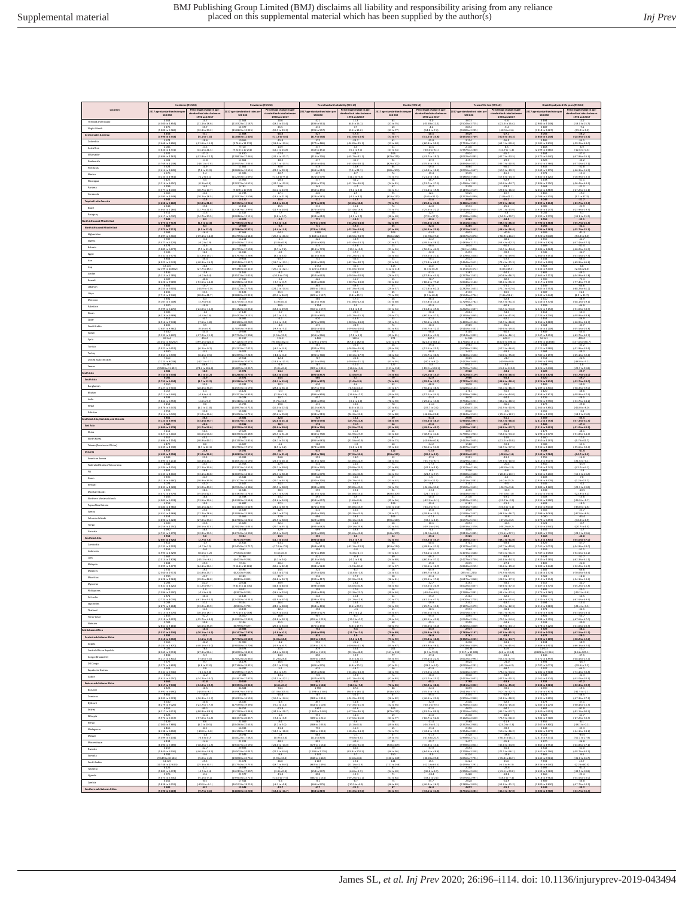| I |
|---|

| Locati<br>Percentage change in age<br>standardised rates betwee<br>1990 and 2017<br>Percentage change in age<br>tandardised rates betwee<br>1990 and 2017<br>Percentage change in age<br>standardised rates betwee<br>Percentage change in age<br>tandardised rates betwee<br>Percentage change in age<br>itandardised rates betwee<br>2017 age-standardised rates p<br>100 000<br>017 age-standardised rate<br>100000<br>017 age-standardised rat<br>2017 age-standardised rates p<br>100 000<br>017 age-standardised rates<br>100.000<br>Percentage change in age<br>Fandardised rates betwee<br>.<br>217 apr<br>-standardised rates p<br>100 000<br>100 000<br>1990 and 2017<br>1990 and 201<br>1990 and 2011<br>1990 and 2017<br>Trinided and Tobaro<br>$\frac{14.7}{(11.110 \frac{18.6}{7})}$<br>11 563<br>032 to 12<br>20.6<br>(18.3 to 23.4)<br>-3.0<br>(-21.1to 16.4)<br>4 300 to 4 854<br>$(48.0 \text{ to } 15.7$<br><b>Wrgin Islands</b><br>(19.51023.3)<br>(5000105568)<br>$\frac{(32.1 + 0.39.2)}{3.1}$<br>(11822 to 13025<br>(295 to 557)<br>$(2.51613.6)$<br>$-17.4$<br>(63 to 77)<br>$(-14.8 \text{ to } 7.4$<br>(2630 to 3205)<br>$(-18.5 \text{ to } 2.6)$<br>(1015101667)<br>$(45.9 \text{ to } 3.2)$<br>Central Latin America<br>(3996 to 4543)<br>$[4.1 to -1.0]$<br>(11066 to 12 405)<br>$(41.3 + 4.6)$<br>$(13.9)$<br>(317 to 558)<br>$(-21.5 \text{ to } -13.9)$<br>(71 to 77)<br>[41.2 to 25.8]<br>(3491663769)<br>$(-30.0 \text{ to } -24.3)$<br>(3 866 to 4 248)<br>(28.9%23.6)<br>Colombia<br>$(1468 to 3896)$<br>$4 086$<br>$\frac{421.6 \text{ to } -15.4}{17.5}$<br>(9.746 to 11.074<br>$(-18.0 + 0.13.6)$<br>$\frac{(277 + 0.416)}{337}$<br>$(-34.0 \text{ to } -25.1$<br>160.910.50<br>$\frac{(2.753 \text{ to } 3.501)}{2.130}$<br>(61.1 to -50.4<br>$\frac{(1101 + 0.1876)}{2468}$<br>(69.2 to 49.0<br>(53 to 68)<br>11.9<br>Costa Rica<br>(14.1 to 21.3)<br>(9223 to 10 251)<br>(12.1 to 15.8)<br>[40.1 to 9.1]<br>$(-14.910 - 1.4$<br>$(-12.6 \text{ to } -0.6)$<br>$(3.836 + 0.4333)$<br>(242 to 451)<br>(47 to 54)<br>$(20.4 \text{ to } 4.1)$<br>(1987 to 2 280)<br>(2 299 to 2 660<br>3921<br>$-27.2$<br>14810<br>$-27.0$<br>560<br>48.7<br>100<br>$^{31.7}$<br>4924<br>45.7<br>5484<br>37.4<br>El Salvado<br>$\frac{(42.8 \text{ to } 42.1)}{11.8}$<br>$(12.861 to 17.465)$<br>11.861<br>$(1696 to 4167)$<br>$4001$<br>$\frac{(-31.446 \cdot 21.7)}{18.2}$<br>$\frac{(415 \text{ to } 726)}{477}$<br>$\frac{(-55.7 + 0.41.1)}{-35.7}$<br>(87 to 125)<br>$\frac{43.710 - 19.0}{27.9}$<br>$\frac{(4032105883)}{4351}$<br>$\frac{(47.7 \text{ to } -23.5)}{-29.5}$<br>(4 572 to 6 440)<br>4 828<br>$(47.9 \text{ to } -26.3)$<br>Guatemala<br>$(10975 \text{ to } 13.046)$<br>$[42.710 \cdot 13.5]$<br>$30.0$<br>$(36.7 + 20.8)$<br>(1769 to 4238)<br>$(-16.1 to .7.8)$<br>$(43.4 \text{ to } -28.2)$<br>(82 to 102)<br>$(35.3 + 0.19.3)$<br>(3.894 to 4.872)<br>(4 351 to 5 366)<br>$(47.0 \text{ to } 22.1)$<br>(355 to 616)<br>Honduras<br>32.8<br>$(7.8 \text{ to } 13.9)$<br>$(10.846 \text{ to } 12.651)$<br>(22.51039.3)<br>$(7.3 + 24.1)$<br>$(44.3 + 10.2)$<br>(1095 to 4647)<br>$(50.510 - 19.2)$<br>(1414103345)<br>$(1549105175)$<br>$3971$<br>(46.16.16.9)<br>(361 to 612)<br>(53 to 103)<br>Mexico<br>(11.275 to 12.691)<br>(1485 to 3588)<br>$(-17.8 \text{ to } -14.3$<br>3 971<br>(1 842 to 4 120)<br>2 238<br>(1 986 to 2 550)<br>2 661<br>4576<br>(4234 to 4 961)<br>1425<br>(1216 to 1650)<br>1799<br>(4.2664.1)<br>$\frac{(-12.2 \text{ to } 9.1)}{.28.0}$<br>$\frac{(321 + 6579)}{537}$<br>$\begin{array}{r} (41.2 \text{ to } 4.6) \\ \hline 44.2 \\ (51.1 \text{ to } 36.9) \\ 3.7 \end{array}$<br>(73 to 75)<br>$(21.110 - 18.1$<br>(16.9 to .13.7)<br>Nicaragua<br>13965<br>(12 037 to 16 625)<br>9 792<br>$(32.210 - 23.0)$<br>$12.0$<br>$(1495 to 1993)$<br>$2319$<br>(0.1106.9)<br>$(53.710 - 37.4$<br>$(59.010 - 44.7$<br>(395 to 70)<br>(14 to 45)<br>Panama<br>$(9 109 10 10 353)$<br>$12 738$<br>$(1577 to 4036)$<br>4 665<br>$\frac{(10.76617.7)}{14.1}$<br>$\frac{(10.21013.9)}{17.1}$<br>(250 to 455<br>(9.1102.0)<br>(44 to 51)<br>$(31.4 \text{ to } 49.8$<br>$(2119 to 2519)$<br>5025<br>$\frac{(-29.8 \text{ to } -16.6)}{20.7}$<br>(2451 to 2 883)<br>5466<br>$\frac{(27.2 \text{ to } 45.1)}{19.0}$<br>Venezuela<br>$\frac{(12032 \text{ to } 13509)}{13110}$<br>$\frac{12.1 \text{ to } 9.0}{15.7}$<br>(5.016.31.3)<br>$(1.8 \text{ to } 41.1)$<br>$(4.395 to 4.948)$<br>4.942<br>$\frac{(10.2 \text{ to } 18.5)}{17.4}$<br>$\frac{(13.410\,21.8)}{15.4}$<br>$\frac{(323 + 6581)}{511}$<br>$(81 + 111)$<br>(4242 to 5890)<br>(4 705 to 6 319)<br>$\frac{(2.1 + 0.17.3)}{-21.7}$<br><b>Tropical Latin America</b><br>(12 352 to 13 946)<br>$\frac{127.0 \text{ to } -22.8}{25.4}$<br>(4658 to 5 260)<br>4 945<br>$\frac{(12.8 + 0.21.8)}{17.4}$<br>(12.81018.4)<br>(374 to 674)<br>$(13.0 \text{ to } 15.4)$<br>$\frac{173 + 0.751}{74}$<br>$\frac{125.240 - 21.8}{24.0}$<br>(3486 to 3592)<br>3573<br>$(3.899 to 4.214)$<br>$4.085$<br>(-23.7 to -19.3)<br>15.5<br>16.1<br>$-21.9$<br><b>Brazil</b><br>(12.7 to 21.8)<br>$\begin{array}{r} 13144 \\ (12.387 \, \text{to} \, 13.993) \\ 11417 \end{array}$<br>$\frac{3578}{2572}$<br>$(-27.1 to -23.0)$<br>(4 665 to 5 266)<br>(12.9 to 18.6)<br>$(13.4 \text{ to } 18.8)$<br>(73 to 75)<br>$[-25.6 \text{ to } -22.2]$<br>(1936 to 4 247<br>$(23.9 to -19.5)$<br>(375 to 675)<br>4711<br>17.5<br>7.7<br>460<br>1.2<br>s<br>12.5<br>5.8<br>3032<br>51<br>Paraguay<br>$\begin{array}{r} 17.6 \\ (14.7 \text{ to } 20.5) \\ \hline 8.3 \\ \end{array}$<br>$\begin{array}{r} 1141/\\ \begin{smallmatrix} 10815 \text{ to } 12\ 111 \end{smallmatrix} \end{array}$<br>$\frac{(5.8109.7)}{2.5}$<br>$\frac{2574}{2238 \text{ to } 1096}$<br>$\frac{5.8}{-0.44.2 \text{ to } 29.7)}$<br>$(4.2 \text{ to } 5.5)$<br>$(7.9 \text{ to } 37.3)$<br>$\frac{(2.592 \text{ to } 1.579)}{4.056}$<br>$\frac{(41.81025.2)}{42.1}$<br>$\frac{(4.417 + 0.5.030)}{7.489}$<br>$\frac{(334 + 6612)}{771}$<br>(48 to 69)<br>th Africa and Middle East<br>(7075 to 7917)<br>(5.5 to 12.4)<br>(17 984 to 20 921)<br>$(3.410 - 1.4)$<br>(3141 to 3462)<br>(38.4 to 26.4)<br>(35.7 to 25.1)<br>(\$73 to 1 008)<br>$(-23.2 \text{ to } -14.6)$<br>$[62 \text{ to } 69]$<br>(-36.4 to -25.8<br>(1796 to 4 363)<br>North Africa and Middle East<br>(7075 to 7 917)<br>(17 984 to 20 921)<br>$(-23.2 \text{ to } -14.6)$<br>(3141 to 3462)<br>(38.4 to -26.4)<br>(35.7 to -25.1<br>(5.5 to 12.4)<br>$(3.410 - 1.4)$<br>[573 to 1 001]<br>(36.4 to -25.8<br>(1796 to 4 363)<br>$[62 \text{ to } 69]$<br>Alghanistas<br>(5 697 to 6 310)<br>(31.795 to 44.643<br>$[26.510 - 21.6]$<br>$(48.5 to -34.9$<br>(51.910)<br>(4067 to 5 876)<br>(-56.9to 44.4<br>(\$ 920 to 8 048)<br>(51.2 to 3.5<br>(49.1 to .14.0<br>(1.442 to 2.64)<br>(86 to 122)<br>Ageria<br>5 787<br>(5477 to 6 129)<br>6 774<br>624<br>455 to 820)<br>$(43.4 \text{ to } -13.7)$<br>$(43.4 \text{ to } -13.7)$<br>$\frac{1731}{(1483162172)}$<br>$-48.2$<br>(53.4 to -42.2)<br>2 355<br>(2 039 to 2 823)<br>1 589<br>$\frac{11}{(47.410 \cdot 37.7)}$<br>(3.2101.9)<br>(3.01009)<br>(11 to 47)<br>$49.210 - 38.7$<br>Bahrain<br>(5.889 to 6.677)<br>$(7.9 \text{ to } 13.4)$<br>(15 795 to 17 598)<br>(3.7 to 7.2)<br>(411 to 773)<br>(49.1 to 4.1)<br>(21 to 26)<br>$(56.2 \text{ to } -44.3)$<br>(922 to 1 126)<br>(65.5 to -44.4)<br>(1.406 to 1.824)<br>$(46.2 to -35.9$<br>tippe<br>(53311105977)<br>$\frac{(13.2 \text{ to } 19.2)}{38.4}$<br>$(13.797 to 15.269)$<br>19854<br>(3.3 to 6.4)<br>(416 to 761)<br>$(-23.2 \text{ to } -11.7)$<br>(44 to 64)<br>[41.2 to 21.1]<br>(2109 to 2828)<br>$(47.7)0 - 29.0$<br>$\frac{(2.660 \text{ to } 3.451)}{3.244}$<br>$\frac{(43.5 + 0.27.1)}{63.4}$<br>Iran<br>$(40.3 to -36.5)$<br>(18518 to 21427)<br>$(-42.1 \text{ to } -30.7)$<br>$(73.4 \text{ to } 71.3)$<br>(6022 to 6741)<br>$(-18.7 to -13.1)$<br>(543 to 962)<br>(52 to 54)<br>$[-71.9 \text{ to } -65.7]$<br>(2464 to 2611)<br>(1051 to 1499)<br>(-69.9 to -66.8)<br>11245<br>36.4<br>14132<br>$-24.2$<br>1552<br>115<br>14.0<br>631<br>7867<br>Iraq<br>(29 480 to 40 416)<br>(12199 to 14 862)<br>(27.7 to 48.3)<br>$[-26.1 to -22.1]$<br>(1 125 to 2 06+<br>$(-34.0 \text{ to } -26.0$<br>(112 to 118)<br>[0.4 to 36.2]<br>(6 151 to 6 4 72)<br>(6.8 to 48.3)<br>(7434 to 8416)<br>$[-2.8 \text{ to } 21.6]$<br>5416<br>1416<br>-54.3<br>188<br>Jordan<br>25.4<br>$\frac{(135211615010)}{17816}$<br>$(4.2 + 0.4)$<br>$\frac{(-10.1 \text{ to } -7.9)}{-2.2}$<br>$(-29.5 \text{ to } -20.9)$<br>-16.7<br>$(57.910 - 41.4)$<br>$\frac{(1247 + 0.1542)}{1073}$<br>$\frac{(5115 \text{ to } 5.785)}{6.607}$<br>$(352 to 662)$<br>626<br>(26 to 32)<br>$\frac{(40.8 \text{ to } 46.2)}{42.5}$<br>$[1 665 to 2 112]$<br>1700<br>$(54.9 \text{ to } 41.8)$<br>Kuwait<br>(16 980 to 18 930)<br>$(3.710 - 0.7)$<br>$(-20.7 \text{ to } -13.0)$<br>(1004 to 1146)<br>(43.6 to 41.3)<br>$(77.4 \text{ to } 72.7)$<br>(6220 to 7 009)<br>$(53.5 \text{ to } 44.4)$<br>(449 to 843)<br>(23 to 26)<br>$(40.110 \cdot 77.2)$<br>(1517 to 1919)<br>Lebanon<br>6501<br>$-19.6$<br>22721<br>$-19.5$<br>2 2 4 9<br>$-64.6$<br>(20 322 to 25 758)<br>$(47.3 \text{ to } .31.6)$<br>$(75.1 \text{ to } 47.6)$<br>$(6.155 + 6.6.905)$<br>(14.9 to .7.0)<br>$\frac{1}{24.2 \text{ to } 14.6}$<br>$(-71.8 + 6.62.0)$<br>$(1282 + 0.1603)$<br>(68.2 to 61.2)<br>(585 to 1061)<br>(29 to 37)<br>(1.985 to 2.553)<br>Libya<br>(19 882 to 25 019)<br>(3534 to 4734)<br>(7712108746)<br>(28.0 to 41.7<br>$(20.2 \text{ to } 46.0)$<br>(629 to 1 127<br>(2.8 to 40.1)<br>(71 to 99)<br>(3.11648.4)<br>$(7.4 \text{ to } 51.00000)$<br>(4 343 to 5 644)<br>(8.9 to 43.7)<br>Morocco<br>5 391<br>(5 107 to 5 708)<br>5 920<br>-38.9<br>(48.1to-29.1)<br>- 44.9<br>$(1729 + 2782)$<br>(1.7169.0)<br>$(13.775 to 15.236)$<br>29.839<br>$(21.8 \text{ to } -12.4)$<br>$(53.510 - 31)$<br>(2.246 to 3.374)<br>$\frac{(4.9 + 0.5)}{20.5}$<br>(415 to 753)<br>(17 to 60<br>[47.8 to .24.0]<br>Palestine<br>$(25 182 to 36 034)$<br>17149<br>(46.5 to -54.8)<br>$(5.599 to 6.270)$<br>6.585<br>$(24.010 - 16.4$<br>(13.61029.8)<br>(916 to 1672)<br>$\frac{(-3.6 \text{ to } 8.7)}{-20.3}$<br>(27 to 14)<br>$(61.8 to -49.6)$<br>$50.4$<br>$\frac{(1242 \text{ to } 1607)}{2601}$<br>$\frac{[2.321103152]}{3.212}$<br>$\frac{(51.016 - 38.9)}{50.1}$<br>Oman<br>$\frac{(16.432 \text{ to } 18.131)}{18.982}$<br>$(6.218166.988)$<br>7312<br>$\frac{(4.4 + 1.4)}{4.7}$<br>$\frac{(4.210 \cdot 1.4)}{4.2}$<br>(431 to 830)<br>$(-25.2$ to $-15.3$ ]<br>$-16.9$<br>$\frac{(50 \text{ to } 72)}{43}$<br>$\frac{(60.5 \text{ to } -37.1)}{-37.4}$<br>$(2.165 to 3.065)$<br>1 785<br>$\frac{(43.5 \text{ to } 41.9)}{42.1}$<br>$\frac{(2.733 \text{ to } 3.736)}{2.454}$<br>$(58.8 \text{ to } -38.8)$<br>Qutar<br>$(53.9 \text{ to } 26.8)$<br>(6916107741)<br>$(-7.5 \text{ to } -1.8)$<br>$\frac{(18.100 \text{ to } 20.202)}{18.688}$<br>$(-20.5 \text{ to } -13.0)$<br>$(1469 to 2136)$<br>$2959$<br>(2056 to 2883)<br>(5.2 to 3.0)<br>(475 to 909<br>(35 to 51)<br>$\frac{(50.1 \text{ to } 20.5)}{30.3}$<br>$(46.9 to -24.7)$<br>8105<br>675<br>$-24.9$<br>3664<br>15<br>$-5.0$<br>$\overline{1}$<br>$-11.7$<br>Saudi Arabia<br>(0.5006.9)<br>15 cas<br>(17 535 to 19 530)<br>19 591<br>(2516 to 3461)<br>$(49.0 \text{ to } -19.8)$<br>(7687 to 8 560)<br>(4.9 to .7.1)<br>(3 136 to 4 208)<br>(45.5 to .20.8)<br>$(-29.6 \text{ to } -20.0$<br>(61 to 83)<br>$(46.7 to -12.7)$<br>(481 to 915)<br>5510<br>$-24.1$<br>6.9<br>744<br>$-3.6$<br>62<br>55.0<br>3105<br>40.5<br>3842<br>-55.4<br>Sudan<br>$\frac{(17.794 \text{ to } 21.908)}{32.417}$<br>$\frac{(7.0 \text{ to } 1.2)}{122.6}$<br>$(2514 to 3892)$<br>14915<br>$rac{(48.6 \text{ to } 46.1)}{602.2}$<br>$(5235 to 5820)$<br>26 5 44<br>$\frac{(27.2 \text{ to } -21.2)}{451.0}$<br>$\frac{(2.5 \text{ to } 12.0)}{124.2}$<br>$[63.9 to -42.9]$<br>$\frac{(1.247 + 0.4653)}{16.341}$<br>$\frac{(63.766 - 40.7)}{491.0}$<br>(556 to 966)<br>1426<br>(49 to 81)<br>$_{\rm 50\,GHz}$<br>(24 052 to 30 257)<br>(199.1 to 524.5)<br>(27 126 to 39 570)<br>(93.8 to 162.4)<br>(1029 to 1949)<br>(87.8 to 182.6)<br>(267 to 276)<br>(421.210563.2)<br>(14744 to 15 112)<br>(\$10.0 to £96.4)<br>(15 893 to 16 858)<br>(437.0 to 556.7)<br>Tunisia<br>6262<br>$-3.2$<br>15965<br>(15 232 to 17 022)<br>16 201<br>$-6.9$<br>563<br>$-22.0$<br>$-39.4$<br>1983<br>47.3<br>2544<br>$-43.2$<br>(8.310.5.6)<br>(1608 to 2380)<br>$(57.3 \text{ to } -36.0)$<br>(5922 to 6652)<br>(4.1 to 0.2)<br>$( -26.9 \text{ to } -16.8 )$<br>(40 to 59)<br>$(51.510 - 25.1)$<br>$\frac{(2121102989)}{1984}$<br>(51.916.33.6)<br>(402 to 755)<br>$\tau_{\rm{urkey}}$<br>$(4.810 - 0.5)$<br>$[45.1 \text{ to } 32.6]$<br>(5.853 to 6.539)<br>$(4.16 - 0.5)$<br>(15 399 to 17 249)<br>$(-10.1 \text{ to } -17.9)$<br>(45.7 to -30.5<br>(1318 to 1556)<br>(-50.0 to -35.8<br>1 984<br>(1 785 to 2 197)<br>1 712<br>(1 095 to 4 399)<br>7 298<br>(195 to 740)<br>(28 to 34)<br>United Arab Emirates<br>$7610$<br>(7223 to 8.038)<br>19554<br>(18635 to 20672)<br>-12.8<br>(-13.8to-11.8)<br>-25.6<br>(-29.6 to -21.2)<br>-18.7<br>(40.4to 8.2)<br>3005<br>(2432 to 3638)<br>(40.9100.8)<br>-22.5<br>438.0to -5.2<br>(12.116.7.2)<br>(510 to 956<br>$rac{78}{(63 \times 95)}$<br>Yemen<br>(9 580 to 11 492)<br>$(74.4 \text{ to } 106.8)$<br>$(15.805 to 18.037)$<br>15971<br>$(5.0 \text{ to } 0.4)$<br>(587 to 1011)<br>$\frac{(-14.6 \text{ to } -5.6)}{5.7}$<br>(111 to 150)<br>$(49.2 \text{ to } 101.3)$<br>(5.792 to 7.626)<br>(21.8 to 125.9<br>(6 526 to 8 438)<br>$\frac{(-20.7 + 0.93.8)}{-29.7}$<br>skAdu<br>(5753106434)<br>(8.7 10 13.2)<br>$(15\,266\,{\rm to}\,16\,775)\over 15\,971}$<br>(13.3 to 15.6)<br>(495 to 857)<br>$(2.4 \text{ to } 9.3)$<br>(74 to 84)<br>$\frac{(-29.2 \text{ to } -15.7)}{-22.9}$<br>(2722 to 3119)<br>(-38.6 to -28.4)<br>$(3326 to 3874)$<br>3620<br>$\frac{(-33.76 - 24.0)}{-29.7}$<br>South Asia<br>(15 266 to 16 775)<br>(2722 to 3119)<br>$(38.6 \text{ to } -28.4)$<br>(\$753 to 6 434)<br>[8.7 to 13.2]<br>(13.3 to 15.6)<br>(495 to 857)<br>(2.4 to 9.3)<br>(74 to 84)<br>$[-29.2 \text{ to } -15.7]$<br>(3 326 to 3 874)<br>$(-33.7 to -24.0)$<br>Bangladesh<br>(28.4 to 36.0)<br>1.4<br>$\frac{(14553 \text{ to } 16193)}{16121}$<br>$(0.51014.5)$<br>-12.4<br>$\frac{(1628 \text{ to } 2151)}{1761}$<br>$(45.4 to -46.2)$<br>$(5227 to 5915)$<br>6017<br>$(28.810\,35.1)$<br>$\frac{(457 + 791)}{659}$<br>(17 to 47)<br>$[56.4 to -38.5]$<br>$(2,209 to 2,810)$<br>$2,420$<br>$\frac{(58.1 \text{ to } -39.0)}{48.6}$<br>thutan<br>$(4.6 + 4.4)$<br>(15 171 to 16 9 14)<br>$42.3$ to $1.91$<br>(5711 to 6 146)<br>(495 to 859)<br>$(-16.6 + 0.7.7)$<br>(40 to 58)<br>(67.1 to -34.4)<br>(1178 to 2086)<br>(46.4 to -44.0)<br>(1958102811)<br>(68.9 to -37.9)<br>$_{\rm india}$<br>6 19 1<br>6.9<br>2.8<br>$-23.3$<br>3726<br>$-29.5$<br>(15318 to 16853)<br>(38.2 to 28.5)<br>(5864 to 6553)<br>$(4.6 \text{ to } 9.3)$<br>(9.7 to 11.9)<br>[0.2 to 6.0]<br>(-29.6 to -15.8)<br>(2794 to 3231)<br>(1396 to 1990)<br>(41.766.24.2)<br>(488 to 855)<br>(78 to 90)<br>Nepal<br>3 173<br>-29.8<br>$\frac{(4878105447)}{5713}$<br>(14997 to 16713)<br>(1900 to 3120)<br>$(51.910 - 10.9)$<br>(6.11011.8)<br>(16.010.22.4)<br>(51010.857)<br>(6.01015.3)<br>(57 to 85)<br>$(-37.7600.4)$<br>$(2, 564 to 3, 850)$<br>$3, 655$<br>$(-44.016 - 8.0)$<br>Pakistan<br>(15 206 to 16 715)<br>$\frac{(2324 + 0.3513)}{2040}$<br>(35.51012.2)<br>$\frac{(1014164239)}{2569}$<br>(18.01015.0)<br>(5414106045)<br>(31.0 to 36.6)<br>$\frac{(30.610.35.8)}{32.8}$<br>(538 to 919<br>(24.3 to 33.1)<br>(53 to 80<br>$+16.8$ to 22.8<br>theast Asia East Asia and Oceanic<br>(15 567 to 17 224)<br>$(10.7 10 21.8)$<br>21.0<br>$\frac{(44.4 \text{ to } -38.7)}{43.8}$<br>(1964 to 2097)<br>$\frac{(53.4 \text{ to } -48.8)}{55.1}$<br>$\frac{(2.411 \text{ to } 2.753)}{2.489}$<br>$\frac{47.3 \text{ to } -41.5}{47.4}$<br>(4123 to 4 597)<br>5 080<br>(33.4 to 39.7)<br>$\frac{(20.81025.1)}{28.2}$<br>[46 to 50]<br>(394 to 693)<br><b>East Asia</b><br>(18 278 to 20 356)<br>(4800 to 5378)<br>(45.7 to 53.6)<br>(26.01030.6)<br>$(14.9 \text{ to } 27.6)$<br>(48.2 to 40.7)<br>(1820 to 1981)<br>$(58.0 \text{ to } -52.7)$<br>$(2,314$ to $2,691)$<br>$(51.0 \text{ to } -43.9)$<br>(428 to 756)<br>(43 to 48)<br>China<br>$(18 396 to 20 489)$<br>14949<br>$\frac{(1798\times1963)}{3016}$<br>$(58.810 - 53.4)$<br>$\frac{(2.298 + 0.2679)}{3.560}$<br>$\frac{(4827 + 0.5410)}{3.917}$<br>$(46.6 \text{ to } 54.6)$<br>$\frac{(26.5 \text{ to } 31.2)}{21.2}$<br>(430 to 758)<br>525<br>$(14.9 \text{ to } 27.9)$<br>35.3<br>$\frac{[43\times48]}{61}$<br>[48.9 to 41.1]<br>$\frac{(51.8 \text{ to } 44.6)}{17.6}$<br>North Korea<br>(14150 to 15816)<br>$(31.5 \text{ to } 40.9)$<br>(2462 to 3645)<br>$(-11.2 \text{ to } 44.0)$<br>(2 950 to 4 197)<br>(5.7 to 42.7)<br>(3696 to 4154)<br>(40.9 to 49.2)<br>(18.1 to 24.3)<br>(50 to 73)<br>$(-10.6 \text{ to } 40.9$<br>(395 to 681)<br>4479<br>8.0<br>16607<br>4.1<br>508<br>$-1.9$<br>54.2<br>1510<br>39.8<br>2088<br>-51.1<br>Taiwan (Province of China)<br>40<br>$(15\,750\,\text{to}\,17\,571)\n$<br>$\frac{(1.9106.2)}{28.7}$<br>$\frac{(5.01011)}{31.2}$<br>(1497 to 1667)<br>5473<br>$\frac{(41.9 + 0.57.5)}{44.1}$<br>(1915 to 2,260)<br>6 06 5<br>$\frac{(55.6 \text{ to } 50.4)}{41.0}$<br>$\frac{(4239 + 64738)}{4717}$<br>$\frac{(1.7 + 0.12.1)}{23.8}$<br>(373 to 662)<br>$\frac{(19 to 43)}{112}$<br>$\frac{(-56.5 \text{ to } -51.8)}{-12.9}$<br>Oceania<br>(14 082 to 15 515)<br>628.6 to 1.4<br>(4563 to 6452<br>(\$149 to 7 084)<br>424.7 to 3.5<br>4482 to 4 958)<br>(21.0 to 26.8)<br>(26.1 to 31.6)<br>(462 to 786<br>(27.9 to 34.6)<br>(95 to 131)<br>$4-26.9$ to $2.0$<br>American Sampa<br>4949<br>(4695 to 5 211)<br>21.3<br>15393<br>24.8<br>(22.010.28.1)<br>553<br>18.0<br>$-17.3$<br>2 2 0 1<br>2755<br>(2516 to 3.007)<br>$-14.0$<br>$-29.5$<br>$(18.4 \text{ to } 24.2)$<br>(14 651 to 16 196)<br>$(13.8 \text{ to } 22.7)$<br>(2029 to 2403)<br>$(27.8 \text{ to } -10.6)$<br>(21.616.6.1)<br>(413 to 720)<br>(48 to 56)<br>(25.7 to 4.7)<br>4 642<br>3854<br>Federated States of Micronesia<br>13958<br>(13331 to 14 618)<br>(1433)<br>27.9<br>24.5<br>1282<br>$-15.9$<br>(32.11639.6)<br>(25.210 30.6)<br>$(19.8 \text{ to } 29.1)$<br>$(52 + 0.89)$<br>(2.157 to 4.160)<br>$(48.0 \text{ to } 3.3$<br>$\frac{(2.759 \text{ to } 4.742)}{2.862}$<br>(41.0106.1)<br>(4384 to 4916)<br>(425 to 740<br>(41.9104.8)<br>$\mathbf{R} \boldsymbol{\mu}$<br>(4135 to 4610)<br>(13 049 to 14 345)<br>(25.310.30.4)<br>(.20.810.10.1<br>(33.1 to 40.8)<br>(189 to 679<br>$(23.1 \text{ to } 30.8)$<br>[44 to 55]<br>$(-21.9 to 7.7)$<br>(2068 to 2648)<br>(2 562 to 3 210)<br>(45.11013.2<br>Guam<br>5 395<br>(5 1 18 to 5 680)<br>4 074<br>34.7<br>20.9 to 39.0<br>$\begin{array}{r} \hline 32.0 \\ (29.710.34.3) \\ \hline 34.3 \end{array}$<br>548<br>400 to 726<br>$1.5$<br>(4.5 to 12.5<br>2655<br>(2441 to 2881)<br>3 203<br>(2 938 to 3 479)<br>3 645<br>(26.76634.1)<br>$(53 + 662)$<br>4.0<br>(4.0 to 15.2)<br>(1.21017.7)<br>Kiribati<br>(3.835 to 4.328)<br>(41.0 to 49.2)<br>(12.934 to 14.386)<br>(30.91038.0)<br>(405 to 659<br>(39.8 to 49.5)<br>(52 to 74)<br>$[-24.4 \text{ to } 10.1]$<br>$(2532 to 3653)$<br>$4.779$<br>626.7 to 9.4<br>(3 080 to 4 220)<br>$(-20.3 \text{ to } 13.0)$<br>Marshall Islands<br>$\frac{(4472 + 04979)}{5166}$<br>$\frac{(35.0 \text{ to } 42.4)}{16.4}$<br>(13.383 to 14.746)<br>$(27.71032.8)$<br>11.2<br>$\frac{(415 \text{ to } 724)}{493}$<br>$\frac{(24.4 \text{ to } 33.1)}{4.9}$<br>(80 to 109)<br>$\frac{(24.7692.1)}{20.3}$<br>(3618 to 5052)<br>$(27.0 \text{ to } 1.0$<br>(4 141 to 5 637)<br>$\frac{(32.9 + 3.2)}{15.6}$<br>Northern Mariana Islands<br>$(14.240 \text{ to } 15.648)$<br>(13.5 to 19.4)<br>(11.6 to 14.9)<br>$(1.6 \text{ to } 8.4)$<br>(42.3 to 6.1)<br>(1852 to 2355)<br>(2 335 to 2 900)<br>(4905 to 5 433)<br>(359 to 657)<br>(45 to 56)<br>(32.7 to .2.9<br>$(-26.9 to -1.7)$<br>4718<br>19.3<br>623<br>126<br>19.4<br>618<br>$-21.5$<br>6.807<br>-185<br>Pagua New<br>(14 168 to 15 629)<br>14 639<br>(4454 to 4 950)<br>4 7 04<br>(16.1 to 22.5<br>$(24.4$ to $30.7)$<br>$\frac{(47166793)}{616}$<br>$(25.8 \text{ to } 31.7)$<br>(103 to 150<br>(44.2 to 3.1)<br>$(5054 to 7436)$<br>1949<br>$\frac{136.6 \text{ to } 5.1}{33.3}$<br>(3 652 to 8 041)<br>2 565<br>$\frac{(-33.016 - 2.8)}{-23.7}$<br>Samoa<br>(13936 to 15380)<br>(4.451 to 4.968)<br>$(22.2 \text{ to } 28.6)$<br>(38.2 to 47.5)<br>$(35.3 \text{ to } 45.9)$<br>(-39.5 to -10.5<br>(1539 to 2447)<br>(48.0 to -16.7)<br>(2099 to 3 063)<br>(.37.9 to .8.9)<br>(464 to 750)<br>(19 to 57)<br>Solomon Islands<br>(14.738 to 16.226)<br>(3637 to 5212)<br>(47.2100.2)<br>(4890 to 5 422)<br>(27.0 to 33.2)<br>(25.910.30.0)<br>(26.1 to 31.8)<br>(89 to 123)<br>$( -31.3 to 2.0)$<br>(4 279 to 5 893)<br>$(42.0 \text{ to } 2.9)$<br>(522 to 889)<br>Tonga<br>33.5<br>$(12.823 \text{ to } 14.045)$<br>(28.2100.2)<br>(4256 to 4750)<br>$\frac{(30.5 \text{ to } 37.4)}{16.3}$<br>$\frac{(29.710.35.1)}{32.9}$<br>$(20.1 \text{ to } 29.8)$<br>$(29.16 - 2.0)$<br>(1831 to 2370)<br>$(2.330 + 0.2.940)$<br>(20.7 to 4.5)<br>(392 to 682)<br>(42 to 54)<br>Vanuatu<br>(14 774 to 16 300)<br>(2811165085)<br>(41.61627.3<br>$\frac{(4731105279)}{2762}$<br>(12.9 to 39.5<br>(30.01036.0)<br>(529 to 890<br>$(35.6 \text{ to } 42.8)$<br>(54 to 109<br>$[-28.1 to 26.3]$<br>(1480 to 5 776)<br>[24.3 to 29.6]<br>Southeast Asia<br>(2607 to 2 920)<br>(2.7607.4)<br>(8 771 to 9 684)<br>(11.71015.0)<br>(0.1 to 7.1)<br>$(43.210 - 34.7$<br>(2165 to 2357)<br>(48.1 to 41.0<br>(2514 to 2810)<br>(44.0 to -37.0)<br>(296 to 510)<br>[52 to 56]<br>Cambodia<br>$\frac{(111116352)}{2159}$<br>$\frac{(3137664333)}{1560}$<br>$\frac{(57.7 \text{ to } 40.0)}{56.1}$<br>$(4.7 + 1.5)$<br>5.0<br>$\frac{(12,404 \text{ to } 15,717)}{7.951}$<br>$(-17.9 \text{ to } -7.9)$<br>$-1.7$<br>(469 to 812)<br>359<br>$\frac{(42.1 \text{ to } -23.9)}{3.8}$<br>$(81 + 114)$<br>$\frac{(48.3 \text{ to } 31.3)}{49.5}$<br>$\frac{(1741105012)}{1919}$<br>$\frac{(54.9 \text{ to } -39.0)}{51.1}$<br>Indonesia<br>$(7.534 to 8.380)$<br>8.790<br>$(1995102329)$<br>$2667$<br>$(4.5 + 1.2)$<br>$-12.1$<br>$(3.6 + 0.2)$<br>$\frac{(271 \text{ to } 458)}{421}$<br>$(6.10 - 1.1)$<br>(17 to 42)<br>$\frac{54.1 \text{ to } 43.9}{49.2}$<br>$(1473 to 1648)$<br>$3203$<br>(69.4 to -51.2)<br>-54.8<br>(1787 to 2050)<br>3 624<br>$\frac{(54.5 \text{ to } 46.2)}{51.7}$<br>Lags<br>(2514 to 2828)<br>$(-15.3 \text{ to } -8.4)$<br>(8403 to 9 208)<br>(8403 to 9 208)<br>(6.1 to 9.4)<br>$(-4.2 to 3.8)$<br>$(2427 to 3739)$<br>$2015$<br>$(45.8 \text{ to } -44.3)$<br>$-27.8$<br>$\begin{array}{r} 3644 \\ (2830164185) \\ 2409 \end{array}$<br>$(62.3 to -41.1)$<br>(313 to 544<br>(54 to 80)<br>$(40.3 + 37.7)$<br>3284<br>29.0<br>20.4<br>394<br>4.1<br>52<br>$-25.8$<br>$-24.0$<br>Malaysia<br>$(1039 to 3.477)$<br>2 732<br>$\frac{(24.1 \text{ to } 34.1)}{19.1}$<br>$\frac{(9144 \text{ to } 10.002)}{8.596}$<br>(4.91010.4)<br>$(1844 to 2215)$<br>958<br>$(36.6 \text{ to } -19.4)$<br>$\frac{(2.200162644)}{1.282}$<br>$(32.2 \text{ to } -16.5)$<br>$\frac{(18.410.22.4)}{14.4}$<br>$\frac{(284 to 524)}{324}$<br>(47 to 57)<br>$(36.6 \text{ to } -16.9)$<br>Maldives<br>$(14.8 \text{ to } 23.7)$<br>$(44.6 \text{ to } -1.1)$<br>$(69.710 - 58.0)$<br>(855 to 1.225)<br>(75.9 to 45.0)<br>$(70.6 \text{ to } -58.9)$<br>(2560 to 2917)<br>(8 204 to 9 048<br>(11.5 to 17.5)<br>(24 to 33)<br>(1138 to 1573)<br>(237 to 426)<br>Mauritius<br>838<br>316<br>17.7<br>$-23.4$<br>$\begin{array}{r} 1746 \\ (1617 \, \mathrm{to} \, 1868) \\ \hline 1393 \end{array}$<br>2062<br>$-18.8$<br>2.790<br>41.7<br>21.7<br>23.1<br>(2628 to 2963)<br>(19.0 to 45.5)<br>(18.81024.7)<br>$(12.9 \text{ to } 22.4)$<br>(29.110.17.8<br>$(28.9 to - 17.3)$<br>$\frac{12.915 \text{ to } 2.214}{1.917}$<br>$\frac{(24.160.11.4)}{34.7}$<br>(8019 to 8 805<br>(16 to 41)<br>(230 to 417)<br>Myanmar<br>49.8 to -27<br>1531 to 44<br>1.2 to 91.<br>9811to 114<br>12.8 to 48.5<br>98 to 66<br>18.6 to 40.<br>68 to Ed<br>41.2 to -20<br>002 to 1837<br>14571043<br>5.2 to -22.<br>Philippines<br>2 895<br>2 575 to 3 260<br>2 745<br>(2 596 to 2 900)<br>$(2.4 \text{ to } 4.9)$<br>8 802<br>(8 397 to 9 235)<br>20.8<br>(18.4 to 23.6)<br>359<br>(268 to 463)<br>17.6<br>(13.3 to 22.0)<br>2516<br>(2235 to 2591)<br>-21.5<br>(-31.4 to -12.4<br>-20.1<br>(-29.2 to -9.8)<br>50<br>(49 to 64)<br>20.5<br>(30.4 to -8.9)<br>Sri Lanka<br>2 871<br>(2 723 to 3 039)<br>2 302<br>(1900 to 2 728)<br>2850<br>(2410 to 3 327)<br>14143<br>12.470 to 16.343)<br>54.6<br>(42.9 to 67.4)<br>548<br>(409 to 715)<br>25.4<br>(14.2 to 41.8)<br>55.2<br>(42.1 to 47.5<br>42.4<br>(48.9 to -55.6)<br>56.5<br>49.9 de 2.6 to<br>(52 to 72)<br>Seychelle<br>$\begin{array}{r} (2.873 \pm 0.3 \pm 204) \\ 3.289 \\ (3.115 \pm 0.3 \pm 476) \\ 2.456 \end{array}$<br>(24.21028.8)<br>$\frac{(264 to 481)}{398}$ $\frac{(289 to 527)}{907}$<br>$\frac{(2187 to 2479)}{2973}$ $\frac{(2675 to 3267)}{1894}$<br>$\frac{(33.2 \text{ to } 40.9)}{14.3}$<br>(8 963 to 9 795)<br>(8.6 to 20.5<br>[52 to 59]<br>$\frac{(-25.7 \text{ to } -13.1)}{38.5}$<br>$(25.3 \text{ to } 42.3)$<br>$(2.515 to 2.883)$<br>1.171<br>$\frac{(-21.4 \text{ to } 0.5)}{-36.1}$<br>Thailand<br>$\frac{(10.1 \text{ to } 18.7)}{52.2}$<br>(9724 to 10708)<br>18400<br>$\frac{[46.5 \text{ to } 30.3]}{55.0}$<br>(10.91614.0)<br>$\frac{49.7661.2}{4.2}$<br>(55 to 67)<br>$\frac{(46.7 \text{ to } -31.0)}{43.5}$<br>$(3.025 to 3.703)$<br>2.801<br>$\frac{(43.5 \text{ to } 28.7)}{54.7}$<br>Timor-Leste<br>(14 992 to 22 8 10)<br>(-69.5 to -45.8)<br>(2.318 to 2.607)<br>$(45.7 to -48.6)$<br>(13.8 to 18.1)<br>(655 to 1 223<br>$(-15.2 \text{ to } -0.7$<br>(10 to 54)<br>(1044 to 2326)<br>$(-79.5 \text{ to } -54.6)$<br>(1998 to 1355<br>$[457.6 \text{ to } 47.0]$<br>30.8<br>11.6<br>2933<br>Wetnam<br>$(8.799 \text{ to } 9.627)$<br>$(2220 + 2820)$<br>$\frac{(44.9 + 0.23.1)}{42.6}$<br>$(2851 to 3181)$<br>5823<br>$\frac{(26.5 \text{ to } 35.0)}{-18.4}$<br>(29.61013.6)<br>$\frac{(275 \text{ to } 494)}{752}$<br>(5.01017.9)<br>$\frac{[50 to 75]}{75}$<br>$(36.0 \text{ to } -13.0)$<br>(2578 to 3.225)<br>$\frac{(41.0 \text{ to } 20.1)}{38.1}$<br>ran Africa<br>$(20.1 to -16.5)$<br>(16.147 to 17.979)<br>(2783 to 3187)<br>(47.0 to 35.3)<br>(5537 to 6 136)<br>(2.8 to 0.1)<br>(565 to 959)<br>$(-11.7 to .7.4)$<br>(70 to 50)<br>(38.9 to .29.4)<br>(1453 to 4 003)<br>$(42.5 to -31.5)$<br>Central sub-Saharan Africa<br>(17 732 to 20 5 20)<br>(3332 to 4245)<br>$(42.9 to -34.7)$<br>(5410166010)<br>(4.1 to 0.4)<br>(6.3 to 14.2)<br>[619361032]<br>$[-2.1 \text{ to } 4.9]$<br>$(35.8 \text{ to } 40.8)$<br>(4 090 to 5 109)<br>$(48.2 to -12.0)$<br>(73 to 92)<br>Angola<br>(40.1 to -33)<br>(19878 to 24.)<br>(61.9 to -38<br>$-671.2$ to -43<br>$49.910 - 6.3$<br>$(718 \text{ to } 1.21)$<br>$\frac{(-30.6 \text{ to } -21.1)}{31.4}$<br>its to th<br>(2803 to 384<br>(1689 to 4.9<br>(5.281 to 5.870)<br>9 025<br>(8.369 to 9.931)<br>5 498<br>(5.217 to 5.810)<br>5 577<br>66.1 to 42.6<br>Control African Benchlin<br>21.4<br>(14.6 to 30.3)<br>(5.11079.0<br>(79371012020)<br>(57.11096)<br>(15.870 to 18.419<br>(652 to 1 129<br>$\begin{array}{r} 31.9 \\[2mm] \textbf{5.8 to 113.4} \\ \textbf{-43.4} \\[2mm] \textbf{-65.4 to 27.0} \\[2mm] \textbf{-21.0} \end{array}$<br>(8808 to 12.9)<br>(8.6 to 105.)<br>(161 to 23)<br>Connectionerswith<br>$-5.2$<br>$[-7.6 \text{ to } -3.0]$<br>19 128<br>(17 832 to 20 865<br>18 178<br>$\begin{array}{r} 4\,146 \\ (1\,471\,16\,4\,893) \\ \hline 4\,394 \end{array}$<br>$\frac{14.2}{\{7.2\ \text{to}\ 23.4\}}$<br>$\frac{77}{78}$<br>$\begin{array}{r} 3.295 \\ (2.672 \text{ to } 3.994) \\ \overline{3.624} \end{array}$<br>$\frac{37.1}{(48.4 \text{ to } 22.4)}$<br>$\frac{850}{770}$<br>(1.21021.4<br>$(49.410 - 22.5$<br>DR Coneg<br>$(17166619421)$<br>$16787$<br>$(3035 to 4291)$<br>$2312$<br>(35.1 to 6.3)<br>$\frac{(1787105071)}{2927}$<br>$(5.273 to 5.892)$<br>5 621<br>$\frac{(6.8 \text{ to } 12.0)}{2.8}$<br>$\frac{(11.110.22.8)}{5.2}$<br>(585 to 975)<br>(6.9 to 20.3)<br>-18.7<br>(67 to 91)<br>(28.566.5<br>$(29.6 \text{ to } 7.2)$<br>Equatorial Guinea<br>(0.1105.8)<br>(15 989 to 17 637)<br>17082<br>(3.4106.9)<br>$\frac{(23.4 \text{ to } -13.3)}{19.0}$<br>$\frac{(1604663229)}{3018}$<br>$(78.3 \text{ to } -54.6)$<br>$\frac{(2.201 \text{ to } 3.904)}{3.748}$<br>$(53311 to 5940)$<br>5916<br>(459 to 801)<br>730<br>$\frac{[401678]}{72}$<br>$\frac{(-73.0 \text{ to } -47.3)}{-30.0}$<br>$\frac{(73.4 \text{ to } 50.8)}{32.3}$<br>Gabon<br>(5613 to 6250)<br>$(-14.2 \text{ to } -10.0)$<br>$(16.362 to 17.870)$<br>20559<br>$(-21.1 \text{ to } -16.8)$<br>$(2442 \text{ to } 3602)$<br>2798<br>$(47.5 \text{ to } -20.3)$<br>$-53.6$<br>$\frac{(1161104374)}{3731}$<br>$(43.0 \text{ to } 20.3)$<br>$(-14.3 to -12.1)$<br>(547 to 947)<br>(61 to 84)<br>$[41.7 to -15.7]$<br>6605<br>$-31.8$<br>4.2<br>311<br>$-4.1$<br>$\overline{\boldsymbol{v}}$<br>$-45.1$<br>47.2<br>.<br>Eastern sub-Saharan Africa<br>(19 353 to 22 010)<br>16 584<br>$(2.6 \text{ to } 0.1)$<br>$74.3$<br>$(47.3 \text{ to } 105.8)$<br>$(42.3 \text{ to } -7.2)$<br>(2611653032)<br>$(58.5 to -45.8)$<br>$\frac{(6317167045)}{6323}$<br>(5991106690)<br>$\begin{array}{r} \textbf{(34.0 to -29.5)}\\ \textbf{(34.0 to -29.5)}\\ \textbf{(13.0 to -1.1)} \end{array}$<br>(72 to 83)<br>$(50.2 \text{ to } -38.6)$<br>$-34.3$<br>(1438 to 4081)<br>(52.3 to .39.9)<br>[703 to 1184]<br>Burund<br>(30 987 to 43 074)<br>(1.298 to 2.346)<br>(56.0 to 136.2)<br>$(74 \text{ to } 105)$<br>$(45.2 \text{ to } 19.4)$<br>(2613 to 3757)<br>$(50.110 - 22.7)$<br>(4 156 to 5 817)<br>(31.510.2.1)<br>Compros<br>6361<br>$-14.0$<br>15735<br>-15.8<br>(-16.9 to -14.6)<br>787<br>$-22.0$<br>$-35.5$<br>2334<br>42.6<br>3 1 2 1<br>-38.5<br>$(16.3 \text{ to } 0.1.7)$<br>(15 023 to 16 593)<br>(582 to 1014)<br>$(24.2 \text{ to } 19.9)$<br>(56 to 82)<br>(46.110.22.6)<br>$\frac{(1905 \text{ to } 2948)}{2416}$<br>$(52.8 \text{ to } -28.9)$<br>(47.3 to .27.2)<br>6032 to 6 721)<br>Djibouti<br>$\begin{array}{r} -4.3 \\ \begin{array}{r} -4.3 \\ -31.9 \\ \hline \end{array} \\ \begin{array}{r} -4.8 \\ \begin{array}{r} -1.9 \\ -1.9 \\ \hline \end{array} \end{array}$<br>5279 to 7 026)<br>(17 559 to 19 396<br>$(23.760 - 17.9)$<br>(542 to 1 103)<br>1857<br>(1 367 to 2 448)<br>$(47.100 - 11.5$<br>(50.1 to 0.5)<br>(1758 to 3416)<br>(58.0 to -15.8<br>$(50.4 \text{ to } 15.1)$<br>(52 to 94)<br><b>Dritrea</b><br>6 555<br> 6 2 1 7 to 6 9 1 1 )<br>16752<br>(31740 to 43 448)<br>52.6<br>(-57.5 to -46.3<br>-94.1<br>(95.2 to -92.1)<br>-91.9<br>03.1 to -90.4<br>-90.1<br>(00.8 to -89.1)<br>105<br>(17 to 125)<br>-91.6<br>03.0 to -89.9]<br>4025<br>(1255 to 4929)<br><b>Dhiopia</b><br>3 328<br>(2 982 to 3 708)<br>3 356<br>$\frac{6328}{(5973106717)}$<br>-54.4<br>(57.0 to -51.8)<br>$(8.810-3.9)$<br>951<br>(709 to 1 211)<br>788<br>-14.4<br>(-17.5 to -11.0)<br>69<br> 63 to 77 <br>61.0<br>66.7 to 52.6<br>2 378<br>(2 142 to 2 650)<br>(3 148<br>48.6<br>(73.9 to 40.1)<br>-61.7<br>(67.2 to -51.5)<br>$\kappa_{\rm{e}mp}$<br>(20 416 to 22 6 11)<br>(7000 to 7889)<br>$(6.7 + 0.20.5)$<br>(7.2 to 9.7)<br>(588 to 1033)<br>(5.108.3)<br>(69 to 84)<br>$\frac{(26.160 \cdot 1.2)}{31.4}$<br>(2332 to 2948)<br>$(23.010 - 2.3)$<br>$\frac{(1.042 + 0.3.800)}{3.148}$<br>$(-18.1 to -0.2)$<br>Madagascar<br>$(42.910 - 10.8)$<br>$(6.138 + 6.6.818)$<br>$(-10.8 \text{ to } 4.0)$<br>(16 158 to 17 824)<br>(588 to 1 018)<br>683<br>$(-18.4 \text{ to } -14.3)$<br>(54 to 76)<br>$\frac{142.1 \text{ to } 49.9}{-31.7}$<br>$\frac{(1954 + 2831)}{2328}$<br>$(50.4 \text{ to } 26.2)$<br>$(2 686 to 3 677)$<br>3011<br>$\frac{(44.166 - 24.2)}{33.5}$<br>Malawi<br>$(16002 to 17682)$<br>21221<br>(56.31046.1)<br>$(-3.8 + 0.7)$<br>(0.9 to 3.8)<br>(511 to 878)<br>$(9.6 \text{ to } -4.6)$<br>(59 to 76)<br>$\frac{-147.6 \text{ to } 20.7}{-25.7}$<br>(1998 to 2712)<br>(2616103431)<br>(50.11027.9)<br>(5499 to 6134)<br>6414<br>$-14.6$<br>$-18.3$<br>892<br>4370<br>-16.8<br>Mozambique<br>$(19\,477\,\text{to}\,23\,595)$<br>29 8 9 1<br>$(48.2 \text{ to } -41.5)$<br>$(49.4 \text{ to } -31.6)$<br>(2998 to 4024)<br>$(45.8 \text{ to } 24.0)$<br>$(1.063 to 4.951)$<br>4.342<br>(6.096 to 6.789)<br>6.159<br>$( -22.010 - 14.0)$<br>(673 to 1 114)<br>1649<br>(81 to 109)<br>$(36.8 to -13.1)$<br>57.9<br>$\frac{(44.8 \text{ to } 27.1)}{51.0}$<br>Rwanda<br>(26 503 to 34 047)<br>$(71.5 \text{ to } 36.1)$<br>(5.840 to 6.536)<br>$(46.6 \text{ to } .39.4)$<br>$(27.5 \text{ to } 63.6)$<br>(1.195 to 2.229)<br>(33.8 to 102.5)<br>(56 to 96)<br>$(64.6 \text{ to } 48.8)$<br>(2228 to 3358)<br>(1642 to 5196)<br>$(58.766 - 40.5)$<br>Somalia<br>(19.898 to 23.731)<br>$(5.9 \times 13.3)$<br>$(2.6 \text{ to } 8.8)$<br>(30.010.39.8)<br>(5056 to 7791)<br>(35.810.44.7)<br>[5143108361]<br>(31.01036.7)<br>(9 149 to 10 606)<br>$\frac{(5.016 - 2.2)}{20.1}$<br>(848 to 1.462)<br>$\frac{(120 + 0.189)}{141}$<br>South Sudan<br>(21 754 to 25 733)<br>(18.71036.0)<br>(5439 to 7291)<br>(4.71094.1)<br>(10748 to 12 621)<br>(25.1 to 34.3<br>(857 to 1495)<br>$(21.1 \text{ to } 41.3)$<br>(121 to 168)<br>$(-12.11064.5$<br>(5 S16 to 8 440)<br>$(2.2 \text{ to } 80.5)$<br>Tenzania<br>2 997<br>(2 619 to 1 382)<br>3 366<br>$\frac{1.1}{(1.5 + 3.4)}$<br>16938<br>(16219 to 17807)<br>21577<br>2 258<br>(1958 to 2 610)<br>2 468<br>$-25.6$<br>$(-41.1$ to 29.6<br>$\frac{(5.809 \times 6.474)}{5.976}$<br>(3.4100.8)<br>$[6.6 \text{ to } 4.9]$<br>$\frac{(36.8 \text{ to } 8.7)}{18.4}$<br>(554 to 947)<br>$\frac{(54 + 65)}{71}$<br>Uganda<br>$-14.6$ to<br>(2018 to 1962)<br>3 389<br>144.5 to -10.0<br>(19 941 to 21 72)<br>17 144<br>680 to 111<br>$rac{29.2 \text{ to } -11}{8.7}$<br>$\frac{(-31.4 \text{ to } 0)}{35.7}$<br>2095 to 2992<br>138.5 to 1<br>41.9<br>Zambia<br>(16 573 to 18 2 10)<br>15 448<br>$(2289 to 3019)$<br>4022<br>$\frac{(2.980 + 0.3.830)}{4.649}$<br>(47.7)<br>$(5.838 + 6.6539)$<br>5 685<br>$\frac{(.10.9 \text{ to } 4)}{4.2}$<br>$\frac{(4.110 - 1)}{12.7}$<br>4.8<br>(566 to 975<br>630.5<br>iss t<br>$\frac{1}{46.4 \text{ to } 16}$<br>$\frac{(53.8 \text{ to } -11)}{41.3}$<br>o 84<br>$-21.3$<br>$\frac{1}{2}$<br>Southern sub-Saharan Africa<br>$(.23.3 to -19.0$<br>5390 to 6 004<br>(14 545 to 16 20)<br>$[-13.8 \text{ to } -11.7]$<br>[11 to 92]<br>[43.1 to 31.]<br>(3741 to 428)<br>(46.3 to .37.0<br>(4 306 to 4 988<br>$(43.760 - 35)$<br>(464 to 819) |  | Incidence (95% UI) | Prevalence (95% UI) |  | Years I ved with disability (95% UI) | Deaths (95% UI) |  | Years of the lost (95% Ut) | Disability adjusted life years (95% UI) |
|---------------------------------------------------------------------------------------------------------------------------------------------------------------------------------------------------------------------------------------------------------------------------------------------------------------------------------------------------------------------------------------------------------------------------------------------------------------------------------------------------------------------------------------------------------------------------------------------------------------------------------------------------------------------------------------------------------------------------------------------------------------------------------------------------------------------------------------------------------------------------------------------------------------------------------------------------------------------------------------------------------------------------------------------------------------------------------------------------------------------------------------------------------------------------------------------------------------------------------------------------------------------------------------------------------------------------------------------------------------------------------------------------------------------------------------------------------------------------------------------------------------------------------------------------------------------------------------------------------------------------------------------------------------------------------------------------------------------------------------------------------------------------------------------------------------------------------------------------------------------------------------------------------------------------------------------------------------------------------------------------------------------------------------------------------------------------------------------------------------------------------------------------------------------------------------------------------------------------------------------------------------------------------------------------------------------------------------------------------------------------------------------------------------------------------------------------------------------------------------------------------------------------------------------------------------------------------------------------------------------------------------------------------------------------------------------------------------------------------------------------------------------------------------------------------------------------------------------------------------------------------------------------------------------------------------------------------------------------------------------------------------------------------------------------------------------------------------------------------------------------------------------------------------------------------------------------------------------------------------------------------------------------------------------------------------------------------------------------------------------------------------------------------------------------------------------------------------------------------------------------------------------------------------------------------------------------------------------------------------------------------------------------------------------------------------------------------------------------------------------------------------------------------------------------------------------------------------------------------------------------------------------------------------------------------------------------------------------------------------------------------------------------------------------------------------------------------------------------------------------------------------------------------------------------------------------------------------------------------------------------------------------------------------------------------------------------------------------------------------------------------------------------------------------------------------------------------------------------------------------------------------------------------------------------------------------------------------------------------------------------------------------------------------------------------------------------------------------------------------------------------------------------------------------------------------------------------------------------------------------------------------------------------------------------------------------------------------------------------------------------------------------------------------------------------------------------------------------------------------------------------------------------------------------------------------------------------------------------------------------------------------------------------------------------------------------------------------------------------------------------------------------------------------------------------------------------------------------------------------------------------------------------------------------------------------------------------------------------------------------------------------------------------------------------------------------------------------------------------------------------------------------------------------------------------------------------------------------------------------------------------------------------------------------------------------------------------------------------------------------------------------------------------------------------------------------------------------------------------------------------------------------------------------------------------------------------------------------------------------------------------------------------------------------------------------------------------------------------------------------------------------------------------------------------------------------------------------------------------------------------------------------------------------------------------------------------------------------------------------------------------------------------------------------------------------------------------------------------------------------------------------------------------------------------------------------------------------------------------------------------------------------------------------------------------------------------------------------------------------------------------------------------------------------------------------------------------------------------------------------------------------------------------------------------------------------------------------------------------------------------------------------------------------------------------------------------------------------------------------------------------------------------------------------------------------------------------------------------------------------------------------------------------------------------------------------------------------------------------------------------------------------------------------------------------------------------------------------------------------------------------------------------------------------------------------------------------------------------------------------------------------------------------------------------------------------------------------------------------------------------------------------------------------------------------------------------------------------------------------------------------------------------------------------------------------------------------------------------------------------------------------------------------------------------------------------------------------------------------------------------------------------------------------------------------------------------------------------------------------------------------------------------------------------------------------------------------------------------------------------------------------------------------------------------------------------------------------------------------------------------------------------------------------------------------------------------------------------------------------------------------------------------------------------------------------------------------------------------------------------------------------------------------------------------------------------------------------------------------------------------------------------------------------------------------------------------------------------------------------------------------------------------------------------------------------------------------------------------------------------------------------------------------------------------------------------------------------------------------------------------------------------------------------------------------------------------------------------------------------------------------------------------------------------------------------------------------------------------------------------------------------------------------------------------------------------------------------------------------------------------------------------------------------------------------------------------------------------------------------------------------------------------------------------------------------------------------------------------------------------------------------------------------------------------------------------------------------------------------------------------------------------------------------------------------------------------------------------------------------------------------------------------------------------------------------------------------------------------------------------------------------------------------------------------------------------------------------------------------------------------------------------------------------------------------------------------------------------------------------------------------------------------------------------------------------------------------------------------------------------------------------------------------------------------------------------------------------------------------------------------------------------------------------------------------------------------------------------------------------------------------------------------------------------------------------------------------------------------------------------------------------------------------------------------------------------------------------------------------------------------------------------------------------------------------------------------------------------------------------------------------------------------------------------------------------------------------------------------------------------------------------------------------------------------------------------------------------------------------------------------------------------------------------------------------------------------------------------------------------------------------------------------------------------------------------------------------------------------------------------------------------------------------------------------------------------------------------------------------------------------------------------------------------------------------------------------------------------------------------------------------------------------------------------------------------------------------------------------------------------------------------------------------------------------------------------------------------------------------------------------------------------------------------------------------------------------------------------------------------------------------------------------------------------------------------------------------------------------------------------------------------------------------------------------------------------------------------------------------------------------------------------------------------------------------------------------------------------------------------------------------------------------------------------------------------------------------------------------------------------------------------------------------------------------------------------------------------------------------------------------------------------------------------------------------------------------------------------------------------------------------------------------------------------------------------------------------------------------------------------------------------------------------------------------------------------------------------------------------------------------------------------------------------------------------------------------------------------------------------------------------------------------------------------------------------------------------------------------------------------------------------------------------------------------------------------------------------------------------------------------------------------------------------------------------------------------------------------------------------------------------------------------------------------------------------------------------------------------------------------------------------------------------------------------------------------------------------------------------------------------------------------------------------------------------------------------------------------------------------------------------------------------------------------------------------------------------------------------------------------------------------------------------------------------------------------------------------------------------------------------------------------------------------------------------------------------------------------------------------------------------------------------------------------------------------------------------------------------------------------------------------------------------------------------------------------------------------------------------------------------------------------------------------------------------------------------------------------------------------------------------------------------------------------------------------------------------------------------------------------------------------------------------------------------------------------------------------------------------------------------------------------------------------------------------------------------------------------------------------------------------------------------------------------------------------------------------------------------------------------------------------------------------------------------------------------------------------------------------------------------------------------------------------------------------------------------------------------------------------------------------------------------------------------------------------------------------------------------------------------------------------------------------------------------------------------------------------------------------------------------------------------------------------------------------------------------------------------------------------------------------------------------------------------------------------------------------------------------------------------------------------------------------------------------------------------------------------------------------------------------------------------------------------------------------------------------------------------------------------------------------------------------------------------------------------------------------------------------------------------------------------------------------------------------------------------------------------------------------------------------------------------------------------------------------------------------------------------------------------------------------------------------------------------------------------------------------------------------------------------------------------------------------------------------------------------------------------------------------------------------------------------------------------------------------------------------------------------------------------------------------------------------------------------------------------------------------------------------------------------------------------------------------------------------------------------------------------------------------------------------------------------------------------------------------------------------------------------------------------------------------------------------------------------------------------------------------------------------------------------------------------------------------------------------------------------------------------------------------------------------------------------------------------------------------------------------------------------------------------------------------------------------------------------------------------------------------------------------------------------------------------------------------------------------------------------------------------------------------------------------------------------------------------------------------------------------------------------------------------------------------------------------------------------------------------------------------------------------------------------------------------------------------------------------------------------------------------------------------------------------------------------------------------------------------------------------------------------------------------------------------------------------------------------------------------------------------------------------------------------------------------------------------------------------------------------------------------------------------------------------------------------------------------------------------------------------------------------------------------------------------------------------------------------------------------------------------------------------------------------------------------------------------------------------------------------------------------------------------------------------------------------------------------------------------------------------------------------------------------------------------------------------------------------------------------------------------------------------------------------------------------------------------------------------------------------------------------------------------------------------------------------------------------------------------------------------------------------------------------------------------------------------------------------------------------------------------------------------------------------------------------------------------------------------------------------------------------------------------------------------------------------------------------------------------------------------------------------------------------------------------------------------------------------------------------------------------------------------------------------------------------------------------------------------------------------------------------------------------------------------------------------------------------------------------------------------------------------------------------------------------------------------------------------------------------------------------------------------------------------------------------------------------------------------------------------------------------------------------------------------------------------------------------------------------------------------------------------------------------------------------------------------------------------------------------------------------------------------------------------------------------------------------------------------------------------------------------------------------------------------------------------------------------------------------------------------------------------------------------------------------------------------------------------------------------------------------------------------------------------------------------------------------------------------------------------------------------------------------------------------------------------------------------------------------------------------------------------------------------------------------------------------------------------------------------------------------------------------------------------------------------------------------------------------------------------------------------------------------------------------------------------------------------------------------------------------------------------------------------------------------------------------------------------------------------------------------------------------------------------------------------------------------------------------------------------------------------------------------------------------------------------------------------------------------------------------------------------------------------------------------------------------------------------------------------------------------------------------------------------------------------------------------------------------------------------------------------------------------------------------------------------------------------------------------------------------------------------------------------------------------------------------------------------------------------------------------------------------------------------------------------------------------------------------------------------------------------------------------------------------------------------------------------------------------------------------------------------------------------------------------------------------------------------------------------------------------------------------------------------------------------------------------------------------------------------------------------------------------------------------------------------------------------------------------------------------------------------------------------------------------------------------------------------------------------------------------------------------------------------------------------------------------------------------------------------------------------------------------------------------------------------------------------------------------------------------------------------------------------------------------------------------------------------------------------------------------------------------------------------------------------------------------------------------------------------------------------------------------------------------------------------------------------------------------------------------------------------------------------------------------------------------------------------------------------------------------------------------------------------------------------------------------------------------------------------------------------------------------------------------------------------------------------------------------------------------------------------------------------------------------------------------------------------------------------------------------------------------------------------------------------------------------------------------------------------------------------------------------------------------------------------------------------------------------------------------------------------------------------------------------------------------------------------------------------------------------------------------------------------------------------------------------------------------------------------------------------------------------------------------------------------------------------------------------------------------------------------------------------------------------------------------------------------------------------------------------------------------------------------------------------------------------------------------------------------------------------------------------------------------------------------------------------------------------------------------------------------------------------------------------------------------------------------------------------------------------------------------------------------------------------------------------------------------------------------------------------------------------------------------------------------------------------------------------------------------------------------------------------------------------------------------------------------------------------------------------------------------------------------------------------------------------------------------------------------------------------------------------------------------------------------------------------------------------------------------------------------------------------------------------------------------------------------------------------------------------------------------------------------------------------------------------------------------------------------------------------------------------------------------------------------------------------------------------------------------------------------------------------------------------------------------------------------------------------------------------------------------------------------------------------------------------------------------------------------------------------------------------------------------------------------------------------------------------------------------------------------------------------------------------------------------------------------------------------------------------------------------------------------------------------------------------------------------------------------------------------------------------------------------------------------------------------------------------------------------------------------------------------------------------------------------------------------------------------------------------------------------------------------------------------------------------------------------------------------------------------------------------------------------------------------------------------------------------------------------------------------------------------------------------------------------------------------------------------------------------------------------------------------------------------------------------------------------------------------------------------------------------------------------------------------------------------------------------------------------------------------------------------------------------------------------------------------------------------------------------------------------------------------------------------------------------------------------------------------------------------------------------------------------------------------------------------------------------------------------------------------------------------------------------------------------------------------------------------------------------------------------------------------------------------------------------------------------------------------------------------------------------------------------------------------------------------------------------------------------------------------------------------------------------------------------------------------------------------------------------------------------------------------------------------------------------------------------------------------------------------------------------------------------------------------------------------------------------------------------------------------------------------------------------------------------------------------------------------------------------------------------------------------------------------------------------------------------------------------------------------------------------------------------------------------------------------------------------------------------------------------------------------------------------------------------------------------------------------------------------------------------------------------------------------------------------------------------------------------------------------------------------------------------------------------------------------------------------------------------------------------------------------------------------------------------------------------------------------------------------------------------------------------------------------------------------------------------------------------------------------------------------------------------------------------------------------------------------------------------------------------------------------------------------------------------------------------------------------------------------------------------------------------------------------------------------------------------------------------------------------------------------------------------------------------------------------------------------------------------------------------------------------------------------------------------------------------------------------------------------------------------------------------------------------------------------------------------------------------------------------------------------------------------------------------------------------------------------------------------------------------------------------------------------------------------------------------------------------------------------------------------------------------------------------------------------------------------------------------------------------------------------------------------------------------------------------------------------------------------------------------------------------------------------------------------------------------------------------------------------------------------------------------------------------------------------------------------------------------------------------------------------------------------------------------------------------------------------------------------------------------------------------------------------------------------------------------------------------------------------------------------------------------------------------------------------------------------------------------------------------------------------------------------------------------------------------------------------------------------------------------------------------------------------------------------------------------------------------------------------------------------------------------------------------------------------------------------------------------------------------------------------------------------------------------------------------------------------------------------------------------------------------------------------------------------------------------------------------------------------------------------------------------------------------------------------------------------------------------------------------------------------------------------------------------------------------------------------------------------------------------------------------------------------------------------------------------------------------------------------------------------------------------------------------------------------------------------------------------------------------------------------------------------------------------------------------------------------------------------------------------------------------------------------------------------------------------------------------------------------------------------------------------------------------------------------------------------------------------------------------------------------------------------------------------------------------------------------------------------------------------------------------------------------------------------------------------------------------------------------------------------------------------------------------------------------------------------------------------------------------------------------------------------------------------------------------------------------------------------------------------------------------------------------------------------------------------------------------------------------------------------------------------------------------------------------------------------------------------------------|--|--------------------|---------------------|--|--------------------------------------|-----------------|--|----------------------------|-----------------------------------------|
|                                                                                                                                                                                                                                                                                                                                                                                                                                                                                                                                                                                                                                                                                                                                                                                                                                                                                                                                                                                                                                                                                                                                                                                                                                                                                                                                                                                                                                                                                                                                                                                                                                                                                                                                                                                                                                                                                                                                                                                                                                                                                                                                                                                                                                                                                                                                                                                                                                                                                                                                                                                                                                                                                                                                                                                                                                                                                                                                                                                                                                                                                                                                                                                                                                                                                                                                                                                                                                                                                                                                                                                                                                                                                                                                                                                                                                                                                                                                                                                                                                                                                                                                                                                                                                                                                                                                                                                                                                                                                                                                                                                                                                                                                                                                                                                                                                                                                                                                                                                                                                                                                                                                                                                                                                                                                                                                                                                                                                                                                                                                                                                                                                                                                                                                                                                                                                                                                                                                                                                                                                                                                                                                                                                                                                                                                                                                                                                                                                                                                                                                                                                                                                                                                                                                                                                                                                                                                                                                                                                                                                                                                                                                                                                                                                                                                                                                                                                                                                                                                                                                                                                                                                                                                                                                                                                                                                                                                                                                                                                                                                                                                                                                                                                                                                                                                                                                                                                                                                                                                                                                                                                                                                                                                                                                                                                                                                                                                                                                                                                                                                                                                                                                                                                                                                                                                                                                                                                                                                                                                                                                                                                                                                                                                                                                                                                                                                                                                                                                                                                                                                                                                                                                                                                                                                                                                                                                                                                                                                                                                                                                                                                                                                                                                                                                                                                                                                                                                                                                                                                                                                                                                                                                                                                                                                                                                                                                                                                                                                                                                                                                                                                                                                                                                                                                                                                                                                                                                                                                                                                                                                                                                                                                                                                                                                                                                                                                                                                                                                                                                                                                                                                                                                                                                                                                                                                                                                                                                                                                                                                                                                                                                                                                                                                                                                                                                                                                                                                                                                                                                                                                                                                                                                                                                                                                                                                                                                                                                                                                                                                                                                                                                                                                                                                                                                                                                                                                                                                                                                                                                                                                                                                                                                                                                                                                                                                                                                                                                                                                                                                                                                                                                                                                                                                                                                                                                                                                                                                                                                                                                                                                                                                                                                                                                                                                                                                                                                                                                                                                                                                                                                                                                                                                                                                                                                                                                                                                                                                                                                                                                                                                                                                                                                                                                                                                                                                                                                                                                                                                                                                                                                                                                                                                                                                                                                                                                                                                                                                                                                                                                                                                                                                                                                                                                                                                                                                                                                                                                                                                                                                                                                                                                                                                                                                                                                                                                                                                                                                                                                                                                                                                                                                                                                                                                                                                                                                                                                                                                                                                                                                                                                                                                                                                                                                                                                                                                                                                                                                                                                                                                                                                                                                                                                                                                                                                                                                                                                                                                                                                                                                                                                                                                                                                                                                                                                                                                                                                                                                                                                                                                                                                                                                                                                                                                                                                                                                                                                                                                                                                                                                                                                                                                                                                                                                                                                                                                                                                                                                                                                                                                                                                                                                                                                                                                                                                                                                                                                                                                                                                                                                                                                                                                                                                                                                                                                                                                                                                                                                                                                                                                                                                                                                                                                                                                                                                                                                                                                                                                                                                                                                                                                                                                                                                                                                                                                                                                                                                                                                                                                                                                                                                                                                                                                                                                                                                                                                                                                                                                                                                                                                                                                                                                                                                                                                                                                                                                                                                                                                                                                                                                                                                                                                                                                                                                                                                                                                                                                                                                                                                                                                                                                                                                                                                                                                                                                                                                                                                                                                                                                                                                                                                                                                                                                                                                                                                                                                                                                                                                                                                                                                                                                                                                                                                                                                                                                                                                                                                                                                                                                                                                                                                                                                                                                                                                                                                                                                                                                                                                                                                                                                                                                                                                                                                                                                                                                                                                                                                                                                                                                                                                                                                                                                                                                                                                                                                                                                                                                                                                                                                                                                                                                                                                                                                                                                                                                                                                                                                                                                                                                                                                                                                                                                                                                                                                                                                                                                                                                                                                                                                                                                                                                                                                                                                                                                                                                                                                                                                                                                                                                                                                                                                                                                                                                                                                                                                                                                                                                                                                                                                                                                                                                                                                                                                                                                                                                                                                                                                                                                                                                                                                                                                                                                                                                                                                                                                                                                                                                                                                                                                                                                                                                                                                                                                                                                                                                                                                                                                                                                                                                                                                                                                                                                                                                                                                                                                                                                                                                                                                                                                                                                                                                                                                                                                                                                                                                                                                                                                                                                                                                                                                                                                                                                                                                                                                                                                                                                                                                                                                                                                                                                                                                                                                                                                                                                                                                                                                                                                                                                                                                                                                                                                                                                                                                                                                                                                                                                                                                                                                                                                                                                                                                                                                                                                                                                                                                                                                                                                                                                                                                                                                                                                                                                                                                                                                                                                                                                                                                                                                                                                                         |  |                    |                     |  |                                      |                 |  |                            |                                         |
|                                                                                                                                                                                                                                                                                                                                                                                                                                                                                                                                                                                                                                                                                                                                                                                                                                                                                                                                                                                                                                                                                                                                                                                                                                                                                                                                                                                                                                                                                                                                                                                                                                                                                                                                                                                                                                                                                                                                                                                                                                                                                                                                                                                                                                                                                                                                                                                                                                                                                                                                                                                                                                                                                                                                                                                                                                                                                                                                                                                                                                                                                                                                                                                                                                                                                                                                                                                                                                                                                                                                                                                                                                                                                                                                                                                                                                                                                                                                                                                                                                                                                                                                                                                                                                                                                                                                                                                                                                                                                                                                                                                                                                                                                                                                                                                                                                                                                                                                                                                                                                                                                                                                                                                                                                                                                                                                                                                                                                                                                                                                                                                                                                                                                                                                                                                                                                                                                                                                                                                                                                                                                                                                                                                                                                                                                                                                                                                                                                                                                                                                                                                                                                                                                                                                                                                                                                                                                                                                                                                                                                                                                                                                                                                                                                                                                                                                                                                                                                                                                                                                                                                                                                                                                                                                                                                                                                                                                                                                                                                                                                                                                                                                                                                                                                                                                                                                                                                                                                                                                                                                                                                                                                                                                                                                                                                                                                                                                                                                                                                                                                                                                                                                                                                                                                                                                                                                                                                                                                                                                                                                                                                                                                                                                                                                                                                                                                                                                                                                                                                                                                                                                                                                                                                                                                                                                                                                                                                                                                                                                                                                                                                                                                                                                                                                                                                                                                                                                                                                                                                                                                                                                                                                                                                                                                                                                                                                                                                                                                                                                                                                                                                                                                                                                                                                                                                                                                                                                                                                                                                                                                                                                                                                                                                                                                                                                                                                                                                                                                                                                                                                                                                                                                                                                                                                                                                                                                                                                                                                                                                                                                                                                                                                                                                                                                                                                                                                                                                                                                                                                                                                                                                                                                                                                                                                                                                                                                                                                                                                                                                                                                                                                                                                                                                                                                                                                                                                                                                                                                                                                                                                                                                                                                                                                                                                                                                                                                                                                                                                                                                                                                                                                                                                                                                                                                                                                                                                                                                                                                                                                                                                                                                                                                                                                                                                                                                                                                                                                                                                                                                                                                                                                                                                                                                                                                                                                                                                                                                                                                                                                                                                                                                                                                                                                                                                                                                                                                                                                                                                                                                                                                                                                                                                                                                                                                                                                                                                                                                                                                                                                                                                                                                                                                                                                                                                                                                                                                                                                                                                                                                                                                                                                                                                                                                                                                                                                                                                                                                                                                                                                                                                                                                                                                                                                                                                                                                                                                                                                                                                                                                                                                                                                                                                                                                                                                                                                                                                                                                                                                                                                                                                                                                                                                                                                                                                                                                                                                                                                                                                                                                                                                                                                                                                                                                                                                                                                                                                                                                                                                                                                                                                                                                                                                                                                                                                                                                                                                                                                                                                                                                                                                                                                                                                                                                                                                                                                                                                                                                                                                                                                                                                                                                                                                                                                                                                                                                                                                                                                                                                                                                                                                                                                                                                                                                                                                                                                                                                                                                                                                                                                                                                                                                                                                                                                                                                                                                                                                                                                                                                                                                                                                                                                                                                                                                                                                                                                                                                                                                                                                                                                                                                                                                                                                                                                                                                                                                                                                                                                                                                                                                                                                                                                                                                                                                                                                                                                                                                                                                                                                                                                                                                                                                                                                                                                                                                                                                                                                                                                                                                                                                                                                                                                                                                                                                                                                                                                                                                                                                                                                                                                                                                                                                                                                                                                                                                                                                                                                                                                                                                                                                                                                                                                                                                                                                                                                                                                                                                                                                                                                                                                                                                                                                                                                                                                                                                                                                                                                                                                                                                                                                                                                                                                                                                                                                                                                                                                                                                                                                                                                                                                                                                                                                                                                                                                                                                                                                                                                                                                                                                                                                                                                                                                                                                                                                                                                                                                                                                                                                                                                                                                                                                                                                                                                                                                                                                                                                                                                                                                                                                                                                                                                                                                                                                                                                                                                                                                                                                                                                                                                                                                                                                                                                                                                                                                                                                                                                                                                                                                                                                                                                                                                                                                                                                                                                                                                                                                                                                                                                                                                                                                                                                                                                                                                                                                                                                                                                                                                                                                                                                                                                                                                                                                                                                                                                                                                                                                                                                                                                                                                                                                                                                                                                                                                                                                                                                                                                                                                                                                                                                                                                                                                                                                                                                                                                                                                                                                                                                                                                                                                                                                                                                                                                                                                                                                                                                                                                                                                                                                                                                                                                                                                                                                                                                                                                                                                                                                                                                                                                                                                                                                                                                                                                                                                                                                                                                                                                                                                                                                                                                                                                                                                                                                                                                                                                                                                                                                                                                                                                                                                                                                                                                                                                                                                                                                                                                                                                                                                                                                                                                                         |  |                    |                     |  |                                      |                 |  |                            |                                         |
|                                                                                                                                                                                                                                                                                                                                                                                                                                                                                                                                                                                                                                                                                                                                                                                                                                                                                                                                                                                                                                                                                                                                                                                                                                                                                                                                                                                                                                                                                                                                                                                                                                                                                                                                                                                                                                                                                                                                                                                                                                                                                                                                                                                                                                                                                                                                                                                                                                                                                                                                                                                                                                                                                                                                                                                                                                                                                                                                                                                                                                                                                                                                                                                                                                                                                                                                                                                                                                                                                                                                                                                                                                                                                                                                                                                                                                                                                                                                                                                                                                                                                                                                                                                                                                                                                                                                                                                                                                                                                                                                                                                                                                                                                                                                                                                                                                                                                                                                                                                                                                                                                                                                                                                                                                                                                                                                                                                                                                                                                                                                                                                                                                                                                                                                                                                                                                                                                                                                                                                                                                                                                                                                                                                                                                                                                                                                                                                                                                                                                                                                                                                                                                                                                                                                                                                                                                                                                                                                                                                                                                                                                                                                                                                                                                                                                                                                                                                                                                                                                                                                                                                                                                                                                                                                                                                                                                                                                                                                                                                                                                                                                                                                                                                                                                                                                                                                                                                                                                                                                                                                                                                                                                                                                                                                                                                                                                                                                                                                                                                                                                                                                                                                                                                                                                                                                                                                                                                                                                                                                                                                                                                                                                                                                                                                                                                                                                                                                                                                                                                                                                                                                                                                                                                                                                                                                                                                                                                                                                                                                                                                                                                                                                                                                                                                                                                                                                                                                                                                                                                                                                                                                                                                                                                                                                                                                                                                                                                                                                                                                                                                                                                                                                                                                                                                                                                                                                                                                                                                                                                                                                                                                                                                                                                                                                                                                                                                                                                                                                                                                                                                                                                                                                                                                                                                                                                                                                                                                                                                                                                                                                                                                                                                                                                                                                                                                                                                                                                                                                                                                                                                                                                                                                                                                                                                                                                                                                                                                                                                                                                                                                                                                                                                                                                                                                                                                                                                                                                                                                                                                                                                                                                                                                                                                                                                                                                                                                                                                                                                                                                                                                                                                                                                                                                                                                                                                                                                                                                                                                                                                                                                                                                                                                                                                                                                                                                                                                                                                                                                                                                                                                                                                                                                                                                                                                                                                                                                                                                                                                                                                                                                                                                                                                                                                                                                                                                                                                                                                                                                                                                                                                                                                                                                                                                                                                                                                                                                                                                                                                                                                                                                                                                                                                                                                                                                                                                                                                                                                                                                                                                                                                                                                                                                                                                                                                                                                                                                                                                                                                                                                                                                                                                                                                                                                                                                                                                                                                                                                                                                                                                                                                                                                                                                                                                                                                                                                                                                                                                                                                                                                                                                                                                                                                                                                                                                                                                                                                                                                                                                                                                                                                                                                                                                                                                                                                                                                                                                                                                                                                                                                                                                                                                                                                                                                                                                                                                                                                                                                                                                                                                                                                                                                                                                                                                                                                                                                                                                                                                                                                                                                                                                                                                                                                                                                                                                                                                                                                                                                                                                                                                                                                                                                                                                                                                                                                                                                                                                                                                                                                                                                                                                                                                                                                                                                                                                                                                                                                                                                                                                                                                                                                                                                                                                                                                                                                                                                                                                                                                                                                                                                                                                                                                                                                                                                                                                                                                                                                                                                                                                                                                                                                                                                                                                                                                                                                                                                                                                                                                                                                                                                                                                                                                                                                                                                                                                                                                                                                                                                                                                                                                                                                                                                                                                                                                                                                                                                                                                                                                                                                                                                                                                                                                                                                                                                                                                                                                                                                                                                                                                                                                                                                                                                                                                                                                                                                                                                                                                                                                                                                                                                                                                                                                                                                                                                                                                                                                                                                                                                                                                                                                                                                                                                                                                                                                                                                                                                                                                                                                                                                                                                                                                                                                                                                                                                                                                                                                                                                                                                                                                                                                                                                                                                                                                                                                                                                                                                                                                                                                                                                                                                                                                                                                                                                                                                                                                                                                                                                                                                                                                                                                                                                                                                                                                                                                                                                                                                                                                                                                                                                                                                                                                                                                                                                                                                                                                                                                                                                                                                                                                                                                                                                                                                                                                                                                                                                                                                                                                                                                                                                                                                                                                                                                                                                                                                                                                                                                                                                                                                                                                                                                                                                                                                                                                                                                                                                                                                                                                                                                                                                                                                                                                                                                                                                                                                                                                                                                                                                                                                                                                                                                                                                                                                                                                                                                                                                                                                                                                                                                                                                                                                                                                                                                                                                                                                                                                                                                                                                                                                                                                                                                                                                                                                                                                                                                                                                                                                                                                                                                                                                                                                                                                                                                                                                                                                                                                                                                                                                                                                                                                                                                                                                                                                                                                                                                                                                                                                                                                                                                                                                                                                                                                                                                                                                                                                                                                                                                                                                                                                                                                                         |  |                    |                     |  |                                      |                 |  |                            |                                         |
|                                                                                                                                                                                                                                                                                                                                                                                                                                                                                                                                                                                                                                                                                                                                                                                                                                                                                                                                                                                                                                                                                                                                                                                                                                                                                                                                                                                                                                                                                                                                                                                                                                                                                                                                                                                                                                                                                                                                                                                                                                                                                                                                                                                                                                                                                                                                                                                                                                                                                                                                                                                                                                                                                                                                                                                                                                                                                                                                                                                                                                                                                                                                                                                                                                                                                                                                                                                                                                                                                                                                                                                                                                                                                                                                                                                                                                                                                                                                                                                                                                                                                                                                                                                                                                                                                                                                                                                                                                                                                                                                                                                                                                                                                                                                                                                                                                                                                                                                                                                                                                                                                                                                                                                                                                                                                                                                                                                                                                                                                                                                                                                                                                                                                                                                                                                                                                                                                                                                                                                                                                                                                                                                                                                                                                                                                                                                                                                                                                                                                                                                                                                                                                                                                                                                                                                                                                                                                                                                                                                                                                                                                                                                                                                                                                                                                                                                                                                                                                                                                                                                                                                                                                                                                                                                                                                                                                                                                                                                                                                                                                                                                                                                                                                                                                                                                                                                                                                                                                                                                                                                                                                                                                                                                                                                                                                                                                                                                                                                                                                                                                                                                                                                                                                                                                                                                                                                                                                                                                                                                                                                                                                                                                                                                                                                                                                                                                                                                                                                                                                                                                                                                                                                                                                                                                                                                                                                                                                                                                                                                                                                                                                                                                                                                                                                                                                                                                                                                                                                                                                                                                                                                                                                                                                                                                                                                                                                                                                                                                                                                                                                                                                                                                                                                                                                                                                                                                                                                                                                                                                                                                                                                                                                                                                                                                                                                                                                                                                                                                                                                                                                                                                                                                                                                                                                                                                                                                                                                                                                                                                                                                                                                                                                                                                                                                                                                                                                                                                                                                                                                                                                                                                                                                                                                                                                                                                                                                                                                                                                                                                                                                                                                                                                                                                                                                                                                                                                                                                                                                                                                                                                                                                                                                                                                                                                                                                                                                                                                                                                                                                                                                                                                                                                                                                                                                                                                                                                                                                                                                                                                                                                                                                                                                                                                                                                                                                                                                                                                                                                                                                                                                                                                                                                                                                                                                                                                                                                                                                                                                                                                                                                                                                                                                                                                                                                                                                                                                                                                                                                                                                                                                                                                                                                                                                                                                                                                                                                                                                                                                                                                                                                                                                                                                                                                                                                                                                                                                                                                                                                                                                                                                                                                                                                                                                                                                                                                                                                                                                                                                                                                                                                                                                                                                                                                                                                                                                                                                                                                                                                                                                                                                                                                                                                                                                                                                                                                                                                                                                                                                                                                                                                                                                                                                                                                                                                                                                                                                                                                                                                                                                                                                                                                                                                                                                                                                                                                                                                                                                                                                                                                                                                                                                                                                                                                                                                                                                                                                                                                                                                                                                                                                                                                                                                                                                                                                                                                                                                                                                                                                                                                                                                                                                                                                                                                                                                                                                                                                                                                                                                                                                                                                                                                                                                                                                                                                                                                                                                                                                                                                                                                                                                                                                                                                                                                                                                                                                                                                                                                                                                                                                                                                                                                                                                                                                                                                                                                                                                                                                                                                                                                                                                                                                                                                                                                                                                                                                                                                                                                                                                                                                                                                                                                                                                                                                                                                                                                                                                                                                                                                                                                                                                                                                                                                                                                                                                                                                                                                                                                                                                                                                                                                                                                                                                                                                                                                                                                                                                                                                                                                                                                                                                                                                                                                                                                                                                                                                                                                                                                                                                                                                                                                                                                                                                                                                                                                                                                                                                                                                                                                                                                                                                                                                                                                                                                                                                                                                                                                                                                                                                                                                                                                                                                                                                                                                                                                                                                                                                                                                                                                                                                                                                                                                                                                                                                                                                                                                                                                                                                                                                                                                                                                                                                                                                                                                                                                                                                                                                                                                                                                                                                                                                                                                                                                                                                                                                                                                                                                                                                                                                                                                                                                                                                                                                                                                                                                                                                                                                                                                                                                                                                                                                                                                                                                                                                                                                                                                                                                                                                                                                                                                                                                                                                                                                                                                                                                                                                                                                                                                                                                                                                                                                                                                                                                                                                                                                                                                                                                                                                                                                                                                                                                                                                                                                                                                                                                                                                                                                                                                                                                                                                                                                                                                                                                                                                                                                                                                                                                                                                                                                                                                                                                                                                                                                                                                                                                                                                                                                                                                                                                                                                                                                                                                                                                                                                                                                                                                                                                                                                                                                                                                                                                                                                                                                                                                                                                                                                                                                                                                                                                                                                                                                                                                                                                                                                                                                                                                                                                                                                                                                                                                                                                                                                                                                                                                                                                                                                                                                                                                                                                                                                                                                                                                                                                                                                                                                                                                                                                                                                                                                                         |  |                    |                     |  |                                      |                 |  |                            |                                         |
|                                                                                                                                                                                                                                                                                                                                                                                                                                                                                                                                                                                                                                                                                                                                                                                                                                                                                                                                                                                                                                                                                                                                                                                                                                                                                                                                                                                                                                                                                                                                                                                                                                                                                                                                                                                                                                                                                                                                                                                                                                                                                                                                                                                                                                                                                                                                                                                                                                                                                                                                                                                                                                                                                                                                                                                                                                                                                                                                                                                                                                                                                                                                                                                                                                                                                                                                                                                                                                                                                                                                                                                                                                                                                                                                                                                                                                                                                                                                                                                                                                                                                                                                                                                                                                                                                                                                                                                                                                                                                                                                                                                                                                                                                                                                                                                                                                                                                                                                                                                                                                                                                                                                                                                                                                                                                                                                                                                                                                                                                                                                                                                                                                                                                                                                                                                                                                                                                                                                                                                                                                                                                                                                                                                                                                                                                                                                                                                                                                                                                                                                                                                                                                                                                                                                                                                                                                                                                                                                                                                                                                                                                                                                                                                                                                                                                                                                                                                                                                                                                                                                                                                                                                                                                                                                                                                                                                                                                                                                                                                                                                                                                                                                                                                                                                                                                                                                                                                                                                                                                                                                                                                                                                                                                                                                                                                                                                                                                                                                                                                                                                                                                                                                                                                                                                                                                                                                                                                                                                                                                                                                                                                                                                                                                                                                                                                                                                                                                                                                                                                                                                                                                                                                                                                                                                                                                                                                                                                                                                                                                                                                                                                                                                                                                                                                                                                                                                                                                                                                                                                                                                                                                                                                                                                                                                                                                                                                                                                                                                                                                                                                                                                                                                                                                                                                                                                                                                                                                                                                                                                                                                                                                                                                                                                                                                                                                                                                                                                                                                                                                                                                                                                                                                                                                                                                                                                                                                                                                                                                                                                                                                                                                                                                                                                                                                                                                                                                                                                                                                                                                                                                                                                                                                                                                                                                                                                                                                                                                                                                                                                                                                                                                                                                                                                                                                                                                                                                                                                                                                                                                                                                                                                                                                                                                                                                                                                                                                                                                                                                                                                                                                                                                                                                                                                                                                                                                                                                                                                                                                                                                                                                                                                                                                                                                                                                                                                                                                                                                                                                                                                                                                                                                                                                                                                                                                                                                                                                                                                                                                                                                                                                                                                                                                                                                                                                                                                                                                                                                                                                                                                                                                                                                                                                                                                                                                                                                                                                                                                                                                                                                                                                                                                                                                                                                                                                                                                                                                                                                                                                                                                                                                                                                                                                                                                                                                                                                                                                                                                                                                                                                                                                                                                                                                                                                                                                                                                                                                                                                                                                                                                                                                                                                                                                                                                                                                                                                                                                                                                                                                                                                                                                                                                                                                                                                                                                                                                                                                                                                                                                                                                                                                                                                                                                                                                                                                                                                                                                                                                                                                                                                                                                                                                                                                                                                                                                                                                                                                                                                                                                                                                                                                                                                                                                                                                                                                                                                                                                                                                                                                                                                                                                                                                                                                                                                                                                                                                                                                                                                                                                                                                                                                                                                                                                                                                                                                                                                                                                                                                                                                                                                                                                                                                                                                                                                                                                                                                                                                                                                                                                                                                                                                                                                                                                                                                                                                                                                                                                                                                                                                                                                                                                                                                                                                                                                                                                                                                                                                                                                                                                                                                                                                                                                                                                                                                                                                                                                                                                                                                                                                                                                                                                                                                                                                                                                                                                                                                                                                                                                                                                                                                                                                                                                                                                                                                                                                                                                                                                                                                                                                                                                                                                                                                                                                                                                                                                                                                                                                                                                                                                                                                                                                                                                                                                                                                                                                                                                                                                                                                                                                                                                                                                                                                                                                                                                                                                                                                                                                                                                                                                                                                                                                                                                                                                                                                                                                                                                                                                                                                                                                                                                                                                                                                                                                                                                                                                                                                                                                                                                                                                                                                                                                                                                                                                                                                                                                                                                                                                                                                                                                                                                                                                                                                                                                                                                                                                                                                                                                                                                                                                                                                                                                                                                                                                                                                                                                                                                                                                                                                                                                                                                                                                                                                                                                                                                                                                                                                                                                                                                                                                                                                                                                                                                                                                                                                                                                                                                                                                                                                                                                                                                                                                                                                                                                                                                                                                                                                                                                                                                                                                                                                                                                                                                                                                                                                                                                                                                                                                                                                                                                                                                                                                                                                                                                                                                                                                                                                                                                                                                                                                                                                                                                                                                                                                                                                                                                                                                                                                                                                                                                                                                                                                                                                                                                                                                                                                                                                                                                                                                                                                                                                                                                                                                                                                                                                                                                                                                                                                                                                                                                                                                                                                                                                                                                                                                                                                                                                                                                                                                                                                                                                                                                                                                                                                                                                                                                                                                                                                                                                                                                                                                                                                                                                                                                                                                                                                                                                                                                                                                                                                                         |  |                    |                     |  |                                      |                 |  |                            |                                         |
|                                                                                                                                                                                                                                                                                                                                                                                                                                                                                                                                                                                                                                                                                                                                                                                                                                                                                                                                                                                                                                                                                                                                                                                                                                                                                                                                                                                                                                                                                                                                                                                                                                                                                                                                                                                                                                                                                                                                                                                                                                                                                                                                                                                                                                                                                                                                                                                                                                                                                                                                                                                                                                                                                                                                                                                                                                                                                                                                                                                                                                                                                                                                                                                                                                                                                                                                                                                                                                                                                                                                                                                                                                                                                                                                                                                                                                                                                                                                                                                                                                                                                                                                                                                                                                                                                                                                                                                                                                                                                                                                                                                                                                                                                                                                                                                                                                                                                                                                                                                                                                                                                                                                                                                                                                                                                                                                                                                                                                                                                                                                                                                                                                                                                                                                                                                                                                                                                                                                                                                                                                                                                                                                                                                                                                                                                                                                                                                                                                                                                                                                                                                                                                                                                                                                                                                                                                                                                                                                                                                                                                                                                                                                                                                                                                                                                                                                                                                                                                                                                                                                                                                                                                                                                                                                                                                                                                                                                                                                                                                                                                                                                                                                                                                                                                                                                                                                                                                                                                                                                                                                                                                                                                                                                                                                                                                                                                                                                                                                                                                                                                                                                                                                                                                                                                                                                                                                                                                                                                                                                                                                                                                                                                                                                                                                                                                                                                                                                                                                                                                                                                                                                                                                                                                                                                                                                                                                                                                                                                                                                                                                                                                                                                                                                                                                                                                                                                                                                                                                                                                                                                                                                                                                                                                                                                                                                                                                                                                                                                                                                                                                                                                                                                                                                                                                                                                                                                                                                                                                                                                                                                                                                                                                                                                                                                                                                                                                                                                                                                                                                                                                                                                                                                                                                                                                                                                                                                                                                                                                                                                                                                                                                                                                                                                                                                                                                                                                                                                                                                                                                                                                                                                                                                                                                                                                                                                                                                                                                                                                                                                                                                                                                                                                                                                                                                                                                                                                                                                                                                                                                                                                                                                                                                                                                                                                                                                                                                                                                                                                                                                                                                                                                                                                                                                                                                                                                                                                                                                                                                                                                                                                                                                                                                                                                                                                                                                                                                                                                                                                                                                                                                                                                                                                                                                                                                                                                                                                                                                                                                                                                                                                                                                                                                                                                                                                                                                                                                                                                                                                                                                                                                                                                                                                                                                                                                                                                                                                                                                                                                                                                                                                                                                                                                                                                                                                                                                                                                                                                                                                                                                                                                                                                                                                                                                                                                                                                                                                                                                                                                                                                                                                                                                                                                                                                                                                                                                                                                                                                                                                                                                                                                                                                                                                                                                                                                                                                                                                                                                                                                                                                                                                                                                                                                                                                                                                                                                                                                                                                                                                                                                                                                                                                                                                                                                                                                                                                                                                                                                                                                                                                                                                                                                                                                                                                                                                                                                                                                                                                                                                                                                                                                                                                                                                                                                                                                                                                                                                                                                                                                                                                                                                                                                                                                                                                                                                                                                                                                                                                                                                                                                                                                                                                                                                                                                                                                                                                                                                                                                                                                                                                                                                                                                                                                                                                                                                                                                                                                                                                                                                                                                                                                                                                                                                                                                                                                                                                                                                                                                                                                                                                                                                                                                                                                                                                                                                                                                                                                                                                                                                                                                                                                                                                                                                                                                                                                                                                                                                                                                                                                                                                                                                                                                                                                                                                                                                                                                                                                                                                                                                                                                                                                                                                                                                                                                                                                                                                                                                                                                                                                                                                                                                                                                                                                                                                                                                                                                                                                                                                                                                                                                                                                                                                                                                                                                                                                                                                                                                                                                                                                                                                                                                                                                                                                                                                                                                                                                                                                                                                                                                                                                                                                                                                                                                                                                                                                                                                                                                                                                                                                                                                                                                                                                                                                                                                                                                                                                                                                                                                                                                                                                                                                                                                                                                                                                                                                                                                                                                                                                                                                                                                                                                                                                                                                                                                                                                                                                                                                                                                                                                                                                                                                                                                                                                                                                                                                                                                                                                                                                                                                                                                                                                                                                                                                                                                                                                                                                                                                                                                                                                                                                                                                                                                                                                                                                                                                                                                                                                                                                                                                                                                                                                                                                                                                                                                                                                                                                                                                                                                                                                                                                                                                                                                                                                                                                                                                                                                                                                                                                                                                                                                                                                                                                                                                                                                                                                                                                                                                                                                                                                                                                                                                                                                                                                                                                                                                                                                                                                                                                                                                                                                                                                                                                                                                                                                                                                                                                                                                                                                                                                                                                                                                                                                                                                                                                                                                                                                                                                                                                                                                                                                                                                                                                                                                                                                                                                                                                                                                                                                                                                                                                                                                                                                                                                                                                                                                                                                                                                                                                                                                                                                                                                                                                                                                                                                                                                                                                                                                                                                                                                                         |  |                    |                     |  |                                      |                 |  |                            |                                         |
|                                                                                                                                                                                                                                                                                                                                                                                                                                                                                                                                                                                                                                                                                                                                                                                                                                                                                                                                                                                                                                                                                                                                                                                                                                                                                                                                                                                                                                                                                                                                                                                                                                                                                                                                                                                                                                                                                                                                                                                                                                                                                                                                                                                                                                                                                                                                                                                                                                                                                                                                                                                                                                                                                                                                                                                                                                                                                                                                                                                                                                                                                                                                                                                                                                                                                                                                                                                                                                                                                                                                                                                                                                                                                                                                                                                                                                                                                                                                                                                                                                                                                                                                                                                                                                                                                                                                                                                                                                                                                                                                                                                                                                                                                                                                                                                                                                                                                                                                                                                                                                                                                                                                                                                                                                                                                                                                                                                                                                                                                                                                                                                                                                                                                                                                                                                                                                                                                                                                                                                                                                                                                                                                                                                                                                                                                                                                                                                                                                                                                                                                                                                                                                                                                                                                                                                                                                                                                                                                                                                                                                                                                                                                                                                                                                                                                                                                                                                                                                                                                                                                                                                                                                                                                                                                                                                                                                                                                                                                                                                                                                                                                                                                                                                                                                                                                                                                                                                                                                                                                                                                                                                                                                                                                                                                                                                                                                                                                                                                                                                                                                                                                                                                                                                                                                                                                                                                                                                                                                                                                                                                                                                                                                                                                                                                                                                                                                                                                                                                                                                                                                                                                                                                                                                                                                                                                                                                                                                                                                                                                                                                                                                                                                                                                                                                                                                                                                                                                                                                                                                                                                                                                                                                                                                                                                                                                                                                                                                                                                                                                                                                                                                                                                                                                                                                                                                                                                                                                                                                                                                                                                                                                                                                                                                                                                                                                                                                                                                                                                                                                                                                                                                                                                                                                                                                                                                                                                                                                                                                                                                                                                                                                                                                                                                                                                                                                                                                                                                                                                                                                                                                                                                                                                                                                                                                                                                                                                                                                                                                                                                                                                                                                                                                                                                                                                                                                                                                                                                                                                                                                                                                                                                                                                                                                                                                                                                                                                                                                                                                                                                                                                                                                                                                                                                                                                                                                                                                                                                                                                                                                                                                                                                                                                                                                                                                                                                                                                                                                                                                                                                                                                                                                                                                                                                                                                                                                                                                                                                                                                                                                                                                                                                                                                                                                                                                                                                                                                                                                                                                                                                                                                                                                                                                                                                                                                                                                                                                                                                                                                                                                                                                                                                                                                                                                                                                                                                                                                                                                                                                                                                                                                                                                                                                                                                                                                                                                                                                                                                                                                                                                                                                                                                                                                                                                                                                                                                                                                                                                                                                                                                                                                                                                                                                                                                                                                                                                                                                                                                                                                                                                                                                                                                                                                                                                                                                                                                                                                                                                                                                                                                                                                                                                                                                                                                                                                                                                                                                                                                                                                                                                                                                                                                                                                                                                                                                                                                                                                                                                                                                                                                                                                                                                                                                                                                                                                                                                                                                                                                                                                                                                                                                                                                                                                                                                                                                                                                                                                                                                                                                                                                                                                                                                                                                                                                                                                                                                                                                                                                                                                                                                                                                                                                                                                                                                                                                                                                                                                                                                                                                                                                                                                                                                                                                                                                                                                                                                                                                                                                                                                                                                                                                                                                                                                                                                                                                                                                                                                                                                                                                                                                                                                                                                                                                                                                                                                                                                                                                                                                                                                                                                                                                                                                                                                                                                                                                                                                                                                                                                                                                                                                                                                                                                                                                                                                                                                                                                                                                                                                                                                                                                                                                                                                                                                                                                                                                                                                                                                                                                                                                                                                                                                                                                                                                                                                                                                                                                                                                                                                                                                                                                                                                                                                                                                                                                                                                                                                                                                                                                                                                                                                                                                                                                                                                                                                                                                                                                                                                                                                                                                                                                                                                                                                                                                                                                                                                                                                                                                                                                                                                                                                                                                                                                                                                                                                                                                                                                                                                                                                                                                                                                                                                                                                                                                                                                                                                                                                                                                                                                                                                                                                                                                                                                                                                                                                                                                                                                                                                                                                                                                                                                                                                                                                                                                                                                                                                                                                                                                                                                                                                                                                                                                                                                                                                                                                                                                                                                                                                                                                                                                                                                                                                                                                                                                                                                                                                                                                                                                                                                                                                                                                                                                                                                                                                                                                                                                                                                                                                                                                                                                                                                                                                                                                                                                                                                                                                                                                                                                                                                                                                                                                                                                                                                                                                                                                                                                                                                                                                                                                                                                                                                                                                                                                                                                                                                                                                                                                                                                                                                                                                                                                                                                                                                                                                                                                                                                                                                                                                                                                                                                                                                                                                                                                                                                                                                                                                                                                                                                                                                                                                                                                                                                                                                                                                                                                                                                                                                                                                                                                                                                                                                                                                                                                                                                                                                                                                                                                                                                                                                                                                                         |  |                    |                     |  |                                      |                 |  |                            |                                         |
|                                                                                                                                                                                                                                                                                                                                                                                                                                                                                                                                                                                                                                                                                                                                                                                                                                                                                                                                                                                                                                                                                                                                                                                                                                                                                                                                                                                                                                                                                                                                                                                                                                                                                                                                                                                                                                                                                                                                                                                                                                                                                                                                                                                                                                                                                                                                                                                                                                                                                                                                                                                                                                                                                                                                                                                                                                                                                                                                                                                                                                                                                                                                                                                                                                                                                                                                                                                                                                                                                                                                                                                                                                                                                                                                                                                                                                                                                                                                                                                                                                                                                                                                                                                                                                                                                                                                                                                                                                                                                                                                                                                                                                                                                                                                                                                                                                                                                                                                                                                                                                                                                                                                                                                                                                                                                                                                                                                                                                                                                                                                                                                                                                                                                                                                                                                                                                                                                                                                                                                                                                                                                                                                                                                                                                                                                                                                                                                                                                                                                                                                                                                                                                                                                                                                                                                                                                                                                                                                                                                                                                                                                                                                                                                                                                                                                                                                                                                                                                                                                                                                                                                                                                                                                                                                                                                                                                                                                                                                                                                                                                                                                                                                                                                                                                                                                                                                                                                                                                                                                                                                                                                                                                                                                                                                                                                                                                                                                                                                                                                                                                                                                                                                                                                                                                                                                                                                                                                                                                                                                                                                                                                                                                                                                                                                                                                                                                                                                                                                                                                                                                                                                                                                                                                                                                                                                                                                                                                                                                                                                                                                                                                                                                                                                                                                                                                                                                                                                                                                                                                                                                                                                                                                                                                                                                                                                                                                                                                                                                                                                                                                                                                                                                                                                                                                                                                                                                                                                                                                                                                                                                                                                                                                                                                                                                                                                                                                                                                                                                                                                                                                                                                                                                                                                                                                                                                                                                                                                                                                                                                                                                                                                                                                                                                                                                                                                                                                                                                                                                                                                                                                                                                                                                                                                                                                                                                                                                                                                                                                                                                                                                                                                                                                                                                                                                                                                                                                                                                                                                                                                                                                                                                                                                                                                                                                                                                                                                                                                                                                                                                                                                                                                                                                                                                                                                                                                                                                                                                                                                                                                                                                                                                                                                                                                                                                                                                                                                                                                                                                                                                                                                                                                                                                                                                                                                                                                                                                                                                                                                                                                                                                                                                                                                                                                                                                                                                                                                                                                                                                                                                                                                                                                                                                                                                                                                                                                                                                                                                                                                                                                                                                                                                                                                                                                                                                                                                                                                                                                                                                                                                                                                                                                                                                                                                                                                                                                                                                                                                                                                                                                                                                                                                                                                                                                                                                                                                                                                                                                                                                                                                                                                                                                                                                                                                                                                                                                                                                                                                                                                                                                                                                                                                                                                                                                                                                                                                                                                                                                                                                                                                                                                                                                                                                                                                                                                                                                                                                                                                                                                                                                                                                                                                                                                                                                                                                                                                                                                                                                                                                                                                                                                                                                                                                                                                                                                                                                                                                                                                                                                                                                                                                                                                                                                                                                                                                                                                                                                                                                                                                                                                                                                                                                                                                                                                                                                                                                                                                                                                                                                                                                                                                                                                                                                                                                                                                                                                                                                                                                                                                                                                                                                                                                                                                                                                                                                                                                                                                                                                                                                                                                                                                                                                                                                                                                                                                                                                                                                                                                                                                                                                                                                                                                                                                                                                                                                                                                                                                                                                                                                                                                                                                                                                                                                                                                                                                                                                                                                                                                                                                                                                                                                                                                                                                                                                                                                                                                                                                                                                                                                                                                                                                                                                                                                                                                                                                                                                                                                                                                                                                                                                                                                                                                                                                                                                                                                                                                                                                                                                                                                                                                                                                                                                                                                                                                                                                                                                                                                                                                                                                                                                                                                                                                                                                                                                                                                                                                                                                                                                                                                                                                                                                                                                                                                                                                                                                                                                                                                                                                                                                                                                                                                                                                                                                                                                                                                                                                                                                                                                                                                                                                                                                                                                                                                                                                                                                                                                                                                                                                                                                                                                                                                                                                                                                                                                                                                                                                                                                                                                                                                                                                                                                                                                                                                                                                                                                                                                                                                                                                                                                                                                                                                                                                                                                                                                                                                                                                                                                                                                                                                                                                                                                                                                                                                                                                                                                                                                                                                                                                                                                                                                                                                                                                                                                                                                                                                                                                                                                                                                                                                                                                                                                                                                                                                                                                                                                                                                                                                                                                                                                                                                                                                                                                                                                                                                                                                                                                                                                                                                                                                                                                                                                                                                                                                                                                                                                                                                                                                                                                                                                                                                                                                                                                                                                                                                                                                                                                                                                                                                                                                                                                                                                                                                                                                                                                                                                                                                                                                                                                                                                                                                                                                                                                                                                                                                                                                                                                                                                                                                                                                                                                                                                                                                                                                                                                                                                                                                                                                                                                                                                                         |  |                    |                     |  |                                      |                 |  |                            |                                         |
|                                                                                                                                                                                                                                                                                                                                                                                                                                                                                                                                                                                                                                                                                                                                                                                                                                                                                                                                                                                                                                                                                                                                                                                                                                                                                                                                                                                                                                                                                                                                                                                                                                                                                                                                                                                                                                                                                                                                                                                                                                                                                                                                                                                                                                                                                                                                                                                                                                                                                                                                                                                                                                                                                                                                                                                                                                                                                                                                                                                                                                                                                                                                                                                                                                                                                                                                                                                                                                                                                                                                                                                                                                                                                                                                                                                                                                                                                                                                                                                                                                                                                                                                                                                                                                                                                                                                                                                                                                                                                                                                                                                                                                                                                                                                                                                                                                                                                                                                                                                                                                                                                                                                                                                                                                                                                                                                                                                                                                                                                                                                                                                                                                                                                                                                                                                                                                                                                                                                                                                                                                                                                                                                                                                                                                                                                                                                                                                                                                                                                                                                                                                                                                                                                                                                                                                                                                                                                                                                                                                                                                                                                                                                                                                                                                                                                                                                                                                                                                                                                                                                                                                                                                                                                                                                                                                                                                                                                                                                                                                                                                                                                                                                                                                                                                                                                                                                                                                                                                                                                                                                                                                                                                                                                                                                                                                                                                                                                                                                                                                                                                                                                                                                                                                                                                                                                                                                                                                                                                                                                                                                                                                                                                                                                                                                                                                                                                                                                                                                                                                                                                                                                                                                                                                                                                                                                                                                                                                                                                                                                                                                                                                                                                                                                                                                                                                                                                                                                                                                                                                                                                                                                                                                                                                                                                                                                                                                                                                                                                                                                                                                                                                                                                                                                                                                                                                                                                                                                                                                                                                                                                                                                                                                                                                                                                                                                                                                                                                                                                                                                                                                                                                                                                                                                                                                                                                                                                                                                                                                                                                                                                                                                                                                                                                                                                                                                                                                                                                                                                                                                                                                                                                                                                                                                                                                                                                                                                                                                                                                                                                                                                                                                                                                                                                                                                                                                                                                                                                                                                                                                                                                                                                                                                                                                                                                                                                                                                                                                                                                                                                                                                                                                                                                                                                                                                                                                                                                                                                                                                                                                                                                                                                                                                                                                                                                                                                                                                                                                                                                                                                                                                                                                                                                                                                                                                                                                                                                                                                                                                                                                                                                                                                                                                                                                                                                                                                                                                                                                                                                                                                                                                                                                                                                                                                                                                                                                                                                                                                                                                                                                                                                                                                                                                                                                                                                                                                                                                                                                                                                                                                                                                                                                                                                                                                                                                                                                                                                                                                                                                                                                                                                                                                                                                                                                                                                                                                                                                                                                                                                                                                                                                                                                                                                                                                                                                                                                                                                                                                                                                                                                                                                                                                                                                                                                                                                                                                                                                                                                                                                                                                                                                                                                                                                                                                                                                                                                                                                                                                                                                                                                                                                                                                                                                                                                                                                                                                                                                                                                                                                                                                                                                                                                                                                                                                                                                                                                                                                                                                                                                                                                                                                                                                                                                                                                                                                                                                                                                                                                                                                                                                                                                                                                                                                                                                                                                                                                                                                                                                                                                                                                                                                                                                                                                                                                                                                                                                                                                                                                                                                                                                                                                                                                                                                                                                                                                                                                                                                                                                                                                                                                                                                                                                                                                                                                                                                                                                                                                                                                                                                                                                                                                                                                                                                                                                                                                                                                                                                                                                                                                                                                                                                                                                                                                                                                                                                                                                                                                                                                                                                                                                                                                                                                                                                                                                                                                                                                                                                                                                                                                                                                                                                                                                                                                                                                                                                                                                                                                                                                                                                                                                                                                                                                                                                                                                                                                                                                                                                                                                                                                                                                                                                                                                                                                                                                                                                                                                                                                                                                                                                                                                                                                                                                                                                                                                                                                                                                                                                                                                                                                                                                                                                                                                                                                                                                                                                                                                                                                                                                                                                                                                                                                                                                                                                                                                                                                                                                                                                                                                                                                                                                                                                                                                                                                                                                                                                                                                                                                                                                                                                                                                                                                                                                                                                                                                                                                                                                                                                                                                                                                                                                                                                                                                                                                                                                                                                                                                                                                                                                                                                                                                                                                                                                                                                                                                                                                                                                                                                                                                                                                                                                                                                                                                                                                                                                                                                                                                                                                                                                                                                                                                                                                                                                                                                                                                                                                                                                                                                                                                                                                                                                                                                                                                                                                                                                                                                                                                                                                                                                                                                                                                                                                                                                                                                                                                                                                                                                                                                                                                                                                                                                                                                                                                                                                                                                                                                                                                                                                                                                                                                                                                                                                                                                                                                                                                                                                                                                                                                                                                                                                                                                                                                                                                                                                                                                                                                                                                                                                                                                                                                                                                                                                                                                                                                                                                                                                                                                                                                                                                                                                                                                                                                                                                                                                                                                                                                                                                                                                                                                                                                                         |  |                    |                     |  |                                      |                 |  |                            |                                         |
|                                                                                                                                                                                                                                                                                                                                                                                                                                                                                                                                                                                                                                                                                                                                                                                                                                                                                                                                                                                                                                                                                                                                                                                                                                                                                                                                                                                                                                                                                                                                                                                                                                                                                                                                                                                                                                                                                                                                                                                                                                                                                                                                                                                                                                                                                                                                                                                                                                                                                                                                                                                                                                                                                                                                                                                                                                                                                                                                                                                                                                                                                                                                                                                                                                                                                                                                                                                                                                                                                                                                                                                                                                                                                                                                                                                                                                                                                                                                                                                                                                                                                                                                                                                                                                                                                                                                                                                                                                                                                                                                                                                                                                                                                                                                                                                                                                                                                                                                                                                                                                                                                                                                                                                                                                                                                                                                                                                                                                                                                                                                                                                                                                                                                                                                                                                                                                                                                                                                                                                                                                                                                                                                                                                                                                                                                                                                                                                                                                                                                                                                                                                                                                                                                                                                                                                                                                                                                                                                                                                                                                                                                                                                                                                                                                                                                                                                                                                                                                                                                                                                                                                                                                                                                                                                                                                                                                                                                                                                                                                                                                                                                                                                                                                                                                                                                                                                                                                                                                                                                                                                                                                                                                                                                                                                                                                                                                                                                                                                                                                                                                                                                                                                                                                                                                                                                                                                                                                                                                                                                                                                                                                                                                                                                                                                                                                                                                                                                                                                                                                                                                                                                                                                                                                                                                                                                                                                                                                                                                                                                                                                                                                                                                                                                                                                                                                                                                                                                                                                                                                                                                                                                                                                                                                                                                                                                                                                                                                                                                                                                                                                                                                                                                                                                                                                                                                                                                                                                                                                                                                                                                                                                                                                                                                                                                                                                                                                                                                                                                                                                                                                                                                                                                                                                                                                                                                                                                                                                                                                                                                                                                                                                                                                                                                                                                                                                                                                                                                                                                                                                                                                                                                                                                                                                                                                                                                                                                                                                                                                                                                                                                                                                                                                                                                                                                                                                                                                                                                                                                                                                                                                                                                                                                                                                                                                                                                                                                                                                                                                                                                                                                                                                                                                                                                                                                                                                                                                                                                                                                                                                                                                                                                                                                                                                                                                                                                                                                                                                                                                                                                                                                                                                                                                                                                                                                                                                                                                                                                                                                                                                                                                                                                                                                                                                                                                                                                                                                                                                                                                                                                                                                                                                                                                                                                                                                                                                                                                                                                                                                                                                                                                                                                                                                                                                                                                                                                                                                                                                                                                                                                                                                                                                                                                                                                                                                                                                                                                                                                                                                                                                                                                                                                                                                                                                                                                                                                                                                                                                                                                                                                                                                                                                                                                                                                                                                                                                                                                                                                                                                                                                                                                                                                                                                                                                                                                                                                                                                                                                                                                                                                                                                                                                                                                                                                                                                                                                                                                                                                                                                                                                                                                                                                                                                                                                                                                                                                                                                                                                                                                                                                                                                                                                                                                                                                                                                                                                                                                                                                                                                                                                                                                                                                                                                                                                                                                                                                                                                                                                                                                                                                                                                                                                                                                                                                                                                                                                                                                                                                                                                                                                                                                                                                                                                                                                                                                                                                                                                                                                                                                                                                                                                                                                                                                                                                                                                                                                                                                                                                                                                                                                                                                                                                                                                                                                                                                                                                                                                                                                                                                                                                                                                                                                                                                                                                                                                                                                                                                                                                                                                                                                                                                                                                                                                                                                                                                                                                                                                                                                                                                                                                                                                                                                                                                                                                                                                                                                                                                                                                                                                                                                                                                                                                                                                                                                                                                                                                                                                                                                                                                                                                                                                                                                                                                                                                                                                                                                                                                                                                                                                                                                                                                                                                                                                                                                                                                                                                                                                                                                                                                                                                                                                                                                                                                                                                                                                                                                                                                                                                                                                                                                                                                                                                                                                                                                                                                                                                                                                                                                                                                                                                                                                                                                                                                                                                                                                                                                                                                                                                                                                                                                                                                                                                                                                                                                                                                                                                                                                                                                                                                                                                                                                                                                                                                                                                                                                                                                                                                                                                                                                                                                                                                                                                                                                                                                                                                                                                                                                                                                                                                                                                                                                                                                                                                                                                                                                                                                                                                                                                                                                                                                                                                                                                                                                                                                                                                                                                                                                                                                                                                                                                                                                                                                                                                                                                                                                                                                                                                                                                                                                                                                                                                                                                                                                                                                                                                                                                                                                                                                                                                                                                                                                                                                                                                                                                                                                                                                                                                                                                                                                                                                                                                                                                                                                                                                                                                                                                                                                                                                                                                                                                                                                                                                                                                                                                                                                                                                                                                                                                                                                                                                                                                                                                                                                                                                                                                                                                                                                                                                                                                                                                                                                                                                                                                                                                                                                                                                                                                                                                                                                                                                                                                                                                                                                                                                                                                                                                                                                                                                                                                                         |  |                    |                     |  |                                      |                 |  |                            |                                         |
|                                                                                                                                                                                                                                                                                                                                                                                                                                                                                                                                                                                                                                                                                                                                                                                                                                                                                                                                                                                                                                                                                                                                                                                                                                                                                                                                                                                                                                                                                                                                                                                                                                                                                                                                                                                                                                                                                                                                                                                                                                                                                                                                                                                                                                                                                                                                                                                                                                                                                                                                                                                                                                                                                                                                                                                                                                                                                                                                                                                                                                                                                                                                                                                                                                                                                                                                                                                                                                                                                                                                                                                                                                                                                                                                                                                                                                                                                                                                                                                                                                                                                                                                                                                                                                                                                                                                                                                                                                                                                                                                                                                                                                                                                                                                                                                                                                                                                                                                                                                                                                                                                                                                                                                                                                                                                                                                                                                                                                                                                                                                                                                                                                                                                                                                                                                                                                                                                                                                                                                                                                                                                                                                                                                                                                                                                                                                                                                                                                                                                                                                                                                                                                                                                                                                                                                                                                                                                                                                                                                                                                                                                                                                                                                                                                                                                                                                                                                                                                                                                                                                                                                                                                                                                                                                                                                                                                                                                                                                                                                                                                                                                                                                                                                                                                                                                                                                                                                                                                                                                                                                                                                                                                                                                                                                                                                                                                                                                                                                                                                                                                                                                                                                                                                                                                                                                                                                                                                                                                                                                                                                                                                                                                                                                                                                                                                                                                                                                                                                                                                                                                                                                                                                                                                                                                                                                                                                                                                                                                                                                                                                                                                                                                                                                                                                                                                                                                                                                                                                                                                                                                                                                                                                                                                                                                                                                                                                                                                                                                                                                                                                                                                                                                                                                                                                                                                                                                                                                                                                                                                                                                                                                                                                                                                                                                                                                                                                                                                                                                                                                                                                                                                                                                                                                                                                                                                                                                                                                                                                                                                                                                                                                                                                                                                                                                                                                                                                                                                                                                                                                                                                                                                                                                                                                                                                                                                                                                                                                                                                                                                                                                                                                                                                                                                                                                                                                                                                                                                                                                                                                                                                                                                                                                                                                                                                                                                                                                                                                                                                                                                                                                                                                                                                                                                                                                                                                                                                                                                                                                                                                                                                                                                                                                                                                                                                                                                                                                                                                                                                                                                                                                                                                                                                                                                                                                                                                                                                                                                                                                                                                                                                                                                                                                                                                                                                                                                                                                                                                                                                                                                                                                                                                                                                                                                                                                                                                                                                                                                                                                                                                                                                                                                                                                                                                                                                                                                                                                                                                                                                                                                                                                                                                                                                                                                                                                                                                                                                                                                                                                                                                                                                                                                                                                                                                                                                                                                                                                                                                                                                                                                                                                                                                                                                                                                                                                                                                                                                                                                                                                                                                                                                                                                                                                                                                                                                                                                                                                                                                                                                                                                                                                                                                                                                                                                                                                                                                                                                                                                                                                                                                                                                                                                                                                                                                                                                                                                                                                                                                                                                                                                                                                                                                                                                                                                                                                                                                                                                                                                                                                                                                                                                                                                                                                                                                                                                                                                                                                                                                                                                                                                                                                                                                                                                                                                                                                                                                                                                                                                                                                                                                                                                                                                                                                                                                                                                                                                                                                                                                                                                                                                                                                                                                                                                                                                                                                                                                                                                                                                                                                                                                                                                                                                                                                                                                                                                                                                                                                                                                                                                                                                                                                                                                                                                                                                                                                                                                                                                                                                                                                                                                                                                                                                                                                                                                                                                                                                                                                                                                                                                                                                                                                                                                                                                                                                                                                                                                                                                                                                                                                                                                                                                                                                                                                                                                                                                                                                                                                                                                                                                                                                                                                                                                                                                                                                                                                                                                                                                                                                                                                                                                                                                                                                                                                                                                                                                                                                                                                                                                                                                                                                                                                                                                                                                                                                                                                                                                                                                                                                                                                                                                                                                                                                                                                                                                                                                                                                                                                                                                                                                                                                                                                                                                                                                                                                                                                                                                                                                                                                                                                                                                                                                                                                                                                                                                                                                                                                                                                                                                                                                                                                                                                                                                                                                                                                                                                                                                                                                                                                                                                                                                                                                                                                                                                                                                                                                                                                                                                                                                                                                                                                                                                                                                                                                                                                                                                                                                                                                                                                                                                                                                                                                                                                                                                                                                                                                                                                                                                                                                                                                                                                                                                                                                                                                                                                                                                                                                                                                                                                                                                                                                                                                                                                                                                                                                                                                                                                                                                                                                                                                                                                                                                                                                                                                                                                                                                                                                                                                                                                                                                                                                                                                                                                                                                                                                                                                                                                                                                                                                                                                                                                                                                                                                                                                                                                                                                                                                                                                                                                                                                                                                                                                                                                                                                                                                                                                                                                                                                                                                                                                                                                                                                                                                                                                                                                                                                                                                                                                                                                                                                                                                                                                                                                                                                                                                                                                                                                                                                                                                                                                                         |  |                    |                     |  |                                      |                 |  |                            |                                         |
|                                                                                                                                                                                                                                                                                                                                                                                                                                                                                                                                                                                                                                                                                                                                                                                                                                                                                                                                                                                                                                                                                                                                                                                                                                                                                                                                                                                                                                                                                                                                                                                                                                                                                                                                                                                                                                                                                                                                                                                                                                                                                                                                                                                                                                                                                                                                                                                                                                                                                                                                                                                                                                                                                                                                                                                                                                                                                                                                                                                                                                                                                                                                                                                                                                                                                                                                                                                                                                                                                                                                                                                                                                                                                                                                                                                                                                                                                                                                                                                                                                                                                                                                                                                                                                                                                                                                                                                                                                                                                                                                                                                                                                                                                                                                                                                                                                                                                                                                                                                                                                                                                                                                                                                                                                                                                                                                                                                                                                                                                                                                                                                                                                                                                                                                                                                                                                                                                                                                                                                                                                                                                                                                                                                                                                                                                                                                                                                                                                                                                                                                                                                                                                                                                                                                                                                                                                                                                                                                                                                                                                                                                                                                                                                                                                                                                                                                                                                                                                                                                                                                                                                                                                                                                                                                                                                                                                                                                                                                                                                                                                                                                                                                                                                                                                                                                                                                                                                                                                                                                                                                                                                                                                                                                                                                                                                                                                                                                                                                                                                                                                                                                                                                                                                                                                                                                                                                                                                                                                                                                                                                                                                                                                                                                                                                                                                                                                                                                                                                                                                                                                                                                                                                                                                                                                                                                                                                                                                                                                                                                                                                                                                                                                                                                                                                                                                                                                                                                                                                                                                                                                                                                                                                                                                                                                                                                                                                                                                                                                                                                                                                                                                                                                                                                                                                                                                                                                                                                                                                                                                                                                                                                                                                                                                                                                                                                                                                                                                                                                                                                                                                                                                                                                                                                                                                                                                                                                                                                                                                                                                                                                                                                                                                                                                                                                                                                                                                                                                                                                                                                                                                                                                                                                                                                                                                                                                                                                                                                                                                                                                                                                                                                                                                                                                                                                                                                                                                                                                                                                                                                                                                                                                                                                                                                                                                                                                                                                                                                                                                                                                                                                                                                                                                                                                                                                                                                                                                                                                                                                                                                                                                                                                                                                                                                                                                                                                                                                                                                                                                                                                                                                                                                                                                                                                                                                                                                                                                                                                                                                                                                                                                                                                                                                                                                                                                                                                                                                                                                                                                                                                                                                                                                                                                                                                                                                                                                                                                                                                                                                                                                                                                                                                                                                                                                                                                                                                                                                                                                                                                                                                                                                                                                                                                                                                                                                                                                                                                                                                                                                                                                                                                                                                                                                                                                                                                                                                                                                                                                                                                                                                                                                                                                                                                                                                                                                                                                                                                                                                                                                                                                                                                                                                                                                                                                                                                                                                                                                                                                                                                                                                                                                                                                                                                                                                                                                                                                                                                                                                                                                                                                                                                                                                                                                                                                                                                                                                                                                                                                                                                                                                                                                                                                                                                                                                                                                                                                                                                                                                                                                                                                                                                                                                                                                                                                                                                                                                                                                                                                                                                                                                                                                                                                                                                                                                                                                                                                                                                                                                                                                                                                                                                                                                                                                                                                                                                                                                                                                                                                                                                                                                                                                                                                                                                                                                                                                                                                                                                                                                                                                                                                                                                                                                                                                                                                                                                                                                                                                                                                                                                                                                                                                                                                                                                                                                                                                                                                                                                                                                                                                                                                                                                                                                                                                                                                                                                                                                                                                                                                                                                                                                                                                                                                                                                                                                                                                                                                                                                                                                                                                                                                                                                                                                                                                                                                                                                                                                                                                                                                                                                                                                                                                                                                                                                                                                                                                                                                                                                                                                                                                                                                                                                                                                                                                                                                                                                                                                                                                                                                                                                                                                                                                                                                                                                                                                                                                                                                                                                                                                                                                                                                                                                                                                                                                                                                                                                                                                                                                                                                                                                                                                                                                                                                                                                                                                                                                                                                                                                                                                                                                                                                                                                                                                                                                                                                                                                                                                                                                                                                                                                                                                                                                                                                                                                                                                                                                                                                                                                                                                                                                                                                                                                                                                                                                                                                                                                                                                                                                                                                                                                                                                                                                                                                                                                                                                                                                                                                                                                                                                                                                                                                                                                                                                                                                                                                                                                                                                                                                                                                                                                                                                                                                                                                                                                                                                                                                                                                                                                                                                                                                                                                                                                                                                                                                                                                                                                                                                                                                                                                                                                                                                                                                                                                                                                                                                                                                                                                                                                                                                                                                                                                                                                                                                                                                                                                                                                                                                                                                                                                                                                                                                                                                                                                                                                                                                                                                                                                                                                                                                                                                                                                                                                                                                                                                                                                                                                                                                                                                                                                                                                                                                                                                                                                                                                                                                                                                                                                                                                                                                                                                                                                                                                                                                                                                                                                                                                                                                                                                                                                                                                                         |  |                    |                     |  |                                      |                 |  |                            |                                         |
|                                                                                                                                                                                                                                                                                                                                                                                                                                                                                                                                                                                                                                                                                                                                                                                                                                                                                                                                                                                                                                                                                                                                                                                                                                                                                                                                                                                                                                                                                                                                                                                                                                                                                                                                                                                                                                                                                                                                                                                                                                                                                                                                                                                                                                                                                                                                                                                                                                                                                                                                                                                                                                                                                                                                                                                                                                                                                                                                                                                                                                                                                                                                                                                                                                                                                                                                                                                                                                                                                                                                                                                                                                                                                                                                                                                                                                                                                                                                                                                                                                                                                                                                                                                                                                                                                                                                                                                                                                                                                                                                                                                                                                                                                                                                                                                                                                                                                                                                                                                                                                                                                                                                                                                                                                                                                                                                                                                                                                                                                                                                                                                                                                                                                                                                                                                                                                                                                                                                                                                                                                                                                                                                                                                                                                                                                                                                                                                                                                                                                                                                                                                                                                                                                                                                                                                                                                                                                                                                                                                                                                                                                                                                                                                                                                                                                                                                                                                                                                                                                                                                                                                                                                                                                                                                                                                                                                                                                                                                                                                                                                                                                                                                                                                                                                                                                                                                                                                                                                                                                                                                                                                                                                                                                                                                                                                                                                                                                                                                                                                                                                                                                                                                                                                                                                                                                                                                                                                                                                                                                                                                                                                                                                                                                                                                                                                                                                                                                                                                                                                                                                                                                                                                                                                                                                                                                                                                                                                                                                                                                                                                                                                                                                                                                                                                                                                                                                                                                                                                                                                                                                                                                                                                                                                                                                                                                                                                                                                                                                                                                                                                                                                                                                                                                                                                                                                                                                                                                                                                                                                                                                                                                                                                                                                                                                                                                                                                                                                                                                                                                                                                                                                                                                                                                                                                                                                                                                                                                                                                                                                                                                                                                                                                                                                                                                                                                                                                                                                                                                                                                                                                                                                                                                                                                                                                                                                                                                                                                                                                                                                                                                                                                                                                                                                                                                                                                                                                                                                                                                                                                                                                                                                                                                                                                                                                                                                                                                                                                                                                                                                                                                                                                                                                                                                                                                                                                                                                                                                                                                                                                                                                                                                                                                                                                                                                                                                                                                                                                                                                                                                                                                                                                                                                                                                                                                                                                                                                                                                                                                                                                                                                                                                                                                                                                                                                                                                                                                                                                                                                                                                                                                                                                                                                                                                                                                                                                                                                                                                                                                                                                                                                                                                                                                                                                                                                                                                                                                                                                                                                                                                                                                                                                                                                                                                                                                                                                                                                                                                                                                                                                                                                                                                                                                                                                                                                                                                                                                                                                                                                                                                                                                                                                                                                                                                                                                                                                                                                                                                                                                                                                                                                                                                                                                                                                                                                                                                                                                                                                                                                                                                                                                                                                                                                                                                                                                                                                                                                                                                                                                                                                                                                                                                                                                                                                                                                                                                                                                                                                                                                                                                                                                                                                                                                                                                                                                                                                                                                                                                                                                                                                                                                                                                                                                                                                                                                                                                                                                                                                                                                                                                                                                                                                                                                                                                                                                                                                                                                                                                                                                                                                                                                                                                                                                                                                                                                                                                                                                                                                                                                                                                                                                                                                                                                                                                                                                                                                                                                                                                                                                                                                                                                                                                                                                                                                                                                                                                                                                                                                                                                                                                                                                                                                                                                                                                                                                                                                                                                                                                                                                                                                                                                                                                                                                                                                                                                                                                                                                                                                                                                                                                                                                                                                                                                                                                                                                                                                                                                                                                                                                                                                                                                                                                                                                                                                                                                                                                                                                                                                                                                                                                                                                                                                                                                                                                                                                                                                                                                                                                                                                                                                                                                                                                                                                                                                                                                                                                                                                                                                                                                                                                                                                                                                                                                                                                                                                                                                                                                                                                                                                                                                                                                                                                                                                                                                                                                                                                                                                                                                                                                                                                                                                                                                                                                                                                                                                                                                                                                                                                                                                                                                                                                                                                                                                                                                                                                                                                                                                                                                                                                                                                                                                                                                                                                                                                                                                                                                                                                                                                                                                                                                                                                                                                                                                                                                                                                                                                                                                                                                                                                                                                                                                                                                                                                                                                                                                                                                                                                                                                                                                                                                                                                                                                                                                                                                                                                                                                                                                                                                                                                                                                                                                                                                                                                                                                                                                                                                                                                                                                                                                                                                                                                                                                                                                                                                                                                                                                                                                                                                                                                                                                                                                                                                                                                                                                                                                                                                                                                                                                                                                                                                                                                                                                                                                                                                                                                                                                                                                                                                                                                                                                                                                                                                                                                                                                                                                                                                                                                                                                                                                                                                                                                                                                                                                                                                                                                                                                                                                                                                                                                                                                                                                                                                                                                                                                                                                                                                                                                                                                                                                                                                                                                                                                                                                                                                                                                                                                                                                                                                                                                                         |  |                    |                     |  |                                      |                 |  |                            |                                         |
|                                                                                                                                                                                                                                                                                                                                                                                                                                                                                                                                                                                                                                                                                                                                                                                                                                                                                                                                                                                                                                                                                                                                                                                                                                                                                                                                                                                                                                                                                                                                                                                                                                                                                                                                                                                                                                                                                                                                                                                                                                                                                                                                                                                                                                                                                                                                                                                                                                                                                                                                                                                                                                                                                                                                                                                                                                                                                                                                                                                                                                                                                                                                                                                                                                                                                                                                                                                                                                                                                                                                                                                                                                                                                                                                                                                                                                                                                                                                                                                                                                                                                                                                                                                                                                                                                                                                                                                                                                                                                                                                                                                                                                                                                                                                                                                                                                                                                                                                                                                                                                                                                                                                                                                                                                                                                                                                                                                                                                                                                                                                                                                                                                                                                                                                                                                                                                                                                                                                                                                                                                                                                                                                                                                                                                                                                                                                                                                                                                                                                                                                                                                                                                                                                                                                                                                                                                                                                                                                                                                                                                                                                                                                                                                                                                                                                                                                                                                                                                                                                                                                                                                                                                                                                                                                                                                                                                                                                                                                                                                                                                                                                                                                                                                                                                                                                                                                                                                                                                                                                                                                                                                                                                                                                                                                                                                                                                                                                                                                                                                                                                                                                                                                                                                                                                                                                                                                                                                                                                                                                                                                                                                                                                                                                                                                                                                                                                                                                                                                                                                                                                                                                                                                                                                                                                                                                                                                                                                                                                                                                                                                                                                                                                                                                                                                                                                                                                                                                                                                                                                                                                                                                                                                                                                                                                                                                                                                                                                                                                                                                                                                                                                                                                                                                                                                                                                                                                                                                                                                                                                                                                                                                                                                                                                                                                                                                                                                                                                                                                                                                                                                                                                                                                                                                                                                                                                                                                                                                                                                                                                                                                                                                                                                                                                                                                                                                                                                                                                                                                                                                                                                                                                                                                                                                                                                                                                                                                                                                                                                                                                                                                                                                                                                                                                                                                                                                                                                                                                                                                                                                                                                                                                                                                                                                                                                                                                                                                                                                                                                                                                                                                                                                                                                                                                                                                                                                                                                                                                                                                                                                                                                                                                                                                                                                                                                                                                                                                                                                                                                                                                                                                                                                                                                                                                                                                                                                                                                                                                                                                                                                                                                                                                                                                                                                                                                                                                                                                                                                                                                                                                                                                                                                                                                                                                                                                                                                                                                                                                                                                                                                                                                                                                                                                                                                                                                                                                                                                                                                                                                                                                                                                                                                                                                                                                                                                                                                                                                                                                                                                                                                                                                                                                                                                                                                                                                                                                                                                                                                                                                                                                                                                                                                                                                                                                                                                                                                                                                                                                                                                                                                                                                                                                                                                                                                                                                                                                                                                                                                                                                                                                                                                                                                                                                                                                                                                                                                                                                                                                                                                                                                                                                                                                                                                                                                                                                                                                                                                                                                                                                                                                                                                                                                                                                                                                                                                                                                                                                                                                                                                                                                                                                                                                                                                                                                                                                                                                                                                                                                                                                                                                                                                                                                                                                                                                                                                                                                                                                                                                                                                                                                                                                                                                                                                                                                                                                                                                                                                                                                                                                                                                                                                                                                                                                                                                                                                                                                                                                                                                                                                                                                                                                                                                                                                                                                                                                                                                                                                                                                                                                                                                                                                                                                                                                                                                                                                                                                                                                                                                                                                                                                                                                                                                                                                                                                                                                                                                                                                                                                                                                                                                                                                                                                                                                                                                                                                                                                                                                                                                                                                                                                                                                                                                                                                                                                                                                                                                                                                                                                                                                                                                                                                                                                                                                                                                                                                                                                                                                                                                                                                                                                                                                                                                                                                                                                                                                                                                                                                                                                                                                                                                                                                                                                                                                                                                                                                                                                                                                                                                                                                                                                                                                                                                                                                                                                                                                                                                                                                                                                                                                                                                                                                                                                                                                                                                                                                                                                                                                                                                                                                                                                                                                                                                                                                                                                                                                                                                                                                                                                                                                                                                                                                                                                                                                                                                                                                                                                                                                                                                                                                                                                                                                                                                                                                                                                                                                                                                                                                                                                                                                                                                                                                                                                                                                                                                                                                                                                                                                                                                                                                                                                                                                                                                                                                                                                                                                                                                                                                                                                                                                                                                                                                                                                                                                                                                                                                                                                                                                                                                                                                                                                                                                                                                                                                                                                                                                                                                                                                                                                                                                                                                                                                                                                                                                                                                                                                                                                                                                                                                                                                                                                                                                                                                                                                                                                                                                                                                                                                                                                                                                                                                                                                                                                                                                                                                                                                                                                                                                                                                                                                                                                                                                                                                                                                                                                                                                                                                                                                                                                                                                                                                                                                                                                                                                                                                                                                                                                                                                                                                                                                                                                                                                                                                                                                                                                                                                                                                                                                                                                                                                                         |  |                    |                     |  |                                      |                 |  |                            |                                         |
|                                                                                                                                                                                                                                                                                                                                                                                                                                                                                                                                                                                                                                                                                                                                                                                                                                                                                                                                                                                                                                                                                                                                                                                                                                                                                                                                                                                                                                                                                                                                                                                                                                                                                                                                                                                                                                                                                                                                                                                                                                                                                                                                                                                                                                                                                                                                                                                                                                                                                                                                                                                                                                                                                                                                                                                                                                                                                                                                                                                                                                                                                                                                                                                                                                                                                                                                                                                                                                                                                                                                                                                                                                                                                                                                                                                                                                                                                                                                                                                                                                                                                                                                                                                                                                                                                                                                                                                                                                                                                                                                                                                                                                                                                                                                                                                                                                                                                                                                                                                                                                                                                                                                                                                                                                                                                                                                                                                                                                                                                                                                                                                                                                                                                                                                                                                                                                                                                                                                                                                                                                                                                                                                                                                                                                                                                                                                                                                                                                                                                                                                                                                                                                                                                                                                                                                                                                                                                                                                                                                                                                                                                                                                                                                                                                                                                                                                                                                                                                                                                                                                                                                                                                                                                                                                                                                                                                                                                                                                                                                                                                                                                                                                                                                                                                                                                                                                                                                                                                                                                                                                                                                                                                                                                                                                                                                                                                                                                                                                                                                                                                                                                                                                                                                                                                                                                                                                                                                                                                                                                                                                                                                                                                                                                                                                                                                                                                                                                                                                                                                                                                                                                                                                                                                                                                                                                                                                                                                                                                                                                                                                                                                                                                                                                                                                                                                                                                                                                                                                                                                                                                                                                                                                                                                                                                                                                                                                                                                                                                                                                                                                                                                                                                                                                                                                                                                                                                                                                                                                                                                                                                                                                                                                                                                                                                                                                                                                                                                                                                                                                                                                                                                                                                                                                                                                                                                                                                                                                                                                                                                                                                                                                                                                                                                                                                                                                                                                                                                                                                                                                                                                                                                                                                                                                                                                                                                                                                                                                                                                                                                                                                                                                                                                                                                                                                                                                                                                                                                                                                                                                                                                                                                                                                                                                                                                                                                                                                                                                                                                                                                                                                                                                                                                                                                                                                                                                                                                                                                                                                                                                                                                                                                                                                                                                                                                                                                                                                                                                                                                                                                                                                                                                                                                                                                                                                                                                                                                                                                                                                                                                                                                                                                                                                                                                                                                                                                                                                                                                                                                                                                                                                                                                                                                                                                                                                                                                                                                                                                                                                                                                                                                                                                                                                                                                                                                                                                                                                                                                                                                                                                                                                                                                                                                                                                                                                                                                                                                                                                                                                                                                                                                                                                                                                                                                                                                                                                                                                                                                                                                                                                                                                                                                                                                                                                                                                                                                                                                                                                                                                                                                                                                                                                                                                                                                                                                                                                                                                                                                                                                                                                                                                                                                                                                                                                                                                                                                                                                                                                                                                                                                                                                                                                                                                                                                                                                                                                                                                                                                                                                                                                                                                                                                                                                                                                                                                                                                                                                                                                                                                                                                                                                                                                                                                                                                                                                                                                                                                                                                                                                                                                                                                                                                                                                                                                                                                                                                                                                                                                                                                                                                                                                                                                                                                                                                                                                                                                                                                                                                                                                                                                                                                                                                                                                                                                                                                                                                                                                                                                                                                                                                                                                                                                                                                                                                                                                                                                                                                                                                                                                                                                                                                                                                                                                                                                                                                                                                                                                                                                                                                                                                                                                                                                                                                                                                                                                                                                                                                                                                                                                                                                                                                                                                                                                                                                                                                                                                                                                                                                                                                                                                                                                                                                                                                                                                                                                                                                                                                                                                                                                                                                                                                                                                                                                                                                                                                                                                                                                                                                                                                                                                                                                                                                                                                                                                                                                                                                                                                                                                                                                                                                                                                                                                                                                                                                                                                                                                                                                                                                                                                                                                                                                                                                                                                                                                                                                                                                                                                                                                                                                                                                                                                                                                                                                                                                                                                                                                                                                                                                                                                                                                                                                                                                                                                                                                                                                                                                                                                                                                                                                                                                                                                                                                                                                                                                                                                                                                                                                                                                                                                                                                                                                                                                                                                                                                                                                                                                                                                                                                                                                                                                                                                                                                                                                                                                                                                                                                                                                                                                                                                                                                                                                                                                                                                                                                                                                                                                                                                                                                                                                                                                                                                                                                                                                                                                                                                                                                                                                                                                                                                                                                                                                                                                                                                                                                                                                                                                                                                                                                                                                                                                                                                                                                                                                                                                                                                                                                                                                                                                                                                                                                                                                                                                                                                                                                                                                                                                                                                                                                                                                                                                                                                                                                                                                                                                                                                                                                                                                                                                                                                                                                                                                                                                                                                                                                                                                                                                                                                                                                                                                                                                                                                                                                                                                                                                                                                                                                                                                                                                                                                                                                                                                                                                                                                                                                                                                                                                                                                                                                                                                                         |  |                    |                     |  |                                      |                 |  |                            |                                         |
|                                                                                                                                                                                                                                                                                                                                                                                                                                                                                                                                                                                                                                                                                                                                                                                                                                                                                                                                                                                                                                                                                                                                                                                                                                                                                                                                                                                                                                                                                                                                                                                                                                                                                                                                                                                                                                                                                                                                                                                                                                                                                                                                                                                                                                                                                                                                                                                                                                                                                                                                                                                                                                                                                                                                                                                                                                                                                                                                                                                                                                                                                                                                                                                                                                                                                                                                                                                                                                                                                                                                                                                                                                                                                                                                                                                                                                                                                                                                                                                                                                                                                                                                                                                                                                                                                                                                                                                                                                                                                                                                                                                                                                                                                                                                                                                                                                                                                                                                                                                                                                                                                                                                                                                                                                                                                                                                                                                                                                                                                                                                                                                                                                                                                                                                                                                                                                                                                                                                                                                                                                                                                                                                                                                                                                                                                                                                                                                                                                                                                                                                                                                                                                                                                                                                                                                                                                                                                                                                                                                                                                                                                                                                                                                                                                                                                                                                                                                                                                                                                                                                                                                                                                                                                                                                                                                                                                                                                                                                                                                                                                                                                                                                                                                                                                                                                                                                                                                                                                                                                                                                                                                                                                                                                                                                                                                                                                                                                                                                                                                                                                                                                                                                                                                                                                                                                                                                                                                                                                                                                                                                                                                                                                                                                                                                                                                                                                                                                                                                                                                                                                                                                                                                                                                                                                                                                                                                                                                                                                                                                                                                                                                                                                                                                                                                                                                                                                                                                                                                                                                                                                                                                                                                                                                                                                                                                                                                                                                                                                                                                                                                                                                                                                                                                                                                                                                                                                                                                                                                                                                                                                                                                                                                                                                                                                                                                                                                                                                                                                                                                                                                                                                                                                                                                                                                                                                                                                                                                                                                                                                                                                                                                                                                                                                                                                                                                                                                                                                                                                                                                                                                                                                                                                                                                                                                                                                                                                                                                                                                                                                                                                                                                                                                                                                                                                                                                                                                                                                                                                                                                                                                                                                                                                                                                                                                                                                                                                                                                                                                                                                                                                                                                                                                                                                                                                                                                                                                                                                                                                                                                                                                                                                                                                                                                                                                                                                                                                                                                                                                                                                                                                                                                                                                                                                                                                                                                                                                                                                                                                                                                                                                                                                                                                                                                                                                                                                                                                                                                                                                                                                                                                                                                                                                                                                                                                                                                                                                                                                                                                                                                                                                                                                                                                                                                                                                                                                                                                                                                                                                                                                                                                                                                                                                                                                                                                                                                                                                                                                                                                                                                                                                                                                                                                                                                                                                                                                                                                                                                                                                                                                                                                                                                                                                                                                                                                                                                                                                                                                                                                                                                                                                                                                                                                                                                                                                                                                                                                                                                                                                                                                                                                                                                                                                                                                                                                                                                                                                                                                                                                                                                                                                                                                                                                                                                                                                                                                                                                                                                                                                                                                                                                                                                                                                                                                                                                                                                                                                                                                                                                                                                                                                                                                                                                                                                                                                                                                                                                                                                                                                                                                                                                                                                                                                                                                                                                                                                                                                                                                                                                                                                                                                                                                                                                                                                                                                                                                                                                                                                                                                                                                                                                                                                                                                                                                                                                                                                                                                                                                                                                                                                                                                                                                                                                                                                                                                                                                                                                                                                                                                                                                                                                                                                                                                                                                                                                                                                                                                                                                                                                                                                                                                                                                                                                                                                                                                                                                                                                                                                                                                                                                                                                                                                                                                                                                                                                                                                                                                                                                                                                                                                                                                                                                                                                                                                                                                                                                                                                                                                                                                                                                                                                                                                                                                                                                                                                                                                                                                                                                                                                                                                                                                                                                                                                                                                                                                                                                                                                                                                                                                                                                                                                                                                                                                                                                                                                                                                                                                                                                                                                                                                                                                                                                                                                                                                                                                                                                                                                                                                                                                                                                                                                                                                                                                                                                                                                                                                                                                                                                                                                                                                                                                                                                                                                                                                                                                                                                                                                                                                                                                                                                                                                                                                                                                                                                                                                                                                                                                                                                                                                                                                                                                                                                                                                                                                                                                                                                                                                                                                                                                                                                                                                                                                                                                                                                                                                                                                                                                                                                                                                                                                                                                                                                                                                                                                                                                                                                                                                                                                                                                                                                                                                                                                                                                                                                                                                                                                                                                                                                                                                                                                                                                                                                                                                                                                                                                                                                                                                                                                                                                                                                                                                                                                                                                                                                                                                                                                                                                                                                                                                                                                                                                                                                                                                                                                                                                                                                                                                                                                                                                                                                                                                                                                                                                                                                                                                                                                                                                                                                                                                                                                                                                                                                                                                                                                                                                                                                                                                                                                                                                                                                                                                                                                                                                                                                                                                                                                                                                                                                                                                                                                                                                                                                                                                                                                                                                                                                                                                                                                                                                                         |  |                    |                     |  |                                      |                 |  |                            |                                         |
|                                                                                                                                                                                                                                                                                                                                                                                                                                                                                                                                                                                                                                                                                                                                                                                                                                                                                                                                                                                                                                                                                                                                                                                                                                                                                                                                                                                                                                                                                                                                                                                                                                                                                                                                                                                                                                                                                                                                                                                                                                                                                                                                                                                                                                                                                                                                                                                                                                                                                                                                                                                                                                                                                                                                                                                                                                                                                                                                                                                                                                                                                                                                                                                                                                                                                                                                                                                                                                                                                                                                                                                                                                                                                                                                                                                                                                                                                                                                                                                                                                                                                                                                                                                                                                                                                                                                                                                                                                                                                                                                                                                                                                                                                                                                                                                                                                                                                                                                                                                                                                                                                                                                                                                                                                                                                                                                                                                                                                                                                                                                                                                                                                                                                                                                                                                                                                                                                                                                                                                                                                                                                                                                                                                                                                                                                                                                                                                                                                                                                                                                                                                                                                                                                                                                                                                                                                                                                                                                                                                                                                                                                                                                                                                                                                                                                                                                                                                                                                                                                                                                                                                                                                                                                                                                                                                                                                                                                                                                                                                                                                                                                                                                                                                                                                                                                                                                                                                                                                                                                                                                                                                                                                                                                                                                                                                                                                                                                                                                                                                                                                                                                                                                                                                                                                                                                                                                                                                                                                                                                                                                                                                                                                                                                                                                                                                                                                                                                                                                                                                                                                                                                                                                                                                                                                                                                                                                                                                                                                                                                                                                                                                                                                                                                                                                                                                                                                                                                                                                                                                                                                                                                                                                                                                                                                                                                                                                                                                                                                                                                                                                                                                                                                                                                                                                                                                                                                                                                                                                                                                                                                                                                                                                                                                                                                                                                                                                                                                                                                                                                                                                                                                                                                                                                                                                                                                                                                                                                                                                                                                                                                                                                                                                                                                                                                                                                                                                                                                                                                                                                                                                                                                                                                                                                                                                                                                                                                                                                                                                                                                                                                                                                                                                                                                                                                                                                                                                                                                                                                                                                                                                                                                                                                                                                                                                                                                                                                                                                                                                                                                                                                                                                                                                                                                                                                                                                                                                                                                                                                                                                                                                                                                                                                                                                                                                                                                                                                                                                                                                                                                                                                                                                                                                                                                                                                                                                                                                                                                                                                                                                                                                                                                                                                                                                                                                                                                                                                                                                                                                                                                                                                                                                                                                                                                                                                                                                                                                                                                                                                                                                                                                                                                                                                                                                                                                                                                                                                                                                                                                                                                                                                                                                                                                                                                                                                                                                                                                                                                                                                                                                                                                                                                                                                                                                                                                                                                                                                                                                                                                                                                                                                                                                                                                                                                                                                                                                                                                                                                                                                                                                                                                                                                                                                                                                                                                                                                                                                                                                                                                                                                                                                                                                                                                                                                                                                                                                                                                                                                                                                                                                                                                                                                                                                                                                                                                                                                                                                                                                                                                                                                                                                                                                                                                                                                                                                                                                                                                                                                                                                                                                                                                                                                                                                                                                                                                                                                                                                                                                                                                                                                                                                                                                                                                                                                                                                                                                                                                                                                                                                                                                                                                                                                                                                                                                                                                                                                                                                                                                                                                                                                                                                                                                                                                                                                                                                                                                                                                                                                                                                                                                                                                                                                                                                                                                                                                                                                                                                                                                                                                                                                                                                                                                                                                                                                                                                                                                                                                                                                                                                                                                                                                                                                                                                                                                                                                                                                                                                                                                                                                                                                                                                                                                                                                                                                                                                                                                                                                                                                                                                                                                                                                                                                                                                                                                                                                                                                                                                                                                                                                                                                                                                                                                                                                                                                                                                                                                                                                                                                                                                                                                                                                                                                                                                                                                                                                                                                                                                                                                                                                                                                                                                                                                                                                                                                                                                                                                                                                                                                                                                                                                                                                                                                                                                                                                                                                                                                                                                                                                                                                                                                                                                                                                                                                                                                                                                                                                                                                                                                                                                                                                                                                                                                                                                                                                                                                                                                                                                                                                                                                                                                                                                                                                                                                                                                                                                                                                                                                                                                                                                                                                                                                                                                                                                                                                                                                                                                                                                                                                                                                                                                                                                                                                                                                                                                                                                                                                                                                                                                                                                                                                                                                                                                                                                                                                                                                                                                                                                                                                                                                                                                                                                                                                                                                                                                                                                                                                                                                                                                                                                                                                                                                                                                                                                                                                                                                                                                                                                                                                                                                                                                                                                                                                                                                                                                                                                                                                                                                                                                                                                                                                                                                                                                                                                                                                                                                                                                                                                                                                                                                                                                                                                                                                                                                                                                                                                                                                                                                                                                                                                                                                                                                                                                                                                                                                                                                                                                                                                                                                                                                                                                                                                                                                                                                                                                                                                                                                                                                                                                                                                                                                                                                                                                                                                                                                                                                                                                                                                                                                                                                                         |  |                    |                     |  |                                      |                 |  |                            |                                         |
|                                                                                                                                                                                                                                                                                                                                                                                                                                                                                                                                                                                                                                                                                                                                                                                                                                                                                                                                                                                                                                                                                                                                                                                                                                                                                                                                                                                                                                                                                                                                                                                                                                                                                                                                                                                                                                                                                                                                                                                                                                                                                                                                                                                                                                                                                                                                                                                                                                                                                                                                                                                                                                                                                                                                                                                                                                                                                                                                                                                                                                                                                                                                                                                                                                                                                                                                                                                                                                                                                                                                                                                                                                                                                                                                                                                                                                                                                                                                                                                                                                                                                                                                                                                                                                                                                                                                                                                                                                                                                                                                                                                                                                                                                                                                                                                                                                                                                                                                                                                                                                                                                                                                                                                                                                                                                                                                                                                                                                                                                                                                                                                                                                                                                                                                                                                                                                                                                                                                                                                                                                                                                                                                                                                                                                                                                                                                                                                                                                                                                                                                                                                                                                                                                                                                                                                                                                                                                                                                                                                                                                                                                                                                                                                                                                                                                                                                                                                                                                                                                                                                                                                                                                                                                                                                                                                                                                                                                                                                                                                                                                                                                                                                                                                                                                                                                                                                                                                                                                                                                                                                                                                                                                                                                                                                                                                                                                                                                                                                                                                                                                                                                                                                                                                                                                                                                                                                                                                                                                                                                                                                                                                                                                                                                                                                                                                                                                                                                                                                                                                                                                                                                                                                                                                                                                                                                                                                                                                                                                                                                                                                                                                                                                                                                                                                                                                                                                                                                                                                                                                                                                                                                                                                                                                                                                                                                                                                                                                                                                                                                                                                                                                                                                                                                                                                                                                                                                                                                                                                                                                                                                                                                                                                                                                                                                                                                                                                                                                                                                                                                                                                                                                                                                                                                                                                                                                                                                                                                                                                                                                                                                                                                                                                                                                                                                                                                                                                                                                                                                                                                                                                                                                                                                                                                                                                                                                                                                                                                                                                                                                                                                                                                                                                                                                                                                                                                                                                                                                                                                                                                                                                                                                                                                                                                                                                                                                                                                                                                                                                                                                                                                                                                                                                                                                                                                                                                                                                                                                                                                                                                                                                                                                                                                                                                                                                                                                                                                                                                                                                                                                                                                                                                                                                                                                                                                                                                                                                                                                                                                                                                                                                                                                                                                                                                                                                                                                                                                                                                                                                                                                                                                                                                                                                                                                                                                                                                                                                                                                                                                                                                                                                                                                                                                                                                                                                                                                                                                                                                                                                                                                                                                                                                                                                                                                                                                                                                                                                                                                                                                                                                                                                                                                                                                                                                                                                                                                                                                                                                                                                                                                                                                                                                                                                                                                                                                                                                                                                                                                                                                                                                                                                                                                                                                                                                                                                                                                                                                                                                                                                                                                                                                                                                                                                                                                                                                                                                                                                                                                                                                                                                                                                                                                                                                                                                                                                                                                                                                                                                                                                                                                                                                                                                                                                                                                                                                                                                                                                                                                                                                                                                                                                                                                                                                                                                                                                                                                                                                                                                                                                                                                                                                                                                                                                                                                                                                                                                                                                                                                                                                                                                                                                                                                                                                                                                                                                                                                                                                                                                                                                                                                                                                                                                                                                                                                                                                                                                                                                                                                                                                                                                                                                                                                                                                                                                                                                                                                                                                                                                                                                                                                                                                                                                                                                                                                                                                                                                                                                                                                                                                                                                                                                                                                                                                                                                                                                                                                                                                                                                                                                                                                                                                                                                                                                                                                                                                                                                                                                                                                                                                                                                                                                                                                                                                                                                                                                                                                                                                                                                                                                                                                                                                                                                                                                                                                                                                                                                                                                                                                                                                                                                                                                                                                                                                                                                                                                                                                                                                                                                                                                                                                                                                                                                                                                                                                                                                                                                                                                                                                                                                                                                                                                                                                                                                                                                                                                                                                                                                                                                                                                                                                                                                                                                                                                                                                                                                                                                                                                                                                                                                                                                                                                                                                                                                                                                                                                                                                                                                                                                                                                                                                                                                                                                                                                                                                                                                                                                                                                                                                                                                                                                                                                                                                                                                                                                                                                                                                                                                                                                                                                                                                                                                                                                                                                                                                                                                                                                                                                                                                                                                                                                                                                                                                                                                                                                                                                                                                                                                                                                                                                                                                                                                                                                                                                                                                                                                                                                                                                                                                                                                                                                                                                                                                                                                                                                                                                                                                                                                                                                                                                                                                                                                                                                                                                                                                                                                                                                                                                                                                                                                                                                                                                                                                                                                                                                                                                                                                                                                                                                                                                                                                                                                                                                                                                                                                                                                                                                                                                                                                                                                                                                                                                                                                                                                                                                                                                                                                                                                                                                                                                                                                                                                                                                                                                                                                                                                                                                                                                                                                                                                                                                                                                                                                                                                                                                                                                                                                                                                                                                                                                                         |  |                    |                     |  |                                      |                 |  |                            |                                         |
|                                                                                                                                                                                                                                                                                                                                                                                                                                                                                                                                                                                                                                                                                                                                                                                                                                                                                                                                                                                                                                                                                                                                                                                                                                                                                                                                                                                                                                                                                                                                                                                                                                                                                                                                                                                                                                                                                                                                                                                                                                                                                                                                                                                                                                                                                                                                                                                                                                                                                                                                                                                                                                                                                                                                                                                                                                                                                                                                                                                                                                                                                                                                                                                                                                                                                                                                                                                                                                                                                                                                                                                                                                                                                                                                                                                                                                                                                                                                                                                                                                                                                                                                                                                                                                                                                                                                                                                                                                                                                                                                                                                                                                                                                                                                                                                                                                                                                                                                                                                                                                                                                                                                                                                                                                                                                                                                                                                                                                                                                                                                                                                                                                                                                                                                                                                                                                                                                                                                                                                                                                                                                                                                                                                                                                                                                                                                                                                                                                                                                                                                                                                                                                                                                                                                                                                                                                                                                                                                                                                                                                                                                                                                                                                                                                                                                                                                                                                                                                                                                                                                                                                                                                                                                                                                                                                                                                                                                                                                                                                                                                                                                                                                                                                                                                                                                                                                                                                                                                                                                                                                                                                                                                                                                                                                                                                                                                                                                                                                                                                                                                                                                                                                                                                                                                                                                                                                                                                                                                                                                                                                                                                                                                                                                                                                                                                                                                                                                                                                                                                                                                                                                                                                                                                                                                                                                                                                                                                                                                                                                                                                                                                                                                                                                                                                                                                                                                                                                                                                                                                                                                                                                                                                                                                                                                                                                                                                                                                                                                                                                                                                                                                                                                                                                                                                                                                                                                                                                                                                                                                                                                                                                                                                                                                                                                                                                                                                                                                                                                                                                                                                                                                                                                                                                                                                                                                                                                                                                                                                                                                                                                                                                                                                                                                                                                                                                                                                                                                                                                                                                                                                                                                                                                                                                                                                                                                                                                                                                                                                                                                                                                                                                                                                                                                                                                                                                                                                                                                                                                                                                                                                                                                                                                                                                                                                                                                                                                                                                                                                                                                                                                                                                                                                                                                                                                                                                                                                                                                                                                                                                                                                                                                                                                                                                                                                                                                                                                                                                                                                                                                                                                                                                                                                                                                                                                                                                                                                                                                                                                                                                                                                                                                                                                                                                                                                                                                                                                                                                                                                                                                                                                                                                                                                                                                                                                                                                                                                                                                                                                                                                                                                                                                                                                                                                                                                                                                                                                                                                                                                                                                                                                                                                                                                                                                                                                                                                                                                                                                                                                                                                                                                                                                                                                                                                                                                                                                                                                                                                                                                                                                                                                                                                                                                                                                                                                                                                                                                                                                                                                                                                                                                                                                                                                                                                                                                                                                                                                                                                                                                                                                                                                                                                                                                                                                                                                                                                                                                                                                                                                                                                                                                                                                                                                                                                                                                                                                                                                                                                                                                                                                                                                                                                                                                                                                                                                                                                                                                                                                                                                                                                                                                                                                                                                                                                                                                                                                                                                                                                                                                                                                                                                                                                                                                                                                                                                                                                                                                                                                                                                                                                                                                                                                                                                                                                                                                                                                                                                                                                                                                                                                                                                                                                                                                                                                                                                                                                                                                                                                                                                                                                                                                                                                                                                                                                                                                                                                                                                                                                                                                                                                                                                                                                                                                                                                                                                                                                                                                                                                                                                                                                                                                                                                                                                                                                                                                                                                                                                                                                                                                                                                                                                                                                                                                                                                                                                                                                                                                                                                                                                                                                                                                                                                                                                                                                                                                                                                                                                                                                                                                                                                                                                                                                                                                                                                                                                                                                                                                                                                                                                                                                                                                                                                                                                                                                                                                                                                                                                                                                                                                                                                                                                                                                                                                                                                                                                                                                                                                                                                                                                                                                                                                                                                                                                                                                                                                                                                                                                                                                                                                                                                                                                                                                                                                                                                                                                                                                                                                                                                                                                                                                                                                                                                                                                                                                                                                                                                                                                                                                                                                                                                                                                                                                                                                                                                                                                                                                                                                                                                                                                                                                                                                                                                                                                                                                                                                                                                                                                                                                                                                                                                                                                                                                                                                                                                                                                                                                                                                                                                                                                                                                                                                                                                                                                                                                                                                                                                                                                                                                                                                                                                                                                                                                                                                                                                                                                                                                                                                                                                                                                                                                                                                                                                                                                                                                                                                                                                                                                                                                                                                                                                                                                                                                                                                                                                                                                                                                                                                                                                                                                                                                                                                                                                                                                                                                                                                                                                                                                                                                                                                                                                                                                                                                                                                                                                                                                                                                                                                                                                                                                                                                                                                                                                                                                                                                                                                                                                                                                                                                                                                                                                                                                                                                                                                                                                                                                                                                                                                                                                                                                                                                                                                                                                                                                                                                                                                                                                                                                                                                                                                                         |  |                    |                     |  |                                      |                 |  |                            |                                         |
|                                                                                                                                                                                                                                                                                                                                                                                                                                                                                                                                                                                                                                                                                                                                                                                                                                                                                                                                                                                                                                                                                                                                                                                                                                                                                                                                                                                                                                                                                                                                                                                                                                                                                                                                                                                                                                                                                                                                                                                                                                                                                                                                                                                                                                                                                                                                                                                                                                                                                                                                                                                                                                                                                                                                                                                                                                                                                                                                                                                                                                                                                                                                                                                                                                                                                                                                                                                                                                                                                                                                                                                                                                                                                                                                                                                                                                                                                                                                                                                                                                                                                                                                                                                                                                                                                                                                                                                                                                                                                                                                                                                                                                                                                                                                                                                                                                                                                                                                                                                                                                                                                                                                                                                                                                                                                                                                                                                                                                                                                                                                                                                                                                                                                                                                                                                                                                                                                                                                                                                                                                                                                                                                                                                                                                                                                                                                                                                                                                                                                                                                                                                                                                                                                                                                                                                                                                                                                                                                                                                                                                                                                                                                                                                                                                                                                                                                                                                                                                                                                                                                                                                                                                                                                                                                                                                                                                                                                                                                                                                                                                                                                                                                                                                                                                                                                                                                                                                                                                                                                                                                                                                                                                                                                                                                                                                                                                                                                                                                                                                                                                                                                                                                                                                                                                                                                                                                                                                                                                                                                                                                                                                                                                                                                                                                                                                                                                                                                                                                                                                                                                                                                                                                                                                                                                                                                                                                                                                                                                                                                                                                                                                                                                                                                                                                                                                                                                                                                                                                                                                                                                                                                                                                                                                                                                                                                                                                                                                                                                                                                                                                                                                                                                                                                                                                                                                                                                                                                                                                                                                                                                                                                                                                                                                                                                                                                                                                                                                                                                                                                                                                                                                                                                                                                                                                                                                                                                                                                                                                                                                                                                                                                                                                                                                                                                                                                                                                                                                                                                                                                                                                                                                                                                                                                                                                                                                                                                                                                                                                                                                                                                                                                                                                                                                                                                                                                                                                                                                                                                                                                                                                                                                                                                                                                                                                                                                                                                                                                                                                                                                                                                                                                                                                                                                                                                                                                                                                                                                                                                                                                                                                                                                                                                                                                                                                                                                                                                                                                                                                                                                                                                                                                                                                                                                                                                                                                                                                                                                                                                                                                                                                                                                                                                                                                                                                                                                                                                                                                                                                                                                                                                                                                                                                                                                                                                                                                                                                                                                                                                                                                                                                                                                                                                                                                                                                                                                                                                                                                                                                                                                                                                                                                                                                                                                                                                                                                                                                                                                                                                                                                                                                                                                                                                                                                                                                                                                                                                                                                                                                                                                                                                                                                                                                                                                                                                                                                                                                                                                                                                                                                                                                                                                                                                                                                                                                                                                                                                                                                                                                                                                                                                                                                                                                                                                                                                                                                                                                                                                                                                                                                                                                                                                                                                                                                                                                                                                                                                                                                                                                                                                                                                                                                                                                                                                                                                                                                                                                                                                                                                                                                                                                                                                                                                                                                                                                                                                                                                                                                                                                                                                                                                                                                                                                                                                                                                                                                                                                                                                                                                                                                                                                                                                                                                                                                                                                                                                                                                                                                                                                                                                                                                                                                                                                                                                                                                                                                                                                                                                                                                                                                                                                                                                                                                                                                                                                                                                                                                                                                                                                                                                                                                                                                                                                                                                                                                                                                                                                                                                                                                                                                                                                                                                                                                                                                                                                                                                                                                                                                                                                                                                                                                                                                                                                                                                                                                                                                                                                                                                                                                                                                                                                                                                                                                                                                                                                                                                                                                                                                                                                                                                                                                                                                                                                                                                                                                                                                                                                                                                                                                                                                                                                                                                                                                                                                                                                                                                                                                                                                                                                                                                                                                                                                                                                                                                                                                                                                                                                                                                                                                                                                                                                                                                                                                                                                                                                                                                                                                                                                                                                                                                                                                                                                                                                                                                                                                                                                                                                                                                                                                                                                                                                                                                                                                                                                                                                                                                                                                                                                                                                                                                                                                                                                                                                                                                                                                                                                                                                                                                                                                                                                                                                                                                                                                                                                                                                                                                                                                                                                                                                                                                                                                                                                                                                                                                                                                                                                                                                                                                                                                                                                                                                                                                                                                                                                                                                                                                                                                                                                                                                                                                                                                                                                                                                                                                                                                                                                                                                                                                                                                                                                                                                                                                                                                                                                                                                                                                                                                                                                                                                                                                                                                                                                                                                                                                                                                                                                                                                                                                                                                                                                                                                                                                                                                                                                                                                                                                                                                                                                                                                                                                                                                                                                                                                                                                                                                                                                                                                                                                                                                                                                                                                                                                                                                                                                                                                                                                                                                                                                                                                                                                                                                                                                                                                                                                                                                                                                                                                                                                                                                                                                                                                                                                                                                                                                                                                                                                                                                                                                                                                                         |  |                    |                     |  |                                      |                 |  |                            |                                         |
|                                                                                                                                                                                                                                                                                                                                                                                                                                                                                                                                                                                                                                                                                                                                                                                                                                                                                                                                                                                                                                                                                                                                                                                                                                                                                                                                                                                                                                                                                                                                                                                                                                                                                                                                                                                                                                                                                                                                                                                                                                                                                                                                                                                                                                                                                                                                                                                                                                                                                                                                                                                                                                                                                                                                                                                                                                                                                                                                                                                                                                                                                                                                                                                                                                                                                                                                                                                                                                                                                                                                                                                                                                                                                                                                                                                                                                                                                                                                                                                                                                                                                                                                                                                                                                                                                                                                                                                                                                                                                                                                                                                                                                                                                                                                                                                                                                                                                                                                                                                                                                                                                                                                                                                                                                                                                                                                                                                                                                                                                                                                                                                                                                                                                                                                                                                                                                                                                                                                                                                                                                                                                                                                                                                                                                                                                                                                                                                                                                                                                                                                                                                                                                                                                                                                                                                                                                                                                                                                                                                                                                                                                                                                                                                                                                                                                                                                                                                                                                                                                                                                                                                                                                                                                                                                                                                                                                                                                                                                                                                                                                                                                                                                                                                                                                                                                                                                                                                                                                                                                                                                                                                                                                                                                                                                                                                                                                                                                                                                                                                                                                                                                                                                                                                                                                                                                                                                                                                                                                                                                                                                                                                                                                                                                                                                                                                                                                                                                                                                                                                                                                                                                                                                                                                                                                                                                                                                                                                                                                                                                                                                                                                                                                                                                                                                                                                                                                                                                                                                                                                                                                                                                                                                                                                                                                                                                                                                                                                                                                                                                                                                                                                                                                                                                                                                                                                                                                                                                                                                                                                                                                                                                                                                                                                                                                                                                                                                                                                                                                                                                                                                                                                                                                                                                                                                                                                                                                                                                                                                                                                                                                                                                                                                                                                                                                                                                                                                                                                                                                                                                                                                                                                                                                                                                                                                                                                                                                                                                                                                                                                                                                                                                                                                                                                                                                                                                                                                                                                                                                                                                                                                                                                                                                                                                                                                                                                                                                                                                                                                                                                                                                                                                                                                                                                                                                                                                                                                                                                                                                                                                                                                                                                                                                                                                                                                                                                                                                                                                                                                                                                                                                                                                                                                                                                                                                                                                                                                                                                                                                                                                                                                                                                                                                                                                                                                                                                                                                                                                                                                                                                                                                                                                                                                                                                                                                                                                                                                                                                                                                                                                                                                                                                                                                                                                                                                                                                                                                                                                                                                                                                                                                                                                                                                                                                                                                                                                                                                                                                                                                                                                                                                                                                                                                                                                                                                                                                                                                                                                                                                                                                                                                                                                                                                                                                                                                                                                                                                                                                                                                                                                                                                                                                                                                                                                                                                                                                                                                                                                                                                                                                                                                                                                                                                                                                                                                                                                                                                                                                                                                                                                                                                                                                                                                                                                                                                                                                                                                                                                                                                                                                                                                                                                                                                                                                                                                                                                                                                                                                                                                                                                                                                                                                                                                                                                                                                                                                                                                                                                                                                                                                                                                                                                                                                                                                                                                                                                                                                                                                                                                                                                                                                                                                                                                                                                                                                                                                                                                                                                                                                                                                                                                                                                                                                                                                                                                                                                                                                                                                                                                                                                                                                                                                                                                                                                                                                                                                                                                                                                                                                                                                                                                                                                                                                                                                                                                                                                                                                                                                                                                                                                                                                                                                                                                                                                                                                                                                                                                                                                                                                                                                                                                                                                                                                                                                                                                                                                                                                                                                                                                                                                                                                                                                                                                                                                                                                                                                                                                                                                                                                                                                                                                                                                                                                                                                                                                                                                                                                                                                                                                                                                                                                                                                                                                                                                                                                                                                                                                                                                                                                                                                                                                                                                                                                                                                                                                                                                                                                                                                                                                                                                                                                                                                                                                                                                                                                                                                                                                                                                                                                                                                                                                                                                                                                                                                                                                                                                                                                                                                                                                                                                                                                                                                                                                                                                                                                                                                                                                                                                                                                                                                                                                                                                                                                                                                                                                                                                                                                                                                                                                                                                                                                                                                                                                                                                                                                                                                                                                                                                                                                                                                                                                                                                                                                                                                                                                                                                                                                                                                                                                                                                                                                                                                                                                                                                                                                                                                                                                                                                                                                                                                                                                                                                                                                                                                                                                                                                                                                                                                                                                                                                                                                                                                                                                                                                                                                                                                                                                                                                                                                                                                                                                                                                                                                                                                                                                                                                                                                                                                                                                                                                                                                                                                                                                                                                                                                                                                                                                                                                                                                                                                                                                                                                                                                                                                                                                                                                                                                                                                                                                                                                                                                                                                                                                                                                                                                                                                                                                                                                                                                                                                                                                                                                                                                                                                                                                                                                                                                                                                                                                                                                                                                                                                                                                                                                                                                                                                                                                                                                                                                                         |  |                    |                     |  |                                      |                 |  |                            |                                         |
|                                                                                                                                                                                                                                                                                                                                                                                                                                                                                                                                                                                                                                                                                                                                                                                                                                                                                                                                                                                                                                                                                                                                                                                                                                                                                                                                                                                                                                                                                                                                                                                                                                                                                                                                                                                                                                                                                                                                                                                                                                                                                                                                                                                                                                                                                                                                                                                                                                                                                                                                                                                                                                                                                                                                                                                                                                                                                                                                                                                                                                                                                                                                                                                                                                                                                                                                                                                                                                                                                                                                                                                                                                                                                                                                                                                                                                                                                                                                                                                                                                                                                                                                                                                                                                                                                                                                                                                                                                                                                                                                                                                                                                                                                                                                                                                                                                                                                                                                                                                                                                                                                                                                                                                                                                                                                                                                                                                                                                                                                                                                                                                                                                                                                                                                                                                                                                                                                                                                                                                                                                                                                                                                                                                                                                                                                                                                                                                                                                                                                                                                                                                                                                                                                                                                                                                                                                                                                                                                                                                                                                                                                                                                                                                                                                                                                                                                                                                                                                                                                                                                                                                                                                                                                                                                                                                                                                                                                                                                                                                                                                                                                                                                                                                                                                                                                                                                                                                                                                                                                                                                                                                                                                                                                                                                                                                                                                                                                                                                                                                                                                                                                                                                                                                                                                                                                                                                                                                                                                                                                                                                                                                                                                                                                                                                                                                                                                                                                                                                                                                                                                                                                                                                                                                                                                                                                                                                                                                                                                                                                                                                                                                                                                                                                                                                                                                                                                                                                                                                                                                                                                                                                                                                                                                                                                                                                                                                                                                                                                                                                                                                                                                                                                                                                                                                                                                                                                                                                                                                                                                                                                                                                                                                                                                                                                                                                                                                                                                                                                                                                                                                                                                                                                                                                                                                                                                                                                                                                                                                                                                                                                                                                                                                                                                                                                                                                                                                                                                                                                                                                                                                                                                                                                                                                                                                                                                                                                                                                                                                                                                                                                                                                                                                                                                                                                                                                                                                                                                                                                                                                                                                                                                                                                                                                                                                                                                                                                                                                                                                                                                                                                                                                                                                                                                                                                                                                                                                                                                                                                                                                                                                                                                                                                                                                                                                                                                                                                                                                                                                                                                                                                                                                                                                                                                                                                                                                                                                                                                                                                                                                                                                                                                                                                                                                                                                                                                                                                                                                                                                                                                                                                                                                                                                                                                                                                                                                                                                                                                                                                                                                                                                                                                                                                                                                                                                                                                                                                                                                                                                                                                                                                                                                                                                                                                                                                                                                                                                                                                                                                                                                                                                                                                                                                                                                                                                                                                                                                                                                                                                                                                                                                                                                                                                                                                                                                                                                                                                                                                                                                                                                                                                                                                                                                                                                                                                                                                                                                                                                                                                                                                                                                                                                                                                                                                                                                                                                                                                                                                                                                                                                                                                                                                                                                                                                                                                                                                                                                                                                                                                                                                                                                                                                                                                                                                                                                                                                                                                                                                                                                                                                                                                                                                                                                                                                                                                                                                                                                                                                                                                                                                                                                                                                                                                                                                                                                                                                                                                                                                                                                                                                                                                                                                                                                                                                                                                                                                                                                                                                                                                                                                                                                                                                                                                                                                                                                                                                                                                                                                                                                                                                                                                                                                                                                                                                                                                                                                                                                                                                                                                                                                                                                                                                                                                                                                                                                                                                                                                                                                                                                                                                                                                                                                                                                                                                                                                                                                                                                                                                                                                                                                                                                                                                                                                                                                                                                                                                                                                                                                                                                                                                                                                                                                                                                                                                                                                                                                                                                                                                                                                                                                                                                                                                                                                                                                                                                                                                                                                                                                                                                                                                                                                                                                                                                                                                                                                                                                                                                                                                                                                                                                                                                                                                                                                                                                                                                                                                                                                                                                                                                                                                                                                                                                                                                                                                                                                                                                                                                                                                                                                                                                                                                                                                                                                                                                                                                                                                                                                                                                                                                                                                                                                                                                                                                                                                                                                                                                                                                                                                                                                                                                                                                                                                                                                                                                                                                                                                                                                                                                                                                                                                                                                                                                                                                                                                                                                                                                                                                                                                                                                                                                                                                                                                                                                                                                                                                                                                                                                                                                                                                                                                                                                                                                                                                                                                                                                                                                                                                                                                                                                                                                                                                                                                                                                                                                                                                                                                                                                                                                                                                                                                                                                                                                                                                                                                                                                                                                                                                                                                                                                                                                                                                                                                                                                                                                                                                                                                                                                                                                                                                                                                                                                                                                                                                                                                                                                                                                                                                                                                                                                                                                                                                                                                                                                                                                                                                                                                                                                                                                                                                                                                                                                                                                                                                                                                                                                                                                                                                                                                                                                                                                                                                                                                                                                                                                                                                                                                                                                                                                                                                                                                                                                                                                                                                                                                                                                                                                                                                                                                                                                                         |  |                    |                     |  |                                      |                 |  |                            |                                         |
|                                                                                                                                                                                                                                                                                                                                                                                                                                                                                                                                                                                                                                                                                                                                                                                                                                                                                                                                                                                                                                                                                                                                                                                                                                                                                                                                                                                                                                                                                                                                                                                                                                                                                                                                                                                                                                                                                                                                                                                                                                                                                                                                                                                                                                                                                                                                                                                                                                                                                                                                                                                                                                                                                                                                                                                                                                                                                                                                                                                                                                                                                                                                                                                                                                                                                                                                                                                                                                                                                                                                                                                                                                                                                                                                                                                                                                                                                                                                                                                                                                                                                                                                                                                                                                                                                                                                                                                                                                                                                                                                                                                                                                                                                                                                                                                                                                                                                                                                                                                                                                                                                                                                                                                                                                                                                                                                                                                                                                                                                                                                                                                                                                                                                                                                                                                                                                                                                                                                                                                                                                                                                                                                                                                                                                                                                                                                                                                                                                                                                                                                                                                                                                                                                                                                                                                                                                                                                                                                                                                                                                                                                                                                                                                                                                                                                                                                                                                                                                                                                                                                                                                                                                                                                                                                                                                                                                                                                                                                                                                                                                                                                                                                                                                                                                                                                                                                                                                                                                                                                                                                                                                                                                                                                                                                                                                                                                                                                                                                                                                                                                                                                                                                                                                                                                                                                                                                                                                                                                                                                                                                                                                                                                                                                                                                                                                                                                                                                                                                                                                                                                                                                                                                                                                                                                                                                                                                                                                                                                                                                                                                                                                                                                                                                                                                                                                                                                                                                                                                                                                                                                                                                                                                                                                                                                                                                                                                                                                                                                                                                                                                                                                                                                                                                                                                                                                                                                                                                                                                                                                                                                                                                                                                                                                                                                                                                                                                                                                                                                                                                                                                                                                                                                                                                                                                                                                                                                                                                                                                                                                                                                                                                                                                                                                                                                                                                                                                                                                                                                                                                                                                                                                                                                                                                                                                                                                                                                                                                                                                                                                                                                                                                                                                                                                                                                                                                                                                                                                                                                                                                                                                                                                                                                                                                                                                                                                                                                                                                                                                                                                                                                                                                                                                                                                                                                                                                                                                                                                                                                                                                                                                                                                                                                                                                                                                                                                                                                                                                                                                                                                                                                                                                                                                                                                                                                                                                                                                                                                                                                                                                                                                                                                                                                                                                                                                                                                                                                                                                                                                                                                                                                                                                                                                                                                                                                                                                                                                                                                                                                                                                                                                                                                                                                                                                                                                                                                                                                                                                                                                                                                                                                                                                                                                                                                                                                                                                                                                                                                                                                                                                                                                                                                                                                                                                                                                                                                                                                                                                                                                                                                                                                                                                                                                                                                                                                                                                                                                                                                                                                                                                                                                                                                                                                                                                                                                                                                                                                                                                                                                                                                                                                                                                                                                                                                                                                                                                                                                                                                                                                                                                                                                                                                                                                                                                                                                                                                                                                                                                                                                                                                                                                                                                                                                                                                                                                                                                                                                                                                                                                                                                                                                                                                                                                                                                                                                                                                                                                                                                                                                                                                                                                                                                                                                                                                                                                                                                                                                                                                                                                                                                                                                                                                                                                                                                                                                                                                                                                                                                                                                                                                                                                                                                                                                                                                                                                                                                                                                                                                                                                                                                                                                                                                                                                                                                                                                                                                                                                                                                                                                                                                                                                                                                                                                                                                                                                                                                                                                                                                                                                                                                                                                                                                                                                                                                                                                                                                                                                                                                                                                                                                                                                                                                                                                                                                                                                                                                                                                                                                                                                                                                                                                                                                                                                                                                                                                                                                                                                                                                                                                                                                                                                                                                                                                                                                                                                                                                                                                                                                                                                                                                                                                                                                                                                                                                                                                                                                                                                                                                                                                                                                                                                                                                                                                                                                                                                                                                                                                                                                                                                                                                                                                                                                                                                                                                                                                                                                                                                                                                                                                                                                                                                                                                                                                                                                                                                                                                                                                                                                                                                                                                                                                                                                                                                                                                                                                                                                                                                                                                                                                                                                                                                                                                                                                                                                                                                                                                                                                                                                                                                                                                                                                                                                                                                                                                                                                                                                                                                                                                                                                                                                                                                                                                                                                                                                                                                                                                                                                                                                                                                                                                                                                                                                                                                                                                                                                                                                                                                                                                                                                                                                                                                                                                                                                                                                                                                                                                                                                                                                                                                                                                                                                                                                                                                                                                                                                                                                                                                                                                                                                                                                                                                                                                                                                                                                                                                                                                                                                                                                                                                                                                                                                                                                                                                                                                                                                                                                                                                                                                                                                                                                                                                                                                                                                                                                                                                                                                                                                                                                                                                                                                                                                                                                                                                                                                                                                                                                                                                                                                                                                                                                                                                                                                                                                                                                                                                                                                                                                                                                                                                                                                                                                                                                                                                                                                                                                                                                                                                                                                                                                                         |  |                    |                     |  |                                      |                 |  |                            |                                         |
|                                                                                                                                                                                                                                                                                                                                                                                                                                                                                                                                                                                                                                                                                                                                                                                                                                                                                                                                                                                                                                                                                                                                                                                                                                                                                                                                                                                                                                                                                                                                                                                                                                                                                                                                                                                                                                                                                                                                                                                                                                                                                                                                                                                                                                                                                                                                                                                                                                                                                                                                                                                                                                                                                                                                                                                                                                                                                                                                                                                                                                                                                                                                                                                                                                                                                                                                                                                                                                                                                                                                                                                                                                                                                                                                                                                                                                                                                                                                                                                                                                                                                                                                                                                                                                                                                                                                                                                                                                                                                                                                                                                                                                                                                                                                                                                                                                                                                                                                                                                                                                                                                                                                                                                                                                                                                                                                                                                                                                                                                                                                                                                                                                                                                                                                                                                                                                                                                                                                                                                                                                                                                                                                                                                                                                                                                                                                                                                                                                                                                                                                                                                                                                                                                                                                                                                                                                                                                                                                                                                                                                                                                                                                                                                                                                                                                                                                                                                                                                                                                                                                                                                                                                                                                                                                                                                                                                                                                                                                                                                                                                                                                                                                                                                                                                                                                                                                                                                                                                                                                                                                                                                                                                                                                                                                                                                                                                                                                                                                                                                                                                                                                                                                                                                                                                                                                                                                                                                                                                                                                                                                                                                                                                                                                                                                                                                                                                                                                                                                                                                                                                                                                                                                                                                                                                                                                                                                                                                                                                                                                                                                                                                                                                                                                                                                                                                                                                                                                                                                                                                                                                                                                                                                                                                                                                                                                                                                                                                                                                                                                                                                                                                                                                                                                                                                                                                                                                                                                                                                                                                                                                                                                                                                                                                                                                                                                                                                                                                                                                                                                                                                                                                                                                                                                                                                                                                                                                                                                                                                                                                                                                                                                                                                                                                                                                                                                                                                                                                                                                                                                                                                                                                                                                                                                                                                                                                                                                                                                                                                                                                                                                                                                                                                                                                                                                                                                                                                                                                                                                                                                                                                                                                                                                                                                                                                                                                                                                                                                                                                                                                                                                                                                                                                                                                                                                                                                                                                                                                                                                                                                                                                                                                                                                                                                                                                                                                                                                                                                                                                                                                                                                                                                                                                                                                                                                                                                                                                                                                                                                                                                                                                                                                                                                                                                                                                                                                                                                                                                                                                                                                                                                                                                                                                                                                                                                                                                                                                                                                                                                                                                                                                                                                                                                                                                                                                                                                                                                                                                                                                                                                                                                                                                                                                                                                                                                                                                                                                                                                                                                                                                                                                                                                                                                                                                                                                                                                                                                                                                                                                                                                                                                                                                                                                                                                                                                                                                                                                                                                                                                                                                                                                                                                                                                                                                                                                                                                                                                                                                                                                                                                                                                                                                                                                                                                                                                                                                                                                                                                                                                                                                                                                                                                                                                                                                                                                                                                                                                                                                                                                                                                                                                                                                                                                                                                                                                                                                                                                                                                                                                                                                                                                                                                                                                                                                                                                                                                                                                                                                                                                                                                                                                                                                                                                                                                                                                                                                                                                                                                                                                                                                                                                                                                                                                                                                                                                                                                                                                                                                                                                                                                                                                                                                                                                                                                                                                                                                                                                                                                                                                                                                                                                                                                                                                                                                                                                                                                                                                                                                                                                                                                                                                                                                                                                                                                                                                                                                                                                                                                                                                                                                                                                                                                                                                                                                                                                                                                                                                                                                                                                                                                                                                                                                                                                                                                                                                                                                                                                                                                                                                                                                                                                                                                                                                                                                                                                                                                                                                                                                                                                                                                                                                                                                                                                                                                                                                                                                                                                                                                                                                                                                                                                                                                                                                                                                                                                                                                                                                                                                                                                                                                                                                                                                                                                                                                                                                                                                                                                                                                                                                                                                                                                                                                                                                                                                                                                                                                                                                                                                                                                                                                                                                                                                                                                                                                                                                                                                                                                                                                                                                                                                                                                                                                                                                                                                                                                                                                                                                                                                                                                                                                                                                                                                                                                                                                                                                                                                                                                                                                                                                                                                                                                                                                                                                                                                                                                                                                                                                                                                                                                                                                                                                                                                                                                                                                                                                                                                                                                                                                                                                                                                                                                                                                                                                                                                                                                                                                                                                                                                                                                                                                                                                                                                                                                                                                                                                                                                                                                                                                                                                                                                                                                                                                                                                                                                                                                                                                                                                                                                                                                                                                                                                                                                                                                                                                                                                                                                                                                                                                                                                                                                                                                                                                                                                                                                                                                                                                                                                                                                                                                                                                                                                                                                                                                                                                                                                                                                                                                                                                                                                                                                                                                                                                                                                                                                                                                                                                                                                                                                                                                                                                                                                                                                                                                                                                                                                                                                                                                                                                                                                                                                                                                                                                                                                                                                                                                                                                                                                                                                                                                                         |  |                    |                     |  |                                      |                 |  |                            |                                         |
|                                                                                                                                                                                                                                                                                                                                                                                                                                                                                                                                                                                                                                                                                                                                                                                                                                                                                                                                                                                                                                                                                                                                                                                                                                                                                                                                                                                                                                                                                                                                                                                                                                                                                                                                                                                                                                                                                                                                                                                                                                                                                                                                                                                                                                                                                                                                                                                                                                                                                                                                                                                                                                                                                                                                                                                                                                                                                                                                                                                                                                                                                                                                                                                                                                                                                                                                                                                                                                                                                                                                                                                                                                                                                                                                                                                                                                                                                                                                                                                                                                                                                                                                                                                                                                                                                                                                                                                                                                                                                                                                                                                                                                                                                                                                                                                                                                                                                                                                                                                                                                                                                                                                                                                                                                                                                                                                                                                                                                                                                                                                                                                                                                                                                                                                                                                                                                                                                                                                                                                                                                                                                                                                                                                                                                                                                                                                                                                                                                                                                                                                                                                                                                                                                                                                                                                                                                                                                                                                                                                                                                                                                                                                                                                                                                                                                                                                                                                                                                                                                                                                                                                                                                                                                                                                                                                                                                                                                                                                                                                                                                                                                                                                                                                                                                                                                                                                                                                                                                                                                                                                                                                                                                                                                                                                                                                                                                                                                                                                                                                                                                                                                                                                                                                                                                                                                                                                                                                                                                                                                                                                                                                                                                                                                                                                                                                                                                                                                                                                                                                                                                                                                                                                                                                                                                                                                                                                                                                                                                                                                                                                                                                                                                                                                                                                                                                                                                                                                                                                                                                                                                                                                                                                                                                                                                                                                                                                                                                                                                                                                                                                                                                                                                                                                                                                                                                                                                                                                                                                                                                                                                                                                                                                                                                                                                                                                                                                                                                                                                                                                                                                                                                                                                                                                                                                                                                                                                                                                                                                                                                                                                                                                                                                                                                                                                                                                                                                                                                                                                                                                                                                                                                                                                                                                                                                                                                                                                                                                                                                                                                                                                                                                                                                                                                                                                                                                                                                                                                                                                                                                                                                                                                                                                                                                                                                                                                                                                                                                                                                                                                                                                                                                                                                                                                                                                                                                                                                                                                                                                                                                                                                                                                                                                                                                                                                                                                                                                                                                                                                                                                                                                                                                                                                                                                                                                                                                                                                                                                                                                                                                                                                                                                                                                                                                                                                                                                                                                                                                                                                                                                                                                                                                                                                                                                                                                                                                                                                                                                                                                                                                                                                                                                                                                                                                                                                                                                                                                                                                                                                                                                                                                                                                                                                                                                                                                                                                                                                                                                                                                                                                                                                                                                                                                                                                                                                                                                                                                                                                                                                                                                                                                                                                                                                                                                                                                                                                                                                                                                                                                                                                                                                                                                                                                                                                                                                                                                                                                                                                                                                                                                                                                                                                                                                                                                                                                                                                                                                                                                                                                                                                                                                                                                                                                                                                                                                                                                                                                                                                                                                                                                                                                                                                                                                                                                                                                                                                                                                                                                                                                                                                                                                                                                                                                                                                                                                                                                                                                                                                                                                                                                                                                                                                                                                                                                                                                                                                                                                                                                                                                                                                                                                                                                                                                                                                                                                                                                                                                                                                                                                                                                                                                                                                                                                                                                                                                                                                                                                                                                                                                                                                                                                                                                                                                                                                                                                                                                                                                                                                                                                                                                                                                                                                                                                                                                                                                                                                                                                                                                                                                                                                                                                                                                                                                                                                                                                                                                                                                                                                                                                                                                                                                                                                                                                                                                                                                                                                                                                                                                                                                                                                                                                                                                                                                                                                                                                                                                                                                                                                                                                                                                                                                                                                                                                                                                                                                                                                                                                                                                                                                                                                                                                                                                                                                                                                                                                                                                                                                                                                                                                                                                                                                                                                                                                                                                                                                                                                                                                                                                                                                                                                                                                                                                                                                                                                                                                                                                                                                                                                                                                                                                                                                                                                                                                                                                                                                                                                                                                                                                                                                                                                                                                                                                                                                                                                                                                                                                                                                                                                                                                                                                                                                                                                                                                                                                                                                                                                                                                                                                                                                                                                                                                                                                                                                                                                                                                                                                                                                                                                                                                                                                                                                                                                                                                                                                                                                                                                                                                                                                                                                                                                                                                                                                                                                                                                                                                                                                                                                                                                                                                                                                                                                                                                                                                                                                                                                                                                                                                                                                                                                                                                                                                                                                                                                                                                                                                                                                                                                                                                                                                                                                                                                                                                                                                                                                                                                                                                                                                                                                                                                                                                                                                                                                                                                                                                                                                                                                                                                                                                                                                                                                                                                                                                                                                                                                                                                                                                                                                                                                                                                                                                                                                                                                                                                                                                                                                                                                                                                                                                                                                                                                                                                                                                                                                                                                                                                                                                                                                                                                                                                                                                                                                                                                                                                                                                                                                                                                                                                                                                                                                                         |  |                    |                     |  |                                      |                 |  |                            |                                         |
|                                                                                                                                                                                                                                                                                                                                                                                                                                                                                                                                                                                                                                                                                                                                                                                                                                                                                                                                                                                                                                                                                                                                                                                                                                                                                                                                                                                                                                                                                                                                                                                                                                                                                                                                                                                                                                                                                                                                                                                                                                                                                                                                                                                                                                                                                                                                                                                                                                                                                                                                                                                                                                                                                                                                                                                                                                                                                                                                                                                                                                                                                                                                                                                                                                                                                                                                                                                                                                                                                                                                                                                                                                                                                                                                                                                                                                                                                                                                                                                                                                                                                                                                                                                                                                                                                                                                                                                                                                                                                                                                                                                                                                                                                                                                                                                                                                                                                                                                                                                                                                                                                                                                                                                                                                                                                                                                                                                                                                                                                                                                                                                                                                                                                                                                                                                                                                                                                                                                                                                                                                                                                                                                                                                                                                                                                                                                                                                                                                                                                                                                                                                                                                                                                                                                                                                                                                                                                                                                                                                                                                                                                                                                                                                                                                                                                                                                                                                                                                                                                                                                                                                                                                                                                                                                                                                                                                                                                                                                                                                                                                                                                                                                                                                                                                                                                                                                                                                                                                                                                                                                                                                                                                                                                                                                                                                                                                                                                                                                                                                                                                                                                                                                                                                                                                                                                                                                                                                                                                                                                                                                                                                                                                                                                                                                                                                                                                                                                                                                                                                                                                                                                                                                                                                                                                                                                                                                                                                                                                                                                                                                                                                                                                                                                                                                                                                                                                                                                                                                                                                                                                                                                                                                                                                                                                                                                                                                                                                                                                                                                                                                                                                                                                                                                                                                                                                                                                                                                                                                                                                                                                                                                                                                                                                                                                                                                                                                                                                                                                                                                                                                                                                                                                                                                                                                                                                                                                                                                                                                                                                                                                                                                                                                                                                                                                                                                                                                                                                                                                                                                                                                                                                                                                                                                                                                                                                                                                                                                                                                                                                                                                                                                                                                                                                                                                                                                                                                                                                                                                                                                                                                                                                                                                                                                                                                                                                                                                                                                                                                                                                                                                                                                                                                                                                                                                                                                                                                                                                                                                                                                                                                                                                                                                                                                                                                                                                                                                                                                                                                                                                                                                                                                                                                                                                                                                                                                                                                                                                                                                                                                                                                                                                                                                                                                                                                                                                                                                                                                                                                                                                                                                                                                                                                                                                                                                                                                                                                                                                                                                                                                                                                                                                                                                                                                                                                                                                                                                                                                                                                                                                                                                                                                                                                                                                                                                                                                                                                                                                                                                                                                                                                                                                                                                                                                                                                                                                                                                                                                                                                                                                                                                                                                                                                                                                                                                                                                                                                                                                                                                                                                                                                                                                                                                                                                                                                                                                                                                                                                                                                                                                                                                                                                                                                                                                                                                                                                                                                                                                                                                                                                                                                                                                                                                                                                                                                                                                                                                                                                                                                                                                                                                                                                                                                                                                                                                                                                                                                                                                                                                                                                                                                                                                                                                                                                                                                                                                                                                                                                                                                                                                                                                                                                                                                                                                                                                                                                                                                                                                                                                                                                                                                                                                                                                                                                                                                                                                                                                                                                                                                                                                                                                                                                                                                                                                                                                                                                                                                                                                                                                                                                                                                                                                                                                                                                                                                                                                                                                                                                                                                                                                                                                                                                                                                                                                                                                                                                                                                                                                                                                                                                                                                                                                                                                                                                                                                                                                                                                                                                                                                                                                                                                                                                                                                                                                                                                                                                                                                                                                                                                                                                                                                                                                                                                                                                                                                                                                                                                                                                                                                                                                                                                                                                                                                                                                                                                                                                                                                                                                                                                                                                                                                                                                                                                                                                                                                                                                                                                                                                                                                                                                                                                                                                                                                                                                                                                                                                                                                                                                                                                                                                                                                                                                                                                                                                                                                                                                                                                                                                                                                                                                                                                                                                                                                                                                                                                                                                                                                                                                                                                                                                                                                                                                                                                                                                                                                                                                                                                                                                                                                                                                                                                                                                                                                                                                                                                                                                                                                                                                                                                                                                                                                                                                                                                                                                                                                                                                                                                                                                                                                                                                                                                                                                                                                                                                                                                                                                                                                                                                                                                                                                                                                                                                                                                                                                                                                                                                                                                                                                                                                                                                                                                                                                                                                                                                                                                                                                                                                                                                                                                                                                                                                                                                                                                                                                                                                                                                                                                                                                                                                                                                                                                                                                                                                                                                                                                                                                                                                                                                                                                                                                                                                                                                                                                                                                                                                                                                                                                                                                                                                                                                                                                                                                                                                                                                                                                                                                                                                                                                                                                                                                                                                                                                                                                                                                                                                                                                                                                                                                                                                                                                                                                                                                                                                                                                                                                                                                                                                                                                                                                                                                                                                                                                                                                                                                                                                                                                                                                                                                                                                                         |  |                    |                     |  |                                      |                 |  |                            |                                         |
|                                                                                                                                                                                                                                                                                                                                                                                                                                                                                                                                                                                                                                                                                                                                                                                                                                                                                                                                                                                                                                                                                                                                                                                                                                                                                                                                                                                                                                                                                                                                                                                                                                                                                                                                                                                                                                                                                                                                                                                                                                                                                                                                                                                                                                                                                                                                                                                                                                                                                                                                                                                                                                                                                                                                                                                                                                                                                                                                                                                                                                                                                                                                                                                                                                                                                                                                                                                                                                                                                                                                                                                                                                                                                                                                                                                                                                                                                                                                                                                                                                                                                                                                                                                                                                                                                                                                                                                                                                                                                                                                                                                                                                                                                                                                                                                                                                                                                                                                                                                                                                                                                                                                                                                                                                                                                                                                                                                                                                                                                                                                                                                                                                                                                                                                                                                                                                                                                                                                                                                                                                                                                                                                                                                                                                                                                                                                                                                                                                                                                                                                                                                                                                                                                                                                                                                                                                                                                                                                                                                                                                                                                                                                                                                                                                                                                                                                                                                                                                                                                                                                                                                                                                                                                                                                                                                                                                                                                                                                                                                                                                                                                                                                                                                                                                                                                                                                                                                                                                                                                                                                                                                                                                                                                                                                                                                                                                                                                                                                                                                                                                                                                                                                                                                                                                                                                                                                                                                                                                                                                                                                                                                                                                                                                                                                                                                                                                                                                                                                                                                                                                                                                                                                                                                                                                                                                                                                                                                                                                                                                                                                                                                                                                                                                                                                                                                                                                                                                                                                                                                                                                                                                                                                                                                                                                                                                                                                                                                                                                                                                                                                                                                                                                                                                                                                                                                                                                                                                                                                                                                                                                                                                                                                                                                                                                                                                                                                                                                                                                                                                                                                                                                                                                                                                                                                                                                                                                                                                                                                                                                                                                                                                                                                                                                                                                                                                                                                                                                                                                                                                                                                                                                                                                                                                                                                                                                                                                                                                                                                                                                                                                                                                                                                                                                                                                                                                                                                                                                                                                                                                                                                                                                                                                                                                                                                                                                                                                                                                                                                                                                                                                                                                                                                                                                                                                                                                                                                                                                                                                                                                                                                                                                                                                                                                                                                                                                                                                                                                                                                                                                                                                                                                                                                                                                                                                                                                                                                                                                                                                                                                                                                                                                                                                                                                                                                                                                                                                                                                                                                                                                                                                                                                                                                                                                                                                                                                                                                                                                                                                                                                                                                                                                                                                                                                                                                                                                                                                                                                                                                                                                                                                                                                                                                                                                                                                                                                                                                                                                                                                                                                                                                                                                                                                                                                                                                                                                                                                                                                                                                                                                                                                                                                                                                                                                                                                                                                                                                                                                                                                                                                                                                                                                                                                                                                                                                                                                                                                                                                                                                                                                                                                                                                                                                                                                                                                                                                                                                                                                                                                                                                                                                                                                                                                                                                                                                                                                                                                                                                                                                                                                                                                                                                                                                                                                                                                                                                                                                                                                                                                                                                                                                                                                                                                                                                                                                                                                                                                                                                                                                                                                                                                                                                                                                                                                                                                                                                                                                                                                                                                                                                                                                                                                                                                                                                                                                                                                                                                                                                                                                                                                                                                                                                                                                                                                                                                                                                                                                                                                                                                                                                                                                                                                                                                                                                                                                                                                                                                                                                                                                                                                                                                                                                                                                                                                                                                                                                                                                                                                                                                                                                                                                                                                                                                                                                                                                                                                                                                                                                                                                                                                                                                                                                                                                                                                                                                                                                                                                                                                                                                                                                                                                                                                                                                                                                                                                                                                                                                                                                                                                                                                                                                                                                                                                                                                                                                                                                                                                                                                                                                                                                                                                                                                                                                                                                                                                                                                                                                                                                                                                                                                                                                                                                                                                                                                                                                                                                                                                                                                                                                                                                                                                                                                                                                                                                                                                                                                                                                                                                                                                                                                                                                                                                                                                                                                                                                                                                                                                                                                                                                                                                                                                                                                                                                                                                                                                                                                                                                                                                                                                                                                                                                                                                                                                                                                                                                                                                                                                                                                                                                                                                                                                                                                                                                                                                                                                                                                                                                                                                                                                                                                                                                                                                                                                                                                                                                                                                                                                                                                                                                                                                                                                                                                                                                                                                                                                                                                                                                                                                                                                                                                                                                                                                                                                                                                                                                                                                                                                                                                                                                                                                                                                                                                                                                                                                                                                                                                                                                                                                                                                                                                                                                                                                                                                                                                                                                                                                                                                                                                                                                                                                                                                                                                                                                                                                                                                                                                                                                                                                                                                                                                                                                                                                                                                                                                                                                                                                                                                                                                                                                                                                                                                                                                                                                                                                                                                                                                                                                                                                                                                                                                                                                                                                                                                                                                                                                                                                                                                                                                                                                                                                                                                                                                                                                                                                                                                                                                                                                                                                                                                                         |  |                    |                     |  |                                      |                 |  |                            |                                         |
|                                                                                                                                                                                                                                                                                                                                                                                                                                                                                                                                                                                                                                                                                                                                                                                                                                                                                                                                                                                                                                                                                                                                                                                                                                                                                                                                                                                                                                                                                                                                                                                                                                                                                                                                                                                                                                                                                                                                                                                                                                                                                                                                                                                                                                                                                                                                                                                                                                                                                                                                                                                                                                                                                                                                                                                                                                                                                                                                                                                                                                                                                                                                                                                                                                                                                                                                                                                                                                                                                                                                                                                                                                                                                                                                                                                                                                                                                                                                                                                                                                                                                                                                                                                                                                                                                                                                                                                                                                                                                                                                                                                                                                                                                                                                                                                                                                                                                                                                                                                                                                                                                                                                                                                                                                                                                                                                                                                                                                                                                                                                                                                                                                                                                                                                                                                                                                                                                                                                                                                                                                                                                                                                                                                                                                                                                                                                                                                                                                                                                                                                                                                                                                                                                                                                                                                                                                                                                                                                                                                                                                                                                                                                                                                                                                                                                                                                                                                                                                                                                                                                                                                                                                                                                                                                                                                                                                                                                                                                                                                                                                                                                                                                                                                                                                                                                                                                                                                                                                                                                                                                                                                                                                                                                                                                                                                                                                                                                                                                                                                                                                                                                                                                                                                                                                                                                                                                                                                                                                                                                                                                                                                                                                                                                                                                                                                                                                                                                                                                                                                                                                                                                                                                                                                                                                                                                                                                                                                                                                                                                                                                                                                                                                                                                                                                                                                                                                                                                                                                                                                                                                                                                                                                                                                                                                                                                                                                                                                                                                                                                                                                                                                                                                                                                                                                                                                                                                                                                                                                                                                                                                                                                                                                                                                                                                                                                                                                                                                                                                                                                                                                                                                                                                                                                                                                                                                                                                                                                                                                                                                                                                                                                                                                                                                                                                                                                                                                                                                                                                                                                                                                                                                                                                                                                                                                                                                                                                                                                                                                                                                                                                                                                                                                                                                                                                                                                                                                                                                                                                                                                                                                                                                                                                                                                                                                                                                                                                                                                                                                                                                                                                                                                                                                                                                                                                                                                                                                                                                                                                                                                                                                                                                                                                                                                                                                                                                                                                                                                                                                                                                                                                                                                                                                                                                                                                                                                                                                                                                                                                                                                                                                                                                                                                                                                                                                                                                                                                                                                                                                                                                                                                                                                                                                                                                                                                                                                                                                                                                                                                                                                                                                                                                                                                                                                                                                                                                                                                                                                                                                                                                                                                                                                                                                                                                                                                                                                                                                                                                                                                                                                                                                                                                                                                                                                                                                                                                                                                                                                                                                                                                                                                                                                                                                                                                                                                                                                                                                                                                                                                                                                                                                                                                                                                                                                                                                                                                                                                                                                                                                                                                                                                                                                                                                                                                                                                                                                                                                                                                                                                                                                                                                                                                                                                                                                                                                                                                                                                                                                                                                                                                                                                                                                                                                                                                                                                                                                                                                                                                                                                                                                                                                                                                                                                                                                                                                                                                                                                                                                                                                                                                                                                                                                                                                                                                                                                                                                                                                                                                                                                                                                                                                                                                                                                                                                                                                                                                                                                                                                                                                                                                                                                                                                                                                                                                                                                                                                                                                                                                                                                                                                                                                                                                                                                                                                                                                                                                                                                                                                                                                                                                                                                                                                                                                                                                                                                                                                                                                                                                                                                                                                                                                                                                                                                                                                                                                                                                                                                                                                                                                                                                                                                                                                                                                                                                                                                                                                                                                                                                                                                                                                                                                                                                                                                                                                                                                                                                                                                                                                                                                                                                                                                                                                                                                                                                                                                                                                                                                                                                                                                                                                                                                                                                                                                                                                                                                                                                                                                                                                                                                                                                                                                                                                                                                                                                                                                                                                                                                                                                                                                                                                                                                                                                                                                                                                                                                                                                                                                                                                                                                                                                                                                                                                                                                                                                                                                                                                                                                                                                                                                                                                                                                                                                                                                                                                                                                                                                                                                                                                                                                                                                                                                                                                                                                                                                                                                                                                                                                                                                                                                                                                                                                                                                                                                                                                                                                                                                                                                                                                                                                                                                                                                                                                                                                                                                                                                                                                                                                                                                                                                                                                                                                                                                                                                                                                                                                                                                                                                                                                                                                                                                                                                                                                                                                                                                                                                                                                                                                                                                                                                                                                                                                                                                                                                                                                                                                                                                                                                                                                                                                                                                                                                                                                                                                                                                                                                                                                                                                                                                                                                                                                                                                                                                                                                                                                                                                                                                                                                                                                                                                                                                                                                                                                                                                                                                                                                                                                                                                                                                                                                                                                                                                                                                                                                                                                                                                                                                                                                                                                                                                                                                                                                                                                                                                                                                                                                                                                                                                                                                                                                                                                                                                                                                                                                                                                                                                                                                                                                                                                                                                                         |  |                    |                     |  |                                      |                 |  |                            |                                         |
|                                                                                                                                                                                                                                                                                                                                                                                                                                                                                                                                                                                                                                                                                                                                                                                                                                                                                                                                                                                                                                                                                                                                                                                                                                                                                                                                                                                                                                                                                                                                                                                                                                                                                                                                                                                                                                                                                                                                                                                                                                                                                                                                                                                                                                                                                                                                                                                                                                                                                                                                                                                                                                                                                                                                                                                                                                                                                                                                                                                                                                                                                                                                                                                                                                                                                                                                                                                                                                                                                                                                                                                                                                                                                                                                                                                                                                                                                                                                                                                                                                                                                                                                                                                                                                                                                                                                                                                                                                                                                                                                                                                                                                                                                                                                                                                                                                                                                                                                                                                                                                                                                                                                                                                                                                                                                                                                                                                                                                                                                                                                                                                                                                                                                                                                                                                                                                                                                                                                                                                                                                                                                                                                                                                                                                                                                                                                                                                                                                                                                                                                                                                                                                                                                                                                                                                                                                                                                                                                                                                                                                                                                                                                                                                                                                                                                                                                                                                                                                                                                                                                                                                                                                                                                                                                                                                                                                                                                                                                                                                                                                                                                                                                                                                                                                                                                                                                                                                                                                                                                                                                                                                                                                                                                                                                                                                                                                                                                                                                                                                                                                                                                                                                                                                                                                                                                                                                                                                                                                                                                                                                                                                                                                                                                                                                                                                                                                                                                                                                                                                                                                                                                                                                                                                                                                                                                                                                                                                                                                                                                                                                                                                                                                                                                                                                                                                                                                                                                                                                                                                                                                                                                                                                                                                                                                                                                                                                                                                                                                                                                                                                                                                                                                                                                                                                                                                                                                                                                                                                                                                                                                                                                                                                                                                                                                                                                                                                                                                                                                                                                                                                                                                                                                                                                                                                                                                                                                                                                                                                                                                                                                                                                                                                                                                                                                                                                                                                                                                                                                                                                                                                                                                                                                                                                                                                                                                                                                                                                                                                                                                                                                                                                                                                                                                                                                                                                                                                                                                                                                                                                                                                                                                                                                                                                                                                                                                                                                                                                                                                                                                                                                                                                                                                                                                                                                                                                                                                                                                                                                                                                                                                                                                                                                                                                                                                                                                                                                                                                                                                                                                                                                                                                                                                                                                                                                                                                                                                                                                                                                                                                                                                                                                                                                                                                                                                                                                                                                                                                                                                                                                                                                                                                                                                                                                                                                                                                                                                                                                                                                                                                                                                                                                                                                                                                                                                                                                                                                                                                                                                                                                                                                                                                                                                                                                                                                                                                                                                                                                                                                                                                                                                                                                                                                                                                                                                                                                                                                                                                                                                                                                                                                                                                                                                                                                                                                                                                                                                                                                                                                                                                                                                                                                                                                                                                                                                                                                                                                                                                                                                                                                                                                                                                                                                                                                                                                                                                                                                                                                                                                                                                                                                                                                                                                                                                                                                                                                                                                                                                                                                                                                                                                                                                                                                                                                                                                                                                                                                                                                                                                                                                                                                                                                                                                                                                                                                                                                                                                                                                                                                                                                                                                                                                                                                                                                                                                                                                                                                                                                                                                                                                                                                                                                                                                                                                                                                                                                                                                                                                                                                                                                                                                                                                                                                                                                                                                                                                                                                                                                                                                                                                                                                                                                                                                                                                                                                                                                                                                                                                                                                                                                                                                                                                                                                                                                                                                                                                                                                                                                                                                                                                                                                                                                                                                                                                                                                                                                                                                                                                                                                                                                                                                                                                                                                                                                                                                                                                                                                                                                                                                                                                                                                                                                                                                                                                                                                                                                                                                                                                                                                                                                                                                                                                                                                                                                                                                                                                                                                                                                                                                                                                                                                                                                                                                                                                                                                                                                                                                                                                                                                                                                                                                                                                                                                                                                                                                                                                                                                                                                                                                                                                                                                                                                                                                                                                                                                                                                                                                                                                                                                                                                                                                                                                                                                                                                                                                                                                                                                                                                                                                                                                                                                                                                                                                                                                                                                                                                                                                                                                                                                                                                                                                                                                                                                                                                                                                                                                                                                                                                                                                                                                                                                                                                                                                                                                                                                                                                                                                                                                                                                                                                                                                                                                                                                                                                                                                                                                                                                                                                                                                                                                                                                                                                                                                                                                                                                                                                                                                                                                                                                                                                                                                                                                                                                                                                                                                                                                                                                                                                                                                                                                                                                                                                                                                                                                                                                                                                                                                                                                                                                                                                                                                                                                                                                                                                                                                                                                                                                                                                                                                                                                                                                                                                                                                                                                                                                                                                                                                                                                                                                                                                                                                                                                                                                                                                                                                                                                                                                                                                                                                                                                                                                                                                                                                                                                                                                                                                                                                                                                                                                                                                                                                                                                                                                                                                                                                                                                                                                                                                                                                                                                                                                                                                                                                                                                                                                                                                                                                                                                                                                                         |  |                    |                     |  |                                      |                 |  |                            |                                         |
|                                                                                                                                                                                                                                                                                                                                                                                                                                                                                                                                                                                                                                                                                                                                                                                                                                                                                                                                                                                                                                                                                                                                                                                                                                                                                                                                                                                                                                                                                                                                                                                                                                                                                                                                                                                                                                                                                                                                                                                                                                                                                                                                                                                                                                                                                                                                                                                                                                                                                                                                                                                                                                                                                                                                                                                                                                                                                                                                                                                                                                                                                                                                                                                                                                                                                                                                                                                                                                                                                                                                                                                                                                                                                                                                                                                                                                                                                                                                                                                                                                                                                                                                                                                                                                                                                                                                                                                                                                                                                                                                                                                                                                                                                                                                                                                                                                                                                                                                                                                                                                                                                                                                                                                                                                                                                                                                                                                                                                                                                                                                                                                                                                                                                                                                                                                                                                                                                                                                                                                                                                                                                                                                                                                                                                                                                                                                                                                                                                                                                                                                                                                                                                                                                                                                                                                                                                                                                                                                                                                                                                                                                                                                                                                                                                                                                                                                                                                                                                                                                                                                                                                                                                                                                                                                                                                                                                                                                                                                                                                                                                                                                                                                                                                                                                                                                                                                                                                                                                                                                                                                                                                                                                                                                                                                                                                                                                                                                                                                                                                                                                                                                                                                                                                                                                                                                                                                                                                                                                                                                                                                                                                                                                                                                                                                                                                                                                                                                                                                                                                                                                                                                                                                                                                                                                                                                                                                                                                                                                                                                                                                                                                                                                                                                                                                                                                                                                                                                                                                                                                                                                                                                                                                                                                                                                                                                                                                                                                                                                                                                                                                                                                                                                                                                                                                                                                                                                                                                                                                                                                                                                                                                                                                                                                                                                                                                                                                                                                                                                                                                                                                                                                                                                                                                                                                                                                                                                                                                                                                                                                                                                                                                                                                                                                                                                                                                                                                                                                                                                                                                                                                                                                                                                                                                                                                                                                                                                                                                                                                                                                                                                                                                                                                                                                                                                                                                                                                                                                                                                                                                                                                                                                                                                                                                                                                                                                                                                                                                                                                                                                                                                                                                                                                                                                                                                                                                                                                                                                                                                                                                                                                                                                                                                                                                                                                                                                                                                                                                                                                                                                                                                                                                                                                                                                                                                                                                                                                                                                                                                                                                                                                                                                                                                                                                                                                                                                                                                                                                                                                                                                                                                                                                                                                                                                                                                                                                                                                                                                                                                                                                                                                                                                                                                                                                                                                                                                                                                                                                                                                                                                                                                                                                                                                                                                                                                                                                                                                                                                                                                                                                                                                                                                                                                                                                                                                                                                                                                                                                                                                                                                                                                                                                                                                                                                                                                                                                                                                                                                                                                                                                                                                                                                                                                                                                                                                                                                                                                                                                                                                                                                                                                                                                                                                                                                                                                                                                                                                                                                                                                                                                                                                                                                                                                                                                                                                                                                                                                                                                                                                                                                                                                                                                                                                                                                                                                                                                                                                                                                                                                                                                                                                                                                                                                                                                                                                                                                                                                                                                                                                                                                                                                                                                                                                                                                                                                                                                                                                                                                                                                                                                                                                                                                                                                                                                                                                                                                                                                                                                                                                                                                                                                                                                                                                                                                                                                                                                                                                                                                                                                                                                                                                                                                                                                                                                                                                                                                                                                                                                                                                                                                                                                                                                                                                                                                                                                                                                                                                                                                                                                                                                                                                                                                                                                                                                                                                                                                                                                                                                                                                                                                                                                                                                                                                                                                                                                                                                                                                                                                                                                                                                                                                                                                                                                                                                                                                                                                                                                                                                                                                                                                                                                                                                                                                                                                                                                                                                                                                                                                                                                                                                                                                                                                                                                                                                                                                                                                                                                                                                                                                                                                                                                                                                                                                                                                                                                                                                                                                                                                                                                                                                                                                                                                                                                                                                                                                                                                                                                                                                                                                                                                                                                                                                                                                                                                                                                                                                                                                                                                                                                                                                                                                                                                                                                                                                                                                                                                                                                                                                                                                                                                                                                                                                                                                                                                                                                                                                                                                                                                                                                                                                                                                                                                                                                                                                                                                                                                                                                                                                                                                                                                                                                                                                                                                                                                                                                                                                                                                                                                                                                                                                                                                                                                                                                                                                                                                                                                                                                                                                                                                                                                                                                                                                                                                                                                                                                                                                                                                                                                                                                                                                                                                                                                                                                                                                                                                                                                                                                                                                                                                                                                                                                                                                                                                                                                                                                                                                                                                                                                                                                                                                                                                                                                                                                                                                                                                                                                                                                                                                                                                                                                                                                                                                                                                                                                                                                                                                                                                                                                                                                                                                                                                                                                                                                                                                                                                                                                                                                                                                                                                                                                                                                                                                                                                                                                                                                                                                                                                                                                                                                                                                                                                                                                                                                                                                                                                                                                                                                                                                                                                                         |  |                    |                     |  |                                      |                 |  |                            |                                         |
|                                                                                                                                                                                                                                                                                                                                                                                                                                                                                                                                                                                                                                                                                                                                                                                                                                                                                                                                                                                                                                                                                                                                                                                                                                                                                                                                                                                                                                                                                                                                                                                                                                                                                                                                                                                                                                                                                                                                                                                                                                                                                                                                                                                                                                                                                                                                                                                                                                                                                                                                                                                                                                                                                                                                                                                                                                                                                                                                                                                                                                                                                                                                                                                                                                                                                                                                                                                                                                                                                                                                                                                                                                                                                                                                                                                                                                                                                                                                                                                                                                                                                                                                                                                                                                                                                                                                                                                                                                                                                                                                                                                                                                                                                                                                                                                                                                                                                                                                                                                                                                                                                                                                                                                                                                                                                                                                                                                                                                                                                                                                                                                                                                                                                                                                                                                                                                                                                                                                                                                                                                                                                                                                                                                                                                                                                                                                                                                                                                                                                                                                                                                                                                                                                                                                                                                                                                                                                                                                                                                                                                                                                                                                                                                                                                                                                                                                                                                                                                                                                                                                                                                                                                                                                                                                                                                                                                                                                                                                                                                                                                                                                                                                                                                                                                                                                                                                                                                                                                                                                                                                                                                                                                                                                                                                                                                                                                                                                                                                                                                                                                                                                                                                                                                                                                                                                                                                                                                                                                                                                                                                                                                                                                                                                                                                                                                                                                                                                                                                                                                                                                                                                                                                                                                                                                                                                                                                                                                                                                                                                                                                                                                                                                                                                                                                                                                                                                                                                                                                                                                                                                                                                                                                                                                                                                                                                                                                                                                                                                                                                                                                                                                                                                                                                                                                                                                                                                                                                                                                                                                                                                                                                                                                                                                                                                                                                                                                                                                                                                                                                                                                                                                                                                                                                                                                                                                                                                                                                                                                                                                                                                                                                                                                                                                                                                                                                                                                                                                                                                                                                                                                                                                                                                                                                                                                                                                                                                                                                                                                                                                                                                                                                                                                                                                                                                                                                                                                                                                                                                                                                                                                                                                                                                                                                                                                                                                                                                                                                                                                                                                                                                                                                                                                                                                                                                                                                                                                                                                                                                                                                                                                                                                                                                                                                                                                                                                                                                                                                                                                                                                                                                                                                                                                                                                                                                                                                                                                                                                                                                                                                                                                                                                                                                                                                                                                                                                                                                                                                                                                                                                                                                                                                                                                                                                                                                                                                                                                                                                                                                                                                                                                                                                                                                                                                                                                                                                                                                                                                                                                                                                                                                                                                                                                                                                                                                                                                                                                                                                                                                                                                                                                                                                                                                                                                                                                                                                                                                                                                                                                                                                                                                                                                                                                                                                                                                                                                                                                                                                                                                                                                                                                                                                                                                                                                                                                                                                                                                                                                                                                                                                                                                                                                                                                                                                                                                                                                                                                                                                                                                                                                                                                                                                                                                                                                                                                                                                                                                                                                                                                                                                                                                                                                                                                                                                                                                                                                                                                                                                                                                                                                                                                                                                                                                                                                                                                                                                                                                                                                                                                                                                                                                                                                                                                                                                                                                                                                                                                                                                                                                                                                                                                                                                                                                                                                                                                                                                                                                                                                                                                                                                                                                                                                                                                                                                                                                                                                                                                                                                                                                                                                                                                                                                                                                                                                                                                                                                                                                                                                                                                                                                                                                                                                                                                                                                                                                                                                                                                                                                                                                                                                                                                                                                                                                                                                                                                                                                                                                                                                                                                                                                                                                                                                                                                                                                                                                                                                                                                                                                                                                                                                                                                                                                                                                                                                                                                                                                                                                                                                                                                                                                                                                                                                                                                                                                                                                                                                                                                                                                                                                                                                                                                                                                                                                                                                                                                                                                                                                                                                                                                                                                                                                                                                                                                                                                                                                                                                                                                                                                                                                                                                                                                                                                                                                                                                                                                                                                                                                                                                                                                                                                                                                                                                                                                                                                                                                                                                                                                                                                                                                                                                                                                                                                                                                                                                                                                                                                                                                                                                                                                                                                                                                                                                                                                                                                                                                                                                                                                                                                                                                                                                                                                                                                                                                                                                                                                                                                                                                                                                                                                                                                                                                                                                                                                                                                                                                                                                                                                                                                                                                                                                                                                                                                                                                                                                                                                                                                                                                                                                                                                                                                                                                                                                                                                                                                                                                                                                                                                                                                                                                                                                                                                                                                                                                                                                                                                                                                                                                                                                                                                                                                                                                                                                                                                                                                                                                                                                                                                                                                                                                                                                                                                                                                                                                                                                                                                                                                                                                                                                                                                                                                                                                                                                                                                                                                                                                                                                                                                                                                                                                                                                                                                                                                                                                                                                                                                                                                                                                                                                                                                                                                                                                                                                                                                                                                                                                                                                                                                                                                                                                                                                                                                                                                                                                                                                                                                                                                                                                                                                                                                                         |  |                    |                     |  |                                      |                 |  |                            |                                         |
|                                                                                                                                                                                                                                                                                                                                                                                                                                                                                                                                                                                                                                                                                                                                                                                                                                                                                                                                                                                                                                                                                                                                                                                                                                                                                                                                                                                                                                                                                                                                                                                                                                                                                                                                                                                                                                                                                                                                                                                                                                                                                                                                                                                                                                                                                                                                                                                                                                                                                                                                                                                                                                                                                                                                                                                                                                                                                                                                                                                                                                                                                                                                                                                                                                                                                                                                                                                                                                                                                                                                                                                                                                                                                                                                                                                                                                                                                                                                                                                                                                                                                                                                                                                                                                                                                                                                                                                                                                                                                                                                                                                                                                                                                                                                                                                                                                                                                                                                                                                                                                                                                                                                                                                                                                                                                                                                                                                                                                                                                                                                                                                                                                                                                                                                                                                                                                                                                                                                                                                                                                                                                                                                                                                                                                                                                                                                                                                                                                                                                                                                                                                                                                                                                                                                                                                                                                                                                                                                                                                                                                                                                                                                                                                                                                                                                                                                                                                                                                                                                                                                                                                                                                                                                                                                                                                                                                                                                                                                                                                                                                                                                                                                                                                                                                                                                                                                                                                                                                                                                                                                                                                                                                                                                                                                                                                                                                                                                                                                                                                                                                                                                                                                                                                                                                                                                                                                                                                                                                                                                                                                                                                                                                                                                                                                                                                                                                                                                                                                                                                                                                                                                                                                                                                                                                                                                                                                                                                                                                                                                                                                                                                                                                                                                                                                                                                                                                                                                                                                                                                                                                                                                                                                                                                                                                                                                                                                                                                                                                                                                                                                                                                                                                                                                                                                                                                                                                                                                                                                                                                                                                                                                                                                                                                                                                                                                                                                                                                                                                                                                                                                                                                                                                                                                                                                                                                                                                                                                                                                                                                                                                                                                                                                                                                                                                                                                                                                                                                                                                                                                                                                                                                                                                                                                                                                                                                                                                                                                                                                                                                                                                                                                                                                                                                                                                                                                                                                                                                                                                                                                                                                                                                                                                                                                                                                                                                                                                                                                                                                                                                                                                                                                                                                                                                                                                                                                                                                                                                                                                                                                                                                                                                                                                                                                                                                                                                                                                                                                                                                                                                                                                                                                                                                                                                                                                                                                                                                                                                                                                                                                                                                                                                                                                                                                                                                                                                                                                                                                                                                                                                                                                                                                                                                                                                                                                                                                                                                                                                                                                                                                                                                                                                                                                                                                                                                                                                                                                                                                                                                                                                                                                                                                                                                                                                                                                                                                                                                                                                                                                                                                                                                                                                                                                                                                                                                                                                                                                                                                                                                                                                                                                                                                                                                                                                                                                                                                                                                                                                                                                                                                                                                                                                                                                                                                                                                                                                                                                                                                                                                                                                                                                                                                                                                                                                                                                                                                                                                                                                                                                                                                                                                                                                                                                                                                                                                                                                                                                                                                                                                                                                                                                                                                                                                                                                                                                                                                                                                                                                                                                                                                                                                                                                                                                                                                                                                                                                                                                                                                                                                                                                                                                                                                                                                                                                                                                                                                                                                                                                                                                                                                                                                                                                                                                                                                                                                                                                                                                                                                                                                                                                                                                                                                                                                                                                                                                                                                                                                                                                                                                                                                                                                                                                                                                                                                                                                                                                                                                                                                                                                                                                                                                                                                                                                                                                                                                                                                                                                                                                                                                                                                                                                                                                                                                                                                                                                                                                                                                                                                                                                                                                                                                                                                                                                                                                                                                                                                                                                                                                                                                                                                                                                                                                                                                                                                                                                                                                                                                                                                                                                                                                                                                                                                                                                                                                                                                                                                                                                                                                                                                                                                                                                                                                                                                                                                                                                                                                                                                                                                                                                                                                                                                                                                                                                                                                                                                                                                                                                                                                                                                                                                                                                                                                                                                                                                                                                                                                                                                                                                                                                                                                                                                                                                                                                                                                                                                                                                                                                                                                                                                                                                                                                                                                                                                                                                                                                                                                                                                                                                                                                                                                                                                                                                                                                                                                                                                                                                                                                                                                                                                                                                                                                                                                                                                                                                                                                                                                                                                                                                                                                                                                                                                                                                                                                                                                                                                                                                                                                                                                                                                                                                                                                                                                                                                                                                                                                                                                                                                                                                                                                                                                                                                                                                                                                                                                                                                                                                                                                                                                                                                                                                                                                                                                                                                                                                                                                                                                                                                                                                                                                                                                                                                                                                                                                                                                                                                                                                                                                                                                                                                                                                                                                                                                                                                                                                                                                                                                                                                                                                                                                                                                                                                                                                                                                                                                                                                                                                                                                                                                                                                                                                                                                                                                                                                                                                                                                                                                                                                                                                                                                                                                                                                                                                                                                                                                                                                                                                                                                                                                                                                                                                                                                                                                                                                                                                                                                                                                                                                                                                                                                                         |  |                    |                     |  |                                      |                 |  |                            |                                         |
|                                                                                                                                                                                                                                                                                                                                                                                                                                                                                                                                                                                                                                                                                                                                                                                                                                                                                                                                                                                                                                                                                                                                                                                                                                                                                                                                                                                                                                                                                                                                                                                                                                                                                                                                                                                                                                                                                                                                                                                                                                                                                                                                                                                                                                                                                                                                                                                                                                                                                                                                                                                                                                                                                                                                                                                                                                                                                                                                                                                                                                                                                                                                                                                                                                                                                                                                                                                                                                                                                                                                                                                                                                                                                                                                                                                                                                                                                                                                                                                                                                                                                                                                                                                                                                                                                                                                                                                                                                                                                                                                                                                                                                                                                                                                                                                                                                                                                                                                                                                                                                                                                                                                                                                                                                                                                                                                                                                                                                                                                                                                                                                                                                                                                                                                                                                                                                                                                                                                                                                                                                                                                                                                                                                                                                                                                                                                                                                                                                                                                                                                                                                                                                                                                                                                                                                                                                                                                                                                                                                                                                                                                                                                                                                                                                                                                                                                                                                                                                                                                                                                                                                                                                                                                                                                                                                                                                                                                                                                                                                                                                                                                                                                                                                                                                                                                                                                                                                                                                                                                                                                                                                                                                                                                                                                                                                                                                                                                                                                                                                                                                                                                                                                                                                                                                                                                                                                                                                                                                                                                                                                                                                                                                                                                                                                                                                                                                                                                                                                                                                                                                                                                                                                                                                                                                                                                                                                                                                                                                                                                                                                                                                                                                                                                                                                                                                                                                                                                                                                                                                                                                                                                                                                                                                                                                                                                                                                                                                                                                                                                                                                                                                                                                                                                                                                                                                                                                                                                                                                                                                                                                                                                                                                                                                                                                                                                                                                                                                                                                                                                                                                                                                                                                                                                                                                                                                                                                                                                                                                                                                                                                                                                                                                                                                                                                                                                                                                                                                                                                                                                                                                                                                                                                                                                                                                                                                                                                                                                                                                                                                                                                                                                                                                                                                                                                                                                                                                                                                                                                                                                                                                                                                                                                                                                                                                                                                                                                                                                                                                                                                                                                                                                                                                                                                                                                                                                                                                                                                                                                                                                                                                                                                                                                                                                                                                                                                                                                                                                                                                                                                                                                                                                                                                                                                                                                                                                                                                                                                                                                                                                                                                                                                                                                                                                                                                                                                                                                                                                                                                                                                                                                                                                                                                                                                                                                                                                                                                                                                                                                                                                                                                                                                                                                                                                                                                                                                                                                                                                                                                                                                                                                                                                                                                                                                                                                                                                                                                                                                                                                                                                                                                                                                                                                                                                                                                                                                                                                                                                                                                                                                                                                                                                                                                                                                                                                                                                                                                                                                                                                                                                                                                                                                                                                                                                                                                                                                                                                                                                                                                                                                                                                                                                                                                                                                                                                                                                                                                                                                                                                                                                                                                                                                                                                                                                                                                                                                                                                                                                                                                                                                                                                                                                                                                                                                                                                                                                                                                                                                                                                                                                                                                                                                                                                                                                                                                                                                                                                                                                                                                                                                                                                                                                                                                                                                                                                                                                                                                                                                                                                                                                                                                                                                                                                                                                                                                                                                                                                                                                                                                                                                                                                                                                                                                                                                                                                                                                                                                                                                                                                                                                                                                                                                                                                                                                                                                                                                                                                                                                                                                                                                                                                                                                                                                                                                                                                                                                                                                                                                                                                                                                                                                                                                                                                                                                                                                                                                                                                                                                                                                                                                                                                                                                                                                                                                                                                                                                                                                                                                                                                                                                                                                                                                                                                                                                                                                                                                                                                                                                                                                                                                                                                                                                                                                                                                                                                                                                                                                                                                                                                                                                                                                                                                                                                                                                                                                                                                                                                                                                                                                                                                                                                                                                                                                                                                                                                                                                                                                                                                                                                                                                                                                                                                                                                                                                                                                                                                                                                                                                                                                                                                                                                                                                                                                                                                                                                                                                                                                                                                                                                                                                                                                                                                                                                                                                                                                                                                                                                                                                                                                                                                                                                                                                                                                                                                                                                                                                                                                                                                                                                                                                                                                                                                                                                                                                                                                                                                                                                                                                                                                                                                                                                                                                                                                                                                                                                                                                                                                                                                                                                                                                                                                                                                                                                                                                                                                                                                                                                                                                                                                                                                                                                                                                                                                                                                                                                                                                                                                                                                                                                                                                                                                                                                                                                                                                                                                                                                                                                                                                                                                                                                                                                                                                                                                                                                                                                                                                                                                                                                                                                                                                                                                                                                                                                                                                                                                                                                                                                                                                                                                                                                                                                                                                                                                                                                                                                                                                                                                                                                                                                                                                                                                                                                                                                                                                                                                                                                                                                                                                                                                                                                                                                                                                                                                                                                                                                                                                                                                                                                                                                                                                                                                                                                                                                                                                                                                                                                                                                                                                                                                                         |  |                    |                     |  |                                      |                 |  |                            |                                         |
|                                                                                                                                                                                                                                                                                                                                                                                                                                                                                                                                                                                                                                                                                                                                                                                                                                                                                                                                                                                                                                                                                                                                                                                                                                                                                                                                                                                                                                                                                                                                                                                                                                                                                                                                                                                                                                                                                                                                                                                                                                                                                                                                                                                                                                                                                                                                                                                                                                                                                                                                                                                                                                                                                                                                                                                                                                                                                                                                                                                                                                                                                                                                                                                                                                                                                                                                                                                                                                                                                                                                                                                                                                                                                                                                                                                                                                                                                                                                                                                                                                                                                                                                                                                                                                                                                                                                                                                                                                                                                                                                                                                                                                                                                                                                                                                                                                                                                                                                                                                                                                                                                                                                                                                                                                                                                                                                                                                                                                                                                                                                                                                                                                                                                                                                                                                                                                                                                                                                                                                                                                                                                                                                                                                                                                                                                                                                                                                                                                                                                                                                                                                                                                                                                                                                                                                                                                                                                                                                                                                                                                                                                                                                                                                                                                                                                                                                                                                                                                                                                                                                                                                                                                                                                                                                                                                                                                                                                                                                                                                                                                                                                                                                                                                                                                                                                                                                                                                                                                                                                                                                                                                                                                                                                                                                                                                                                                                                                                                                                                                                                                                                                                                                                                                                                                                                                                                                                                                                                                                                                                                                                                                                                                                                                                                                                                                                                                                                                                                                                                                                                                                                                                                                                                                                                                                                                                                                                                                                                                                                                                                                                                                                                                                                                                                                                                                                                                                                                                                                                                                                                                                                                                                                                                                                                                                                                                                                                                                                                                                                                                                                                                                                                                                                                                                                                                                                                                                                                                                                                                                                                                                                                                                                                                                                                                                                                                                                                                                                                                                                                                                                                                                                                                                                                                                                                                                                                                                                                                                                                                                                                                                                                                                                                                                                                                                                                                                                                                                                                                                                                                                                                                                                                                                                                                                                                                                                                                                                                                                                                                                                                                                                                                                                                                                                                                                                                                                                                                                                                                                                                                                                                                                                                                                                                                                                                                                                                                                                                                                                                                                                                                                                                                                                                                                                                                                                                                                                                                                                                                                                                                                                                                                                                                                                                                                                                                                                                                                                                                                                                                                                                                                                                                                                                                                                                                                                                                                                                                                                                                                                                                                                                                                                                                                                                                                                                                                                                                                                                                                                                                                                                                                                                                                                                                                                                                                                                                                                                                                                                                                                                                                                                                                                                                                                                                                                                                                                                                                                                                                                                                                                                                                                                                                                                                                                                                                                                                                                                                                                                                                                                                                                                                                                                                                                                                                                                                                                                                                                                                                                                                                                                                                                                                                                                                                                                                                                                                                                                                                                                                                                                                                                                                                                                                                                                                                                                                                                                                                                                                                                                                                                                                                                                                                                                                                                                                                                                                                                                                                                                                                                                                                                                                                                                                                                                                                                                                                                                                                                                                                                                                                                                                                                                                                                                                                                                                                                                                                                                                                                                                                                                                                                                                                                                                                                                                                                                                                                                                                                                                                                                                                                                                                                                                                                                                                                                                                                                                                                                                                                                                                                                                                                                                                                                                                                                                                                                                                                                                                                                                                                                                                                                                                                                                                                                                                                                                                                                                                                                                                                                                                                                                                                                                                                                                                                                                                                                                                                                                                                                                                                                                                                                                                                                                                                                                                                                                                                                                                                                                                                                                                                                                                                                                                                                                                                                                                                                                                                                                                                                                                                                                                                                                                                                                                                                                                                                                                                                                                                                                                                                                                                                                                                                                                                                                                                                                                                                                                                                                                                                                                                                                                                                                                                                                                                                                                                                                                                                                                                                                                                                                                                                                                                                                                                                                                                                                                                                                                                                                                                                                                                                                                                                                                                                                                                                                                                                                                                                                                                                                                                                                                                                                                                                                                                                                                                                                                                                                                                                                                                                                                                                                                                                                                                                                                                                                                                                                                                                                                                                                                                                                                                                                                                                                                                                                                                                                                                                                                                                                                                                                                                                                                                                                                                                                                                                                                                                                                                                                                                                                                                                                                                                                                                                                                                                                                                                                                                                                                                                                                                                                                                                                                                                                                                                                                                                                                                                                                                                                                                                                                                                                                                                                                                                                                                                                                                                                                                                                                                                                                                                                                                                                                                                                                                                                                                                                                                                                                                                                                                                                                                                                                                                                                                                                                                                                                                                                                                                                                                                                                                                                                                                                                                                                                                                                                                                                                                                                                                                                                                                                                                                                                                                                                                                                                                                                                                                                                                                                                                                                                                                                                                                                                                                                                                                                                                                                                                                                                                                                                                                                                                                                                                                                                                                                                                                                                                                                                                                                                                                                                                                                                                                                                                                                                                                                                                                                                                                                                                                                                                                                                                                                                                                                                                                                                                                                                                                                                                                                                                                                                                                                                                                         |  |                    |                     |  |                                      |                 |  |                            |                                         |
|                                                                                                                                                                                                                                                                                                                                                                                                                                                                                                                                                                                                                                                                                                                                                                                                                                                                                                                                                                                                                                                                                                                                                                                                                                                                                                                                                                                                                                                                                                                                                                                                                                                                                                                                                                                                                                                                                                                                                                                                                                                                                                                                                                                                                                                                                                                                                                                                                                                                                                                                                                                                                                                                                                                                                                                                                                                                                                                                                                                                                                                                                                                                                                                                                                                                                                                                                                                                                                                                                                                                                                                                                                                                                                                                                                                                                                                                                                                                                                                                                                                                                                                                                                                                                                                                                                                                                                                                                                                                                                                                                                                                                                                                                                                                                                                                                                                                                                                                                                                                                                                                                                                                                                                                                                                                                                                                                                                                                                                                                                                                                                                                                                                                                                                                                                                                                                                                                                                                                                                                                                                                                                                                                                                                                                                                                                                                                                                                                                                                                                                                                                                                                                                                                                                                                                                                                                                                                                                                                                                                                                                                                                                                                                                                                                                                                                                                                                                                                                                                                                                                                                                                                                                                                                                                                                                                                                                                                                                                                                                                                                                                                                                                                                                                                                                                                                                                                                                                                                                                                                                                                                                                                                                                                                                                                                                                                                                                                                                                                                                                                                                                                                                                                                                                                                                                                                                                                                                                                                                                                                                                                                                                                                                                                                                                                                                                                                                                                                                                                                                                                                                                                                                                                                                                                                                                                                                                                                                                                                                                                                                                                                                                                                                                                                                                                                                                                                                                                                                                                                                                                                                                                                                                                                                                                                                                                                                                                                                                                                                                                                                                                                                                                                                                                                                                                                                                                                                                                                                                                                                                                                                                                                                                                                                                                                                                                                                                                                                                                                                                                                                                                                                                                                                                                                                                                                                                                                                                                                                                                                                                                                                                                                                                                                                                                                                                                                                                                                                                                                                                                                                                                                                                                                                                                                                                                                                                                                                                                                                                                                                                                                                                                                                                                                                                                                                                                                                                                                                                                                                                                                                                                                                                                                                                                                                                                                                                                                                                                                                                                                                                                                                                                                                                                                                                                                                                                                                                                                                                                                                                                                                                                                                                                                                                                                                                                                                                                                                                                                                                                                                                                                                                                                                                                                                                                                                                                                                                                                                                                                                                                                                                                                                                                                                                                                                                                                                                                                                                                                                                                                                                                                                                                                                                                                                                                                                                                                                                                                                                                                                                                                                                                                                                                                                                                                                                                                                                                                                                                                                                                                                                                                                                                                                                                                                                                                                                                                                                                                                                                                                                                                                                                                                                                                                                                                                                                                                                                                                                                                                                                                                                                                                                                                                                                                                                                                                                                                                                                                                                                                                                                                                                                                                                                                                                                                                                                                                                                                                                                                                                                                                                                                                                                                                                                                                                                                                                                                                                                                                                                                                                                                                                                                                                                                                                                                                                                                                                                                                                                                                                                                                                                                                                                                                                                                                                                                                                                                                                                                                                                                                                                                                                                                                                                                                                                                                                                                                                                                                                                                                                                                                                                                                                                                                                                                                                                                                                                                                                                                                                                                                                                                                                                                                                                                                                                                                                                                                                                                                                                                                                                                                                                                                                                                                                                                                                                                                                                                                                                                                                                                                                                                                                                                                                                                                                                                                                                                                                                                                                                                                                                                                                                                                                                                                                                                                                                                                                                                                                                                                                                                                                                                                                                                                                                                                                                                                                                                                                                                                                                                                                                                                                                                                                                                                                                                                                                                                                                                                                                                                                                                                                                                                                                                                                                                                                                                                                                                                                                                                                                                                                                                                                                                                                                                                                                                                                                                                                                                                                                                                                                                                                                                                                                                                                                                                                                                                                                                                                                                                                                                                                                                                                                                                                                                                                                                                                                                                                                                                                                                                                                                                                                                                                                                                                                                                                                                                                                                                                                                                                                                                                                                                                                                                                                                                                                                                                                                                                                                                                                                                                                                                                                                                                                                                                                                                                                                                                                                                                                                                                                                                                                                                                                                                                                                                                                                                                                                                                                                                                                                                                                                                                                                                                                                                                                                                                                                                                                                                                                                                                                                                                                                                                                                                                                                                                                                                                                                                                                                                                                                                                                                                                                                                                                                                                                                                                                                                                                                                                                                                                                                                                                                                                                                                                                                                                                                                                                                                                                                                                                                                                                                                                                                                                                                                                                                                                                                                                                                                                                                                                                                                                                                                                                                                                                                                                                                                                                                                                                                                                                                                                                                                                                                                                                                                                                                                                                                                                                                                                                                                                                                                                                                                                                                                                                                                                                                                                                                                                                                                                                                                                                                                                                                                                                                                                                                                                                                                                                                                                                                                                                                                                                                                                                                                                                                                                                                                                                                                                                                                                                                                                                                                                                                                                                                                                                                                                                                                                                                                                                                                                                                                                                         |  |                    |                     |  |                                      |                 |  |                            |                                         |
|                                                                                                                                                                                                                                                                                                                                                                                                                                                                                                                                                                                                                                                                                                                                                                                                                                                                                                                                                                                                                                                                                                                                                                                                                                                                                                                                                                                                                                                                                                                                                                                                                                                                                                                                                                                                                                                                                                                                                                                                                                                                                                                                                                                                                                                                                                                                                                                                                                                                                                                                                                                                                                                                                                                                                                                                                                                                                                                                                                                                                                                                                                                                                                                                                                                                                                                                                                                                                                                                                                                                                                                                                                                                                                                                                                                                                                                                                                                                                                                                                                                                                                                                                                                                                                                                                                                                                                                                                                                                                                                                                                                                                                                                                                                                                                                                                                                                                                                                                                                                                                                                                                                                                                                                                                                                                                                                                                                                                                                                                                                                                                                                                                                                                                                                                                                                                                                                                                                                                                                                                                                                                                                                                                                                                                                                                                                                                                                                                                                                                                                                                                                                                                                                                                                                                                                                                                                                                                                                                                                                                                                                                                                                                                                                                                                                                                                                                                                                                                                                                                                                                                                                                                                                                                                                                                                                                                                                                                                                                                                                                                                                                                                                                                                                                                                                                                                                                                                                                                                                                                                                                                                                                                                                                                                                                                                                                                                                                                                                                                                                                                                                                                                                                                                                                                                                                                                                                                                                                                                                                                                                                                                                                                                                                                                                                                                                                                                                                                                                                                                                                                                                                                                                                                                                                                                                                                                                                                                                                                                                                                                                                                                                                                                                                                                                                                                                                                                                                                                                                                                                                                                                                                                                                                                                                                                                                                                                                                                                                                                                                                                                                                                                                                                                                                                                                                                                                                                                                                                                                                                                                                                                                                                                                                                                                                                                                                                                                                                                                                                                                                                                                                                                                                                                                                                                                                                                                                                                                                                                                                                                                                                                                                                                                                                                                                                                                                                                                                                                                                                                                                                                                                                                                                                                                                                                                                                                                                                                                                                                                                                                                                                                                                                                                                                                                                                                                                                                                                                                                                                                                                                                                                                                                                                                                                                                                                                                                                                                                                                                                                                                                                                                                                                                                                                                                                                                                                                                                                                                                                                                                                                                                                                                                                                                                                                                                                                                                                                                                                                                                                                                                                                                                                                                                                                                                                                                                                                                                                                                                                                                                                                                                                                                                                                                                                                                                                                                                                                                                                                                                                                                                                                                                                                                                                                                                                                                                                                                                                                                                                                                                                                                                                                                                                                                                                                                                                                                                                                                                                                                                                                                                                                                                                                                                                                                                                                                                                                                                                                                                                                                                                                                                                                                                                                                                                                                                                                                                                                                                                                                                                                                                                                                                                                                                                                                                                                                                                                                                                                                                                                                                                                                                                                                                                                                                                                                                                                                                                                                                                                                                                                                                                                                                                                                                                                                                                                                                                                                                                                                                                                                                                                                                                                                                                                                                                                                                                                                                                                                                                                                                                                                                                                                                                                                                                                                                                                                                                                                                                                                                                                                                                                                                                                                                                                                                                                                                                                                                                                                                                                                                                                                                                                                                                                                                                                                                                                                                                                                                                                                                                                                                                                                                                                                                                                                                                                                                                                                                                                                                                                                                                                                                                                                                                                                                                                                                                                                                                                                                                                                                                                                                                                                                                                                                                                                                                                                                                                                                                                                                                                                                                                                                                                                                                                                                                                                                                                                                                                                                                                                                                                                                                                                                                                                                                                                                                                                                                                                                                                                                                                                                                                                                                                                                                                                                                                                                                                                                                                                                                                                                                                                                                                                                                                                                                                                                                                                                                                                                                                                                                                                                                                                                                                                                                                                                                                                                                                                                                                                                                                                                                                                                                                                                                                                                                                                                                                                                                                                                                                                                                                                                                                                                                                                                                                                                                                                                                                                                                                                                                                                                                                                                                                                                                                                                                                                                                                                                                                                                                                                                                                                                                                                                                                                                                                                                                                                                                                                                                                                                                                                                                                                                                                                                                                                                                                                                                                                                                                                                                                                                                                                                                                                                                                                                                                                                                                                                                                                                                                                                                                                                                                                                                                                                                                                                                                                                                                                                                                                                                                                                                                                                                                                                                                                                                                                                                                                                                                                                                                                                                                                                                                                                                                                                                                                                                                                                                                                                                                                                                                                                                                                                                                                                                                                                                                                                                                                                                                                                                                                                                                                                                                                                                                                                                                                                                                                                                                                                                                                                                                                                                                                                                                                                                                                                                                                                                                                                                                                                                                                                                                                                                                                                                                                                                                                                                                                                                                                                                                                                                                                                                                                                                                                                                                                                                                                                                                                                                                                                                                                                                                                                                                                                                                                                                                                                                                                                                                                                                                                                                                                                                                                                                                                                                                                                                                                                                                                                                                                                                                                                                                                                                                                                                                                                                                                                                                                                                                                                                                                                                                                                                                                                         |  |                    |                     |  |                                      |                 |  |                            |                                         |
|                                                                                                                                                                                                                                                                                                                                                                                                                                                                                                                                                                                                                                                                                                                                                                                                                                                                                                                                                                                                                                                                                                                                                                                                                                                                                                                                                                                                                                                                                                                                                                                                                                                                                                                                                                                                                                                                                                                                                                                                                                                                                                                                                                                                                                                                                                                                                                                                                                                                                                                                                                                                                                                                                                                                                                                                                                                                                                                                                                                                                                                                                                                                                                                                                                                                                                                                                                                                                                                                                                                                                                                                                                                                                                                                                                                                                                                                                                                                                                                                                                                                                                                                                                                                                                                                                                                                                                                                                                                                                                                                                                                                                                                                                                                                                                                                                                                                                                                                                                                                                                                                                                                                                                                                                                                                                                                                                                                                                                                                                                                                                                                                                                                                                                                                                                                                                                                                                                                                                                                                                                                                                                                                                                                                                                                                                                                                                                                                                                                                                                                                                                                                                                                                                                                                                                                                                                                                                                                                                                                                                                                                                                                                                                                                                                                                                                                                                                                                                                                                                                                                                                                                                                                                                                                                                                                                                                                                                                                                                                                                                                                                                                                                                                                                                                                                                                                                                                                                                                                                                                                                                                                                                                                                                                                                                                                                                                                                                                                                                                                                                                                                                                                                                                                                                                                                                                                                                                                                                                                                                                                                                                                                                                                                                                                                                                                                                                                                                                                                                                                                                                                                                                                                                                                                                                                                                                                                                                                                                                                                                                                                                                                                                                                                                                                                                                                                                                                                                                                                                                                                                                                                                                                                                                                                                                                                                                                                                                                                                                                                                                                                                                                                                                                                                                                                                                                                                                                                                                                                                                                                                                                                                                                                                                                                                                                                                                                                                                                                                                                                                                                                                                                                                                                                                                                                                                                                                                                                                                                                                                                                                                                                                                                                                                                                                                                                                                                                                                                                                                                                                                                                                                                                                                                                                                                                                                                                                                                                                                                                                                                                                                                                                                                                                                                                                                                                                                                                                                                                                                                                                                                                                                                                                                                                                                                                                                                                                                                                                                                                                                                                                                                                                                                                                                                                                                                                                                                                                                                                                                                                                                                                                                                                                                                                                                                                                                                                                                                                                                                                                                                                                                                                                                                                                                                                                                                                                                                                                                                                                                                                                                                                                                                                                                                                                                                                                                                                                                                                                                                                                                                                                                                                                                                                                                                                                                                                                                                                                                                                                                                                                                                                                                                                                                                                                                                                                                                                                                                                                                                                                                                                                                                                                                                                                                                                                                                                                                                                                                                                                                                                                                                                                                                                                                                                                                                                                                                                                                                                                                                                                                                                                                                                                                                                                                                                                                                                                                                                                                                                                                                                                                                                                                                                                                                                                                                                                                                                                                                                                                                                                                                                                                                                                                                                                                                                                                                                                                                                                                                                                                                                                                                                                                                                                                                                                                                                                                                                                                                                                                                                                                                                                                                                                                                                                                                                                                                                                                                                                                                                                                                                                                                                                                                                                                                                                                                                                                                                                                                                                                                                                                                                                                                                                                                                                                                                                                                                                                                                                                                                                                                                                                                                                                                                                                                                                                                                                                                                                                                                                                                                                                                                                                                                                                                                                                                                                                                                                                                                                                                                                                                                                                                                                                                                                                                                                                                                                                                                                                                                                                                                                                                                                                                                                                                                                                                                                                                                                                                                                                                                                                                                                                                                                                                                                                                                                                                                                                                                                                                                                                                                                                                                                                                                                                                                                                                                                                                                                                                                                                                                                                                                                                                                                                                                                                                                                                                                                                                                                                                                                                                                                                                                                                                                                                                                                                                                                                                                                                                                                                                                                                                                                                                                                                                                                                                                                                                                                                                                                                                                                                                                                                                                                                                                                                                                                                                                                                                                                                                                                                                                                                                                                                                                                                                                                                                                                                                                                                                                                                                                                                                                                                                                                                                                                                                                                                                                                                                                                                                                                                                                                                                                                                                                                                                                                                                                                                                                                                                                                                                                                                                                                                                                                                                                                                                                                                                                                                                                                                                                                                                                                                                                                                                                                                                                                                                                                                                                                                                                                                                                                                                                                                                                                                                                                                                                                                                                                                                                                                                                                                                                                                                                                                                                                                                                                                                                                                                                                                                                                                                                                                                                                                                                                                                                                                                                                                                                                                                                                                                                                                                                                                                                                                                                                                                                                                                                                                                                                                                                                                                                                                                                                                                                                                                                                                                                                                                                                                                                                                                                                                                                                                                                                                                                                                                                                                                                                                                                                                                                                                                                                                                                                                                                                                                                                                                                                                                                                                                                                                                                                                                                                                                                                                                                                                                                                                                                                                                                                                                                                                                                                                                                                                                                                                                                                                                                                                                                                                                                                                                                                                                                                                                                                                                                                                                                                                                                                                                                                                                                                                                                                                                                                         |  |                    |                     |  |                                      |                 |  |                            |                                         |
|                                                                                                                                                                                                                                                                                                                                                                                                                                                                                                                                                                                                                                                                                                                                                                                                                                                                                                                                                                                                                                                                                                                                                                                                                                                                                                                                                                                                                                                                                                                                                                                                                                                                                                                                                                                                                                                                                                                                                                                                                                                                                                                                                                                                                                                                                                                                                                                                                                                                                                                                                                                                                                                                                                                                                                                                                                                                                                                                                                                                                                                                                                                                                                                                                                                                                                                                                                                                                                                                                                                                                                                                                                                                                                                                                                                                                                                                                                                                                                                                                                                                                                                                                                                                                                                                                                                                                                                                                                                                                                                                                                                                                                                                                                                                                                                                                                                                                                                                                                                                                                                                                                                                                                                                                                                                                                                                                                                                                                                                                                                                                                                                                                                                                                                                                                                                                                                                                                                                                                                                                                                                                                                                                                                                                                                                                                                                                                                                                                                                                                                                                                                                                                                                                                                                                                                                                                                                                                                                                                                                                                                                                                                                                                                                                                                                                                                                                                                                                                                                                                                                                                                                                                                                                                                                                                                                                                                                                                                                                                                                                                                                                                                                                                                                                                                                                                                                                                                                                                                                                                                                                                                                                                                                                                                                                                                                                                                                                                                                                                                                                                                                                                                                                                                                                                                                                                                                                                                                                                                                                                                                                                                                                                                                                                                                                                                                                                                                                                                                                                                                                                                                                                                                                                                                                                                                                                                                                                                                                                                                                                                                                                                                                                                                                                                                                                                                                                                                                                                                                                                                                                                                                                                                                                                                                                                                                                                                                                                                                                                                                                                                                                                                                                                                                                                                                                                                                                                                                                                                                                                                                                                                                                                                                                                                                                                                                                                                                                                                                                                                                                                                                                                                                                                                                                                                                                                                                                                                                                                                                                                                                                                                                                                                                                                                                                                                                                                                                                                                                                                                                                                                                                                                                                                                                                                                                                                                                                                                                                                                                                                                                                                                                                                                                                                                                                                                                                                                                                                                                                                                                                                                                                                                                                                                                                                                                                                                                                                                                                                                                                                                                                                                                                                                                                                                                                                                                                                                                                                                                                                                                                                                                                                                                                                                                                                                                                                                                                                                                                                                                                                                                                                                                                                                                                                                                                                                                                                                                                                                                                                                                                                                                                                                                                                                                                                                                                                                                                                                                                                                                                                                                                                                                                                                                                                                                                                                                                                                                                                                                                                                                                                                                                                                                                                                                                                                                                                                                                                                                                                                                                                                                                                                                                                                                                                                                                                                                                                                                                                                                                                                                                                                                                                                                                                                                                                                                                                                                                                                                                                                                                                                                                                                                                                                                                                                                                                                                                                                                                                                                                                                                                                                                                                                                                                                                                                                                                                                                                                                                                                                                                                                                                                                                                                                                                                                                                                                                                                                                                                                                                                                                                                                                                                                                                                                                                                                                                                                                                                                                                                                                                                                                                                                                                                                                                                                                                                                                                                                                                                                                                                                                                                                                                                                                                                                                                                                                                                                                                                                                                                                                                                                                                                                                                                                                                                                                                                                                                                                                                                                                                                                                                                                                                                                                                                                                                                                                                                                                                                                                                                                                                                                                                                                                                                                                                                                                                                                                                                                                                                                                                                                                                                                                                                                                                                                                                                                                                                                                                                                                                                                                                                                                                                                                                                                                                                                                                                                                                                                                                                                                                                                                                                                                                                                                                                                                                                                                                                                                                                                                                                                                                                                                                                                                                                                                                                                                                                                                                                                                                                                                                                                                                                                                                                                                                                                                                                                                                                                                                                                                                                                                                                                                                                                                                                                                                                                                                                                                                                                                                                                                                                                                                                                                                                                                                                                                                                                                                                                                                                                                                                                                                                                                                                                                                                                                                                                                                                                                                                                                                                                                                                                                                                                                                                                                                                                                                                                                                                                                                                                                                                                                                                                                                                                                                                                                                                                                                                                                                                                                                                                                                                                                                                                                                                                                                                                                                                                                                                                                                                                                                                                                                                                                                                                                                                                                                                                                                                                                                                                                                                                                                                                                                                                                                                                                                                                                                                                                                                                                                                                                                                                                                                                                                                                                                                                                                                                                                                                                                                                                                                                                                                                                                                                                                                                                                                                                                                                                                                                                                                                                                                                                                                                                                                                                                                                                                                                                                                                                                                                                                                                                                                                                                                                                                                                                                                                                                                                                                                                                                                                                                                                                                                                                                                                                                                                                                                                                                                                                                                                                                                                                                                                                                                                                                                                                                                                                                                                                                                                                                                                                                                                                                                                                                                                                                                                                                                                                                                                                                                                                                                                                                                                                                                                                                                                                                                                                                                                                                                                                                                                                                                                                                                                                                                                                                                                                                                                                                                                                                                                                                                                                                                                                                                                                                                                                                                                                                                                                                                                                                                                                                                                                         |  |                    |                     |  |                                      |                 |  |                            |                                         |
|                                                                                                                                                                                                                                                                                                                                                                                                                                                                                                                                                                                                                                                                                                                                                                                                                                                                                                                                                                                                                                                                                                                                                                                                                                                                                                                                                                                                                                                                                                                                                                                                                                                                                                                                                                                                                                                                                                                                                                                                                                                                                                                                                                                                                                                                                                                                                                                                                                                                                                                                                                                                                                                                                                                                                                                                                                                                                                                                                                                                                                                                                                                                                                                                                                                                                                                                                                                                                                                                                                                                                                                                                                                                                                                                                                                                                                                                                                                                                                                                                                                                                                                                                                                                                                                                                                                                                                                                                                                                                                                                                                                                                                                                                                                                                                                                                                                                                                                                                                                                                                                                                                                                                                                                                                                                                                                                                                                                                                                                                                                                                                                                                                                                                                                                                                                                                                                                                                                                                                                                                                                                                                                                                                                                                                                                                                                                                                                                                                                                                                                                                                                                                                                                                                                                                                                                                                                                                                                                                                                                                                                                                                                                                                                                                                                                                                                                                                                                                                                                                                                                                                                                                                                                                                                                                                                                                                                                                                                                                                                                                                                                                                                                                                                                                                                                                                                                                                                                                                                                                                                                                                                                                                                                                                                                                                                                                                                                                                                                                                                                                                                                                                                                                                                                                                                                                                                                                                                                                                                                                                                                                                                                                                                                                                                                                                                                                                                                                                                                                                                                                                                                                                                                                                                                                                                                                                                                                                                                                                                                                                                                                                                                                                                                                                                                                                                                                                                                                                                                                                                                                                                                                                                                                                                                                                                                                                                                                                                                                                                                                                                                                                                                                                                                                                                                                                                                                                                                                                                                                                                                                                                                                                                                                                                                                                                                                                                                                                                                                                                                                                                                                                                                                                                                                                                                                                                                                                                                                                                                                                                                                                                                                                                                                                                                                                                                                                                                                                                                                                                                                                                                                                                                                                                                                                                                                                                                                                                                                                                                                                                                                                                                                                                                                                                                                                                                                                                                                                                                                                                                                                                                                                                                                                                                                                                                                                                                                                                                                                                                                                                                                                                                                                                                                                                                                                                                                                                                                                                                                                                                                                                                                                                                                                                                                                                                                                                                                                                                                                                                                                                                                                                                                                                                                                                                                                                                                                                                                                                                                                                                                                                                                                                                                                                                                                                                                                                                                                                                                                                                                                                                                                                                                                                                                                                                                                                                                                                                                                                                                                                                                                                                                                                                                                                                                                                                                                                                                                                                                                                                                                                                                                                                                                                                                                                                                                                                                                                                                                                                                                                                                                                                                                                                                                                                                                                                                                                                                                                                                                                                                                                                                                                                                                                                                                                                                                                                                                                                                                                                                                                                                                                                                                                                                                                                                                                                                                                                                                                                                                                                                                                                                                                                                                                                                                                                                                                                                                                                                                                                                                                                                                                                                                                                                                                                                                                                                                                                                                                                                                                                                                                                                                                                                                                                                                                                                                                                                                                                                                                                                                                                                                                                                                                                                                                                                                                                                                                                                                                                                                                                                                                                                                                                                                                                                                                                                                                                                                                                                                                                                                                                                                                                                                                                                                                                                                                                                                                                                                                                                                                                                                                                                                                                                                                                                                                                                                                                                                                                                                                                                                                                                                                                                                                                                                                                                                                                                                                                                                                                                                                                                                                                                                                                                                                                                                                                                                                                                                                                                                                                                                                                                                                                                                                                                                                                                                                                                                                                                                                                                                                                                                                                                                                                                                                                                                                                                                                                                                                                                                                                                                                                                                                                                                                                                                                                                                                                                                                                                                                                                                                                                                                                                                                                                                                                                                                                                                                                                                                                                                                                                                                                                                                                                                                                                                                                                                                                                                                                                                                                                                                                                                                                                                                                                                                                                                                                                                                                                                                                                                                                                                                                                                                                                                                                                                                                                                                                                                                                                                                                                                                                                                                                                                                                                                                                                                                                                                                                                                                                                                                                                                                                                                                                                                                                                                                                                                                                                                                                                                                                                                                                                                                                                                                                                                                                                                                                                                                                                                                                                                                                                                                                                                                                                                                                                                                                                                                                                                                                                                                                                                                                                                                                                                                                                                                                                                                                                                                                                                                                                                                                                                                                                                                                                                                                                                                                                                                                                                                                                                                                                                                                                                                                                                                                                                                                                                                                                                                                                                                                                                                                                                                                                                                                                                                                                                                                                                                                                                                                                                                                                                                                                                                                                                                                                                                                                                                                                                                                                                                                                                                                                                                                                                                                                                                                                                                                                                                                                                                                                                                                                                                                                                                                                                                                                                                                                                                                                                                                                                                                                                                                                                                                                                                                                                                                                                                                                                                                                                                                                                                                                                                                                                                                                                                                                                                                                                                                                                                                                                                                                                                                                                                                                                                                                                                                                                                                                                                                                                                                                                                                                                                                                         |  |                    |                     |  |                                      |                 |  |                            |                                         |
|                                                                                                                                                                                                                                                                                                                                                                                                                                                                                                                                                                                                                                                                                                                                                                                                                                                                                                                                                                                                                                                                                                                                                                                                                                                                                                                                                                                                                                                                                                                                                                                                                                                                                                                                                                                                                                                                                                                                                                                                                                                                                                                                                                                                                                                                                                                                                                                                                                                                                                                                                                                                                                                                                                                                                                                                                                                                                                                                                                                                                                                                                                                                                                                                                                                                                                                                                                                                                                                                                                                                                                                                                                                                                                                                                                                                                                                                                                                                                                                                                                                                                                                                                                                                                                                                                                                                                                                                                                                                                                                                                                                                                                                                                                                                                                                                                                                                                                                                                                                                                                                                                                                                                                                                                                                                                                                                                                                                                                                                                                                                                                                                                                                                                                                                                                                                                                                                                                                                                                                                                                                                                                                                                                                                                                                                                                                                                                                                                                                                                                                                                                                                                                                                                                                                                                                                                                                                                                                                                                                                                                                                                                                                                                                                                                                                                                                                                                                                                                                                                                                                                                                                                                                                                                                                                                                                                                                                                                                                                                                                                                                                                                                                                                                                                                                                                                                                                                                                                                                                                                                                                                                                                                                                                                                                                                                                                                                                                                                                                                                                                                                                                                                                                                                                                                                                                                                                                                                                                                                                                                                                                                                                                                                                                                                                                                                                                                                                                                                                                                                                                                                                                                                                                                                                                                                                                                                                                                                                                                                                                                                                                                                                                                                                                                                                                                                                                                                                                                                                                                                                                                                                                                                                                                                                                                                                                                                                                                                                                                                                                                                                                                                                                                                                                                                                                                                                                                                                                                                                                                                                                                                                                                                                                                                                                                                                                                                                                                                                                                                                                                                                                                                                                                                                                                                                                                                                                                                                                                                                                                                                                                                                                                                                                                                                                                                                                                                                                                                                                                                                                                                                                                                                                                                                                                                                                                                                                                                                                                                                                                                                                                                                                                                                                                                                                                                                                                                                                                                                                                                                                                                                                                                                                                                                                                                                                                                                                                                                                                                                                                                                                                                                                                                                                                                                                                                                                                                                                                                                                                                                                                                                                                                                                                                                                                                                                                                                                                                                                                                                                                                                                                                                                                                                                                                                                                                                                                                                                                                                                                                                                                                                                                                                                                                                                                                                                                                                                                                                                                                                                                                                                                                                                                                                                                                                                                                                                                                                                                                                                                                                                                                                                                                                                                                                                                                                                                                                                                                                                                                                                                                                                                                                                                                                                                                                                                                                                                                                                                                                                                                                                                                                                                                                                                                                                                                                                                                                                                                                                                                                                                                                                                                                                                                                                                                                                                                                                                                                                                                                                                                                                                                                                                                                                                                                                                                                                                                                                                                                                                                                                                                                                                                                                                                                                                                                                                                                                                                                                                                                                                                                                                                                                                                                                                                                                                                                                                                                                                                                                                                                                                                                                                                                                                                                                                                                                                                                                                                                                                                                                                                                                                                                                                                                                                                                                                                                                                                                                                                                                                                                                                                                                                                                                                                                                                                                                                                                                                                                                                                                                                                                                                                                                                                                                                                                                                                                                                                                                                                                                                                                                                                                                                                                                                                                                                                                                                                                                                                                                                                                                                                                                                                                                                                                                                                                                                                                                                                                                                                                                                                                                                                                                                                                                                                                                                                                                                                                                                                                                                                                                                                                                                                                                                                                                                                                                                                                                                                                                                                                                                                                                                                                                                                                                                                                                                                                                                                                                                                                                                                                                                                                                                                                                                                                                                                                                                                                                                                                                                                                                                                                                                                                                                                                                                                                                                                                                                                                                                                                                                                                                                                                                                                                                                                                                                                                                                                                                                                                                                                                                                                                                                                                                                                                                                                                                                                                                                                                                                                                                                                                                                                                                                                                                                                                                                                                                                                                                                                                                                                                                                                                                                                                                                                                                                                                                                                                                                                                                                                                                                                                                                                                                                                                                                                                                                                                                                                                                                                                                                                                                                                                                                                                                                                                                                                                                                                                                                                                                                                                                                                                                                                                                                                                                                                                                                                                                                                                                                                                                                                                                                                                                                                                                                                                                                                                                                                                                                                                                                                                                                                                                                                                                                                                                                                                                                                                                                                                                                                                                                                                                                                                                                                                                                                                                                                                                                                                                                                                                                                                                                                                                                                                                                                                                                                                                                                                                                                                                                                                                                                                                                                                                                                                                                                                                                                                                                                                                                                                                                                                                                                                                                                                                                                                                                                                                                                                                                                                                                                                                                                                                                                                                                                                                                                                                                                                                                                                                                                                                                                                                                                                                                                                                                                                                                                                                                                                                                                                                                                                                                                                                                                                                                                                                                                                                                                                                                                                                                                                                                                                                                                                                                                                                                                                                                                                                                                                                                                                                                                                                                                                                                                                                         |  |                    |                     |  |                                      |                 |  |                            |                                         |
|                                                                                                                                                                                                                                                                                                                                                                                                                                                                                                                                                                                                                                                                                                                                                                                                                                                                                                                                                                                                                                                                                                                                                                                                                                                                                                                                                                                                                                                                                                                                                                                                                                                                                                                                                                                                                                                                                                                                                                                                                                                                                                                                                                                                                                                                                                                                                                                                                                                                                                                                                                                                                                                                                                                                                                                                                                                                                                                                                                                                                                                                                                                                                                                                                                                                                                                                                                                                                                                                                                                                                                                                                                                                                                                                                                                                                                                                                                                                                                                                                                                                                                                                                                                                                                                                                                                                                                                                                                                                                                                                                                                                                                                                                                                                                                                                                                                                                                                                                                                                                                                                                                                                                                                                                                                                                                                                                                                                                                                                                                                                                                                                                                                                                                                                                                                                                                                                                                                                                                                                                                                                                                                                                                                                                                                                                                                                                                                                                                                                                                                                                                                                                                                                                                                                                                                                                                                                                                                                                                                                                                                                                                                                                                                                                                                                                                                                                                                                                                                                                                                                                                                                                                                                                                                                                                                                                                                                                                                                                                                                                                                                                                                                                                                                                                                                                                                                                                                                                                                                                                                                                                                                                                                                                                                                                                                                                                                                                                                                                                                                                                                                                                                                                                                                                                                                                                                                                                                                                                                                                                                                                                                                                                                                                                                                                                                                                                                                                                                                                                                                                                                                                                                                                                                                                                                                                                                                                                                                                                                                                                                                                                                                                                                                                                                                                                                                                                                                                                                                                                                                                                                                                                                                                                                                                                                                                                                                                                                                                                                                                                                                                                                                                                                                                                                                                                                                                                                                                                                                                                                                                                                                                                                                                                                                                                                                                                                                                                                                                                                                                                                                                                                                                                                                                                                                                                                                                                                                                                                                                                                                                                                                                                                                                                                                                                                                                                                                                                                                                                                                                                                                                                                                                                                                                                                                                                                                                                                                                                                                                                                                                                                                                                                                                                                                                                                                                                                                                                                                                                                                                                                                                                                                                                                                                                                                                                                                                                                                                                                                                                                                                                                                                                                                                                                                                                                                                                                                                                                                                                                                                                                                                                                                                                                                                                                                                                                                                                                                                                                                                                                                                                                                                                                                                                                                                                                                                                                                                                                                                                                                                                                                                                                                                                                                                                                                                                                                                                                                                                                                                                                                                                                                                                                                                                                                                                                                                                                                                                                                                                                                                                                                                                                                                                                                                                                                                                                                                                                                                                                                                                                                                                                                                                                                                                                                                                                                                                                                                                                                                                                                                                                                                                                                                                                                                                                                                                                                                                                                                                                                                                                                                                                                                                                                                                                                                                                                                                                                                                                                                                                                                                                                                                                                                                                                                                                                                                                                                                                                                                                                                                                                                                                                                                                                                                                                                                                                                                                                                                                                                                                                                                                                                                                                                                                                                                                                                                                                                                                                                                                                                                                                                                                                                                                                                                                                                                                                                                                                                                                                                                                                                                                                                                                                                                                                                                                                                                                                                                                                                                                                                                                                                                                                                                                                                                                                                                                                                                                                                                                                                                                                                                                                                                                                                                                                                                                                                                                                                                                                                                                                                                                                                                                                                                                                                                                                                                                                                                                                                                                                                                                                                                                                                                                                                                                                                                                                                                                                                                                                                                                                                                                                                                                                                                                                                                                                                                                                                                                                                                                                                                                                                                                                                                                                                                                                                                                                                                                                                                                                                                                                                                                                                                                                                                                                                                                                                                                                                                                                                                                                                                                                                                                                                                                                                                                                                                                                                                                                                                                                                                                                                                                                                                                                                                                                                                                                                                                                                                                                                                                                                                                                                                                                                                                                                                                                                                                                                                                                                                                                                                                                                                                                                                                                                                                                                                                                                                                                                                                                                                                                                                                                                                                                                                                                                                                                                                                                                                                                                                                                                                                                                                                                                                                                                                                                                                                                                                                                                                                                                                                                                                                                                                                                                                                                                                                                                                                                                                                                                                                                                                                                                                                                                                                                                                                                                                                                                                                                                                                                                                                                                                                                                                                                                                                                                                                                                                                                                                                                                                                                                                                                                                                                                                                                                                                                                                                                                                                                                                                                                                                                                                                                                                                                                                                                                                                                                                                                                                                                                                                                                                                                                                                                                                                                                                                                                                                                                                                                                                                                                                                                                                                                                                                                                                                                                                                                                                                                                                                                                                                                                                                                                                                                                                                                                                                                                                                                                                                                                                                                                                                                                                                                                                                                                                                                                                                                                                                                                                                                                                                                                                                                                                                                                                                                                                                                                                                                                                                                                                                                                                                                                                                                                                                                                                                                                                                                                                                                                                                                                                                                                                                                                                                                                                                                                                                                                                                                                                                                                                                                                                                                                                                                                                                                                                                                                                                                                                                                                                                                                                                                                                                                                         |  |                    |                     |  |                                      |                 |  |                            |                                         |
|                                                                                                                                                                                                                                                                                                                                                                                                                                                                                                                                                                                                                                                                                                                                                                                                                                                                                                                                                                                                                                                                                                                                                                                                                                                                                                                                                                                                                                                                                                                                                                                                                                                                                                                                                                                                                                                                                                                                                                                                                                                                                                                                                                                                                                                                                                                                                                                                                                                                                                                                                                                                                                                                                                                                                                                                                                                                                                                                                                                                                                                                                                                                                                                                                                                                                                                                                                                                                                                                                                                                                                                                                                                                                                                                                                                                                                                                                                                                                                                                                                                                                                                                                                                                                                                                                                                                                                                                                                                                                                                                                                                                                                                                                                                                                                                                                                                                                                                                                                                                                                                                                                                                                                                                                                                                                                                                                                                                                                                                                                                                                                                                                                                                                                                                                                                                                                                                                                                                                                                                                                                                                                                                                                                                                                                                                                                                                                                                                                                                                                                                                                                                                                                                                                                                                                                                                                                                                                                                                                                                                                                                                                                                                                                                                                                                                                                                                                                                                                                                                                                                                                                                                                                                                                                                                                                                                                                                                                                                                                                                                                                                                                                                                                                                                                                                                                                                                                                                                                                                                                                                                                                                                                                                                                                                                                                                                                                                                                                                                                                                                                                                                                                                                                                                                                                                                                                                                                                                                                                                                                                                                                                                                                                                                                                                                                                                                                                                                                                                                                                                                                                                                                                                                                                                                                                                                                                                                                                                                                                                                                                                                                                                                                                                                                                                                                                                                                                                                                                                                                                                                                                                                                                                                                                                                                                                                                                                                                                                                                                                                                                                                                                                                                                                                                                                                                                                                                                                                                                                                                                                                                                                                                                                                                                                                                                                                                                                                                                                                                                                                                                                                                                                                                                                                                                                                                                                                                                                                                                                                                                                                                                                                                                                                                                                                                                                                                                                                                                                                                                                                                                                                                                                                                                                                                                                                                                                                                                                                                                                                                                                                                                                                                                                                                                                                                                                                                                                                                                                                                                                                                                                                                                                                                                                                                                                                                                                                                                                                                                                                                                                                                                                                                                                                                                                                                                                                                                                                                                                                                                                                                                                                                                                                                                                                                                                                                                                                                                                                                                                                                                                                                                                                                                                                                                                                                                                                                                                                                                                                                                                                                                                                                                                                                                                                                                                                                                                                                                                                                                                                                                                                                                                                                                                                                                                                                                                                                                                                                                                                                                                                                                                                                                                                                                                                                                                                                                                                                                                                                                                                                                                                                                                                                                                                                                                                                                                                                                                                                                                                                                                                                                                                                                                                                                                                                                                                                                                                                                                                                                                                                                                                                                                                                                                                                                                                                                                                                                                                                                                                                                                                                                                                                                                                                                                                                                                                                                                                                                                                                                                                                                                                                                                                                                                                                                                                                                                                                                                                                                                                                                                                                                                                                                                                                                                                                                                                                                                                                                                                                                                                                                                                                                                                                                                                                                                                                                                                                                                                                                                                                                                                                                                                                                                                                                                                                                                                                                                                                                                                                                                                                                                                                                                                                                                                                                                                                                                                                                                                                                                                                                                                                                                                                                                                                                                                                                                                                                                                                                                                                                                                                                                                                                                                                                                                                                                                                                                                                                                                                                                                                                                                                                                                                                                                                                                                                                                                                                                                                                                                                                                                                                                                                                                                                                                                                                                                                                                                                                                                                                                                                                                                                                                                                                                                                                                                                                                                                                                                                                                                                                                                                                                                                                                                                                                                                                                                                                                                                                                                                                                                                                                                                                                                                                                                                                                                                                                                                                                                                                                                                                                                                                                                                                                                                                                                                                                                                                                                                                                                                                                                                                                                                                                                                                                                                                                                                                                                                                                                                                                                                                                                                                                                                                                                                                                                                                                                                                                                                                                                                                                                                                                                                                                                                                                                                                                                                                                                                                                                                                                                                                                                                                                                                                                                                                                                                                                                                                                                                                                                                                                                                                                                                                                                                                                                                                                                                                                                                                                                                                                                                                                                                                                                                                                                                                                                                                                                                                                                                                                                                                                                                                                                                                                                                                                                                                                                                                                                                                                                                                                                                                                                                                                                                                                                                                                                                                                                                                                                                                                                                                                                                                                                                                                                                                                                                                                                                                                                                                                                                                                                                                                                                                                                                                                                                                                                                                                                                                                                                                                                                                                                                                                                                                                                                                                                                                                                                                                                                                                                                                                                                                                                                                                                                                                                                                                                                                                                                                                                                                                                                                                                                                                                                                                                                                                                                                                                                                                                                                                                                                                                                                                                                                                                                                                                                                                                                                                                                                                                                                                                                                                                                                                                                                                                                                                                                                                                                                                                                                                                                                                                                                                                                                                                                                                                                                                                                                                                                                                                                                                                                                                                                                                                                                                                                                                                                                                                                                                                                                                                                                                                                                                                         |  |                    |                     |  |                                      |                 |  |                            |                                         |
|                                                                                                                                                                                                                                                                                                                                                                                                                                                                                                                                                                                                                                                                                                                                                                                                                                                                                                                                                                                                                                                                                                                                                                                                                                                                                                                                                                                                                                                                                                                                                                                                                                                                                                                                                                                                                                                                                                                                                                                                                                                                                                                                                                                                                                                                                                                                                                                                                                                                                                                                                                                                                                                                                                                                                                                                                                                                                                                                                                                                                                                                                                                                                                                                                                                                                                                                                                                                                                                                                                                                                                                                                                                                                                                                                                                                                                                                                                                                                                                                                                                                                                                                                                                                                                                                                                                                                                                                                                                                                                                                                                                                                                                                                                                                                                                                                                                                                                                                                                                                                                                                                                                                                                                                                                                                                                                                                                                                                                                                                                                                                                                                                                                                                                                                                                                                                                                                                                                                                                                                                                                                                                                                                                                                                                                                                                                                                                                                                                                                                                                                                                                                                                                                                                                                                                                                                                                                                                                                                                                                                                                                                                                                                                                                                                                                                                                                                                                                                                                                                                                                                                                                                                                                                                                                                                                                                                                                                                                                                                                                                                                                                                                                                                                                                                                                                                                                                                                                                                                                                                                                                                                                                                                                                                                                                                                                                                                                                                                                                                                                                                                                                                                                                                                                                                                                                                                                                                                                                                                                                                                                                                                                                                                                                                                                                                                                                                                                                                                                                                                                                                                                                                                                                                                                                                                                                                                                                                                                                                                                                                                                                                                                                                                                                                                                                                                                                                                                                                                                                                                                                                                                                                                                                                                                                                                                                                                                                                                                                                                                                                                                                                                                                                                                                                                                                                                                                                                                                                                                                                                                                                                                                                                                                                                                                                                                                                                                                                                                                                                                                                                                                                                                                                                                                                                                                                                                                                                                                                                                                                                                                                                                                                                                                                                                                                                                                                                                                                                                                                                                                                                                                                                                                                                                                                                                                                                                                                                                                                                                                                                                                                                                                                                                                                                                                                                                                                                                                                                                                                                                                                                                                                                                                                                                                                                                                                                                                                                                                                                                                                                                                                                                                                                                                                                                                                                                                                                                                                                                                                                                                                                                                                                                                                                                                                                                                                                                                                                                                                                                                                                                                                                                                                                                                                                                                                                                                                                                                                                                                                                                                                                                                                                                                                                                                                                                                                                                                                                                                                                                                                                                                                                                                                                                                                                                                                                                                                                                                                                                                                                                                                                                                                                                                                                                                                                                                                                                                                                                                                                                                                                                                                                                                                                                                                                                                                                                                                                                                                                                                                                                                                                                                                                                                                                                                                                                                                                                                                                                                                                                                                                                                                                                                                                                                                                                                                                                                                                                                                                                                                                                                                                                                                                                                                                                                                                                                                                                                                                                                                                                                                                                                                                                                                                                                                                                                                                                                                                                                                                                                                                                                                                                                                                                                                                                                                                                                                                                                                                                                                                                                                                                                                                                                                                                                                                                                                                                                                                                                                                                                                                                                                                                                                                                                                                                                                                                                                                                                                                                                                                                                                                                                                                                                                                                                                                                                                                                                                                                                                                                                                                                                                                                                                                                                                                                                                                                                                                                                                                                                                                                                                                                                                                                                                                                                                                                                                                                                                                                                                                                                                                                                                                                                                                                                                                                                                                                                                                                                                                                                                                                                                                                                                                                                                                                                                                                                                                                                                                                                                                                                                                                                                                                                                                                                                                                                                                                                                                                                                                                                                                                                                                                                                                                                                                                                                                                                                                                                                                                                                                                                                                                                                                                                                                                                                                                                                                                                                                                                                                                                                                                                                                                                                                                                                                                                                                                                                                                                                                                                                                                                                                                                                                                                                                                                                                                                                                                                                                                                                                                                                                                                                                                                                                                                                                                                                                                                                                                                                                                                                                                                                                                                                                                                                                                                                                                                                                                                                                                                                                                                                                                                                                                                                                                                                                                                                                                                                                                                                                                                                                                                                                                                                                                                                                                                                                                                                                                                                                                                                                                                                                                                                                                                                                                                                                                                                                                                                                                                                                                                                                                                                                                                                                                                                                                                                                                                                                                                                                                                                                                                                                                                                                                                                                                                                                                                                                                                                                                                                                                                                                                                                                                                                                                                                                                                                                                                                                                                                                                                                                                                                                                                                                                                                                                                                                                                                                                                                                                                                                                                                                                                                                                                                                                                                                                                                                                                                                                                                                                                                                                                                                                                                                                                                                                                                                                                                                                                                                                                                                                                                                                                                                                                                                                                                                                                                                                                                                                                                                                                                                                                                                                                                                                                                                                                                                                                                                                                                                                                                                                                                                                                                                                                                                                                                                                                                                                                                                                                                                                                                                                                                                                                                                                                                                                                                                                                                                                                                                                                                                                                                                                                                                                                                                                                                                                                                                                                                                                                                                                                                                                                                                                                         |  |                    |                     |  |                                      |                 |  |                            |                                         |
|                                                                                                                                                                                                                                                                                                                                                                                                                                                                                                                                                                                                                                                                                                                                                                                                                                                                                                                                                                                                                                                                                                                                                                                                                                                                                                                                                                                                                                                                                                                                                                                                                                                                                                                                                                                                                                                                                                                                                                                                                                                                                                                                                                                                                                                                                                                                                                                                                                                                                                                                                                                                                                                                                                                                                                                                                                                                                                                                                                                                                                                                                                                                                                                                                                                                                                                                                                                                                                                                                                                                                                                                                                                                                                                                                                                                                                                                                                                                                                                                                                                                                                                                                                                                                                                                                                                                                                                                                                                                                                                                                                                                                                                                                                                                                                                                                                                                                                                                                                                                                                                                                                                                                                                                                                                                                                                                                                                                                                                                                                                                                                                                                                                                                                                                                                                                                                                                                                                                                                                                                                                                                                                                                                                                                                                                                                                                                                                                                                                                                                                                                                                                                                                                                                                                                                                                                                                                                                                                                                                                                                                                                                                                                                                                                                                                                                                                                                                                                                                                                                                                                                                                                                                                                                                                                                                                                                                                                                                                                                                                                                                                                                                                                                                                                                                                                                                                                                                                                                                                                                                                                                                                                                                                                                                                                                                                                                                                                                                                                                                                                                                                                                                                                                                                                                                                                                                                                                                                                                                                                                                                                                                                                                                                                                                                                                                                                                                                                                                                                                                                                                                                                                                                                                                                                                                                                                                                                                                                                                                                                                                                                                                                                                                                                                                                                                                                                                                                                                                                                                                                                                                                                                                                                                                                                                                                                                                                                                                                                                                                                                                                                                                                                                                                                                                                                                                                                                                                                                                                                                                                                                                                                                                                                                                                                                                                                                                                                                                                                                                                                                                                                                                                                                                                                                                                                                                                                                                                                                                                                                                                                                                                                                                                                                                                                                                                                                                                                                                                                                                                                                                                                                                                                                                                                                                                                                                                                                                                                                                                                                                                                                                                                                                                                                                                                                                                                                                                                                                                                                                                                                                                                                                                                                                                                                                                                                                                                                                                                                                                                                                                                                                                                                                                                                                                                                                                                                                                                                                                                                                                                                                                                                                                                                                                                                                                                                                                                                                                                                                                                                                                                                                                                                                                                                                                                                                                                                                                                                                                                                                                                                                                                                                                                                                                                                                                                                                                                                                                                                                                                                                                                                                                                                                                                                                                                                                                                                                                                                                                                                                                                                                                                                                                                                                                                                                                                                                                                                                                                                                                                                                                                                                                                                                                                                                                                                                                                                                                                                                                                                                                                                                                                                                                                                                                                                                                                                                                                                                                                                                                                                                                                                                                                                                                                                                                                                                                                                                                                                                                                                                                                                                                                                                                                                                                                                                                                                                                                                                                                                                                                                                                                                                                                                                                                                                                                                                                                                                                                                                                                                                                                                                                                                                                                                                                                                                                                                                                                                                                                                                                                                                                                                                                                                                                                                                                                                                                                                                                                                                                                                                                                                                                                                                                                                                                                                                                                                                                                                                                                                                                                                                                                                                                                                                                                                                                                                                                                                                                                                                                                                                                                                                                                                                                                                                                                                                                                                                                                                                                                                                                                                                                                                                                                                                                                                                                                                                                                                                                                                                                                                                                                                                                                                                                                                                                                                                                                                                                                                                                                                                                                                                                                                                                                                                                                                                                                                                                                                                                                                                                                                                                                                                                                                                                                                                                                                                                                                                                                                                                                                                                                                                                                                                                                                                                                                                                                                                                                                                                                                                                                                                                                                                                                                                                                                                                                                                                                                                                                                                                                                                                                                                                                                                                                                                                                                                                                                                                                                                                                                                                                                                                                                                                                                                                                                                                                                                                                                                                                                                                                                                                                                                                                                                                                                                                                                                                                                                                                                                                                                                                                                                                                                                                                                                                                                                                                                                                                                                                                                                                                                                                                                                                                                                                                                                                                                                                                                                                                                                                                                                                                                                                                                                                                                                                                                                                                                                                                                                                                                                                                                                                                                                                                                                                                                                                                                                                                                                                                                                                                                                                                                                                                                                                                                                                                                                                                                                                                                                                                                                                                                                                                                                                                                                                                                                                                                                                                                                                                                                                                                                                                                                                                                                                                                                                                                                                                                                                                                                                                                                                                                                                                                                                                                                                                                                                                                                                                                                                                                                                                                                                                                                                                                                                                                                                                                                                                                                                                                                                                                                                                                                                                                                                                                                                                                                                                                                                                                                                                                                                                                                                                                                                                                                                                                                                                                                                                                                                                                                                                                                                                                                                                                                                                                                                                                                                                                                                                                                                                                                                                                                                                                                                                                                                                                                                                                                                                                                                                                                                                                                                                                                                                                                                                                                                                                                                                                                                                                                                                                                                                                                                                                                                                                                                                                                                                                                                                                                                                                                                                                                                                                                                                         |  |                    |                     |  |                                      |                 |  |                            |                                         |
|                                                                                                                                                                                                                                                                                                                                                                                                                                                                                                                                                                                                                                                                                                                                                                                                                                                                                                                                                                                                                                                                                                                                                                                                                                                                                                                                                                                                                                                                                                                                                                                                                                                                                                                                                                                                                                                                                                                                                                                                                                                                                                                                                                                                                                                                                                                                                                                                                                                                                                                                                                                                                                                                                                                                                                                                                                                                                                                                                                                                                                                                                                                                                                                                                                                                                                                                                                                                                                                                                                                                                                                                                                                                                                                                                                                                                                                                                                                                                                                                                                                                                                                                                                                                                                                                                                                                                                                                                                                                                                                                                                                                                                                                                                                                                                                                                                                                                                                                                                                                                                                                                                                                                                                                                                                                                                                                                                                                                                                                                                                                                                                                                                                                                                                                                                                                                                                                                                                                                                                                                                                                                                                                                                                                                                                                                                                                                                                                                                                                                                                                                                                                                                                                                                                                                                                                                                                                                                                                                                                                                                                                                                                                                                                                                                                                                                                                                                                                                                                                                                                                                                                                                                                                                                                                                                                                                                                                                                                                                                                                                                                                                                                                                                                                                                                                                                                                                                                                                                                                                                                                                                                                                                                                                                                                                                                                                                                                                                                                                                                                                                                                                                                                                                                                                                                                                                                                                                                                                                                                                                                                                                                                                                                                                                                                                                                                                                                                                                                                                                                                                                                                                                                                                                                                                                                                                                                                                                                                                                                                                                                                                                                                                                                                                                                                                                                                                                                                                                                                                                                                                                                                                                                                                                                                                                                                                                                                                                                                                                                                                                                                                                                                                                                                                                                                                                                                                                                                                                                                                                                                                                                                                                                                                                                                                                                                                                                                                                                                                                                                                                                                                                                                                                                                                                                                                                                                                                                                                                                                                                                                                                                                                                                                                                                                                                                                                                                                                                                                                                                                                                                                                                                                                                                                                                                                                                                                                                                                                                                                                                                                                                                                                                                                                                                                                                                                                                                                                                                                                                                                                                                                                                                                                                                                                                                                                                                                                                                                                                                                                                                                                                                                                                                                                                                                                                                                                                                                                                                                                                                                                                                                                                                                                                                                                                                                                                                                                                                                                                                                                                                                                                                                                                                                                                                                                                                                                                                                                                                                                                                                                                                                                                                                                                                                                                                                                                                                                                                                                                                                                                                                                                                                                                                                                                                                                                                                                                                                                                                                                                                                                                                                                                                                                                                                                                                                                                                                                                                                                                                                                                                                                                                                                                                                                                                                                                                                                                                                                                                                                                                                                                                                                                                                                                                                                                                                                                                                                                                                                                                                                                                                                                                                                                                                                                                                                                                                                                                                                                                                                                                                                                                                                                                                                                                                                                                                                                                                                                                                                                                                                                                                                                                                                                                                                                                                                                                                                                                                                                                                                                                                                                                                                                                                                                                                                                                                                                                                                                                                                                                                                                                                                                                                                                                                                                                                                                                                                                                                                                                                                                                                                                                                                                                                                                                                                                                                                                                                                                                                                                                                                                                                                                                                                                                                                                                                                                                                                                                                                                                                                                                                                                                                                                                                                                                                                                                                                                                                                                                                                                                                                                                                                                                                                                                                                                                                                                                                                                                                                                                                                                                                                                                                                                                                                                                                                                                                                                                                                                                                                                                                                                                                                                                                                                                                                                                                                                                                                                                                                                                                                                                                                                                                                                                                                                                                                                                                                                                                                                                                                                                                                                                                                                                                                                                                                                                                                                                                                                                                                                                                                                                                                                                                                                                                                                                                                                                                                                                                                                                                                                                                                                                                                                                                                                                                                                                                                                                                                                                                                                                                                                                                                                                                                                                                                                                                                                                                                                                                                                                                                                                                                                                                                                                                                                                                                                                                                                                                                                                                                                                                                                                                                                                                                                                                                                                                                                                                                                                                                                                                                                                                                                                                                                                                                                                                                                                                                                                                                                                                                                                                                                                                                                                                                                                                                                                                                                                                                                                                                                                                                                                                                                                                                                                                                                                                                                                                                                                                                                                                                                                                                                                                                                                                                                                                                                                                                                                                                                                                                                                                                                                                                                                                                                                                                                                                                                                                                                                                                                                                                                                                                                                                                                                                                                                                                                                                                                                                                                                                                                                                                                                                                                                                                                                                                                                                                                                                                                                                                                                                                                                                                                                                                                                                                                                                                                                                                                                                                                                                                                                                                                                                                                                                                                                                                                                                                                                                                                                                                                                                                                                                                                                                                                                                                                                                                                                                                                                                                                                                                                                                                                                                                                                                                                                                                                                                                                                                                                                                                                                                                                                                                                                                                                                                                                                                                                                                                                                                                                                                                                                                                                                                                                                                                                                                                                                                                                                                                                                                                                                                                                                                                                                                                                                                                                                                                                                                                                                                                                                                                                                                                                                                                         |  |                    |                     |  |                                      |                 |  |                            |                                         |
|                                                                                                                                                                                                                                                                                                                                                                                                                                                                                                                                                                                                                                                                                                                                                                                                                                                                                                                                                                                                                                                                                                                                                                                                                                                                                                                                                                                                                                                                                                                                                                                                                                                                                                                                                                                                                                                                                                                                                                                                                                                                                                                                                                                                                                                                                                                                                                                                                                                                                                                                                                                                                                                                                                                                                                                                                                                                                                                                                                                                                                                                                                                                                                                                                                                                                                                                                                                                                                                                                                                                                                                                                                                                                                                                                                                                                                                                                                                                                                                                                                                                                                                                                                                                                                                                                                                                                                                                                                                                                                                                                                                                                                                                                                                                                                                                                                                                                                                                                                                                                                                                                                                                                                                                                                                                                                                                                                                                                                                                                                                                                                                                                                                                                                                                                                                                                                                                                                                                                                                                                                                                                                                                                                                                                                                                                                                                                                                                                                                                                                                                                                                                                                                                                                                                                                                                                                                                                                                                                                                                                                                                                                                                                                                                                                                                                                                                                                                                                                                                                                                                                                                                                                                                                                                                                                                                                                                                                                                                                                                                                                                                                                                                                                                                                                                                                                                                                                                                                                                                                                                                                                                                                                                                                                                                                                                                                                                                                                                                                                                                                                                                                                                                                                                                                                                                                                                                                                                                                                                                                                                                                                                                                                                                                                                                                                                                                                                                                                                                                                                                                                                                                                                                                                                                                                                                                                                                                                                                                                                                                                                                                                                                                                                                                                                                                                                                                                                                                                                                                                                                                                                                                                                                                                                                                                                                                                                                                                                                                                                                                                                                                                                                                                                                                                                                                                                                                                                                                                                                                                                                                                                                                                                                                                                                                                                                                                                                                                                                                                                                                                                                                                                                                                                                                                                                                                                                                                                                                                                                                                                                                                                                                                                                                                                                                                                                                                                                                                                                                                                                                                                                                                                                                                                                                                                                                                                                                                                                                                                                                                                                                                                                                                                                                                                                                                                                                                                                                                                                                                                                                                                                                                                                                                                                                                                                                                                                                                                                                                                                                                                                                                                                                                                                                                                                                                                                                                                                                                                                                                                                                                                                                                                                                                                                                                                                                                                                                                                                                                                                                                                                                                                                                                                                                                                                                                                                                                                                                                                                                                                                                                                                                                                                                                                                                                                                                                                                                                                                                                                                                                                                                                                                                                                                                                                                                                                                                                                                                                                                                                                                                                                                                                                                                                                                                                                                                                                                                                                                                                                                                                                                                                                                                                                                                                                                                                                                                                                                                                                                                                                                                                                                                                                                                                                                                                                                                                                                                                                                                                                                                                                                                                                                                                                                                                                                                                                                                                                                                                                                                                                                                                                                                                                                                                                                                                                                                                                                                                                                                                                                                                                                                                                                                                                                                                                                                                                                                                                                                                                                                                                                                                                                                                                                                                                                                                                                                                                                                                                                                                                                                                                                                                                                                                                                                                                                                                                                                                                                                                                                                                                                                                                                                                                                                                                                                                                                                                                                                                                                                                                                                                                                                                                                                                                                                                                                                                                                                                                                                                                                                                                                                                                                                                                                                                                                                                                                                                                                                                                                                                                                                                                                                                                                                                                                                                                                                                                                                                                                                                                                                                                                                                                                                                                                                                                                                                                                                                                                                                                                                                                                                                                                                                                                                                                                                                                                                                                                                                                                                                                                                                                                                                                                                                                                                                                                                                                                                                                                                                                                                                                                                                                                                                                                                                                                                                                                                                                                                                                                                                                                                                                                                                                                                                                                                                                                                                                                                                                                                                                                                                                                                                                                                                                                                                                                                                                                                                                                                                                                                                                                                                                                                                                                                                                                                                                                                                                                                                                                                                                                                                                                                                                                                                                                                                                                                                                                                                                                                                                                                                                                                                                                                                                                                                                                                                                                                                                                                                                                                                                                                                                                                                                                                                                                                                                                                                                                                                                                                                                                                                                                                                                                                                                                                                                                                                                                                                                                                                                                                                                                                                                                                                                                                                                                                                                                                                                                                                                                                                                                                                                                                                                                                                                                                                                                                                                                                                                                                                                                                                                                                                                                                                                                                                                                                                                                                                                                                                                                                                                                                                                                                                                                                                                                                                                                                                                                                                                                                                                                                                                                                                                                                                                                                                                                                                                                                                                                                                                                                                                                                                                                                                                                                                                                                                                                                                                                                                                                                                                                                                                                                                                                                                                                                                                                                                                                                                                                                                                                                                                                                                                                                                                                                                                                                                                                                                                                                                                                                                                                                                                                                                                                                                                                                                                                                                                                                                                                                                                                                                                                                                                                                                                                                                                                                                                                                                                                                                                                                                                                                                                                                                                                                                                                                                                                                                                                                                                                                                                                                                                                                                                                                                                                                                                                                                                                                                                                                                                                                                                                                                                                                                                                                         |  |                    |                     |  |                                      |                 |  |                            |                                         |
|                                                                                                                                                                                                                                                                                                                                                                                                                                                                                                                                                                                                                                                                                                                                                                                                                                                                                                                                                                                                                                                                                                                                                                                                                                                                                                                                                                                                                                                                                                                                                                                                                                                                                                                                                                                                                                                                                                                                                                                                                                                                                                                                                                                                                                                                                                                                                                                                                                                                                                                                                                                                                                                                                                                                                                                                                                                                                                                                                                                                                                                                                                                                                                                                                                                                                                                                                                                                                                                                                                                                                                                                                                                                                                                                                                                                                                                                                                                                                                                                                                                                                                                                                                                                                                                                                                                                                                                                                                                                                                                                                                                                                                                                                                                                                                                                                                                                                                                                                                                                                                                                                                                                                                                                                                                                                                                                                                                                                                                                                                                                                                                                                                                                                                                                                                                                                                                                                                                                                                                                                                                                                                                                                                                                                                                                                                                                                                                                                                                                                                                                                                                                                                                                                                                                                                                                                                                                                                                                                                                                                                                                                                                                                                                                                                                                                                                                                                                                                                                                                                                                                                                                                                                                                                                                                                                                                                                                                                                                                                                                                                                                                                                                                                                                                                                                                                                                                                                                                                                                                                                                                                                                                                                                                                                                                                                                                                                                                                                                                                                                                                                                                                                                                                                                                                                                                                                                                                                                                                                                                                                                                                                                                                                                                                                                                                                                                                                                                                                                                                                                                                                                                                                                                                                                                                                                                                                                                                                                                                                                                                                                                                                                                                                                                                                                                                                                                                                                                                                                                                                                                                                                                                                                                                                                                                                                                                                                                                                                                                                                                                                                                                                                                                                                                                                                                                                                                                                                                                                                                                                                                                                                                                                                                                                                                                                                                                                                                                                                                                                                                                                                                                                                                                                                                                                                                                                                                                                                                                                                                                                                                                                                                                                                                                                                                                                                                                                                                                                                                                                                                                                                                                                                                                                                                                                                                                                                                                                                                                                                                                                                                                                                                                                                                                                                                                                                                                                                                                                                                                                                                                                                                                                                                                                                                                                                                                                                                                                                                                                                                                                                                                                                                                                                                                                                                                                                                                                                                                                                                                                                                                                                                                                                                                                                                                                                                                                                                                                                                                                                                                                                                                                                                                                                                                                                                                                                                                                                                                                                                                                                                                                                                                                                                                                                                                                                                                                                                                                                                                                                                                                                                                                                                                                                                                                                                                                                                                                                                                                                                                                                                                                                                                                                                                                                                                                                                                                                                                                                                                                                                                                                                                                                                                                                                                                                                                                                                                                                                                                                                                                                                                                                                                                                                                                                                                                                                                                                                                                                                                                                                                                                                                                                                                                                                                                                                                                                                                                                                                                                                                                                                                                                                                                                                                                                                                                                                                                                                                                                                                                                                                                                                                                                                                                                                                                                                                                                                                                                                                                                                                                                                                                                                                                                                                                                                                                                                                                                                                                                                                                                                                                                                                                                                                                                                                                                                                                                                                                                                                                                                                                                                                                                                                                                                                                                                                                                                                                                                                                                                                                                                                                                                                                                                                                                                                                                                                                                                                                                                                                                                                                                                                                                                                                                                                                                                                                                                                                                                                                                                                                                                                                                                                                                                                                                                                                                                                                                                                                                                                                                                                                                                                                                                                                                                                                                                                                                                                                                                                                                                                                                                                                                                                                                                                                                                                                                                                                                                                                                                                                                                                                                                                                                                                                                                                                                                                                                                                                                                                                                                                                                                                                                                                                                                                                                                                                                                                                                                                                                                                                                                                                                                                                                                                                                                                                                                                                                                                                                                                                                                                                                                                                                                                                                                                                                                                                                                                                                                                                                                                                                                                                                                                                                                                                                                                                                                                                                                                                                                                                                                                                                                                                                                                                                                                                                                                                                                                                                                                                                                                                                                                                                                                                                                                                                                                                                                                                                                                                                                                                                                                                                                                                                                                                                                                                                                                                                                                                                                                                                                                                                                                                                                                                                                                                                                                                                                                                                                                                                                                                                                                                                                                                                                                                                                                                                                                                                                                                                                                                                                                                                                                                                                                                                                                                                                                                                                                                                                                                                                                                                                                                                                                                                                                                                                                                                                                                                                                                                                                                                                                                                                                                                                                                                                                                                                                                                                                                                                                                                                                                                                                                                                                                                                                                                                                                                                                                                                                                                                                                                                                                                                                                                                                                                                                                                                                                                                                                                                                                                                                                                                                                                                                                                                                                                                                                                                                                                                                                                                                                                                                                                                                                                                                                                                                                                                                                                                                                                                                                                                                                                                                                                                                                                                                                                                                                                                                                                                                                                                                                                                                                                                                                                                                                                                                                                                                                                                                                                                                                                                                                                                                                                                                                                                                                                                                                                                                                                                                                                                                                                                                                                                                                                                                                                                                                                                                                                                                                                                                                                                                                                                                                                                         |  |                    |                     |  |                                      |                 |  |                            |                                         |
|                                                                                                                                                                                                                                                                                                                                                                                                                                                                                                                                                                                                                                                                                                                                                                                                                                                                                                                                                                                                                                                                                                                                                                                                                                                                                                                                                                                                                                                                                                                                                                                                                                                                                                                                                                                                                                                                                                                                                                                                                                                                                                                                                                                                                                                                                                                                                                                                                                                                                                                                                                                                                                                                                                                                                                                                                                                                                                                                                                                                                                                                                                                                                                                                                                                                                                                                                                                                                                                                                                                                                                                                                                                                                                                                                                                                                                                                                                                                                                                                                                                                                                                                                                                                                                                                                                                                                                                                                                                                                                                                                                                                                                                                                                                                                                                                                                                                                                                                                                                                                                                                                                                                                                                                                                                                                                                                                                                                                                                                                                                                                                                                                                                                                                                                                                                                                                                                                                                                                                                                                                                                                                                                                                                                                                                                                                                                                                                                                                                                                                                                                                                                                                                                                                                                                                                                                                                                                                                                                                                                                                                                                                                                                                                                                                                                                                                                                                                                                                                                                                                                                                                                                                                                                                                                                                                                                                                                                                                                                                                                                                                                                                                                                                                                                                                                                                                                                                                                                                                                                                                                                                                                                                                                                                                                                                                                                                                                                                                                                                                                                                                                                                                                                                                                                                                                                                                                                                                                                                                                                                                                                                                                                                                                                                                                                                                                                                                                                                                                                                                                                                                                                                                                                                                                                                                                                                                                                                                                                                                                                                                                                                                                                                                                                                                                                                                                                                                                                                                                                                                                                                                                                                                                                                                                                                                                                                                                                                                                                                                                                                                                                                                                                                                                                                                                                                                                                                                                                                                                                                                                                                                                                                                                                                                                                                                                                                                                                                                                                                                                                                                                                                                                                                                                                                                                                                                                                                                                                                                                                                                                                                                                                                                                                                                                                                                                                                                                                                                                                                                                                                                                                                                                                                                                                                                                                                                                                                                                                                                                                                                                                                                                                                                                                                                                                                                                                                                                                                                                                                                                                                                                                                                                                                                                                                                                                                                                                                                                                                                                                                                                                                                                                                                                                                                                                                                                                                                                                                                                                                                                                                                                                                                                                                                                                                                                                                                                                                                                                                                                                                                                                                                                                                                                                                                                                                                                                                                                                                                                                                                                                                                                                                                                                                                                                                                                                                                                                                                                                                                                                                                                                                                                                                                                                                                                                                                                                                                                                                                                                                                                                                                                                                                                                                                                                                                                                                                                                                                                                                                                                                                                                                                                                                                                                                                                                                                                                                                                                                                                                                                                                                                                                                                                                                                                                                                                                                                                                                                                                                                                                                                                                                                                                                                                                                                                                                                                                                                                                                                                                                                                                                                                                                                                                                                                                                                                                                                                                                                                                                                                                                                                                                                                                                                                                                                                                                                                                                                                                                                                                                                                                                                                                                                                                                                                                                                                                                                                                                                                                                                                                                                                                                                                                                                                                                                                                                                                                                                                                                                                                                                                                                                                                                                                                                                                                                                                                                                                                                                                                                                                                                                                                                                                                                                                                                                                                                                                                                                                                                                                                                                                                                                                                                                                                                                                                                                                                                                                                                                                                                                                                                                                                                                                                                                                                                                                                                                                                                                                                                                                                                                                                                                                                                                                                                                                                                                                                                                                                                                                                                                                                                                                                                                                                                                                                                                                                                                                                                                                                                                                                                                                                                                                                                                                                                                                                                                                                                                                                                                                                                                                                                                                                                                                                                                                                                                                                                                                                                                                                                                                                                                                                                                                                                                                                                                                                                                                                                                                                                                                                                                                                                                                                                                                                                                                                                                                                                                                                                                                                                                                                                                                                                                                                                                                                                                                                                                                                                                                                                                                                                                                                                                                                                                                                                                                                                                                                                                                                                                                                                                                                                                                                                                                                                                                                                                                                                                                                                                                                                                                                                                                                                                                                                                                                                                                                                                                                                                                                                                                                                                                                                                                                                                                                                                                                                                                                                                                                                                                                                                                                                                                                                                                                                                                                                                                                                                                                                                                                                                                                                                                                                                                                                                                                                                                                                                                                                                                                                                                                                                                                                                                                                                                                                                                                                                                                                                                                                                                                                                                                                                                                                                                                                                                                                                                                                                                                                                                                                                                                                                                                                                                                                                                                                                                                                                                                                                                                                                                                                                                                                                                                                                                                                                                                                                                                                                                                                                                                                                                                                                                                                                                                                                                                                                                                                                                                                                                                                                                                                                                                                                                                                                                                                                                                                                                                                                                                                                                                                                                                                                                                                                                                                                                                                                                                                                                                                                                                                                                                                                                                                                                                                                                                                                                                                                                                                                                                                                                                                                                                                                                                                                                                                                                                                                                                                                                                                                                                                                                                                                                                                                                                                                                                                                                                                                                                                                                                                                                                                                                                                                                                                                                                         |  |                    |                     |  |                                      |                 |  |                            |                                         |
|                                                                                                                                                                                                                                                                                                                                                                                                                                                                                                                                                                                                                                                                                                                                                                                                                                                                                                                                                                                                                                                                                                                                                                                                                                                                                                                                                                                                                                                                                                                                                                                                                                                                                                                                                                                                                                                                                                                                                                                                                                                                                                                                                                                                                                                                                                                                                                                                                                                                                                                                                                                                                                                                                                                                                                                                                                                                                                                                                                                                                                                                                                                                                                                                                                                                                                                                                                                                                                                                                                                                                                                                                                                                                                                                                                                                                                                                                                                                                                                                                                                                                                                                                                                                                                                                                                                                                                                                                                                                                                                                                                                                                                                                                                                                                                                                                                                                                                                                                                                                                                                                                                                                                                                                                                                                                                                                                                                                                                                                                                                                                                                                                                                                                                                                                                                                                                                                                                                                                                                                                                                                                                                                                                                                                                                                                                                                                                                                                                                                                                                                                                                                                                                                                                                                                                                                                                                                                                                                                                                                                                                                                                                                                                                                                                                                                                                                                                                                                                                                                                                                                                                                                                                                                                                                                                                                                                                                                                                                                                                                                                                                                                                                                                                                                                                                                                                                                                                                                                                                                                                                                                                                                                                                                                                                                                                                                                                                                                                                                                                                                                                                                                                                                                                                                                                                                                                                                                                                                                                                                                                                                                                                                                                                                                                                                                                                                                                                                                                                                                                                                                                                                                                                                                                                                                                                                                                                                                                                                                                                                                                                                                                                                                                                                                                                                                                                                                                                                                                                                                                                                                                                                                                                                                                                                                                                                                                                                                                                                                                                                                                                                                                                                                                                                                                                                                                                                                                                                                                                                                                                                                                                                                                                                                                                                                                                                                                                                                                                                                                                                                                                                                                                                                                                                                                                                                                                                                                                                                                                                                                                                                                                                                                                                                                                                                                                                                                                                                                                                                                                                                                                                                                                                                                                                                                                                                                                                                                                                                                                                                                                                                                                                                                                                                                                                                                                                                                                                                                                                                                                                                                                                                                                                                                                                                                                                                                                                                                                                                                                                                                                                                                                                                                                                                                                                                                                                                                                                                                                                                                                                                                                                                                                                                                                                                                                                                                                                                                                                                                                                                                                                                                                                                                                                                                                                                                                                                                                                                                                                                                                                                                                                                                                                                                                                                                                                                                                                                                                                                                                                                                                                                                                                                                                                                                                                                                                                                                                                                                                                                                                                                                                                                                                                                                                                                                                                                                                                                                                                                                                                                                                                                                                                                                                                                                                                                                                                                                                                                                                                                                                                                                                                                                                                                                                                                                                                                                                                                                                                                                                                                                                                                                                                                                                                                                                                                                                                                                                                                                                                                                                                                                                                                                                                                                                                                                                                                                                                                                                                                                                                                                                                                                                                                                                                                                                                                                                                                                                                                                                                                                                                                                                                                                                                                                                                                                                                                                                                                                                                                                                                                                                                                                                                                                                                                                                                                                                                                                                                                                                                                                                                                                                                                                                                                                                                                                                                                                                                                                                                                                                                                                                                                                                                                                                                                                                                                                                                                                                                                                                                                                                                                                                                                                                                                                                                                                                                                                                                                                                                                                                                                                                                                                                                                                                                                                                                                                                                                                                                                                                                                                                                                                                                                                                                                                                                                                                                                                                                                                                                                                                                                                                                                                                                                                                                                                                                                                                                                                                                                                                                                                                                                                                                                                                                                                                                                                                                                                                                                                                                                                                                                                                                                                                                                                                                                                                                                                                                                                                                                                                                                                                                                                                                                                                                                                                                                                                                                                                                                                                                                                                                                                                                                                                                                                                                                                                                                                                                                                                                                                                                                                                                                                                                                                                                                                                                                                                                                                                                                                                                                                                                                                                                                                                                                                                                                                                                                                                                                                                                                                                                                                                                                                                                                                                                                                                                                                                                                                                                                                                                                                                                                                                                                                                                                                                                                                                                                                                                                                                                                                                                                                                                                                                                                                                                                                                                                                                                                                                                                                                                                                                                                                                                                                                                                                                                                                                                                                                                                                                                                                                                                                                                                                                                                                                                                                                                                                                                                                                                                                                                                                                                                                                                                                                                                                                                                                                                                                                                                                                                                                                                                                                                                                                                                                                                                                                                                                                                                                                                                                                                                                                                                                                                                                                                                                                                                                                                                                                                                                                                                                                                                                                                                                                                                                                                                                                                                                                                                                                                                                                                                                                                                                                                                                                                                                                                                                                                                                                                                                                                                                                                                                                                                                                                                                                                                                                                                                                                                                                                                                                                                                                                                                                                                                                                                                                                                                                                                                                                                                                                                                                                                                                                                                                                                                                                                                                                                                                                                                                                                                                                                                                                                                                                                                                                                                                                                                                                                                                                                                                                                                                                                                                                                                                                                                                                                                                                                                                                                                                                                                                                                                                                         |  |                    |                     |  |                                      |                 |  |                            |                                         |
|                                                                                                                                                                                                                                                                                                                                                                                                                                                                                                                                                                                                                                                                                                                                                                                                                                                                                                                                                                                                                                                                                                                                                                                                                                                                                                                                                                                                                                                                                                                                                                                                                                                                                                                                                                                                                                                                                                                                                                                                                                                                                                                                                                                                                                                                                                                                                                                                                                                                                                                                                                                                                                                                                                                                                                                                                                                                                                                                                                                                                                                                                                                                                                                                                                                                                                                                                                                                                                                                                                                                                                                                                                                                                                                                                                                                                                                                                                                                                                                                                                                                                                                                                                                                                                                                                                                                                                                                                                                                                                                                                                                                                                                                                                                                                                                                                                                                                                                                                                                                                                                                                                                                                                                                                                                                                                                                                                                                                                                                                                                                                                                                                                                                                                                                                                                                                                                                                                                                                                                                                                                                                                                                                                                                                                                                                                                                                                                                                                                                                                                                                                                                                                                                                                                                                                                                                                                                                                                                                                                                                                                                                                                                                                                                                                                                                                                                                                                                                                                                                                                                                                                                                                                                                                                                                                                                                                                                                                                                                                                                                                                                                                                                                                                                                                                                                                                                                                                                                                                                                                                                                                                                                                                                                                                                                                                                                                                                                                                                                                                                                                                                                                                                                                                                                                                                                                                                                                                                                                                                                                                                                                                                                                                                                                                                                                                                                                                                                                                                                                                                                                                                                                                                                                                                                                                                                                                                                                                                                                                                                                                                                                                                                                                                                                                                                                                                                                                                                                                                                                                                                                                                                                                                                                                                                                                                                                                                                                                                                                                                                                                                                                                                                                                                                                                                                                                                                                                                                                                                                                                                                                                                                                                                                                                                                                                                                                                                                                                                                                                                                                                                                                                                                                                                                                                                                                                                                                                                                                                                                                                                                                                                                                                                                                                                                                                                                                                                                                                                                                                                                                                                                                                                                                                                                                                                                                                                                                                                                                                                                                                                                                                                                                                                                                                                                                                                                                                                                                                                                                                                                                                                                                                                                                                                                                                                                                                                                                                                                                                                                                                                                                                                                                                                                                                                                                                                                                                                                                                                                                                                                                                                                                                                                                                                                                                                                                                                                                                                                                                                                                                                                                                                                                                                                                                                                                                                                                                                                                                                                                                                                                                                                                                                                                                                                                                                                                                                                                                                                                                                                                                                                                                                                                                                                                                                                                                                                                                                                                                                                                                                                                                                                                                                                                                                                                                                                                                                                                                                                                                                                                                                                                                                                                                                                                                                                                                                                                                                                                                                                                                                                                                                                                                                                                                                                                                                                                                                                                                                                                                                                                                                                                                                                                                                                                                                                                                                                                                                                                                                                                                                                                                                                                                                                                                                                                                                                                                                                                                                                                                                                                                                                                                                                                                                                                                                                                                                                                                                                                                                                                                                                                                                                                                                                                                                                                                                                                                                                                                                                                                                                                                                                                                                                                                                                                                                                                                                                                                                                                                                                                                                                                                                                                                                                                                                                                                                                                                                                                                                                                                                                                                                                                                                                                                                                                                                                                                                                                                                                                                                                                                                                                                                                                                                                                                                                                                                                                                                                                                                                                                                                                                                                                                                                                                                                                                                                                                                                                                                                                                                                                                                                                                                                                                                                                                                                                                                                                                                                                                                                                                                                                                                                                                                                                                                                                                                                                                                                                                                                                                                                                                                                                                                                                                                                                                                                                                                                                                                                                                                                                                                                                                                                                                                                                                                                                                                                                                                                                                                                                                                                                                                                                                                                                                                                                                                                                                                                                                                                                                                                                                                                                                                                                                                                                                                                                                                                                                                                                                                                                                                                                                                                                                                                                                                                                                                                                                                                                                                                                                                                                                                                                                                                                                                                                                                                                                                                                                                                                                                                                                                                                                                                                                                                                                                                                                                                                                                                                                                                                                                                                                                                                                                                                                                                                                                                                                                                                                                                                                                                                                                                                                                                                                                                                                                                                                                                                                                                                                                                                                                                                                                                                                                                                                                                                                                                                                                                                                                                                                                                                                                                                                                                                                                                                                                                                                                                                                                                                                                                                                                                                                                                                                                                                                                                                                                                                                                                                                                                                                                                                                                                                                                                                                                                                                                                                                                                                                                                                                                                                                                                                                                                                                                                                                                                                                                                                                                                                                                                                                                                                                                                                                                                                                                                                                                                                                                                                                                                                                                                                                                                                                                                                                                                                                                                                                                                                                                                                                                                                                                                                                                                                                                                                                                                                                                                                                                                                                                                                                                                                                                                                                                                                                                                                                                                                                                                                                                                                                                                                                                                                                                                                                                                                                                                                                                                                                                                                                                                                                                                                                                                                                                                                                                                                                                                                                                                                                                                                                                                                                                                                                                                                                                                                                                                                                                                                                                                                                                                                                                                                                                                                                                                         |  |                    |                     |  |                                      |                 |  |                            |                                         |
|                                                                                                                                                                                                                                                                                                                                                                                                                                                                                                                                                                                                                                                                                                                                                                                                                                                                                                                                                                                                                                                                                                                                                                                                                                                                                                                                                                                                                                                                                                                                                                                                                                                                                                                                                                                                                                                                                                                                                                                                                                                                                                                                                                                                                                                                                                                                                                                                                                                                                                                                                                                                                                                                                                                                                                                                                                                                                                                                                                                                                                                                                                                                                                                                                                                                                                                                                                                                                                                                                                                                                                                                                                                                                                                                                                                                                                                                                                                                                                                                                                                                                                                                                                                                                                                                                                                                                                                                                                                                                                                                                                                                                                                                                                                                                                                                                                                                                                                                                                                                                                                                                                                                                                                                                                                                                                                                                                                                                                                                                                                                                                                                                                                                                                                                                                                                                                                                                                                                                                                                                                                                                                                                                                                                                                                                                                                                                                                                                                                                                                                                                                                                                                                                                                                                                                                                                                                                                                                                                                                                                                                                                                                                                                                                                                                                                                                                                                                                                                                                                                                                                                                                                                                                                                                                                                                                                                                                                                                                                                                                                                                                                                                                                                                                                                                                                                                                                                                                                                                                                                                                                                                                                                                                                                                                                                                                                                                                                                                                                                                                                                                                                                                                                                                                                                                                                                                                                                                                                                                                                                                                                                                                                                                                                                                                                                                                                                                                                                                                                                                                                                                                                                                                                                                                                                                                                                                                                                                                                                                                                                                                                                                                                                                                                                                                                                                                                                                                                                                                                                                                                                                                                                                                                                                                                                                                                                                                                                                                                                                                                                                                                                                                                                                                                                                                                                                                                                                                                                                                                                                                                                                                                                                                                                                                                                                                                                                                                                                                                                                                                                                                                                                                                                                                                                                                                                                                                                                                                                                                                                                                                                                                                                                                                                                                                                                                                                                                                                                                                                                                                                                                                                                                                                                                                                                                                                                                                                                                                                                                                                                                                                                                                                                                                                                                                                                                                                                                                                                                                                                                                                                                                                                                                                                                                                                                                                                                                                                                                                                                                                                                                                                                                                                                                                                                                                                                                                                                                                                                                                                                                                                                                                                                                                                                                                                                                                                                                                                                                                                                                                                                                                                                                                                                                                                                                                                                                                                                                                                                                                                                                                                                                                                                                                                                                                                                                                                                                                                                                                                                                                                                                                                                                                                                                                                                                                                                                                                                                                                                                                                                                                                                                                                                                                                                                                                                                                                                                                                                                                                                                                                                                                                                                                                                                                                                                                                                                                                                                                                                                                                                                                                                                                                                                                                                                                                                                                                                                                                                                                                                                                                                                                                                                                                                                                                                                                                                                                                                                                                                                                                                                                                                                                                                                                                                                                                                                                                                                                                                                                                                                                                                                                                                                                                                                                                                                                                                                                                                                                                                                                                                                                                                                                                                                                                                                                                                                                                                                                                                                                                                                                                                                                                                                                                                                                                                                                                                                                                                                                                                                                                                                                                                                                                                                                                                                                                                                                                                                                                                                                                                                                                                                                                                                                                                                                                                                                                                                                                                                                                                                                                                                                                                                                                                                                                                                                                                                                                                                                                                                                                                                                                                                                                                                                                                                                                                                                                                                                                                                                                                                                                                                                                                                                                                                                                                                                                                                                                                                                                                                                                                                                                                                                                                                                                                                                                                                                                                                                                                                                                                                                                                                                                                                                                                                                                                                                                                                                                                                                                                                                                                                                                                                                                                                                                                                                                                                                                                                                                                                                                                                                                                                                                                                                                                                                                                                                                                                                                                                                                                                                                                                                                                                                                                                                                                                                                                                                                                                                                                                                                                                                                                                                                                                                                                                                                                                                                                                                                                                                                                                                                                                                                                                                                                                                                                                                                                                                                                                                                                                                                                                                                                                                                                                                                                                                                                                                                                                                                                                                                                                                                                                                                                                                                                                                                                                                                                                                                                                                                                                                                                                                                                                                                                                                                                                                                                                                                                                                                                                                                                                                                                                                                                                                                                                                                                                                                                                                                                                                                                                                                                                                                                                                                                                                                                                                                                                                                                                                                                                                                                                                                                                                                                                                                                                                                                                                                                                                                                                                                                                                                                                                                                                                                                                                                                                                                                                                                                                                                                                                                                                                                                                                                                                                                                                                                                                                                                                                                                                                                                                                                                                                                                                                                                                                                                                                                                                                                                                                                                                                                                                                                                                                                                                                                                                                                                                                                                                                                                                                                                                                                                                                                                                                                                                                                                                                                                                                                                                                                                                                                                                                                                                                                                                                                                                                                                                                                                                                                                                                                                                                                                                                                                                                                                                                                                                                                                                                                                                                                                                                                                                                                                                                                                                                                                                                                                                                                                                                                                                                                                                                                                                                                                                                                                                                                                                                                                                                                                                                                                                                                                                                                                                         |  |                    |                     |  |                                      |                 |  |                            |                                         |
|                                                                                                                                                                                                                                                                                                                                                                                                                                                                                                                                                                                                                                                                                                                                                                                                                                                                                                                                                                                                                                                                                                                                                                                                                                                                                                                                                                                                                                                                                                                                                                                                                                                                                                                                                                                                                                                                                                                                                                                                                                                                                                                                                                                                                                                                                                                                                                                                                                                                                                                                                                                                                                                                                                                                                                                                                                                                                                                                                                                                                                                                                                                                                                                                                                                                                                                                                                                                                                                                                                                                                                                                                                                                                                                                                                                                                                                                                                                                                                                                                                                                                                                                                                                                                                                                                                                                                                                                                                                                                                                                                                                                                                                                                                                                                                                                                                                                                                                                                                                                                                                                                                                                                                                                                                                                                                                                                                                                                                                                                                                                                                                                                                                                                                                                                                                                                                                                                                                                                                                                                                                                                                                                                                                                                                                                                                                                                                                                                                                                                                                                                                                                                                                                                                                                                                                                                                                                                                                                                                                                                                                                                                                                                                                                                                                                                                                                                                                                                                                                                                                                                                                                                                                                                                                                                                                                                                                                                                                                                                                                                                                                                                                                                                                                                                                                                                                                                                                                                                                                                                                                                                                                                                                                                                                                                                                                                                                                                                                                                                                                                                                                                                                                                                                                                                                                                                                                                                                                                                                                                                                                                                                                                                                                                                                                                                                                                                                                                                                                                                                                                                                                                                                                                                                                                                                                                                                                                                                                                                                                                                                                                                                                                                                                                                                                                                                                                                                                                                                                                                                                                                                                                                                                                                                                                                                                                                                                                                                                                                                                                                                                                                                                                                                                                                                                                                                                                                                                                                                                                                                                                                                                                                                                                                                                                                                                                                                                                                                                                                                                                                                                                                                                                                                                                                                                                                                                                                                                                                                                                                                                                                                                                                                                                                                                                                                                                                                                                                                                                                                                                                                                                                                                                                                                                                                                                                                                                                                                                                                                                                                                                                                                                                                                                                                                                                                                                                                                                                                                                                                                                                                                                                                                                                                                                                                                                                                                                                                                                                                                                                                                                                                                                                                                                                                                                                                                                                                                                                                                                                                                                                                                                                                                                                                                                                                                                                                                                                                                                                                                                                                                                                                                                                                                                                                                                                                                                                                                                                                                                                                                                                                                                                                                                                                                                                                                                                                                                                                                                                                                                                                                                                                                                                                                                                                                                                                                                                                                                                                                                                                                                                                                                                                                                                                                                                                                                                                                                                                                                                                                                                                                                                                                                                                                                                                                                                                                                                                                                                                                                                                                                                                                                                                                                                                                                                                                                                                                                                                                                                                                                                                                                                                                                                                                                                                                                                                                                                                                                                                                                                                                                                                                                                                                                                                                                                                                                                                                                                                                                                                                                                                                                                                                                                                                                                                                                                                                                                                                                                                                                                                                                                                                                                                                                                                                                                                                                                                                                                                                                                                                                                                                                                                                                                                                                                                                                                                                                                                                                                                                                                                                                                                                                                                                                                                                                                                                                                                                                                                                                                                                                                                                                                                                                                                                                                                                                                                                                                                                                                                                                                                                                                                                                                                                                                                                                                                                                                                                                                                                                                                                                                                                                                                                                                                                                                                                                                                                                                                                                                                                                                                                                                                                                                                                                                                                                                                                                                                                                                                                                                                                                                                                                                                                                                                                                                                                                                                                                                                                                                                                                                                                                                                                                                                                                                                                                                                                                                                                                                                                                                                                                                                                                                                                                                                                                                                                                                                                                                                                                                                                                                                                                                                                                                                                                                                                                                                                                                                                                                                                                                                                                                                                                                                                                                                                                                                                                                                                                                                                                                                                                                                                                                                                                                                                                                                                                                                                                                                                                                                                                                                                                                                                                                                                                                                                                                                                                                                                                                                                                                                                                                                                                                                                                                                                                                                                                                                                                                                                                                                                                                                                                                                                                                                                                                                                                                                                                                                                                                                                                                                                                                                                                                                                                                                                                                                                                                                                                                                                                                                                                                                                                                                                                                                                                                                                                                                                                                                                                                                                                                                                                                                                                                                                                                                                                                                                                                                                                                                                                                                                                                                                                                                                                                                                                                                                                                                                                                                                                                                                                                                                                                                                                                                                                                                                                                                                                                                                                                                                                                                                                                                                                                                                                                                                                                                                                                                                                                                                                                                                                                                                                                                                                                                                                                                                                                                                                                                                                                                                                                                                                                                                                                                                                                                                                                                                                                                                                                                                                                                                                                                                                                                                                                                                                                                                                                                                                                                                                                                                                                                                                                                                                                                                                                                                                                                                                                                                                                                                                                                                                                                                                                                                                                                                                                                                                                                                                                                                                                                                                                                                                                                                                                                                                                                                                                                                                                                                                                                                                                                                                                                                                                                                                                                                                                                                                                                                                                                                                                                                                                                                                                                                                         |  |                    |                     |  |                                      |                 |  |                            |                                         |
|                                                                                                                                                                                                                                                                                                                                                                                                                                                                                                                                                                                                                                                                                                                                                                                                                                                                                                                                                                                                                                                                                                                                                                                                                                                                                                                                                                                                                                                                                                                                                                                                                                                                                                                                                                                                                                                                                                                                                                                                                                                                                                                                                                                                                                                                                                                                                                                                                                                                                                                                                                                                                                                                                                                                                                                                                                                                                                                                                                                                                                                                                                                                                                                                                                                                                                                                                                                                                                                                                                                                                                                                                                                                                                                                                                                                                                                                                                                                                                                                                                                                                                                                                                                                                                                                                                                                                                                                                                                                                                                                                                                                                                                                                                                                                                                                                                                                                                                                                                                                                                                                                                                                                                                                                                                                                                                                                                                                                                                                                                                                                                                                                                                                                                                                                                                                                                                                                                                                                                                                                                                                                                                                                                                                                                                                                                                                                                                                                                                                                                                                                                                                                                                                                                                                                                                                                                                                                                                                                                                                                                                                                                                                                                                                                                                                                                                                                                                                                                                                                                                                                                                                                                                                                                                                                                                                                                                                                                                                                                                                                                                                                                                                                                                                                                                                                                                                                                                                                                                                                                                                                                                                                                                                                                                                                                                                                                                                                                                                                                                                                                                                                                                                                                                                                                                                                                                                                                                                                                                                                                                                                                                                                                                                                                                                                                                                                                                                                                                                                                                                                                                                                                                                                                                                                                                                                                                                                                                                                                                                                                                                                                                                                                                                                                                                                                                                                                                                                                                                                                                                                                                                                                                                                                                                                                                                                                                                                                                                                                                                                                                                                                                                                                                                                                                                                                                                                                                                                                                                                                                                                                                                                                                                                                                                                                                                                                                                                                                                                                                                                                                                                                                                                                                                                                                                                                                                                                                                                                                                                                                                                                                                                                                                                                                                                                                                                                                                                                                                                                                                                                                                                                                                                                                                                                                                                                                                                                                                                                                                                                                                                                                                                                                                                                                                                                                                                                                                                                                                                                                                                                                                                                                                                                                                                                                                                                                                                                                                                                                                                                                                                                                                                                                                                                                                                                                                                                                                                                                                                                                                                                                                                                                                                                                                                                                                                                                                                                                                                                                                                                                                                                                                                                                                                                                                                                                                                                                                                                                                                                                                                                                                                                                                                                                                                                                                                                                                                                                                                                                                                                                                                                                                                                                                                                                                                                                                                                                                                                                                                                                                                                                                                                                                                                                                                                                                                                                                                                                                                                                                                                                                                                                                                                                                                                                                                                                                                                                                                                                                                                                                                                                                                                                                                                                                                                                                                                                                                                                                                                                                                                                                                                                                                                                                                                                                                                                                                                                                                                                                                                                                                                                                                                                                                                                                                                                                                                                                                                                                                                                                                                                                                                                                                                                                                                                                                                                                                                                                                                                                                                                                                                                                                                                                                                                                                                                                                                                                                                                                                                                                                                                                                                                                                                                                                                                                                                                                                                                                                                                                                                                                                                                                                                                                                                                                                                                                                                                                                                                                                                                                                                                                                                                                                                                                                                                                                                                                                                                                                                                                                                                                                                                                                                                                                                                                                                                                                                                                                                                                                                                                                                                                                                                                                                                                                                                                                                                                                                                                                                                                                                                                                                                                                                                                                                                                                                                                                                                                                                                                                                                                                                                                                                                                                                                                                                                                                                                                                                                                                                                                                                                                                                                                                                                                                                                                                                                                                                                                                                                                                                                                                                                                                                                                                                                                                                                                                                                                                                                                                                                                                                                                                                                                                                                                                                                                                                                                                                                                                                                                                                                                                                                                                                                                                                                                                                                                                                                                                                                                                                                                                                                                                                                                                                                                                                                                                                                                                                                                                                                                                                                                                                                                                                                                                                                                                                                                                                                                                                                                                                                                                                                                                                                                                                                                                                                                                                                                                                                                                                                                                                                                                                                                                                                                                                                                                                                                                                                                                                                                                                                                                                                                                                                                                                                                                                                                                                                                                                                                                                                                                                                                                                                                                                                                                                                                                                                                                                                                                                                                                                                                                                                                                                                                                                                                                                                                                                                                                                                                                                                                                                                                                                                                                                                                                                                                                                                                                                                                                                                                                                                                                                                                                                                                                                                                                                                                                                                                                                                                                                                                                                                                                                                                                                                                                                                                                                                                                                                                                                                                                                                                                                                                                                                                                                                                                                                                                                                                                                                                                                                                                                                                                                                                                                                                                                                                                                                                                                                                                                                                                                                                                                                                                                                                                                                                                                                                                                                                                                                                                                                                                                                                                                                                                                                                                                                                                                                                                                                                                                                                                                                                                                                                                                                                                                                                                                                                                                                                                                                                                                                                                                                                                                                                                                                                                                                                                                                                                                                                                                                                                                                                                                                                                                                                                                                                                                                                                                                                                                                                                                                                                                                                                         |  |                    |                     |  |                                      |                 |  |                            |                                         |
|                                                                                                                                                                                                                                                                                                                                                                                                                                                                                                                                                                                                                                                                                                                                                                                                                                                                                                                                                                                                                                                                                                                                                                                                                                                                                                                                                                                                                                                                                                                                                                                                                                                                                                                                                                                                                                                                                                                                                                                                                                                                                                                                                                                                                                                                                                                                                                                                                                                                                                                                                                                                                                                                                                                                                                                                                                                                                                                                                                                                                                                                                                                                                                                                                                                                                                                                                                                                                                                                                                                                                                                                                                                                                                                                                                                                                                                                                                                                                                                                                                                                                                                                                                                                                                                                                                                                                                                                                                                                                                                                                                                                                                                                                                                                                                                                                                                                                                                                                                                                                                                                                                                                                                                                                                                                                                                                                                                                                                                                                                                                                                                                                                                                                                                                                                                                                                                                                                                                                                                                                                                                                                                                                                                                                                                                                                                                                                                                                                                                                                                                                                                                                                                                                                                                                                                                                                                                                                                                                                                                                                                                                                                                                                                                                                                                                                                                                                                                                                                                                                                                                                                                                                                                                                                                                                                                                                                                                                                                                                                                                                                                                                                                                                                                                                                                                                                                                                                                                                                                                                                                                                                                                                                                                                                                                                                                                                                                                                                                                                                                                                                                                                                                                                                                                                                                                                                                                                                                                                                                                                                                                                                                                                                                                                                                                                                                                                                                                                                                                                                                                                                                                                                                                                                                                                                                                                                                                                                                                                                                                                                                                                                                                                                                                                                                                                                                                                                                                                                                                                                                                                                                                                                                                                                                                                                                                                                                                                                                                                                                                                                                                                                                                                                                                                                                                                                                                                                                                                                                                                                                                                                                                                                                                                                                                                                                                                                                                                                                                                                                                                                                                                                                                                                                                                                                                                                                                                                                                                                                                                                                                                                                                                                                                                                                                                                                                                                                                                                                                                                                                                                                                                                                                                                                                                                                                                                                                                                                                                                                                                                                                                                                                                                                                                                                                                                                                                                                                                                                                                                                                                                                                                                                                                                                                                                                                                                                                                                                                                                                                                                                                                                                                                                                                                                                                                                                                                                                                                                                                                                                                                                                                                                                                                                                                                                                                                                                                                                                                                                                                                                                                                                                                                                                                                                                                                                                                                                                                                                                                                                                                                                                                                                                                                                                                                                                                                                                                                                                                                                                                                                                                                                                                                                                                                                                                                                                                                                                                                                                                                                                                                                                                                                                                                                                                                                                                                                                                                                                                                                                                                                                                                                                                                                                                                                                                                                                                                                                                                                                                                                                                                                                                                                                                                                                                                                                                                                                                                                                                                                                                                                                                                                                                                                                                                                                                                                                                                                                                                                                                                                                                                                                                                                                                                                                                                                                                                                                                                                                                                                                                                                                                                                                                                                                                                                                                                                                                                                                                                                                                                                                                                                                                                                                                                                                                                                                                                                                                                                                                                                                                                                                                                                                                                                                                                                                                                                                                                                                                                                                                                                                                                                                                                                                                                                                                                                                                                                                                                                                                                                                                                                                                                                                                                                                                                                                                                                                                                                                                                                                                                                                                                                                                                                                                                                                                                                                                                                                                                                                                                                                                                                                                                                                                                                                                                                                                                                                                                                                                                                                                                                                                                                                                                                                                                                                                                                                                                                                                                                                                                                                                                                                                                                                                                                                                                                                                                                                                                                                                                                                                                                                                                                                                                                                                                                                                                                                                                                                                                                                                                                                                                                                                                                                                                                                                                                                                                                                                                                                                                                                                                                                                                                                                                                                                                                                                                                                                                                                                                                                                                                                                                                                                                                                                                                                                                                                                                                                                                                                                                                                                                                                                                                                                                                                                                                                                                                                                                                                                                                                                                                                                                                                                                                                                                                                                                                                                                                                                                                                                                                                                                                                                                                                                                                                                                                                                                                                                                                                                                                                                                                                                                                                                                                                                                                                                                                                                                                                                                                                                                                                                                                                                                                                                                                                                                                                                                                                                                                                                                                                                                                                                                                                                                                                                                                                                                                                                                                                                                                                                                                                                                                                                                                                                                                                                                                                                                                                                                                                                                                                                                                                                                                                                                                                                                                                                                                                                                                                                                                                                                                                                                                                                                                                                                                                                                                                                                                                                                                                                                                                                                                                                                                                                                                                                                                                                                                                                                                                                                                                                                                                                                                                                                                                                                                                                                                                                                                                                                                                                                                                                                                                                                                                                                                                                                                                                                                                                                                                                                                                                                                                                                                                                                                                                                                                                                                                                                                                                                                                                                                                                                                                                                                                                                                                                                                                                                                                                                                                                                                                                                                                                                                                                                                                                                                                                                                                                                                                                                                                                                                                                                                                                                                                                                                                                                                                                                                                                                                                                                                                                                                                                                                                                                                                                                                                                                                                                                                                                                                                                                                                                                                                                         |  |                    |                     |  |                                      |                 |  |                            |                                         |
|                                                                                                                                                                                                                                                                                                                                                                                                                                                                                                                                                                                                                                                                                                                                                                                                                                                                                                                                                                                                                                                                                                                                                                                                                                                                                                                                                                                                                                                                                                                                                                                                                                                                                                                                                                                                                                                                                                                                                                                                                                                                                                                                                                                                                                                                                                                                                                                                                                                                                                                                                                                                                                                                                                                                                                                                                                                                                                                                                                                                                                                                                                                                                                                                                                                                                                                                                                                                                                                                                                                                                                                                                                                                                                                                                                                                                                                                                                                                                                                                                                                                                                                                                                                                                                                                                                                                                                                                                                                                                                                                                                                                                                                                                                                                                                                                                                                                                                                                                                                                                                                                                                                                                                                                                                                                                                                                                                                                                                                                                                                                                                                                                                                                                                                                                                                                                                                                                                                                                                                                                                                                                                                                                                                                                                                                                                                                                                                                                                                                                                                                                                                                                                                                                                                                                                                                                                                                                                                                                                                                                                                                                                                                                                                                                                                                                                                                                                                                                                                                                                                                                                                                                                                                                                                                                                                                                                                                                                                                                                                                                                                                                                                                                                                                                                                                                                                                                                                                                                                                                                                                                                                                                                                                                                                                                                                                                                                                                                                                                                                                                                                                                                                                                                                                                                                                                                                                                                                                                                                                                                                                                                                                                                                                                                                                                                                                                                                                                                                                                                                                                                                                                                                                                                                                                                                                                                                                                                                                                                                                                                                                                                                                                                                                                                                                                                                                                                                                                                                                                                                                                                                                                                                                                                                                                                                                                                                                                                                                                                                                                                                                                                                                                                                                                                                                                                                                                                                                                                                                                                                                                                                                                                                                                                                                                                                                                                                                                                                                                                                                                                                                                                                                                                                                                                                                                                                                                                                                                                                                                                                                                                                                                                                                                                                                                                                                                                                                                                                                                                                                                                                                                                                                                                                                                                                                                                                                                                                                                                                                                                                                                                                                                                                                                                                                                                                                                                                                                                                                                                                                                                                                                                                                                                                                                                                                                                                                                                                                                                                                                                                                                                                                                                                                                                                                                                                                                                                                                                                                                                                                                                                                                                                                                                                                                                                                                                                                                                                                                                                                                                                                                                                                                                                                                                                                                                                                                                                                                                                                                                                                                                                                                                                                                                                                                                                                                                                                                                                                                                                                                                                                                                                                                                                                                                                                                                                                                                                                                                                                                                                                                                                                                                                                                                                                                                                                                                                                                                                                                                                                                                                                                                                                                                                                                                                                                                                                                                                                                                                                                                                                                                                                                                                                                                                                                                                                                                                                                                                                                                                                                                                                                                                                                                                                                                                                                                                                                                                                                                                                                                                                                                                                                                                                                                                                                                                                                                                                                                                                                                                                                                                                                                                                                                                                                                                                                                                                                                                                                                                                                                                                                                                                                                                                                                                                                                                                                                                                                                                                                                                                                                                                                                                                                                                                                                                                                                                                                                                                                                                                                                                                                                                                                                                                                                                                                                                                                                                                                                                                                                                                                                                                                                                                                                                                                                                                                                                                                                                                                                                                                                                                                                                                                                                                                                                                                                                                                                                                                                                                                                                                                                                                                                                                                                                                                                                                                                                                                                                                                                                                                                                                                                                                                                                                                                                                                                                                                                                                                                                                                                                                                                                                                                                                                                                                                                                                                                                                                                                                                                                                                                                                                                                                                                                                                                                                                                                                                                                                                                                                                                                                                                                                                                                                                                                                                                                                                                                                                                                                                                                                                                                                                                                                                                                                                                                                                                                                                                                                                                                                                                                                                                                                                                                                                                                                                                                                                                                                                                                                                                                                                                                                                                                                                                                                                                                                                                                                                                                                                                                                                                                                                                                                                                                                                                                                                                                                                                                                                                                                                                                                                                                                                                                                                                                                                                                                                                                                                                                                                                                                                                                                                                                                                                                                                                                                                                                                                                                                                                                                                                                                                                                                                                                                                                                                                                                                                                                                                                                                                                                                                                                                                                                                                                                                                                                                                                                                                                                                                                                                                                                                                                                                                                                                                                                                                                                                                                                                                                                                                                                                                                                                                                                                                                                                                                                                                                                                                                                                                                                                                                                                                                                                                                                                                                                                                                                                                                                                                                                                                                                                                                                                                                                                                                                                                                                                                                                                                                                                                                                                                                                                                                                                                                                                                                                                                                                                                                                                                                                                                                                                                                                                                                                                                                                                                                                                                                                                                                                                                                                                                                                                                                                                                                                                                                                                                                                                                                                                                                                                                                                                                                                                                                                                                                                                                                                                                                                                                                                                                                                                                                                                                                                                                                                                                                                                                                                                                                                                                                                                                                                                                                                                                                                                                                                                                                                                                                                                                                                                                                                                                                                                                                                                                                                                                                                                                                                                                                                                                                                                                                                                                                                                                         |  |                    |                     |  |                                      |                 |  |                            |                                         |
|                                                                                                                                                                                                                                                                                                                                                                                                                                                                                                                                                                                                                                                                                                                                                                                                                                                                                                                                                                                                                                                                                                                                                                                                                                                                                                                                                                                                                                                                                                                                                                                                                                                                                                                                                                                                                                                                                                                                                                                                                                                                                                                                                                                                                                                                                                                                                                                                                                                                                                                                                                                                                                                                                                                                                                                                                                                                                                                                                                                                                                                                                                                                                                                                                                                                                                                                                                                                                                                                                                                                                                                                                                                                                                                                                                                                                                                                                                                                                                                                                                                                                                                                                                                                                                                                                                                                                                                                                                                                                                                                                                                                                                                                                                                                                                                                                                                                                                                                                                                                                                                                                                                                                                                                                                                                                                                                                                                                                                                                                                                                                                                                                                                                                                                                                                                                                                                                                                                                                                                                                                                                                                                                                                                                                                                                                                                                                                                                                                                                                                                                                                                                                                                                                                                                                                                                                                                                                                                                                                                                                                                                                                                                                                                                                                                                                                                                                                                                                                                                                                                                                                                                                                                                                                                                                                                                                                                                                                                                                                                                                                                                                                                                                                                                                                                                                                                                                                                                                                                                                                                                                                                                                                                                                                                                                                                                                                                                                                                                                                                                                                                                                                                                                                                                                                                                                                                                                                                                                                                                                                                                                                                                                                                                                                                                                                                                                                                                                                                                                                                                                                                                                                                                                                                                                                                                                                                                                                                                                                                                                                                                                                                                                                                                                                                                                                                                                                                                                                                                                                                                                                                                                                                                                                                                                                                                                                                                                                                                                                                                                                                                                                                                                                                                                                                                                                                                                                                                                                                                                                                                                                                                                                                                                                                                                                                                                                                                                                                                                                                                                                                                                                                                                                                                                                                                                                                                                                                                                                                                                                                                                                                                                                                                                                                                                                                                                                                                                                                                                                                                                                                                                                                                                                                                                                                                                                                                                                                                                                                                                                                                                                                                                                                                                                                                                                                                                                                                                                                                                                                                                                                                                                                                                                                                                                                                                                                                                                                                                                                                                                                                                                                                                                                                                                                                                                                                                                                                                                                                                                                                                                                                                                                                                                                                                                                                                                                                                                                                                                                                                                                                                                                                                                                                                                                                                                                                                                                                                                                                                                                                                                                                                                                                                                                                                                                                                                                                                                                                                                                                                                                                                                                                                                                                                                                                                                                                                                                                                                                                                                                                                                                                                                                                                                                                                                                                                                                                                                                                                                                                                                                                                                                                                                                                                                                                                                                                                                                                                                                                                                                                                                                                                                                                                                                                                                                                                                                                                                                                                                                                                                                                                                                                                                                                                                                                                                                                                                                                                                                                                                                                                                                                                                                                                                                                                                                                                                                                                                                                                                                                                                                                                                                                                                                                                                                                                                                                                                                                                                                                                                                                                                                                                                                                                                                                                                                                                                                                                                                                                                                                                                                                                                                                                                                                                                                                                                                                                                                                                                                                                                                                                                                                                                                                                                                                                                                                                                                                                                                                                                                                                                                                                                                                                                                                                                                                                                                                                                                                                                                                                                                                                                                                                                                                                                                                                                                                                                                                                                                                                                                                                                                                                                                                                                                                                                                                                                                                                                                                                                                                                                                                                                                                                                                                                                                                                                                                                                                                                                                                                                                                                                                                                                                                                                                                                                                                                                                                                                                                                                                                                                                                                                                                                                                                                                                                                                                                                                                                                                                                                                                                                                                                                                                                                                                                                                                                                                                                                                                                                                                                                                                                                                                                                                                                                                                                                                                                                                                                                                                                                                                                                                                                                                                                                                                                                                                                                                                                                                                                                                                                                                                                                                                                                                                                                                                                                                                                                                                                                                                                                                                                                                                                                                                                                                                                                                                                                                                                                                                                                                                                                                                                                                                                                                                                                                                                                                                                                                                                                                                                                                                                                                                                                                                                                                                                                                                                                                                                                                                                                                                                                                                                                                                                                                                                                                                                                                                                                                                                                                                                                                                                                                                                                                                                                                                                                                                                                                                                                                                                                                                                                                                                                                                                                                                                                                                                                                                                                                                                                                                                                                                                                                                                                                                                                                                                                                                                                                                                                                                                                                                                                                                                                                                                                                                                                                                                                                                                                                                                                                                                                                                                                                                                                                                                                                                                                                                                                                                                                                                                                                                                                                                                                                                                                                                                                                                                                                                                                                                                                                                                                                                                                                                                                                                                                                                                                                                                                                                                                                                                                                                                                                                                                                                                                                                                                                                                                                                                                                                                                                                                                                                                                                                                                                                                                                                                                                                                                                                                                                                                                                                                                                                                                                                                                                                                                                                                                                                                                                                                                                                                                                                                                                                                                                                                                                                                                                                                                                                                                                                                                                                                                                                                                                                                                                                                                                                                                                                                                                                                                                                                                                                                                         |  |                    |                     |  |                                      |                 |  |                            |                                         |
|                                                                                                                                                                                                                                                                                                                                                                                                                                                                                                                                                                                                                                                                                                                                                                                                                                                                                                                                                                                                                                                                                                                                                                                                                                                                                                                                                                                                                                                                                                                                                                                                                                                                                                                                                                                                                                                                                                                                                                                                                                                                                                                                                                                                                                                                                                                                                                                                                                                                                                                                                                                                                                                                                                                                                                                                                                                                                                                                                                                                                                                                                                                                                                                                                                                                                                                                                                                                                                                                                                                                                                                                                                                                                                                                                                                                                                                                                                                                                                                                                                                                                                                                                                                                                                                                                                                                                                                                                                                                                                                                                                                                                                                                                                                                                                                                                                                                                                                                                                                                                                                                                                                                                                                                                                                                                                                                                                                                                                                                                                                                                                                                                                                                                                                                                                                                                                                                                                                                                                                                                                                                                                                                                                                                                                                                                                                                                                                                                                                                                                                                                                                                                                                                                                                                                                                                                                                                                                                                                                                                                                                                                                                                                                                                                                                                                                                                                                                                                                                                                                                                                                                                                                                                                                                                                                                                                                                                                                                                                                                                                                                                                                                                                                                                                                                                                                                                                                                                                                                                                                                                                                                                                                                                                                                                                                                                                                                                                                                                                                                                                                                                                                                                                                                                                                                                                                                                                                                                                                                                                                                                                                                                                                                                                                                                                                                                                                                                                                                                                                                                                                                                                                                                                                                                                                                                                                                                                                                                                                                                                                                                                                                                                                                                                                                                                                                                                                                                                                                                                                                                                                                                                                                                                                                                                                                                                                                                                                                                                                                                                                                                                                                                                                                                                                                                                                                                                                                                                                                                                                                                                                                                                                                                                                                                                                                                                                                                                                                                                                                                                                                                                                                                                                                                                                                                                                                                                                                                                                                                                                                                                                                                                                                                                                                                                                                                                                                                                                                                                                                                                                                                                                                                                                                                                                                                                                                                                                                                                                                                                                                                                                                                                                                                                                                                                                                                                                                                                                                                                                                                                                                                                                                                                                                                                                                                                                                                                                                                                                                                                                                                                                                                                                                                                                                                                                                                                                                                                                                                                                                                                                                                                                                                                                                                                                                                                                                                                                                                                                                                                                                                                                                                                                                                                                                                                                                                                                                                                                                                                                                                                                                                                                                                                                                                                                                                                                                                                                                                                                                                                                                                                                                                                                                                                                                                                                                                                                                                                                                                                                                                                                                                                                                                                                                                                                                                                                                                                                                                                                                                                                                                                                                                                                                                                                                                                                                                                                                                                                                                                                                                                                                                                                                                                                                                                                                                                                                                                                                                                                                                                                                                                                                                                                                                                                                                                                                                                                                                                                                                                                                                                                                                                                                                                                                                                                                                                                                                                                                                                                                                                                                                                                                                                                                                                                                                                                                                                                                                                                                                                                                                                                                                                                                                                                                                                                                                                                                                                                                                                                                                                                                                                                                                                                                                                                                                                                                                                                                                                                                                                                                                                                                                                                                                                                                                                                                                                                                                                                                                                                                                                                                                                                                                                                                                                                                                                                                                                                                                                                                                                                                                                                                                                                                                                                                                                                                                                                                                                                                                                                                                                                                                                                                                                                                                                                                                                                                                                                                                                                                                                                                                                                                                                                                                                                                                                                                                                                                                                                                                                                                                                                                                                                                                                                                                                                                                                                                                                                                                                                                                                                                                                                                                                                                                                                                                                                                                                                                                                                                                                                                                                                                                                                                                                                                                                                                                                                                                                                                                                                                                                                                                                                                                                                                                                                                                                                                                                                                                                                                                                                                                                                                                                                                                                                                                                                                                                                                                                                                                                                                                                                                                                                                                                                                                                                                                                                                                                                                                                                                                                                                                                                                                                                                                                                                                                                                                                                                                                                                                                                                                                                                                                                                                                                                                                                                                                                                                                                                                                                                                                                                                                                                                                                                                                                                                                                                                                                                                                                                                                                                                                                                                                                                                                                                                                                                                                                                                                                                                                                                                                                                                                                                                                                                                                                                                                                                                                                                                                                                                                                                                                                                                                                                                                                                                                                                                                                                                                                                                                                                                                                                                                                                                                                                                                                                                                                                                                                                                                                                                                                                                                                                                                                                                                                                                                                                                                                                                                                                                                                                                                                                                                                                                                                                                                                                                                                                                                                                                                                                                                                                                                                                                                                                                                                                                                                                                                                                                                                                                                                                                                                                                                                                                                                                                                                                                                                                                                                                                                                                                                                                                                                                                                                                                                                                                                                                                                                                                                                                                                                                                                                                                                                                                                                                                                                                                                                                                                                                                                                                                                                                                                                                                                                                                                                                                                                                                                                                                                                                                                                                                                                                                                                                                                                                                                                                                                                                                                                                                                                                                                                                                                                                                                                                                                                                                                                                                                                                                                                                                                                                                                                                                                         |  |                    |                     |  |                                      |                 |  |                            |                                         |
|                                                                                                                                                                                                                                                                                                                                                                                                                                                                                                                                                                                                                                                                                                                                                                                                                                                                                                                                                                                                                                                                                                                                                                                                                                                                                                                                                                                                                                                                                                                                                                                                                                                                                                                                                                                                                                                                                                                                                                                                                                                                                                                                                                                                                                                                                                                                                                                                                                                                                                                                                                                                                                                                                                                                                                                                                                                                                                                                                                                                                                                                                                                                                                                                                                                                                                                                                                                                                                                                                                                                                                                                                                                                                                                                                                                                                                                                                                                                                                                                                                                                                                                                                                                                                                                                                                                                                                                                                                                                                                                                                                                                                                                                                                                                                                                                                                                                                                                                                                                                                                                                                                                                                                                                                                                                                                                                                                                                                                                                                                                                                                                                                                                                                                                                                                                                                                                                                                                                                                                                                                                                                                                                                                                                                                                                                                                                                                                                                                                                                                                                                                                                                                                                                                                                                                                                                                                                                                                                                                                                                                                                                                                                                                                                                                                                                                                                                                                                                                                                                                                                                                                                                                                                                                                                                                                                                                                                                                                                                                                                                                                                                                                                                                                                                                                                                                                                                                                                                                                                                                                                                                                                                                                                                                                                                                                                                                                                                                                                                                                                                                                                                                                                                                                                                                                                                                                                                                                                                                                                                                                                                                                                                                                                                                                                                                                                                                                                                                                                                                                                                                                                                                                                                                                                                                                                                                                                                                                                                                                                                                                                                                                                                                                                                                                                                                                                                                                                                                                                                                                                                                                                                                                                                                                                                                                                                                                                                                                                                                                                                                                                                                                                                                                                                                                                                                                                                                                                                                                                                                                                                                                                                                                                                                                                                                                                                                                                                                                                                                                                                                                                                                                                                                                                                                                                                                                                                                                                                                                                                                                                                                                                                                                                                                                                                                                                                                                                                                                                                                                                                                                                                                                                                                                                                                                                                                                                                                                                                                                                                                                                                                                                                                                                                                                                                                                                                                                                                                                                                                                                                                                                                                                                                                                                                                                                                                                                                                                                                                                                                                                                                                                                                                                                                                                                                                                                                                                                                                                                                                                                                                                                                                                                                                                                                                                                                                                                                                                                                                                                                                                                                                                                                                                                                                                                                                                                                                                                                                                                                                                                                                                                                                                                                                                                                                                                                                                                                                                                                                                                                                                                                                                                                                                                                                                                                                                                                                                                                                                                                                                                                                                                                                                                                                                                                                                                                                                                                                                                                                                                                                                                                                                                                                                                                                                                                                                                                                                                                                                                                                                                                                                                                                                                                                                                                                                                                                                                                                                                                                                                                                                                                                                                                                                                                                                                                                                                                                                                                                                                                                                                                                                                                                                                                                                                                                                                                                                                                                                                                                                                                                                                                                                                                                                                                                                                                                                                                                                                                                                                                                                                                                                                                                                                                                                                                                                                                                                                                                                                                                                                                                                                                                                                                                                                                                                                                                                                                                                                                                                                                                                                                                                                                                                                                                                                                                                                                                                                                                                                                                                                                                                                                                                                                                                                                                                                                                                                                                                                                                                                                                                                                                                                                                                                                                                                                                                                                                                                                                                                                                                                                                                                                                                                                                                                                                                                                                                                                                                                                                                                                                                                                                                                                                                                                                                                                                                                                                                                                                                                                                                                                                                                                                                                                                                                                                                                                                                                                                                                                                                                                                                                                                                                                                                                                                                                                                                                                                                                                                                                                                                                                                                                                                                                                                                                                                                                                                                                                                                                                                                                                                                                                                                                                                                                                                                                                                                                                                                                                                                                                                                                                                                                                                                                                                                                                                                                                                                                                                                                                                                                                                                                                                                                                                                                                                                                                                                                                                                                                                                                                                                                                                                                                                                                                                                                                                                                                                                                                                                                                                                                                                                                                                                                                                                                                                                                                                                                                                                                                                                                                                                                                                                                                                                                                                                                                                                                                                                                                                                                                                                                                                                                                                                                                                                                                                                                                                                                                                                                                                                                                                                                                                                                                                                                                                                                                                                                                                                                                                                                                                                                                                                                                                                                                                                                                                                                                                                                                                                                                                                                                                                                                                                                                                                                                                                                                                                                                                                                                                                                                                                                                                                                                                                                                                                                                                                                                                                                                                                                                                                                                                                                                                                                                                                                                                                                                                                                                                                                                                                                                                                                                                                                                                                                                                                                                                                                                                                                                                                                                                                                                                                                                                                                                                                                                                                                                                                                                                                                                                                                                                                                                                                                                                                                                                                                                                                                                                                                                                                                                                                                                                                                                                                                                                                                                                                                                                                                                                                                                                                                                                                                                                                                                                                                                                                                                                                                                                                                                                                                                                                                                                                                                                                                                                                                                                                                                                                                                                                                                                                                                                                                                                                                                                                                                                                                                                                                                                                                                                                                                                                                                                                                                         |  |                    |                     |  |                                      |                 |  |                            |                                         |
|                                                                                                                                                                                                                                                                                                                                                                                                                                                                                                                                                                                                                                                                                                                                                                                                                                                                                                                                                                                                                                                                                                                                                                                                                                                                                                                                                                                                                                                                                                                                                                                                                                                                                                                                                                                                                                                                                                                                                                                                                                                                                                                                                                                                                                                                                                                                                                                                                                                                                                                                                                                                                                                                                                                                                                                                                                                                                                                                                                                                                                                                                                                                                                                                                                                                                                                                                                                                                                                                                                                                                                                                                                                                                                                                                                                                                                                                                                                                                                                                                                                                                                                                                                                                                                                                                                                                                                                                                                                                                                                                                                                                                                                                                                                                                                                                                                                                                                                                                                                                                                                                                                                                                                                                                                                                                                                                                                                                                                                                                                                                                                                                                                                                                                                                                                                                                                                                                                                                                                                                                                                                                                                                                                                                                                                                                                                                                                                                                                                                                                                                                                                                                                                                                                                                                                                                                                                                                                                                                                                                                                                                                                                                                                                                                                                                                                                                                                                                                                                                                                                                                                                                                                                                                                                                                                                                                                                                                                                                                                                                                                                                                                                                                                                                                                                                                                                                                                                                                                                                                                                                                                                                                                                                                                                                                                                                                                                                                                                                                                                                                                                                                                                                                                                                                                                                                                                                                                                                                                                                                                                                                                                                                                                                                                                                                                                                                                                                                                                                                                                                                                                                                                                                                                                                                                                                                                                                                                                                                                                                                                                                                                                                                                                                                                                                                                                                                                                                                                                                                                                                                                                                                                                                                                                                                                                                                                                                                                                                                                                                                                                                                                                                                                                                                                                                                                                                                                                                                                                                                                                                                                                                                                                                                                                                                                                                                                                                                                                                                                                                                                                                                                                                                                                                                                                                                                                                                                                                                                                                                                                                                                                                                                                                                                                                                                                                                                                                                                                                                                                                                                                                                                                                                                                                                                                                                                                                                                                                                                                                                                                                                                                                                                                                                                                                                                                                                                                                                                                                                                                                                                                                                                                                                                                                                                                                                                                                                                                                                                                                                                                                                                                                                                                                                                                                                                                                                                                                                                                                                                                                                                                                                                                                                                                                                                                                                                                                                                                                                                                                                                                                                                                                                                                                                                                                                                                                                                                                                                                                                                                                                                                                                                                                                                                                                                                                                                                                                                                                                                                                                                                                                                                                                                                                                                                                                                                                                                                                                                                                                                                                                                                                                                                                                                                                                                                                                                                                                                                                                                                                                                                                                                                                                                                                                                                                                                                                                                                                                                                                                                                                                                                                                                                                                                                                                                                                                                                                                                                                                                                                                                                                                                                                                                                                                                                                                                                                                                                                                                                                                                                                                                                                                                                                                                                                                                                                                                                                                                                                                                                                                                                                                                                                                                                                                                                                                                                                                                                                                                                                                                                                                                                                                                                                                                                                                                                                                                                                                                                                                                                                                                                                                                                                                                                                                                                                                                                                                                                                                                                                                                                                                                                                                                                                                                                                                                                                                                                                                                                                                                                                                                                                                                                                                                                                                                                                                                                                                                                                                                                                                                                                                                                                                                                                                                                                                                                                                                                                                                                                                                                                                                                                                                                                                                                                                                                                                                                                                                                                                                                                                                                                                                                                                                                                                                                                                                                                                                                                                                                                                                                                                                                                                                                                                                                                                                                                                                                                                                                                                                                                                                                                                                                                                                                                                                                                                                                                                                                                                                                                                                                                                                                                                                                                                                                                                                                                                                                                                                                                                                                                                                                                                                                                                                                                                                                                                                                                                                                                                                                                                                                                                                                                                                                                                                                                                                                                                                                                                                                                                                                                                                                                                                                                                                                                                                                                                                                                                                                                                                                                                                                                                                                                                                                                                                                                                                                                                                                                                                                                                                                                                                                                                                                                                                                                                                                                                                                                                                                                                                                                                                                                                                                                                                                                                                                                                                                                                                                                                                                                                                                                                                                                                                                                                                                                                                                                                                                                                                                                                                                                                                                                                                                                                                                                                                                                                                                                                                                                                                                                                                                                                                                                                                                                                                                                                                                                                                                                                                                                                                                                                                                                                                                                                                                                                                                                                                                                                                                                                                                                                                                                                                                                                                                                                                                                                                                                                                                                                                                                                                                                                                                                                                                                                                                                                                                                                                                                                                                                                                                                                                                                                                                                                                                                                                                                                                                                                                                                                                                                                                                                                                                                                                                                                                                                                                                                                                                                                                                                                                                                                                                                                                                                                                                                                                                                                                                                                                                                                                                                                                                                                                                                                                                                                                                                                                                                                                                                                                                                                                                                                                                                                                                                                                                                                                                                                                                                                                                                                                                                                                                                                                                                                                                                                                                                                                                                                                                                                                                                                                                                                                                                                                                                                                                                                                                                                                                                                                                                                                                                                                                                                                                                                         |  |                    |                     |  |                                      |                 |  |                            |                                         |
|                                                                                                                                                                                                                                                                                                                                                                                                                                                                                                                                                                                                                                                                                                                                                                                                                                                                                                                                                                                                                                                                                                                                                                                                                                                                                                                                                                                                                                                                                                                                                                                                                                                                                                                                                                                                                                                                                                                                                                                                                                                                                                                                                                                                                                                                                                                                                                                                                                                                                                                                                                                                                                                                                                                                                                                                                                                                                                                                                                                                                                                                                                                                                                                                                                                                                                                                                                                                                                                                                                                                                                                                                                                                                                                                                                                                                                                                                                                                                                                                                                                                                                                                                                                                                                                                                                                                                                                                                                                                                                                                                                                                                                                                                                                                                                                                                                                                                                                                                                                                                                                                                                                                                                                                                                                                                                                                                                                                                                                                                                                                                                                                                                                                                                                                                                                                                                                                                                                                                                                                                                                                                                                                                                                                                                                                                                                                                                                                                                                                                                                                                                                                                                                                                                                                                                                                                                                                                                                                                                                                                                                                                                                                                                                                                                                                                                                                                                                                                                                                                                                                                                                                                                                                                                                                                                                                                                                                                                                                                                                                                                                                                                                                                                                                                                                                                                                                                                                                                                                                                                                                                                                                                                                                                                                                                                                                                                                                                                                                                                                                                                                                                                                                                                                                                                                                                                                                                                                                                                                                                                                                                                                                                                                                                                                                                                                                                                                                                                                                                                                                                                                                                                                                                                                                                                                                                                                                                                                                                                                                                                                                                                                                                                                                                                                                                                                                                                                                                                                                                                                                                                                                                                                                                                                                                                                                                                                                                                                                                                                                                                                                                                                                                                                                                                                                                                                                                                                                                                                                                                                                                                                                                                                                                                                                                                                                                                                                                                                                                                                                                                                                                                                                                                                                                                                                                                                                                                                                                                                                                                                                                                                                                                                                                                                                                                                                                                                                                                                                                                                                                                                                                                                                                                                                                                                                                                                                                                                                                                                                                                                                                                                                                                                                                                                                                                                                                                                                                                                                                                                                                                                                                                                                                                                                                                                                                                                                                                                                                                                                                                                                                                                                                                                                                                                                                                                                                                                                                                                                                                                                                                                                                                                                                                                                                                                                                                                                                                                                                                                                                                                                                                                                                                                                                                                                                                                                                                                                                                                                                                                                                                                                                                                                                                                                                                                                                                                                                                                                                                                                                                                                                                                                                                                                                                                                                                                                                                                                                                                                                                                                                                                                                                                                                                                                                                                                                                                                                                                                                                                                                                                                                                                                                                                                                                                                                                                                                                                                                                                                                                                                                                                                                                                                                                                                                                                                                                                                                                                                                                                                                                                                                                                                                                                                                                                                                                                                                                                                                                                                                                                                                                                                                                                                                                                                                                                                                                                                                                                                                                                                                                                                                                                                                                                                                                                                                                                                                                                                                                                                                                                                                                                                                                                                                                                                                                                                                                                                                                                                                                                                                                                                                                                                                                                                                                                                                                                                                                                                                                                                                                                                                                                                                                                                                                                                                                                                                                                                                                                                                                                                                                                                                                                                                                                                                                                                                                                                                                                                                                                                                                                                                                                                                                                                                                                                                                                                                                                                                                                                                                                                                                                                                                                                                                                                                                                                                                                                                                                                                                                                                                                                                                                                                                                                                                                                                                                                                                                                                                                                                                                                                                                                                                                                                                                                                                                                                                                                                                                                                                                                                                                                                                                                                                                                                                                                                                                                                                                                                                                                                                                                                                                                                                                                                                                                                                                                                                                                                                                                                                                                                                                                                                                                                                                                                                                                                                                                                                                                                                                                                                                                                                                                                                                                                                                                                                                                                                                                                                                                                                                                                                                                                                                                                                                                                                                                                                                                                                                                                                                                                                                                                                                                                                                                                                                                                                                                                                                                                                                                                                                                                                                                                                                                                                                                                                                                                                                                                                                                                                                                                                                                                                                                                                                                                                                                                                                                                                                                                                                                                                                                                                                                                                                                                                                                                                                                                                                                                                                                                                                                                                                                                                                                                                                                                                                                                                                                                                                                                                                                                                                                                                                                                                                                                                                                                                                                                                                                                                                                                                                                                                                                                                                                                                                                                                                                                                                                                                                                                                                                                                                                                                                                                                                                                                                                                                                                                                                                                                                                                                                                                                                                                                                                                                                                                                                                                                                                                                                                                                                                                                                                                                                                                                                                                                                                                                                                                                                                                                                                                                                                                                                                                                                                                                                                                                                                                                                                                                                                                                                                                                                                                                                                                                                                                                                                                                                                                                                                                                                                                                                                                                                                                                                                                                                                                                                                                                                                                                                                                                                                                                                                                                                                                                                                                                                                                                                                                                                                                                                                                                                                                                                                                                                                                                                                                                                                                                                                                                                                                                                                                                                                                                                                                                                                                                                                                                                                                                                                                                                                                                                                                                                                                         |  |                    |                     |  |                                      |                 |  |                            |                                         |
|                                                                                                                                                                                                                                                                                                                                                                                                                                                                                                                                                                                                                                                                                                                                                                                                                                                                                                                                                                                                                                                                                                                                                                                                                                                                                                                                                                                                                                                                                                                                                                                                                                                                                                                                                                                                                                                                                                                                                                                                                                                                                                                                                                                                                                                                                                                                                                                                                                                                                                                                                                                                                                                                                                                                                                                                                                                                                                                                                                                                                                                                                                                                                                                                                                                                                                                                                                                                                                                                                                                                                                                                                                                                                                                                                                                                                                                                                                                                                                                                                                                                                                                                                                                                                                                                                                                                                                                                                                                                                                                                                                                                                                                                                                                                                                                                                                                                                                                                                                                                                                                                                                                                                                                                                                                                                                                                                                                                                                                                                                                                                                                                                                                                                                                                                                                                                                                                                                                                                                                                                                                                                                                                                                                                                                                                                                                                                                                                                                                                                                                                                                                                                                                                                                                                                                                                                                                                                                                                                                                                                                                                                                                                                                                                                                                                                                                                                                                                                                                                                                                                                                                                                                                                                                                                                                                                                                                                                                                                                                                                                                                                                                                                                                                                                                                                                                                                                                                                                                                                                                                                                                                                                                                                                                                                                                                                                                                                                                                                                                                                                                                                                                                                                                                                                                                                                                                                                                                                                                                                                                                                                                                                                                                                                                                                                                                                                                                                                                                                                                                                                                                                                                                                                                                                                                                                                                                                                                                                                                                                                                                                                                                                                                                                                                                                                                                                                                                                                                                                                                                                                                                                                                                                                                                                                                                                                                                                                                                                                                                                                                                                                                                                                                                                                                                                                                                                                                                                                                                                                                                                                                                                                                                                                                                                                                                                                                                                                                                                                                                                                                                                                                                                                                                                                                                                                                                                                                                                                                                                                                                                                                                                                                                                                                                                                                                                                                                                                                                                                                                                                                                                                                                                                                                                                                                                                                                                                                                                                                                                                                                                                                                                                                                                                                                                                                                                                                                                                                                                                                                                                                                                                                                                                                                                                                                                                                                                                                                                                                                                                                                                                                                                                                                                                                                                                                                                                                                                                                                                                                                                                                                                                                                                                                                                                                                                                                                                                                                                                                                                                                                                                                                                                                                                                                                                                                                                                                                                                                                                                                                                                                                                                                                                                                                                                                                                                                                                                                                                                                                                                                                                                                                                                                                                                                                                                                                                                                                                                                                                                                                                                                                                                                                                                                                                                                                                                                                                                                                                                                                                                                                                                                                                                                                                                                                                                                                                                                                                                                                                                                                                                                                                                                                                                                                                                                                                                                                                                                                                                                                                                                                                                                                                                                                                                                                                                                                                                                                                                                                                                                                                                                                                                                                                                                                                                                                                                                                                                                                                                                                                                                                                                                                                                                                                                                                                                                                                                                                                                                                                                                                                                                                                                                                                                                                                                                                                                                                                                                                                                                                                                                                                                                                                                                                                                                                                                                                                                                                                                                                                                                                                                                                                                                                                                                                                                                                                                                                                                                                                                                                                                                                                                                                                                                                                                                                                                                                                                                                                                                                                                                                                                                                                                                                                                                                                                                                                                                                                                                                                                                                                                                                                                                                                                                                                                                                                                                                                                                                                                                                                                                                                                                                                                                                                                                                                                                                                                                                                                                                                                                                                                                                                                                                                                                                                                                                                                                                                                                                                                                                                                                                                                                                                                                                                                                                                                                                                                                                                                                                                                                                                                                                                                                                                                                                                                                                                                                                                                                                                                                                                                                                                                                                                                                                                                                                                                                                                                                                                                                                                                                                                                                                                                                                                                                                                                                                                                                                                                                                                                                                                                                                                                                                                                                                                                                                                                                                                                                                                                                                                                                                                                                                                                                                                                                                                                                                                                                                                                                                                                                                                                                                                                                                                                                                                                                                                                                                                                                                                                                                                                                                                                                                                                                                                                                                                                                                                                                                                                                                                                                                                                                                                                                                                                                                                                                                                                                                                                                                                                                                                                                                                                                                                                                                                                                                                                                                                                                                                                                                                                                                                                                                                                                                                                                                                                                                                                                                                                                                                                                                                                                                                                                                                                                                                                                                                                                                                                                                                                                                                                                                                                                                                                                                                                                                                                                                                                                                                                                                                                                                                                                                                                                                                                                                                                                                                                                                                                                                                                                                                                                                                                                                                                                                                                                                                                                                                                                                                                                                                                                                                                                                                                                                                                                                                                                                                                                                                                                                                                                                                                                                                                                                                                                                                                                                                                                                                                                                                                                                                                                                                                                                                                                                                                                                                                                                                                                                                                                                                                                                                                                                                                                                                                                                                                                                                                                                                                                                                                                                                                                                                                                                                                                                                                                                                                                                                                                                                                                                                                                                                                                                                                                                                                                                                                                                                                                                                                                                                                                                                                                                                                                                                                         |  |                    |                     |  |                                      |                 |  |                            |                                         |
|                                                                                                                                                                                                                                                                                                                                                                                                                                                                                                                                                                                                                                                                                                                                                                                                                                                                                                                                                                                                                                                                                                                                                                                                                                                                                                                                                                                                                                                                                                                                                                                                                                                                                                                                                                                                                                                                                                                                                                                                                                                                                                                                                                                                                                                                                                                                                                                                                                                                                                                                                                                                                                                                                                                                                                                                                                                                                                                                                                                                                                                                                                                                                                                                                                                                                                                                                                                                                                                                                                                                                                                                                                                                                                                                                                                                                                                                                                                                                                                                                                                                                                                                                                                                                                                                                                                                                                                                                                                                                                                                                                                                                                                                                                                                                                                                                                                                                                                                                                                                                                                                                                                                                                                                                                                                                                                                                                                                                                                                                                                                                                                                                                                                                                                                                                                                                                                                                                                                                                                                                                                                                                                                                                                                                                                                                                                                                                                                                                                                                                                                                                                                                                                                                                                                                                                                                                                                                                                                                                                                                                                                                                                                                                                                                                                                                                                                                                                                                                                                                                                                                                                                                                                                                                                                                                                                                                                                                                                                                                                                                                                                                                                                                                                                                                                                                                                                                                                                                                                                                                                                                                                                                                                                                                                                                                                                                                                                                                                                                                                                                                                                                                                                                                                                                                                                                                                                                                                                                                                                                                                                                                                                                                                                                                                                                                                                                                                                                                                                                                                                                                                                                                                                                                                                                                                                                                                                                                                                                                                                                                                                                                                                                                                                                                                                                                                                                                                                                                                                                                                                                                                                                                                                                                                                                                                                                                                                                                                                                                                                                                                                                                                                                                                                                                                                                                                                                                                                                                                                                                                                                                                                                                                                                                                                                                                                                                                                                                                                                                                                                                                                                                                                                                                                                                                                                                                                                                                                                                                                                                                                                                                                                                                                                                                                                                                                                                                                                                                                                                                                                                                                                                                                                                                                                                                                                                                                                                                                                                                                                                                                                                                                                                                                                                                                                                                                                                                                                                                                                                                                                                                                                                                                                                                                                                                                                                                                                                                                                                                                                                                                                                                                                                                                                                                                                                                                                                                                                                                                                                                                                                                                                                                                                                                                                                                                                                                                                                                                                                                                                                                                                                                                                                                                                                                                                                                                                                                                                                                                                                                                                                                                                                                                                                                                                                                                                                                                                                                                                                                                                                                                                                                                                                                                                                                                                                                                                                                                                                                                                                                                                                                                                                                                                                                                                                                                                                                                                                                                                                                                                                                                                                                                                                                                                                                                                                                                                                                                                                                                                                                                                                                                                                                                                                                                                                                                                                                                                                                                                                                                                                                                                                                                                                                                                                                                                                                                                                                                                                                                                                                                                                                                                                                                                                                                                                                                                                                                                                                                                                                                                                                                                                                                                                                                                                                                                                                                                                                                                                                                                                                                                                                                                                                                                                                                                                                                                                                                                                                                                                                                                                                                                                                                                                                                                                                                                                                                                                                                                                                                                                                                                                                                                                                                                                                                                                                                                                                                                                                                                                                                                                                                                                                                                                                                                                                                                                                                                                                                                                                                                                                                                                                                                                                                                                                                                                                                                                                                                                                                                                                                                                                                                                                                                                                                                                                                                                                                                                                                                                                                                                                                                                                                                                                                                                                                                                                                                                                                                                                                                                                                                                                                                                                                                                                                                                                                                                                                                                                                                                                                                                                                                                                                                                                                                                                                                                                                                                                                                                                                                                                                                                                                                                                                                                                                                                                                                                                                                                                                                                                                                                                                                                                                                                                                                                                                                                                                                                                                                                                                                                                                                                                                                                                                                                                                                                                                                                                                                                                                                                                                                                                                                                                                                                                                                                                                                                                                                                                                                                                                                                                                                                                                                                                                                                                                                                                                                                                                                                                                                                                                                                                                                                                                                                                                                                                                                                                                                                                                                                                                                                                                                                                                                                                                                                                                                                                                                                                                                                                                                                                                                                                                                                                                                                                                                                                                                                                                                                                                                                                                                                                                                                                                                                                                                                                                                                                                                                                                                                                                                                                                                                                                                                                                                                                                                                                                                                                                                                                                                                                                                                                                                                                                                                                                                                                                                                                                                                                                                                                                                                                                                                                                                                                                                                                                                                                                                                                                                                                                                                                                                                                                                                                                                                                                                                                                                                                                                                                                                                                                                                                                                                                                                                                                                                                                                                                                                                                                                                                                                                                                                                                                                                                                                                                                                                                                                                                                                                                                                                                                                                                                                                                                                                                                                                                                                                                                                                                                                                                                                                                                                                                                                                                                                                                                                                                                                                                                                                                                                                                                                                                                                                                                                                                                                                                                                                                                                                                                                                                                                                                                                                                                                                                                                                                                                                                                                                                                                                                                                                                                                                                                                                                                                                                                                                                                                                                                                                                                                                                                                                                                                                                                                         |  |                    |                     |  |                                      |                 |  |                            |                                         |
|                                                                                                                                                                                                                                                                                                                                                                                                                                                                                                                                                                                                                                                                                                                                                                                                                                                                                                                                                                                                                                                                                                                                                                                                                                                                                                                                                                                                                                                                                                                                                                                                                                                                                                                                                                                                                                                                                                                                                                                                                                                                                                                                                                                                                                                                                                                                                                                                                                                                                                                                                                                                                                                                                                                                                                                                                                                                                                                                                                                                                                                                                                                                                                                                                                                                                                                                                                                                                                                                                                                                                                                                                                                                                                                                                                                                                                                                                                                                                                                                                                                                                                                                                                                                                                                                                                                                                                                                                                                                                                                                                                                                                                                                                                                                                                                                                                                                                                                                                                                                                                                                                                                                                                                                                                                                                                                                                                                                                                                                                                                                                                                                                                                                                                                                                                                                                                                                                                                                                                                                                                                                                                                                                                                                                                                                                                                                                                                                                                                                                                                                                                                                                                                                                                                                                                                                                                                                                                                                                                                                                                                                                                                                                                                                                                                                                                                                                                                                                                                                                                                                                                                                                                                                                                                                                                                                                                                                                                                                                                                                                                                                                                                                                                                                                                                                                                                                                                                                                                                                                                                                                                                                                                                                                                                                                                                                                                                                                                                                                                                                                                                                                                                                                                                                                                                                                                                                                                                                                                                                                                                                                                                                                                                                                                                                                                                                                                                                                                                                                                                                                                                                                                                                                                                                                                                                                                                                                                                                                                                                                                                                                                                                                                                                                                                                                                                                                                                                                                                                                                                                                                                                                                                                                                                                                                                                                                                                                                                                                                                                                                                                                                                                                                                                                                                                                                                                                                                                                                                                                                                                                                                                                                                                                                                                                                                                                                                                                                                                                                                                                                                                                                                                                                                                                                                                                                                                                                                                                                                                                                                                                                                                                                                                                                                                                                                                                                                                                                                                                                                                                                                                                                                                                                                                                                                                                                                                                                                                                                                                                                                                                                                                                                                                                                                                                                                                                                                                                                                                                                                                                                                                                                                                                                                                                                                                                                                                                                                                                                                                                                                                                                                                                                                                                                                                                                                                                                                                                                                                                                                                                                                                                                                                                                                                                                                                                                                                                                                                                                                                                                                                                                                                                                                                                                                                                                                                                                                                                                                                                                                                                                                                                                                                                                                                                                                                                                                                                                                                                                                                                                                                                                                                                                                                                                                                                                                                                                                                                                                                                                                                                                                                                                                                                                                                                                                                                                                                                                                                                                                                                                                                                                                                                                                                                                                                                                                                                                                                                                                                                                                                                                                                                                                                                                                                                                                                                                                                                                                                                                                                                                                                                                                                                                                                                                                                                                                                                                                                                                                                                                                                                                                                                                                                                                                                                                                                                                                                                                                                                                                                                                                                                                                                                                                                                                                                                                                                                                                                                                                                                                                                                                                                                                                                                                                                                                                                                                                                                                                                                                                                                                                                                                                                                                                                                                                                                                                                                                                                                                                                                                                                                                                                                                                                                                                                                                                                                                                                                                                                                                                                                                                                                                                                                                                                                                                                                                                                                                                                                                                                                                                                                                                                                                                                                                                                                                                                                                                                                                                                                                                                                                                                                                                                                                                                                                                                                                                                                                                                                                                                                                                                                                                                                                                                                                                                                                                                                                                                                                                                                                                                                                                                                                                                                                                                                                                                                                                                                                                                                                                                                                                                                                                                                                                                                                                                                                                                                                                                                                                                                                                                                                                                                                                                                                                                                                                                                                                                                                                                                                                                                                                                                                                                                                                                                                                                                                                                                                                                                                                                                                                                                                                                                                                                                                                                                                                                                                                                                                                                                                                                                                                                                                                                                                                                                                                                                                                                                                                                                                                                                                                                                                                                                                                                                                                                                                                                                                                                                                                                                                                                                                                                                                                                                                                                                                                                                                                                                                                                                                                                                                                                                                                                                                                                                                                                                                                                                                                                                                                                                                                                                                                                                                                                                                                                                                                                                                                                                                                                                                                                                                                                                                                                                                                                                                                                                                                                                                                                                                                                                                                                                                                                                                                                                                                                                                                                                                                                                                                                                                                                                                                                                                                                                                                                                                                                                                                                                                                                                                                                                                                                                                                                                                                                                                                                                                                                                                                                                                                                                                                                                                                                                                                                                                                                                                                                                                                                                                                                                                                                                                                                                                                                                                                                                                                                                                                                                                                                                                                                                                                                                                                                                                                                                                                                                                                                                                                                                                                                                                                                                                                                                                                                                                                                                                                                                                                                                                                                                                                                                                                                                                                                                                                                                                                                                                                                                                                                                                                                                                                                                                                                                                                                                                                                                                                                                                                                                                                                                                                                                                                                                                                                                                                                                                                                                                                                                                                                                                                                                                                                                                                                                                                                                                                                                                                                                                                                                                                                                                                                                                                                                                                                                         |  |                    |                     |  |                                      |                 |  |                            |                                         |
|                                                                                                                                                                                                                                                                                                                                                                                                                                                                                                                                                                                                                                                                                                                                                                                                                                                                                                                                                                                                                                                                                                                                                                                                                                                                                                                                                                                                                                                                                                                                                                                                                                                                                                                                                                                                                                                                                                                                                                                                                                                                                                                                                                                                                                                                                                                                                                                                                                                                                                                                                                                                                                                                                                                                                                                                                                                                                                                                                                                                                                                                                                                                                                                                                                                                                                                                                                                                                                                                                                                                                                                                                                                                                                                                                                                                                                                                                                                                                                                                                                                                                                                                                                                                                                                                                                                                                                                                                                                                                                                                                                                                                                                                                                                                                                                                                                                                                                                                                                                                                                                                                                                                                                                                                                                                                                                                                                                                                                                                                                                                                                                                                                                                                                                                                                                                                                                                                                                                                                                                                                                                                                                                                                                                                                                                                                                                                                                                                                                                                                                                                                                                                                                                                                                                                                                                                                                                                                                                                                                                                                                                                                                                                                                                                                                                                                                                                                                                                                                                                                                                                                                                                                                                                                                                                                                                                                                                                                                                                                                                                                                                                                                                                                                                                                                                                                                                                                                                                                                                                                                                                                                                                                                                                                                                                                                                                                                                                                                                                                                                                                                                                                                                                                                                                                                                                                                                                                                                                                                                                                                                                                                                                                                                                                                                                                                                                                                                                                                                                                                                                                                                                                                                                                                                                                                                                                                                                                                                                                                                                                                                                                                                                                                                                                                                                                                                                                                                                                                                                                                                                                                                                                                                                                                                                                                                                                                                                                                                                                                                                                                                                                                                                                                                                                                                                                                                                                                                                                                                                                                                                                                                                                                                                                                                                                                                                                                                                                                                                                                                                                                                                                                                                                                                                                                                                                                                                                                                                                                                                                                                                                                                                                                                                                                                                                                                                                                                                                                                                                                                                                                                                                                                                                                                                                                                                                                                                                                                                                                                                                                                                                                                                                                                                                                                                                                                                                                                                                                                                                                                                                                                                                                                                                                                                                                                                                                                                                                                                                                                                                                                                                                                                                                                                                                                                                                                                                                                                                                                                                                                                                                                                                                                                                                                                                                                                                                                                                                                                                                                                                                                                                                                                                                                                                                                                                                                                                                                                                                                                                                                                                                                                                                                                                                                                                                                                                                                                                                                                                                                                                                                                                                                                                                                                                                                                                                                                                                                                                                                                                                                                                                                                                                                                                                                                                                                                                                                                                                                                                                                                                                                                                                                                                                                                                                                                                                                                                                                                                                                                                                                                                                                                                                                                                                                                                                                                                                                                                                                                                                                                                                                                                                                                                                                                                                                                                                                                                                                                                                                                                                                                                                                                                                                                                                                                                                                                                                                                                                                                                                                                                                                                                                                                                                                                                                                                                                                                                                                                                                                                                                                                                                                                                                                                                                                                                                                                                                                                                                                                                                                                                                                                                                                                                                                                                                                                                                                                                                                                                                                                                                                                                                                                                                                                                                                                                                                                                                                                                                                                                                                                                                                                                                                                                                                                                                                                                                                                                                                                                                                                                                                                                                                                                                                                                                                                                                                                                                                                                                                                                                                                                                                                                                                                                                                                                                                                                                                                                                                                                                                                                                                                                                                                                                                                                                                                                                                                                                                                                                                                                                                                                                                                                                                                                                                                                                                                                                                                                                                                                                                                                                                                                                                                                                                                                                                                                                                                                                                                                                                                                                                                                                                                                                                                                                                                                                                                                                                                                                                                                                                                                                                                                                                                                                                                                                                                                                                                                                                                                                                                                                                                                                                                                                                                                                                                                                                                                                                                                                                                                                                                                                                                                                                                                                                                                                                                                                                                                                                                                                                                                                                                                                                                                                                                                                                                                                                                                                                                                                                                                                                                                                                                                                                                                                                                                                                                                                                                                                                                                                                                                                                                                                                                                                                                                                                                                                                                                                                                                                                                                                                                                                                                                                                                                                                                                                                                                                                                                                                                                                                                                                                                                                                                                                                                                                                                                                                                                                                                                                                                                                                                                                                                                                                                                                                                                                                                                                                                                                                                                                                                                                                                                                                                                                                                                                                                                                                                                                                                                                                                                                                                                                                                                                                                                                                                                                                                                                                                                                                                                                                                                                                                                                                                                                                                                                                                                                                                                                                                                                                                                                                                                                                                                                                                                                                                                                                                                                                                                                                                                                                                                                                                                                                                                                                                                                                                                                                                                                                                                                                                                                                                                                                                                                                                                                                                                                                                                                                                                                                                                                                                                                                                                                                                                                                                                                                                                                                                                                                                                                                                                                                                                                                                                                                                                                                                                                                                                                                                                                                                                                                                                                                                                                                                                                                                                                                                                                                                                                                                                                                                                                                                                                                                                                                                                                                                                                                                                                                                                                                                                                                                                                                                         |  |                    |                     |  |                                      |                 |  |                            |                                         |
|                                                                                                                                                                                                                                                                                                                                                                                                                                                                                                                                                                                                                                                                                                                                                                                                                                                                                                                                                                                                                                                                                                                                                                                                                                                                                                                                                                                                                                                                                                                                                                                                                                                                                                                                                                                                                                                                                                                                                                                                                                                                                                                                                                                                                                                                                                                                                                                                                                                                                                                                                                                                                                                                                                                                                                                                                                                                                                                                                                                                                                                                                                                                                                                                                                                                                                                                                                                                                                                                                                                                                                                                                                                                                                                                                                                                                                                                                                                                                                                                                                                                                                                                                                                                                                                                                                                                                                                                                                                                                                                                                                                                                                                                                                                                                                                                                                                                                                                                                                                                                                                                                                                                                                                                                                                                                                                                                                                                                                                                                                                                                                                                                                                                                                                                                                                                                                                                                                                                                                                                                                                                                                                                                                                                                                                                                                                                                                                                                                                                                                                                                                                                                                                                                                                                                                                                                                                                                                                                                                                                                                                                                                                                                                                                                                                                                                                                                                                                                                                                                                                                                                                                                                                                                                                                                                                                                                                                                                                                                                                                                                                                                                                                                                                                                                                                                                                                                                                                                                                                                                                                                                                                                                                                                                                                                                                                                                                                                                                                                                                                                                                                                                                                                                                                                                                                                                                                                                                                                                                                                                                                                                                                                                                                                                                                                                                                                                                                                                                                                                                                                                                                                                                                                                                                                                                                                                                                                                                                                                                                                                                                                                                                                                                                                                                                                                                                                                                                                                                                                                                                                                                                                                                                                                                                                                                                                                                                                                                                                                                                                                                                                                                                                                                                                                                                                                                                                                                                                                                                                                                                                                                                                                                                                                                                                                                                                                                                                                                                                                                                                                                                                                                                                                                                                                                                                                                                                                                                                                                                                                                                                                                                                                                                                                                                                                                                                                                                                                                                                                                                                                                                                                                                                                                                                                                                                                                                                                                                                                                                                                                                                                                                                                                                                                                                                                                                                                                                                                                                                                                                                                                                                                                                                                                                                                                                                                                                                                                                                                                                                                                                                                                                                                                                                                                                                                                                                                                                                                                                                                                                                                                                                                                                                                                                                                                                                                                                                                                                                                                                                                                                                                                                                                                                                                                                                                                                                                                                                                                                                                                                                                                                                                                                                                                                                                                                                                                                                                                                                                                                                                                                                                                                                                                                                                                                                                                                                                                                                                                                                                                                                                                                                                                                                                                                                                                                                                                                                                                                                                                                                                                                                                                                                                                                                                                                                                                                                                                                                                                                                                                                                                                                                                                                                                                                                                                                                                                                                                                                                                                                                                                                                                                                                                                                                                                                                                                                                                                                                                                                                                                                                                                                                                                                                                                                                                                                                                                                                                                                                                                                                                                                                                                                                                                                                                                                                                                                                                                                                                                                                                                                                                                                                                                                                                                                                                                                                                                                                                                                                                                                                                                                                                                                                                                                                                                                                                                                                                                                                                                                                                                                                                                                                                                                                                                                                                                                                                                                                                                                                                                                                                                                                                                                                                                                                                                                                                                                                                                                                                                                                                                                                                                                                                                                                                                                                                                                                                                                                                                                                                                                                                                                                                                                                                                                                                                                                                                                                                                                                                                                                                                                                                                                                                                                                                                                                                                                                                                                                                                                                                                                                                                                                                                                                                                                                                                                                                                                                                                                                                                                                                                                                                                                                                                                                                                                                                                                                                                                                                                                                                                                                                                                                                                                                                                                                                                                                                                                                                                                                                                                                                                                                                                                                                                                                                                                                                                                                                                                                                                                                                                                                                                                                                                                                                                                                                                                                                                                                                                                                                                                                                                                                                                                                                                                                                                                                                                                                                                                                                                                                                                                                                                                                                                                                                                                                                                                                                                                                                                                                                                                                                                                                                                                                                                                                                                                                                                                                                                                                                                                                                                                                                                                                                                                                                                                                                                                                                                                                                                                                                                                                                                                                                                                                                                                                                                                                                                                                                                                                                                                                                                                                                                                                                                                                                                                                                                                                                                                                                                                                                                                                                                                                                                                                                                                                                                                                                                                                                                                                                                                                                                                                                                                                                                                                                                                                                                                                                                                                                                                                                                                                                                                                                                                                                                                                                                                                                                                                                                                                                                                                                                                                                                                                                                                                                                                                                                                                                                                                                                                                                                                                                                                                                                                                                                                                                                                                                                                                                                                                                                                                                                                                                                                                                                                                                                                                                                                                                                                                                                                                                                                                                                                                                                                                                                                                                                                                                                                                                                                                                                                                                                                                                                                                                                                                                                                                                                                                                                                                                                                                                                                                                                                                                                                                                                                                                                                                                                                                                                                                                                                                                                                                                                                                                                                                                                                                                                                                                                                                                                                                                                                                                                                                                                                                                                                                                                                                                                                                                                                                                                                                                                                                         |  |                    |                     |  |                                      |                 |  |                            |                                         |
|                                                                                                                                                                                                                                                                                                                                                                                                                                                                                                                                                                                                                                                                                                                                                                                                                                                                                                                                                                                                                                                                                                                                                                                                                                                                                                                                                                                                                                                                                                                                                                                                                                                                                                                                                                                                                                                                                                                                                                                                                                                                                                                                                                                                                                                                                                                                                                                                                                                                                                                                                                                                                                                                                                                                                                                                                                                                                                                                                                                                                                                                                                                                                                                                                                                                                                                                                                                                                                                                                                                                                                                                                                                                                                                                                                                                                                                                                                                                                                                                                                                                                                                                                                                                                                                                                                                                                                                                                                                                                                                                                                                                                                                                                                                                                                                                                                                                                                                                                                                                                                                                                                                                                                                                                                                                                                                                                                                                                                                                                                                                                                                                                                                                                                                                                                                                                                                                                                                                                                                                                                                                                                                                                                                                                                                                                                                                                                                                                                                                                                                                                                                                                                                                                                                                                                                                                                                                                                                                                                                                                                                                                                                                                                                                                                                                                                                                                                                                                                                                                                                                                                                                                                                                                                                                                                                                                                                                                                                                                                                                                                                                                                                                                                                                                                                                                                                                                                                                                                                                                                                                                                                                                                                                                                                                                                                                                                                                                                                                                                                                                                                                                                                                                                                                                                                                                                                                                                                                                                                                                                                                                                                                                                                                                                                                                                                                                                                                                                                                                                                                                                                                                                                                                                                                                                                                                                                                                                                                                                                                                                                                                                                                                                                                                                                                                                                                                                                                                                                                                                                                                                                                                                                                                                                                                                                                                                                                                                                                                                                                                                                                                                                                                                                                                                                                                                                                                                                                                                                                                                                                                                                                                                                                                                                                                                                                                                                                                                                                                                                                                                                                                                                                                                                                                                                                                                                                                                                                                                                                                                                                                                                                                                                                                                                                                                                                                                                                                                                                                                                                                                                                                                                                                                                                                                                                                                                                                                                                                                                                                                                                                                                                                                                                                                                                                                                                                                                                                                                                                                                                                                                                                                                                                                                                                                                                                                                                                                                                                                                                                                                                                                                                                                                                                                                                                                                                                                                                                                                                                                                                                                                                                                                                                                                                                                                                                                                                                                                                                                                                                                                                                                                                                                                                                                                                                                                                                                                                                                                                                                                                                                                                                                                                                                                                                                                                                                                                                                                                                                                                                                                                                                                                                                                                                                                                                                                                                                                                                                                                                                                                                                                                                                                                                                                                                                                                                                                                                                                                                                                                                                                                                                                                                                                                                                                                                                                                                                                                                                                                                                                                                                                                                                                                                                                                                                                                                                                                                                                                                                                                                                                                                                                                                                                                                                                                                                                                                                                                                                                                                                                                                                                                                                                                                                                                                                                                                                                                                                                                                                                                                                                                                                                                                                                                                                                                                                                                                                                                                                                                                                                                                                                                                                                                                                                                                                                                                                                                                                                                                                                                                                                                                                                                                                                                                                                                                                                                                                                                                                                                                                                                                                                                                                                                                                                                                                                                                                                                                                                                                                                                                                                                                                                                                                                                                                                                                                                                                                                                                                                                                                                                                                                                                                                                                                                                                                                                                                                                                                                                                                                                                                                                                                                                                                                                                                                                                                                                                                                                                                                                                                                                                                                                                                                                                                                                                                                                                                                                                                                                                                                                                                                                                                                                                                                                                                                                                                                                                                                                                                                                                                                                                                                                                                                                                                                                                                                                                                                                                                                                                                                                                                                                                                                                                                                                                                                                                                                                                                                                                                                                                                                                                                                                                                                                                                                                                                                                                                                                                                                                                                                                                                                                                                                                                                                                                                                                                                                                                                                                                                                                                                                                                                                                                                                                                                                                                                                                                                                                                                                                                                                                                                                                                                                                                                                                                                                                                                                                                                                                                                                                                                                                                                                                                                                                                                                                                                                                                                                                                                                                                                                                                                                                                                                                                                                                                                                                                                                                                                                                                                                                                                                                                                                                                                                                                                                                                                                                                                                                                                                                                                                                                                                                                                                                                                                                                                                                                                                                                                                                                                                                                                                                                                                                                                                                                                                                                                                                                                                                                                                                                                                                                                                                                                                                                                                                                                                                                                                                                                                                                                                                                                                                                                                                                                                                                                                                                                                                                                                                                                                                                                                                                                                                                                                                                                                                                                                                                                                                                                                                                                                                                                                                                                                                                                                                                                                                                                                                                                                                                                                                                                                                                                                                                                                                                                                                                                                                                                                                                                                                                                                                                                                                                                                                                                                                                                                                                                                                                                                                                                                                                                                                                                                                                                                                                                                                                                                                                                                                                                                                                                                                                                                                                                                                                                                                                                                                                                                                                                                                                                                                                                                                                                                                                                                                                                                                                                                                                                                                                                                                                                                                                                                                                                                                                                                                                                                                                                                                                                                                                                                                                                                                                         |  |                    |                     |  |                                      |                 |  |                            |                                         |
|                                                                                                                                                                                                                                                                                                                                                                                                                                                                                                                                                                                                                                                                                                                                                                                                                                                                                                                                                                                                                                                                                                                                                                                                                                                                                                                                                                                                                                                                                                                                                                                                                                                                                                                                                                                                                                                                                                                                                                                                                                                                                                                                                                                                                                                                                                                                                                                                                                                                                                                                                                                                                                                                                                                                                                                                                                                                                                                                                                                                                                                                                                                                                                                                                                                                                                                                                                                                                                                                                                                                                                                                                                                                                                                                                                                                                                                                                                                                                                                                                                                                                                                                                                                                                                                                                                                                                                                                                                                                                                                                                                                                                                                                                                                                                                                                                                                                                                                                                                                                                                                                                                                                                                                                                                                                                                                                                                                                                                                                                                                                                                                                                                                                                                                                                                                                                                                                                                                                                                                                                                                                                                                                                                                                                                                                                                                                                                                                                                                                                                                                                                                                                                                                                                                                                                                                                                                                                                                                                                                                                                                                                                                                                                                                                                                                                                                                                                                                                                                                                                                                                                                                                                                                                                                                                                                                                                                                                                                                                                                                                                                                                                                                                                                                                                                                                                                                                                                                                                                                                                                                                                                                                                                                                                                                                                                                                                                                                                                                                                                                                                                                                                                                                                                                                                                                                                                                                                                                                                                                                                                                                                                                                                                                                                                                                                                                                                                                                                                                                                                                                                                                                                                                                                                                                                                                                                                                                                                                                                                                                                                                                                                                                                                                                                                                                                                                                                                                                                                                                                                                                                                                                                                                                                                                                                                                                                                                                                                                                                                                                                                                                                                                                                                                                                                                                                                                                                                                                                                                                                                                                                                                                                                                                                                                                                                                                                                                                                                                                                                                                                                                                                                                                                                                                                                                                                                                                                                                                                                                                                                                                                                                                                                                                                                                                                                                                                                                                                                                                                                                                                                                                                                                                                                                                                                                                                                                                                                                                                                                                                                                                                                                                                                                                                                                                                                                                                                                                                                                                                                                                                                                                                                                                                                                                                                                                                                                                                                                                                                                                                                                                                                                                                                                                                                                                                                                                                                                                                                                                                                                                                                                                                                                                                                                                                                                                                                                                                                                                                                                                                                                                                                                                                                                                                                                                                                                                                                                                                                                                                                                                                                                                                                                                                                                                                                                                                                                                                                                                                                                                                                                                                                                                                                                                                                                                                                                                                                                                                                                                                                                                                                                                                                                                                                                                                                                                                                                                                                                                                                                                                                                                                                                                                                                                                                                                                                                                                                                                                                                                                                                                                                                                                                                                                                                                                                                                                                                                                                                                                                                                                                                                                                                                                                                                                                                                                                                                                                                                                                                                                                                                                                                                                                                                                                                                                                                                                                                                                                                                                                                                                                                                                                                                                                                                                                                                                                                                                                                                                                                                                                                                                                                                                                                                                                                                                                                                                                                                                                                                                                                                                                                                                                                                                                                                                                                                                                                                                                                                                                                                                                                                                                                                                                                                                                                                                                                                                                                                                                                                                                                                                                                                                                                                                                                                                                                                                                                                                                                                                                                                                                                                                                                                                                                                                                                                                                                                                                                                                                                                                                                                                                                                                                                                                                                                                                                                                                                                                                                                                                                                                                                                                                                                                                                                                                                                                                                                                                                                                                                                                                                                                                                                                                                                                                                                                                                                                                                                                                                                                                                                                                                                                                                                                                                                                                                                                                                                                                                                                                                                                                                                                                                                                                                                                                                                                                                                                                                                                                                                                                                                                                                                                                                                                                                                                                                                                                                                                                                                                                                                                                                                                                                                                                                                                                                                                                                                                                                                                                                                                                                                                                                                                                                                                                                                                                                                                                                                                                                                                                                                                                                                                                                                                                                                                                                                                                                                                                                                                                                                                                                                                                                                                                                                                                                                                                                                                                                                                                                                                                                                                                                                                                                                                                                                                                                                                                                                                                                                                                                                                                                                                                                                                                                                                                                                                                                                                                                                                                                                                                                                                                                                                                                                                                                                                                                                                                                                                                                                                                                                                                                                                                                                                                                                                                                                                                                                                                                                                                                                                                                                                                                                                                                                                                                                                                                                                                                                                                                                                                                                                                                                                                                                                                                                                                                                                                                                                                                                                                                                                                                                                                                                                                                                                                                                                                                                                                                                                                                                                                                                                                                                                                                                                                                                                                                                                                                                                                                                                                                                                                                                                                                                                                                                                                                                                                                                                                                                                                                                                                                                                                                                                                                                                                                                                                                                                                                                                                                                                                                                                                                                                                                                                                                                                                                                                                                                                                                                                                                                                                                                                                                                                                                                                                                                                                                                                                                                                                                                                                                                                                                                                                                                                                                                                                                                                                                                                                                                                                                                                                                                                                                                                                                                                                                                                                                                                                                                                                                                                                                                                                                                                                                                         |  |                    |                     |  |                                      |                 |  |                            |                                         |
|                                                                                                                                                                                                                                                                                                                                                                                                                                                                                                                                                                                                                                                                                                                                                                                                                                                                                                                                                                                                                                                                                                                                                                                                                                                                                                                                                                                                                                                                                                                                                                                                                                                                                                                                                                                                                                                                                                                                                                                                                                                                                                                                                                                                                                                                                                                                                                                                                                                                                                                                                                                                                                                                                                                                                                                                                                                                                                                                                                                                                                                                                                                                                                                                                                                                                                                                                                                                                                                                                                                                                                                                                                                                                                                                                                                                                                                                                                                                                                                                                                                                                                                                                                                                                                                                                                                                                                                                                                                                                                                                                                                                                                                                                                                                                                                                                                                                                                                                                                                                                                                                                                                                                                                                                                                                                                                                                                                                                                                                                                                                                                                                                                                                                                                                                                                                                                                                                                                                                                                                                                                                                                                                                                                                                                                                                                                                                                                                                                                                                                                                                                                                                                                                                                                                                                                                                                                                                                                                                                                                                                                                                                                                                                                                                                                                                                                                                                                                                                                                                                                                                                                                                                                                                                                                                                                                                                                                                                                                                                                                                                                                                                                                                                                                                                                                                                                                                                                                                                                                                                                                                                                                                                                                                                                                                                                                                                                                                                                                                                                                                                                                                                                                                                                                                                                                                                                                                                                                                                                                                                                                                                                                                                                                                                                                                                                                                                                                                                                                                                                                                                                                                                                                                                                                                                                                                                                                                                                                                                                                                                                                                                                                                                                                                                                                                                                                                                                                                                                                                                                                                                                                                                                                                                                                                                                                                                                                                                                                                                                                                                                                                                                                                                                                                                                                                                                                                                                                                                                                                                                                                                                                                                                                                                                                                                                                                                                                                                                                                                                                                                                                                                                                                                                                                                                                                                                                                                                                                                                                                                                                                                                                                                                                                                                                                                                                                                                                                                                                                                                                                                                                                                                                                                                                                                                                                                                                                                                                                                                                                                                                                                                                                                                                                                                                                                                                                                                                                                                                                                                                                                                                                                                                                                                                                                                                                                                                                                                                                                                                                                                                                                                                                                                                                                                                                                                                                                                                                                                                                                                                                                                                                                                                                                                                                                                                                                                                                                                                                                                                                                                                                                                                                                                                                                                                                                                                                                                                                                                                                                                                                                                                                                                                                                                                                                                                                                                                                                                                                                                                                                                                                                                                                                                                                                                                                                                                                                                                                                                                                                                                                                                                                                                                                                                                                                                                                                                                                                                                                                                                                                                                                                                                                                                                                                                                                                                                                                                                                                                                                                                                                                                                                                                                                                                                                                                                                                                                                                                                                                                                                                                                                                                                                                                                                                                                                                                                                                                                                                                                                                                                                                                                                                                                                                                                                                                                                                                                                                                                                                                                                                                                                                                                                                                                                                                                                                                                                                                                                                                                                                                                                                                                                                                                                                                                                                                                                                                                                                                                                                                                                                                                                                                                                                                                                                                                                                                                                                                                                                                                                                                                                                                                                                                                                                                                                                                                                                                                                                                                                                                                                                                                                                                                                                                                                                                                                                                                                                                                                                                                                                                                                                                                                                                                                                                                                                                                                                                                                                                                                                                                                                                                                                                                                                                                                                                                                                                                                                                                                                                                                                                                                                                                                                                                                                                                                                                                                                                                                                                                                                                                                                                                                                                                                                                                                                                                                                                                                                                                                                                                                                                                                                                                                                                                                                                                                                                                                                                                                                                                                                                                                                                                                                                                                                                                                                                                                                                                                                                                                                                                                                                                                                                                                                                                                                                                                                                                                                                                                                                                                                                                                                                                                                                                                                                                                                                                                                                                                                                                                                                                                                                                                                                                                                                                                                                                                                                                                                                                                                                                                                                                                                                                                                                                                                                                                                                                                                                                                                                                                                                                                                                                                                                                                                                                                                                                                                                                                                                                                                                                                                                                                                                                                                                                                                                                                                                                                                                                                                                                                                                                                                                                                                                                                                                                                                                                                                                                                                                                                                                                                                                                                                                                                                                                                                                                                                                                                                                                                                                                                                                                                                                                                                                                                                                                                                                                                                                                                                                                                                                                                                                                                                                                                                                                                                                                                                                                                                                                                                                                                                                                                                                                                                                                                                                                                                                                                                                                                                                                                                                                                                                                                                                                                                                                                                                                                                                                                                                                                                                                                                                                                                                                                                                                                                                                                                                                                                                                                                                                                                                                                                                                                                                                                                                                                                                                                                                                                                                                                                                                                                                                                                                                                                                                                                                                                                                                                                                                                                                                                                                                                                                                                                                                                                                                                                                                                                                                                                                                                                                                                                                                                                                                                                                                                                                                                                                                                                                                                                                                                                                                                                                                                                                                                                                                                                                                                                                                                                                                                                                                                                                                                                                                                                                                                                                                                                                                                                                                                                                                                                                                                                                                                         |  |                    |                     |  |                                      |                 |  |                            |                                         |
|                                                                                                                                                                                                                                                                                                                                                                                                                                                                                                                                                                                                                                                                                                                                                                                                                                                                                                                                                                                                                                                                                                                                                                                                                                                                                                                                                                                                                                                                                                                                                                                                                                                                                                                                                                                                                                                                                                                                                                                                                                                                                                                                                                                                                                                                                                                                                                                                                                                                                                                                                                                                                                                                                                                                                                                                                                                                                                                                                                                                                                                                                                                                                                                                                                                                                                                                                                                                                                                                                                                                                                                                                                                                                                                                                                                                                                                                                                                                                                                                                                                                                                                                                                                                                                                                                                                                                                                                                                                                                                                                                                                                                                                                                                                                                                                                                                                                                                                                                                                                                                                                                                                                                                                                                                                                                                                                                                                                                                                                                                                                                                                                                                                                                                                                                                                                                                                                                                                                                                                                                                                                                                                                                                                                                                                                                                                                                                                                                                                                                                                                                                                                                                                                                                                                                                                                                                                                                                                                                                                                                                                                                                                                                                                                                                                                                                                                                                                                                                                                                                                                                                                                                                                                                                                                                                                                                                                                                                                                                                                                                                                                                                                                                                                                                                                                                                                                                                                                                                                                                                                                                                                                                                                                                                                                                                                                                                                                                                                                                                                                                                                                                                                                                                                                                                                                                                                                                                                                                                                                                                                                                                                                                                                                                                                                                                                                                                                                                                                                                                                                                                                                                                                                                                                                                                                                                                                                                                                                                                                                                                                                                                                                                                                                                                                                                                                                                                                                                                                                                                                                                                                                                                                                                                                                                                                                                                                                                                                                                                                                                                                                                                                                                                                                                                                                                                                                                                                                                                                                                                                                                                                                                                                                                                                                                                                                                                                                                                                                                                                                                                                                                                                                                                                                                                                                                                                                                                                                                                                                                                                                                                                                                                                                                                                                                                                                                                                                                                                                                                                                                                                                                                                                                                                                                                                                                                                                                                                                                                                                                                                                                                                                                                                                                                                                                                                                                                                                                                                                                                                                                                                                                                                                                                                                                                                                                                                                                                                                                                                                                                                                                                                                                                                                                                                                                                                                                                                                                                                                                                                                                                                                                                                                                                                                                                                                                                                                                                                                                                                                                                                                                                                                                                                                                                                                                                                                                                                                                                                                                                                                                                                                                                                                                                                                                                                                                                                                                                                                                                                                                                                                                                                                                                                                                                                                                                                                                                                                                                                                                                                                                                                                                                                                                                                                                                                                                                                                                                                                                                                                                                                                                                                                                                                                                                                                                                                                                                                                                                                                                                                                                                                                                                                                                                                                                                                                                                                                                                                                                                                                                                                                                                                                                                                                                                                                                                                                                                                                                                                                                                                                                                                                                                                                                                                                                                                                                                                                                                                                                                                                                                                                                                                                                                                                                                                                                                                                                                                                                                                                                                                                                                                                                                                                                                                                                                                                                                                                                                                                                                                                                                                                                                                                                                                                                                                                                                                                                                                                                                                                                                                                                                                                                                                                                                                                                                                                                                                                                                                                                                                                                                                                                                                                                                                                                                                                                                                                                                                                                                                                                                                                                                                                                                                                                                                                                                                                                                                                                                                                                                                                                                                                                                                                                                                                                                                                                                                                                                                                                                                                                                                                                                                                                                                                                                                                                                                                                                                                                                                                                                                                                                                                                                                                                                                                                                                                                                                                                                                                                                                                                                                                                                                                                                                                                                                                                                                                                                                                                                                                                                                                                                                                                                                                                                                                                                                                                                                                                                                                                                                                                                                                                                                                                                                                                                                                                                                                                                                                                                                                                                                                                                                                                                                                                                                                                                                                                                                                                                                                                                                                                                                                                                                                                                                                                                                                                                                                                                                                                                                                                                                                                                                                                                                                                                                                                                                                                                                                                                                                                                                                                                                                                                                                                                                                                                                                                                                                                                                                                                                                                                                                                                                                                                                                                                                                                                                                                                                                                                                                                                                                                                                                                                                                                                                                                                                                                                                                                                                                                                                                                                                                                                                                                                                                                                                                                                                                                                                                                                                                                                                                                                                                                                                                                                                                                                                                                                                                                                                                                                                                                                                                                                                                                                                                                                                                                                                                                                                                                                                                                                                                                                                                                                                                                                                                                                                                                                                                                                                                                                                                                                                                                                                                                                                                                                                                                                                                                                                                                                                                                                                                                                                                                                                                                                                                                                                                                                                                                                                                                                                                                                                                                                                                                                                                                                                                                                                                                                                                                                                                                                                                                                                                                                                                                                                                                                                                                                                                                                                                                                                                                                                                                                                                                                                                                                                                                                                                                                                                                                                                                                                                                                                                                                                                                                                                                                                                                                                                                                                                                                                                                                                                                                                                                                                                                                                                                                                                                                                                                                                                                                                                                                                                                                                                                                                                                                                                                                                                                                                                                                                                                                                                                         |  |                    |                     |  |                                      |                 |  |                            |                                         |
|                                                                                                                                                                                                                                                                                                                                                                                                                                                                                                                                                                                                                                                                                                                                                                                                                                                                                                                                                                                                                                                                                                                                                                                                                                                                                                                                                                                                                                                                                                                                                                                                                                                                                                                                                                                                                                                                                                                                                                                                                                                                                                                                                                                                                                                                                                                                                                                                                                                                                                                                                                                                                                                                                                                                                                                                                                                                                                                                                                                                                                                                                                                                                                                                                                                                                                                                                                                                                                                                                                                                                                                                                                                                                                                                                                                                                                                                                                                                                                                                                                                                                                                                                                                                                                                                                                                                                                                                                                                                                                                                                                                                                                                                                                                                                                                                                                                                                                                                                                                                                                                                                                                                                                                                                                                                                                                                                                                                                                                                                                                                                                                                                                                                                                                                                                                                                                                                                                                                                                                                                                                                                                                                                                                                                                                                                                                                                                                                                                                                                                                                                                                                                                                                                                                                                                                                                                                                                                                                                                                                                                                                                                                                                                                                                                                                                                                                                                                                                                                                                                                                                                                                                                                                                                                                                                                                                                                                                                                                                                                                                                                                                                                                                                                                                                                                                                                                                                                                                                                                                                                                                                                                                                                                                                                                                                                                                                                                                                                                                                                                                                                                                                                                                                                                                                                                                                                                                                                                                                                                                                                                                                                                                                                                                                                                                                                                                                                                                                                                                                                                                                                                                                                                                                                                                                                                                                                                                                                                                                                                                                                                                                                                                                                                                                                                                                                                                                                                                                                                                                                                                                                                                                                                                                                                                                                                                                                                                                                                                                                                                                                                                                                                                                                                                                                                                                                                                                                                                                                                                                                                                                                                                                                                                                                                                                                                                                                                                                                                                                                                                                                                                                                                                                                                                                                                                                                                                                                                                                                                                                                                                                                                                                                                                                                                                                                                                                                                                                                                                                                                                                                                                                                                                                                                                                                                                                                                                                                                                                                                                                                                                                                                                                                                                                                                                                                                                                                                                                                                                                                                                                                                                                                                                                                                                                                                                                                                                                                                                                                                                                                                                                                                                                                                                                                                                                                                                                                                                                                                                                                                                                                                                                                                                                                                                                                                                                                                                                                                                                                                                                                                                                                                                                                                                                                                                                                                                                                                                                                                                                                                                                                                                                                                                                                                                                                                                                                                                                                                                                                                                                                                                                                                                                                                                                                                                                                                                                                                                                                                                                                                                                                                                                                                                                                                                                                                                                                                                                                                                                                                                                                                                                                                                                                                                                                                                                                                                                                                                                                                                                                                                                                                                                                                                                                                                                                                                                                                                                                                                                                                                                                                                                                                                                                                                                                                                                                                                                                                                                                                                                                                                                                                                                                                                                                                                                                                                                                                                                                                                                                                                                                                                                                                                                                                                                                                                                                                                                                                                                                                                                                                                                                                                                                                                                                                                                                                                                                                                                                                                                                                                                                                                                                                                                                                                                                                                                                                                                                                                                                                                                                                                                                                                                                                                                                                                                                                                                                                                                                                                                                                                                                                                                                                                                                                                                                                                                                                                                                                                                                                                                                                                                                                                                                                                                                                                                                                                                                                                                                                                                                                                                                                                                                                                                                                                                                                                                                                                                                                                                                                                                                                                                                                                                                                                                                                                                                                                                                                                                                                                                                                                                                                                                                                                                                                                                                                                                                                                                                                                                                                                                                                                                                                                                                                                                                                                                                                                                                                                                                                                                                                                                                                                                                                                                                                                                                                                                                                                                                                                                                                                                                                                                                                                                                                                                                                                                                                                                                                                                                                                                                                                                                                                                                                                                                                                                                                                                                                                                                                                                                                                                                                                                                                                                                                                                                                                                                                                                                                                                                                                                                                                                                                                                                                                                                                                                                                                                                                                                                                                                                                                                                                                                                                                                                                                                                                                                                                                                                                                                                                                                                                                                                                                                                                                                                                                                                                                                                                                                                                                                                                                                                                                                                                                                                                                                                                                                                                                                                                                                                                                                                                                                                                                                                                                                                                                                                                                                                                                                                                                                                                                                                                                                                                                                                                                                                                                                                                                                                                                                                                                                                                                                                                                                                                                                                                                                                                                                                                                                                                                                                                                                                                                                                                                                                                                                                                                                                                                                                                                                                                                                                                                                                                                                                                                                                                                                                                                                                                                                                                                                                                                                                                                                                                                                                                                                                                                                                                                                                                                                                                                                                                                                                                                                                                                                                                                                                                                                                                                                                                                                                                                                                                                                                                                                                                                                                                                                                                                                                                                                                                                                                                                                                                                                                                                                                                                                                                                                                                                                                                                                                                                                                                                                                                                                                                                                                                                                                                                                                                                                                                                                                                                                                                                                                                                                                                                                                                                                                                                                                                                                                                                                                                                                                                                                                                                                                                                                                                                                                                                                                                                                                                                         |  |                    |                     |  |                                      |                 |  |                            |                                         |
|                                                                                                                                                                                                                                                                                                                                                                                                                                                                                                                                                                                                                                                                                                                                                                                                                                                                                                                                                                                                                                                                                                                                                                                                                                                                                                                                                                                                                                                                                                                                                                                                                                                                                                                                                                                                                                                                                                                                                                                                                                                                                                                                                                                                                                                                                                                                                                                                                                                                                                                                                                                                                                                                                                                                                                                                                                                                                                                                                                                                                                                                                                                                                                                                                                                                                                                                                                                                                                                                                                                                                                                                                                                                                                                                                                                                                                                                                                                                                                                                                                                                                                                                                                                                                                                                                                                                                                                                                                                                                                                                                                                                                                                                                                                                                                                                                                                                                                                                                                                                                                                                                                                                                                                                                                                                                                                                                                                                                                                                                                                                                                                                                                                                                                                                                                                                                                                                                                                                                                                                                                                                                                                                                                                                                                                                                                                                                                                                                                                                                                                                                                                                                                                                                                                                                                                                                                                                                                                                                                                                                                                                                                                                                                                                                                                                                                                                                                                                                                                                                                                                                                                                                                                                                                                                                                                                                                                                                                                                                                                                                                                                                                                                                                                                                                                                                                                                                                                                                                                                                                                                                                                                                                                                                                                                                                                                                                                                                                                                                                                                                                                                                                                                                                                                                                                                                                                                                                                                                                                                                                                                                                                                                                                                                                                                                                                                                                                                                                                                                                                                                                                                                                                                                                                                                                                                                                                                                                                                                                                                                                                                                                                                                                                                                                                                                                                                                                                                                                                                                                                                                                                                                                                                                                                                                                                                                                                                                                                                                                                                                                                                                                                                                                                                                                                                                                                                                                                                                                                                                                                                                                                                                                                                                                                                                                                                                                                                                                                                                                                                                                                                                                                                                                                                                                                                                                                                                                                                                                                                                                                                                                                                                                                                                                                                                                                                                                                                                                                                                                                                                                                                                                                                                                                                                                                                                                                                                                                                                                                                                                                                                                                                                                                                                                                                                                                                                                                                                                                                                                                                                                                                                                                                                                                                                                                                                                                                                                                                                                                                                                                                                                                                                                                                                                                                                                                                                                                                                                                                                                                                                                                                                                                                                                                                                                                                                                                                                                                                                                                                                                                                                                                                                                                                                                                                                                                                                                                                                                                                                                                                                                                                                                                                                                                                                                                                                                                                                                                                                                                                                                                                                                                                                                                                                                                                                                                                                                                                                                                                                                                                                                                                                                                                                                                                                                                                                                                                                                                                                                                                                                                                                                                                                                                                                                                                                                                                                                                                                                                                                                                                                                                                                                                                                                                                                                                                                                                                                                                                                                                                                                                                                                                                                                                                                                                                                                                                                                                                                                                                                                                                                                                                                                                                                                                                                                                                                                                                                                                                                                                                                                                                                                                                                                                                                                                                                                                                                                                                                                                                                                                                                                                                                                                                                                                                                                                                                                                                                                                                                                                                                                                                                                                                                                                                                                                                                                                                                                                                                                                                                                                                                                                                                                                                                                                                                                                                                                                                                                                                                                                                                                                                                                                                                                                                                                                                                                                                                                                                                                                                                                                                                                                                                                                                                                                                                                                                                                                                                                                                                                                                                                                                                                                                                                                                                                                                                                                                                                                                                                                                                                                                                                                                                                                                                                                                                                                                                                                                                                                                                                                                                                                                                                                                                                                                                                                                                                                                                                                                                                                                                                                                                                                                                                                                                                                                                                                                                                                                                                                                                                                                                                                                                                                                                                                                                                                                                                                                                                                                                                                                                                                                                                                                                                                                                                                                                                                                                                                                                                                                                                                                                                                                                                                                                                                                                                                                                                                                                                                                                                                                                                                                                                                                                                                                                                                                                                                                                                                                                                                                                                                                                                                                                                                                                                                                                                                                                                                                                                                                                                                                                                                                                                                                                                                                                                                                                                                                                                                                                                                                                                                                                                                                                                                                                                                                                                                                                                                                                                                                                                                                                                                                                                                                                                                                                                                                                                                                                                                                                                                                                                                                                                                                                                                                                                                                                                                                                                                                                                                                                                                                                                                                                                                                                                                                                                                                                                                                                                                                                                                                                                                                                                                                                                                                                                                                                                                                                                                                                                                                                                                                                                                                                                                                                                                                                                                                                                                                                                                                                                                                                                                                                                                                                                                                                                                                                                                                                                                                                                                                                                                                                                                                                                                                                                                                                                                                                                                                                                                                                                                                                                                                                                                                                                                                                                                                                                                                                                                                                                                                                                                                                                                                                                                                                                                                                                                                                                                                                                                                                                                                                                                                                                                                                                                                                                                                                                                                                                                                                                                                                                                                                                                                                                                                                                                                                                                                                                                                                                                                                                                                                                                                                                                                                                                                                                                                                                                                                                                                                                                                                                                                                                                                                                                                                                                                                                                                                                                                                                                                                                                                                                                                                         |  |                    |                     |  |                                      |                 |  |                            |                                         |
|                                                                                                                                                                                                                                                                                                                                                                                                                                                                                                                                                                                                                                                                                                                                                                                                                                                                                                                                                                                                                                                                                                                                                                                                                                                                                                                                                                                                                                                                                                                                                                                                                                                                                                                                                                                                                                                                                                                                                                                                                                                                                                                                                                                                                                                                                                                                                                                                                                                                                                                                                                                                                                                                                                                                                                                                                                                                                                                                                                                                                                                                                                                                                                                                                                                                                                                                                                                                                                                                                                                                                                                                                                                                                                                                                                                                                                                                                                                                                                                                                                                                                                                                                                                                                                                                                                                                                                                                                                                                                                                                                                                                                                                                                                                                                                                                                                                                                                                                                                                                                                                                                                                                                                                                                                                                                                                                                                                                                                                                                                                                                                                                                                                                                                                                                                                                                                                                                                                                                                                                                                                                                                                                                                                                                                                                                                                                                                                                                                                                                                                                                                                                                                                                                                                                                                                                                                                                                                                                                                                                                                                                                                                                                                                                                                                                                                                                                                                                                                                                                                                                                                                                                                                                                                                                                                                                                                                                                                                                                                                                                                                                                                                                                                                                                                                                                                                                                                                                                                                                                                                                                                                                                                                                                                                                                                                                                                                                                                                                                                                                                                                                                                                                                                                                                                                                                                                                                                                                                                                                                                                                                                                                                                                                                                                                                                                                                                                                                                                                                                                                                                                                                                                                                                                                                                                                                                                                                                                                                                                                                                                                                                                                                                                                                                                                                                                                                                                                                                                                                                                                                                                                                                                                                                                                                                                                                                                                                                                                                                                                                                                                                                                                                                                                                                                                                                                                                                                                                                                                                                                                                                                                                                                                                                                                                                                                                                                                                                                                                                                                                                                                                                                                                                                                                                                                                                                                                                                                                                                                                                                                                                                                                                                                                                                                                                                                                                                                                                                                                                                                                                                                                                                                                                                                                                                                                                                                                                                                                                                                                                                                                                                                                                                                                                                                                                                                                                                                                                                                                                                                                                                                                                                                                                                                                                                                                                                                                                                                                                                                                                                                                                                                                                                                                                                                                                                                                                                                                                                                                                                                                                                                                                                                                                                                                                                                                                                                                                                                                                                                                                                                                                                                                                                                                                                                                                                                                                                                                                                                                                                                                                                                                                                                                                                                                                                                                                                                                                                                                                                                                                                                                                                                                                                                                                                                                                                                                                                                                                                                                                                                                                                                                                                                                                                                                                                                                                                                                                                                                                                                                                                                                                                                                                                                                                                                                                                                                                                                                                                                                                                                                                                                                                                                                                                                                                                                                                                                                                                                                                                                                                                                                                                                                                                                                                                                                                                                                                                                                                                                                                                                                                                                                                                                                                                                                                                                                                                                                                                                                                                                                                                                                                                                                                                                                                                                                                                                                                                                                                                                                                                                                                                                                                                                                                                                                                                                                                                                                                                                                                                                                                                                                                                                                                                                                                                                                                                                                                                                                                                                                                                                                                                                                                                                                                                                                                                                                                                                                                                                                                                                                                                                                                                                                                                                                                                                                                                                                                                                                                                                                                                                                                                                                                                                                                                                                                                                                                                                                                                                                                                                                                                                                                                                                                                                                                                                                                                                                                                                                                                                                                                                                                                                                                                                                                                                                                                                                                                                                                                                                                                                                                                                                                                                                                                                                                                                                                                                                                                                                                                                                                                                                                                                                                                                                                                                                                                                                                                                                                                                                                                                                                                                                                                                                                                                                                                                                                                                                                                                                                                                                                                                                                                                                                                                                                                                                                                                                                                                                                                                                                                                                                                                                                                                                                                                                                                                                                                                                                                                                                                                                                                                                                                                                                                                                                                                                                                                                                                                                                                                                                                                                                                                                                                                                                                                                                                                                                                                                                                                                                                                                                                                                                                                                                                                                                                                                                                                                                                                                                                                                                                                                                                                                                                                                                                                                                                                                                                                                                                                                                                                                                                                                                                                                                                                                                                                                                                                                                                                                                                                                                                                                                                                                                                                                                                                                                                                                                                                                                                                                                                                                                                                                                                                                                                                                                                                                                                                                                                                                                                                                                                                                                                                                                                                                                                                                                                                                                                                                                                                                                                                                                                                                                                                                                                                                                                                                                                                                                                                                                                                                                                                                                                                                                                                                                                                                                                                                                                                                                                                                                                                                                                                                                                                                                                                                                                                                                                                                                                                                                                                                                                                                                                                                                                                                                                                                                                                                                                                                                                                                                                                                                                                                                                                                                                                                                                                                                                                                                                                                                                                                                                                                                                                                                                                                                                                                                                                                                                                                                                                                                                                                                                                                                                                                                                                                                                                                                                                                                                                                                                                                                                                                                                                                                                                                                                                                                                                                                                                                                                                                                                                                                                                                                                                                                                                                                                                                                                                                                                                                                                                                                                                                         |  |                    |                     |  |                                      |                 |  |                            |                                         |
|                                                                                                                                                                                                                                                                                                                                                                                                                                                                                                                                                                                                                                                                                                                                                                                                                                                                                                                                                                                                                                                                                                                                                                                                                                                                                                                                                                                                                                                                                                                                                                                                                                                                                                                                                                                                                                                                                                                                                                                                                                                                                                                                                                                                                                                                                                                                                                                                                                                                                                                                                                                                                                                                                                                                                                                                                                                                                                                                                                                                                                                                                                                                                                                                                                                                                                                                                                                                                                                                                                                                                                                                                                                                                                                                                                                                                                                                                                                                                                                                                                                                                                                                                                                                                                                                                                                                                                                                                                                                                                                                                                                                                                                                                                                                                                                                                                                                                                                                                                                                                                                                                                                                                                                                                                                                                                                                                                                                                                                                                                                                                                                                                                                                                                                                                                                                                                                                                                                                                                                                                                                                                                                                                                                                                                                                                                                                                                                                                                                                                                                                                                                                                                                                                                                                                                                                                                                                                                                                                                                                                                                                                                                                                                                                                                                                                                                                                                                                                                                                                                                                                                                                                                                                                                                                                                                                                                                                                                                                                                                                                                                                                                                                                                                                                                                                                                                                                                                                                                                                                                                                                                                                                                                                                                                                                                                                                                                                                                                                                                                                                                                                                                                                                                                                                                                                                                                                                                                                                                                                                                                                                                                                                                                                                                                                                                                                                                                                                                                                                                                                                                                                                                                                                                                                                                                                                                                                                                                                                                                                                                                                                                                                                                                                                                                                                                                                                                                                                                                                                                                                                                                                                                                                                                                                                                                                                                                                                                                                                                                                                                                                                                                                                                                                                                                                                                                                                                                                                                                                                                                                                                                                                                                                                                                                                                                                                                                                                                                                                                                                                                                                                                                                                                                                                                                                                                                                                                                                                                                                                                                                                                                                                                                                                                                                                                                                                                                                                                                                                                                                                                                                                                                                                                                                                                                                                                                                                                                                                                                                                                                                                                                                                                                                                                                                                                                                                                                                                                                                                                                                                                                                                                                                                                                                                                                                                                                                                                                                                                                                                                                                                                                                                                                                                                                                                                                                                                                                                                                                                                                                                                                                                                                                                                                                                                                                                                                                                                                                                                                                                                                                                                                                                                                                                                                                                                                                                                                                                                                                                                                                                                                                                                                                                                                                                                                                                                                                                                                                                                                                                                                                                                                                                                                                                                                                                                                                                                                                                                                                                                                                                                                                                                                                                                                                                                                                                                                                                                                                                                                                                                                                                                                                                                                                                                                                                                                                                                                                                                                                                                                                                                                                                                                                                                                                                                                                                                                                                                                                                                                                                                                                                                                                                                                                                                                                                                                                                                                                                                                                                                                                                                                                                                                                                                                                                                                                                                                                                                                                                                                                                                                                                                                                                                                                                                                                                                                                                                                                                                                                                                                                                                                                                                                                                                                                                                                                                                                                                                                                                                                                                                                                                                                                                                                                                                                                                                                                                                                                                                                                                                                                                                                                                                                                                                                                                                                                                                                                                                                                                                                                                                                                                                                                                                                                                                                                                                                                                                                                                                                                                                                                                                                                                                                                                                                                                                                                                                                                                                                                                                                                                                                                                                                                                                                                                                                                                                                                                                                                                                                                                                                                                                                                                                                                                                                                                                                                                                                                                                                                                                                                                                                                                                                                                                                                                                                                                                                                                                                                                                                                                                                                                                                                                                                                                                                                                                                                                                                                                                                                                                                                                                                                                                                                                                                                                                                                                                                                                                                                                                                                                                                                                                                                                                                                                                                                                                                                                                                                                                                                                                                                                                                                                                                                                                                                                                                                                                                                                                                                                                                                                                                                                                                                                                                                                                                                                                                                                                                                                                                                                                                                                                                                                                                                                                                                                                                                                                                                                                                                                                                                                                                                                                                                                                                                                                                                                                                                                                                                                                                                                                                                                                                                                                                                                                                                                                                                                                                                                                                                                                                                                                                                                                                                                                                                                                                                                                                                                                                                                                                                                                                                                                                                                                                                                                                                                                                                                                                                                                                                                                                                                                                                                                                                                                                                                                                                                                                                                                                                                                                                                                                                                                                                                                                                                                                                                                                                                                                                                                                                                                                                                                                                                                                                                                                                                                                                                                                                                                                                                                                                                                                                                                                                                                                                                                                                                                                                                                                                                                                                                                                                                                                                                                                                                                                                                                                                                                                                                                                                                                                                                                                                                                                                                                                                                                                                                                                                                                                                                                                                                                                                                                                                                                                                                                                                                                                                                                                                                                                                                                                                                                                                                                                                                                                                                                                                                                                                                                                                                                                                                                                                                                                                                                                                                                                                                                                                                                                                                                                                                                                                                                                                                                                                                                                                                                                                                                                                                                                                                                                                                                                                                                                                                                                                                                                                                                                                                                                                                                                                                                                                                                                                                         |  |                    |                     |  |                                      |                 |  |                            |                                         |
|                                                                                                                                                                                                                                                                                                                                                                                                                                                                                                                                                                                                                                                                                                                                                                                                                                                                                                                                                                                                                                                                                                                                                                                                                                                                                                                                                                                                                                                                                                                                                                                                                                                                                                                                                                                                                                                                                                                                                                                                                                                                                                                                                                                                                                                                                                                                                                                                                                                                                                                                                                                                                                                                                                                                                                                                                                                                                                                                                                                                                                                                                                                                                                                                                                                                                                                                                                                                                                                                                                                                                                                                                                                                                                                                                                                                                                                                                                                                                                                                                                                                                                                                                                                                                                                                                                                                                                                                                                                                                                                                                                                                                                                                                                                                                                                                                                                                                                                                                                                                                                                                                                                                                                                                                                                                                                                                                                                                                                                                                                                                                                                                                                                                                                                                                                                                                                                                                                                                                                                                                                                                                                                                                                                                                                                                                                                                                                                                                                                                                                                                                                                                                                                                                                                                                                                                                                                                                                                                                                                                                                                                                                                                                                                                                                                                                                                                                                                                                                                                                                                                                                                                                                                                                                                                                                                                                                                                                                                                                                                                                                                                                                                                                                                                                                                                                                                                                                                                                                                                                                                                                                                                                                                                                                                                                                                                                                                                                                                                                                                                                                                                                                                                                                                                                                                                                                                                                                                                                                                                                                                                                                                                                                                                                                                                                                                                                                                                                                                                                                                                                                                                                                                                                                                                                                                                                                                                                                                                                                                                                                                                                                                                                                                                                                                                                                                                                                                                                                                                                                                                                                                                                                                                                                                                                                                                                                                                                                                                                                                                                                                                                                                                                                                                                                                                                                                                                                                                                                                                                                                                                                                                                                                                                                                                                                                                                                                                                                                                                                                                                                                                                                                                                                                                                                                                                                                                                                                                                                                                                                                                                                                                                                                                                                                                                                                                                                                                                                                                                                                                                                                                                                                                                                                                                                                                                                                                                                                                                                                                                                                                                                                                                                                                                                                                                                                                                                                                                                                                                                                                                                                                                                                                                                                                                                                                                                                                                                                                                                                                                                                                                                                                                                                                                                                                                                                                                                                                                                                                                                                                                                                                                                                                                                                                                                                                                                                                                                                                                                                                                                                                                                                                                                                                                                                                                                                                                                                                                                                                                                                                                                                                                                                                                                                                                                                                                                                                                                                                                                                                                                                                                                                                                                                                                                                                                                                                                                                                                                                                                                                                                                                                                                                                                                                                                                                                                                                                                                                                                                                                                                                                                                                                                                                                                                                                                                                                                                                                                                                                                                                                                                                                                                                                                                                                                                                                                                                                                                                                                                                                                                                                                                                                                                                                                                                                                                                                                                                                                                                                                                                                                                                                                                                                                                                                                                                                                                                                                                                                                                                                                                                                                                                                                                                                                                                                                                                                                                                                                                                                                                                                                                                                                                                                                                                                                                                                                                                                                                                                                                                                                                                                                                                                                                                                                                                                                                                                                                                                                                                                                                                                                                                                                                                                                                                                                                                                                                                                                                                                                                                                                                                                                                                                                                                                                                                                                                                                                                                                                                                                                                                                                                                                                                                                                                                                                                                                                                                                                                                                                                                                                                                                                                                                                                                                                                                                                                                                                                                                                                                                                                                                                                                                                                                                                                                                                                                                                                                                                                                                                                                                                                                                                                                                                                                                                                                                                                                                                                                                                                                                                                                                                                                                                                                                                                                                                                                                                                                                                                                                                                                                                                                                                                                                                                                                                                                                                                                                                                                                                                                                                                                                                                                                                                                                                                                                                                                                                                                                                                                                                                                                                                                                                                                                                                                                                                                                                                                                                                                                                                                                                                                                                                                                                                                                                                                                                                                                                                                                                                                                                                                                                                                                                                                                                                                                                                                                                                                                                                                                                                                                                                                                                                                                                                                                                                                                                                                                                                                                                                                                                                                                                                                                                                                                                                                                                                                                                                                                                                                                                                                                                                                                                                                                                                                                                                                                                                                                                                                                                                                                                                                                                                                                                                                                                                                                                                                                                                                                                                                                                                                                                                                                                                                                                                                                                                                                                                                                                                                                                                                                                                                                                                                                                                                                                                                                                                                                                                                                                                                                                                                                                                                                                                                                                                                                                                                                                                                                                                                                                                                                                                                                                                                                                                                                                                                                                                                                                                                                                                                                                                                                                                                                                                                                                                                                                                                                                                                                                                                                                                                                                                                                                                                                                                                                                                                                                                                                                                                                                                                                                                                                                                                                                                                                                                                                                                                                                                                                                                                                                                                                                                                                                                                                                                                                                                                                                                                                                                                                                                                                                                                                                                                                                                                                                                                                                                                                                                                                                                                                                                                                                                                                                                                                                                                                                                                                                                                                                                                                                                                                                                                                                                                                                                                                                                                                                                                                                                                                                                                                                                                                                                                                                         |  |                    |                     |  |                                      |                 |  |                            |                                         |